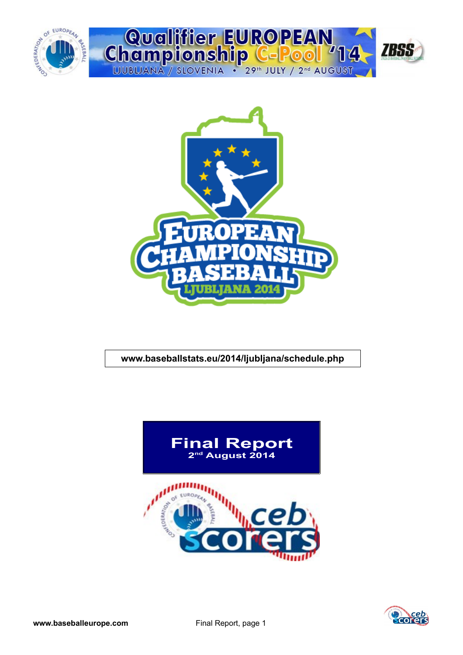



### **www.baseballstats.eu/2014/ljubljana/schedule.php**



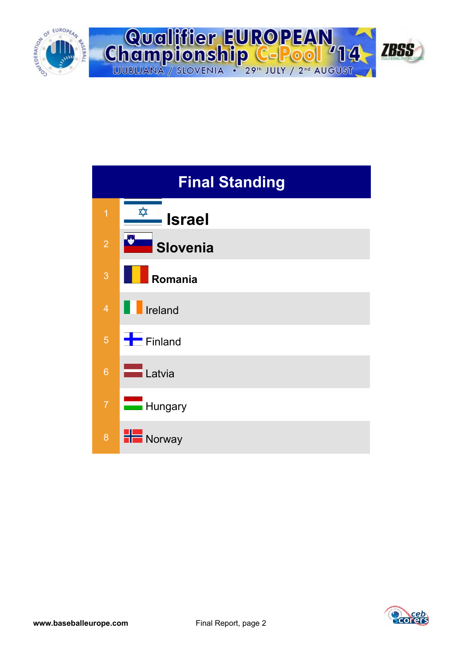





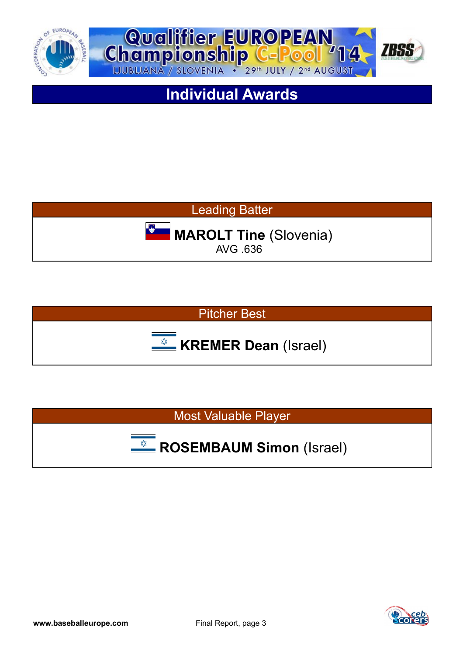



**Individual Awards**

Leading Batter

**MAROLT Tine** (Slovenia) AVG .636

Pitcher Best **KREMER Dean** (Israel)

Most Valuable Player

 **ROSEMBAUM Simon** (Israel)  $\frac{1}{2}$ 

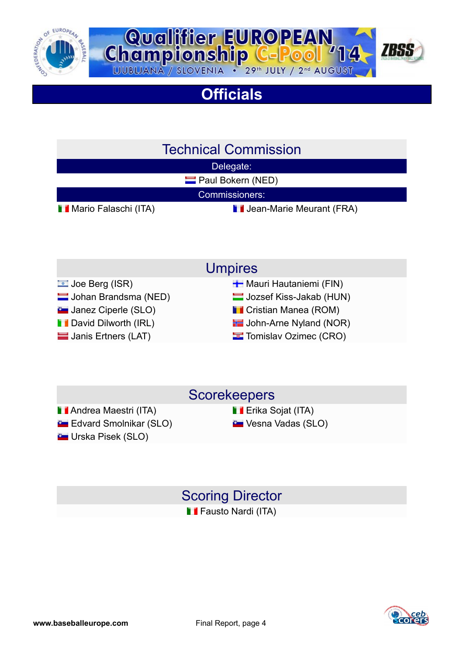



# **Officials**

### Technical Commission

Delegate:

**Paul Bokern (NED)** 

Commissioners:

**Mario Falaschi (ITA)** Jean-Marie Meurant (FRA)

- Umpires
- Joe Berg (ISR) Mauri Hautaniemi (FIN)
- Johan Brandsma (NED) Jozsef Kiss-Jakab (HUN)
- **L** Janez Ciperle (SLO) Cristian Manea (ROM)
- **Digitary David Dilworth (IRL) Comparent Contract Contract Property** John-Arne Nyland (NOR)
- **Janis Ertners (LAT)** Tomislav Ozimec (CRO)

### **Scorekeepers**

**Andrea Maestri (ITA)** Erika Sojat (ITA) **Example 3** Vesna Vadas (SLO) Vesna Vadas (SLO) **Urska Pisek (SLO)** 

### Scoring Director **Fausto Nardi (ITA)**

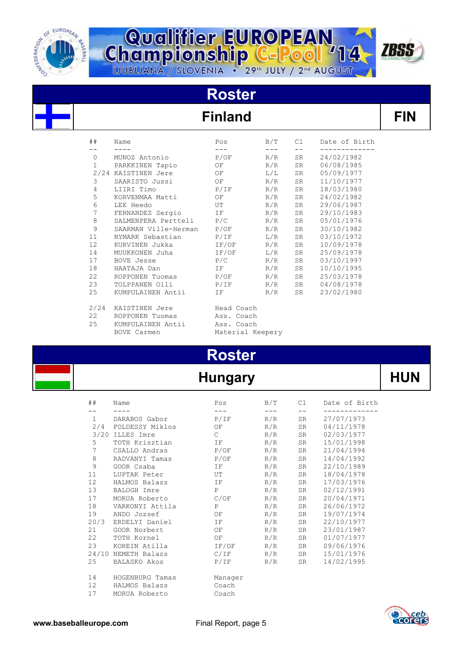



# **Roster**

## $Find$

| ##               | Name                    | Pos              | B/T | C1 | Date of Birth |
|------------------|-------------------------|------------------|-----|----|---------------|
|                  |                         |                  | R/R |    | -------       |
| $\mathbf{0}$     | MUNOZ Antonio           | P/OF             |     | SR | 24/02/1982    |
| $\mathbf{1}$     | PARKKINEN Tapio         | ΟF               | R/R | SR | 06/08/1985    |
|                  | 2/24 KAISTINEN Jere     | OF               | L/L | SR | 05/09/1977    |
| 3                | SAARISTO Jussi          | OF               | R/R | SR | 11/10/1977    |
| 4                | LIIRI Timo              | P/IF             | R/R | SR | 18/03/1980    |
| 5                | KORVENMAA Matti         | ΟF               | R/R | SR | 24/02/1982    |
| 6                | LEE Heedo               | UT               | R/R | SR | 29/06/1987    |
| $\boldsymbol{7}$ | FERNANDEZ Sergio IF     |                  | R/R | SR | 29/10/1983    |
| 8                | SALMENPERA Pertteli P/C |                  | R/R | SR | 05/01/1976    |
| 9                | SAARMAN Ville-Herman    | P/OF             | R/R | SR | 30/10/1982    |
| 11               | NYMARK Sebastian        | P/IF             | L/R | SR | 03/10/1972    |
| 12               | KURVINEN Jukka          | $IF/OF$ $R/R$    |     | SR | 10/09/1978    |
| 14               | MUUKKONEN Juha          | IF/OF            | L/R | SR | 25/09/1978    |
| 17               | BOVE Jesse              | P/C              | R/R | SR | 03/10/1997    |
| 18               | HAATAJA Dan             | IF               | R/R | SR | 10/10/1995    |
| 22               | ROPPONEN Tuomas         | $P/OF$ $R/R$     |     | SR | 25/03/1978    |
| 23               | TOLPPANEN Olli          | P/IF             | R/R | SR | 04/08/1978    |
| 25               | KUMPULAINEN Antii       | IF               | R/R | SR | 23/02/1980    |
| 2/24             | KAISTINEN Jere          | Head Coach       |     |    |               |
| 22               | ROPPONEN Tuomas         | Ass. Coach       |     |    |               |
| 25               | KUMPULAINEN Antii       | Ass. Coach       |     |    |               |
|                  | BOVE Carmen             | Material Keepery |     |    |               |



### **Hungary HUN**

| ##                | Name                | Pos          | B/T   | C1                | Date of Birth |
|-------------------|---------------------|--------------|-------|-------------------|---------------|
|                   |                     | $- - -$      | $---$ | $\qquad \qquad -$ |               |
| $\mathbf{1}$      | DARABOS Gabor       | P/IF         | R/R   | SR                | 27/07/1973    |
|                   | 2/4 FOLDESSY Miklos | OF           | R/R   | SR                | 04/11/1978    |
|                   | 3/20 ILLES Imre     | $\mathsf{C}$ | R/R   | SR                | 02/03/1977    |
| 5                 | TOTH Krisztian      | IF           | R/R   | SR                | 15/01/1998    |
| $\overline{7}$    | CSALLO Andras       | P/OF         | R/R   | SR                | 21/04/1994    |
| $\,8\,$           | RADVANYI Tamas      | P/OF         | R/R   | SR                | 14/04/1992    |
| $\mathsf 9$       | GOOR Csaba          | IF           | R/R   | SR                | 22/10/1989    |
| 11                | LUPTAK Peter        | UT           | R/R   | SR                | 18/04/1978    |
| 12                | HALMOS Balazs       | IF           | R/R   | SR                | 17/03/1976    |
| 13                | BALOGH Imre         | $\mathbf{P}$ | R/R   | SR                | 02/12/1991    |
| 17                | MORUA Roberto       | C/OF         | R/R   | SR                | 20/04/1971    |
| 18                | VARKONYI Attila     | P            | R/R   | SR                | 26/06/1972    |
| 19                | ANDO Jozsef         | OF           | R/R   | SR                | 19/07/1974    |
| 20/3              | ERDELYI Daniel      | IF           | R/R   | SR                | 22/10/1977    |
| 21                | GOOR Norbert        | OF           | R/R   | SR                | 23/01/1987    |
| 22                | TOTH Kornel         | OF           | R/R   | SR                | 01/07/1977    |
| 23                | KOREIN Atilla       | IF/OF        | R/R   | SR                | 09/06/1976    |
|                   | 24/10 NEMETH Balazs | C/IF         | R/R   | SR                | 15/01/1976    |
| 25                | BALASKO Akos        | P/IF         | R/R   | SR                | 14/02/1995    |
| 14                | HOGENBURG Tamas     | Manager      |       |                   |               |
| $12 \overline{ }$ | HALMOS Balazs       | Coach        |       |                   |               |
| 17                | MORUA Roberto       | Coach        |       |                   |               |

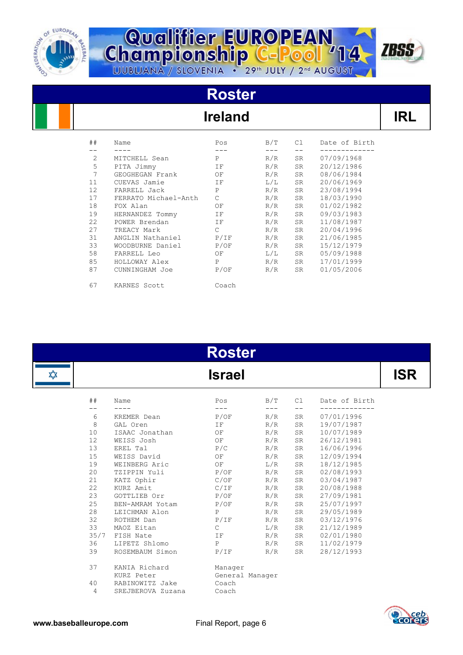



# **Roster**

## **Ireland**

| ##             | Name                 | Pos           | B/T                     | Cl —      | Date of Birth |
|----------------|----------------------|---------------|-------------------------|-----------|---------------|
|                |                      |               |                         |           |               |
| 2              | MITCHELL Sean        | P             | R/R                     | <b>SR</b> | 07/09/1968    |
| 5              | PITA Jimmy           | ΙF            | R/R                     | <b>SR</b> | 20/12/1986    |
| $\overline{7}$ | GEOGHEGAN Frank      | OF            | R/R                     | SR        | 08/06/1984    |
| 11             | CUEVAS Jamie         | ΙF            | L/L                     | SR        | 20/06/1969    |
| 12             | FARRELL Jack         | P             | R/R                     | SR        | 23/08/1994    |
| 17             | FERRATO Michael-Anth | C             | R/R                     | <b>SR</b> | 18/03/1990    |
| 18             | FOX Alan             | OF            | R/R                     | SR        | 01/02/1982    |
| 19             | HERNANDEZ Tommy      | IF            | R/R                     | SR        | 09/03/1983    |
| 22             | POWER Brendan        | IF            | R/R                     | <b>SR</b> | 11/08/1987    |
| 27             | TREACY Mark          | $\mathcal{C}$ | R/R                     | <b>SR</b> | 20/04/1996    |
| 31             | ANGLIN Nathaniel     | P/IF          | R/R                     | <b>SR</b> | 21/06/1985    |
| 33             | WOODBURNE Daniel     | P/OF          | R/R                     | SR.       | 15/12/1979    |
| 58             | FARRELL Leo          | OF            | $\mathbb{L}/\mathbb{L}$ | SR        | 05/09/1988    |
| 85             | HOLLOWAY Alex        | P             | R/R                     | SR        | 17/01/1999    |
| 87             | CUNNINGHAM Joe       | P/OF          | R/R                     | SR        | 01/05/2006    |
| 67             | KARNES Scott         | Coach         |                         |           |               |

|   |      |                   | <b>Roster</b>   |     |    |               |            |
|---|------|-------------------|-----------------|-----|----|---------------|------------|
| ✿ |      |                   | <b>Israel</b>   |     |    |               | <b>ISR</b> |
|   | ##   | Name              | Pos             | B/T | C1 | Date of Birth |            |
|   | 6    | KREMER Dean       | P/OF            | R/R | SR | 07/01/1996    |            |
|   | 8    | GAL Oren          | IF              | R/R | SR | 19/07/1987    |            |
|   | 10   | ISAAC Jonathan    | OF              | R/R | SR | 10/07/1989    |            |
|   | 12   | WEISS Josh        | OF              | R/R | SR | 26/12/1981    |            |
|   | 13   | EREL Tal          | P/C             | R/R | SR | 16/06/1996    |            |
|   | 15   | WEISS David       | ΟF              | R/R | SR | 12/09/1994    |            |
|   | 19   | WEINBERG Aric     | OF              | L/R | SR | 18/12/1985    |            |
|   | 20   | TZIPPIN Yuli      | P/OF            | R/R | SR | 02/08/1993    |            |
|   | 21   | KATZ Ophir        | C/OF            | R/R | SR | 03/04/1987    |            |
|   | 22   | KURZ Amit         | C/IF            | R/R | SR | 20/08/1988    |            |
|   | 23   | GOTTLIEB Orr      | P/OF            | R/R | SR | 27/09/1981    |            |
|   | 25   | BEN-AMRAM Yotam   | P/OF            | R/R | SR | 25/07/1997    |            |
|   | 28   | LEICHMAN Alon     | $\, {\bf P}$    | R/R | SR | 29/05/1989    |            |
|   | 32   | ROTHEM Dan        | P/IF            | R/R | SR | 03/12/1976    |            |
|   | 33   | MAOZ Eitan        | $\mathsf{C}$    | L/R | SR | 21/12/1989    |            |
|   | 35/7 | FISH Nate         | IF              | R/R | SR | 02/01/1980    |            |
|   | 36   | LIPETZ Shlomo     | P               | R/R | SR | 11/02/1979    |            |
|   | 39   | ROSEMBAUM Simon   | P/IF            | R/R | SR | 28/12/1993    |            |
|   | 37   | KANIA Richard     | Manager         |     |    |               |            |
|   |      | KURZ Peter        | General Manager |     |    |               |            |
|   | 40   | RABINOWITZ Jake   | Coach           |     |    |               |            |
|   | 4    | SREJBEROVA Zuzana | Coach           |     |    |               |            |

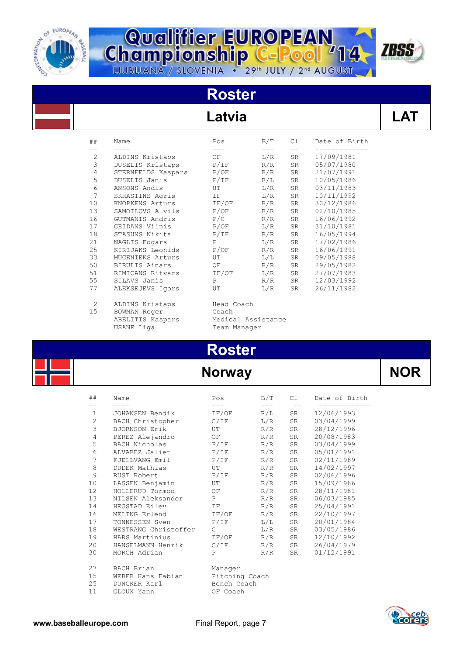



# **Roster**

### Latvia

| ##               | Name                  | Pos               | B/T           | C1    | Date of Birth |
|------------------|-----------------------|-------------------|---------------|-------|---------------|
|                  |                       | $---$             | $\frac{1}{2}$ | $- -$ |               |
| 2                | ALDINS Kristaps       | OF                | L/R           | SR    | 17/09/1981    |
| 3                | DUSELIS Kristaps P/IF |                   | R/R           | SR    | 05/07/1980    |
| $\overline{4}$   | STERNFELDS Kaspars    | P/OF              | R/R           | SR    | 21/07/1991    |
| 5                | DUSELIS Janis         | P/IF              | R/L           | SR    | 10/05/1986    |
| $\epsilon$       | ANSONS Andis          | UT                | L/R           | SR    | 03/11/1983    |
| $\boldsymbol{7}$ | SKRASTINS Agris       | IF                | L/R           | SR    | 10/11/1992    |
| 10               | KNOPKENS Arturs       | IF/OF             | R/R           | SR    | 30/12/1986    |
| 13               | SAMOILOVS Alvils      | P/OF              | R/R           | SR    | 02/10/1985    |
| 16               | GUTMANIS Andris       | P/C               | R/R           | SR    | 16/06/1992    |
| 17               | GEIDANS Vilnis        | P/OF              | L/R           | SR    | 31/10/1981    |
| 18               | STASUNS Nikita        | P/IF              | R/R           | SR    | 16/05/1994    |
| 21               | NAGLIS Edgars         | $P \qquad \qquad$ | L/R           | SR    | 17/02/1986    |
| 25               | KIRIJAKS Leonids      | P/OF              | R/R           | SR    | 16/06/1991    |
| 33               | MUCENIEKS Arturs      | UT                | L/L           | SR    | 09/05/1988    |
| 50               | BIRULIS Ainars        | OF                | R/R           | SR    | 29/05/1982    |
| 51               | RIMICANS Ritvars      | IF/OF             | L/R           | SR    | 27/07/1983    |
| 55               | SILAVS Janis          | P                 | R/R           | SR    | 12/03/1992    |
| 77               | ALEKSEJEVS Igors      | UT                | L/R           | SR    | 26/11/1982    |
| 2                | ALDINS Kristaps       | Head Coach        |               |       |               |

15 BOWMAN Roger Coach

 ABELITIS Kaspars Medical Assistance Team Manager

# **Roster**

### **Norway**

| ×<br>۰. |  |
|---------|--|

| ##                    | Name                 | Pos            | B/T | C1 | Date of Birth |  |
|-----------------------|----------------------|----------------|-----|----|---------------|--|
| $- -$<br>$\mathbf{1}$ | JOHANSEN Bendik      | IF/OF          | R/L | SR | 12/06/1993    |  |
| $\overline{c}$        | BACH Christopher     | C/IF           | L/R | SR | 03/04/1999    |  |
| $\mathsf 3$           | BJORNSON Erik        | UT             | R/R | SR | 28/12/1996    |  |
| $\sqrt{4}$            | PEREZ Alejandro      | OF             | R/R | SR | 20/08/1983    |  |
| 5                     | BACH Nicholas        | P/IF           | R/R | SR | 03/04/1999    |  |
| 6                     | ALVAREZ Jaliet       | P/IF           | R/R | SR | 05/01/1991    |  |
| $\overline{7}$        | FJELLVANG Emil       | P/IF           | R/R | SR | 02/11/1989    |  |
| 8                     | DUDEK Mathias        | UT             | R/R | SR | 14/02/1997    |  |
| 9                     | RUST Robert          | P/IF           | R/R | SR | 02/06/1996    |  |
| 10                    | LASSEN Benjamin      | UT             | R/R | SR | 15/09/1986    |  |
| 12                    | HOLLERUD Tormod      | OF             | R/R | SR | 28/11/1981    |  |
| 13                    | NILSEN Aleksander    | P              | R/R | SR | 06/03/1985    |  |
| 14                    | HEGSTAD Eilev        | IF -           | R/R | SR | 25/04/1991    |  |
| 16                    | MELING Erlend        | IF/OF          | R/R | SR | 22/10/1997    |  |
| 17                    | TONNESSEN Sven       | P/IF           | L/L | SR | 20/01/1984    |  |
| 18                    | WESTRANG Christoffer | $\mathsf{C}$   | L/R | SR | 03/05/1986    |  |
| 19                    | HARS Martinius       | IF/OF          | R/R | SR | 12/10/1992    |  |
| 20                    | HANSELMANN Henrik    | C/IF           | R/R | SR | 26/04/1979    |  |
| 30                    | MORCH Adrian         | P              | R/R | SR | 01/12/1991    |  |
| 27                    | <b>BACH Brian</b>    | Manager        |     |    |               |  |
| 15                    | WEBER Hans Fabian    | Pitching Coach |     |    |               |  |
| 25                    | DUNCKER Karl         | Bench Coach    |     |    |               |  |
| 11                    | GLOUX Yann           | OF Coach       |     |    |               |  |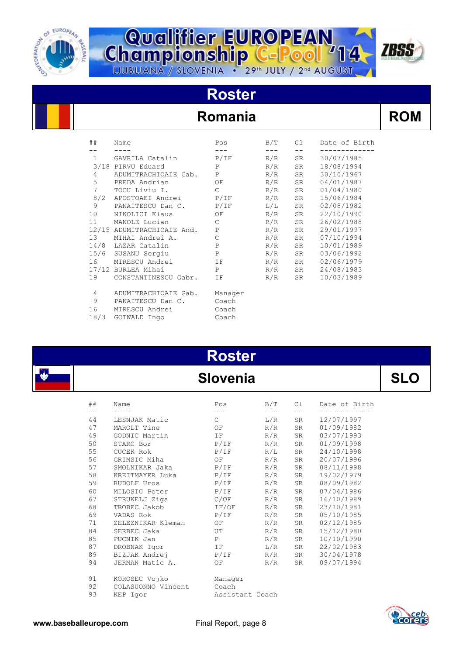



### **Roster**

### **Romania ROM**

| ##              | Name                       | Pos            | B/T                     | C1 | Date of Birth |
|-----------------|----------------------------|----------------|-------------------------|----|---------------|
|                 |                            |                |                         |    |               |
| $\mathbf{1}$    | GAVRILA Catalin            | P/IF           | R/R                     | SR | 30/07/1985    |
|                 | 3/18 PIRVU Eduard          | P              | R/R                     | SR | 18/08/1994    |
| 4               | ADUMITRACHIOAIE Gab.       | P              | R/R                     | SR | 30/10/1967    |
| 5               | PREDA Andrian              | ΟF             | R/R                     | SR | 04/01/1987    |
| $7\phantom{.0}$ | TOCU Liviu I.              | $\overline{C}$ | R/R                     | SR | 01/04/1980    |
| 8/2             | APOSTOAEI Andrei           | P/IF           | R/R                     | SR | 15/06/1984    |
| 9               | PANAITESCU Dan C.          | P/IF           | $\mathbb{L}/\mathbb{L}$ | SR | 02/08/1982    |
| 10              | NIKOLICI Klaus             | ΟF             | R/R                     | SR | 22/10/1990    |
| 11              | MANOLE Lucian              | $\mathsf{C}$   | R/R                     | SR | 26/02/1988    |
|                 | 12/15 ADUMITRACHIOAIE And. | P              | R/R                     | SR | 29/01/1997    |
| 13              | MIHAI Andrei A.            | $\mathsf C$    | R/R                     | SR | 07/10/1994    |
|                 | 14/8 LAZAR Catalin         | P              | R/R                     | SR | 10/01/1989    |
|                 | 15/6 SUSANU Sergiu         | P              | R/R                     | SR | 03/06/1992    |
| 16              | MIRESCU Andrei             | ΙF             | R/R                     | SR | 02/06/1979    |
|                 | 17/12 BURLEA Mihai         | P              | R/R                     | SR | 24/08/1983    |
| 19              | CONSTANTINESCU Gabr.       | IF             | R/R                     | SR | 10/03/1989    |
| 4               | ADUMITRACHIOAIE Gab.       | Manager        |                         |    |               |
| 9               | PANAITESCU Dan C.          | Coach          |                         |    |               |
| 16              | MIRESCU Andrei             | Coach          |                         |    |               |
| 18/3            | GOTWALD Ingo               | Coach          |                         |    |               |



 58 KREITMAYER Luka P/IF R/R SR 19/02/1979 59 RUDOLF Uros P/IF R/R SR 08/09/1982 60 MILOSIC Peter P/IF R/R SR 07/04/1986 67 STRUKELJ Ziga C/OF R/R SR 16/10/1989

 71 ZELEZNIKAR Kleman OF R/R SR 02/12/1985 84 SERBEC Jaka UT R/R SR 15/12/1980<br>85 PUCNIK Jan P R/R SR 10/10/1990

87 DROBNAK Igor IF L/R SR 22/02/1983

94 JERMAN Matic A. OF R/R SR 09/07/1994

68 TROBEC Jakob IF/OF R/R SR 23/10/1981

BIZJAK Andrej P/IF R/R

| 91 | KOROSEC Vojko      | Manager         |
|----|--------------------|-----------------|
| 92 | COLASUONNO Vincent | Coach           |
| 93 | KEP Iqor           | Assistant Coach |
|    |                    |                 |
|    |                    |                 |

85 PUCNIK Jan P R/R SR 10/10/1990



05/10/1985<br>02/12/1985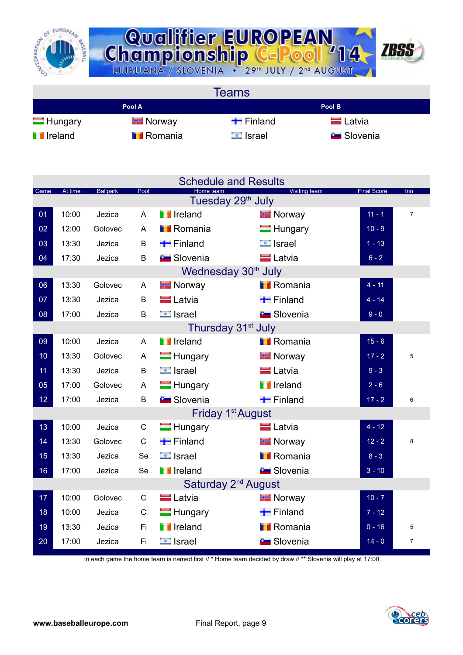



**Teams Pool A Pool B** Hungary Finland Finland Latvia **I** Ireland **I** Romania **I** Israel Slovenia

|      |         |                 |              |                          | <b>Schedule and Results</b>                    |                    |                  |
|------|---------|-----------------|--------------|--------------------------|------------------------------------------------|--------------------|------------------|
| Game | At time | <b>Ballpark</b> | Pool         | Home team                | Visiting team<br>Tuesday 29 <sup>th</sup> July | <b>Final Score</b> | Inn              |
| 01   | 10:00   | Jezica          | A            | <b>I</b> Ireland         | <b>E</b> Norway                                | $11 - 1$           | $\overline{7}$   |
| 02   | 12:00   | Golovec         | A            | <b>Romania</b>           | $\blacksquare$ Hungary                         | $10 - 9$           |                  |
| 03   | 13:30   | Jezica          | B            | $\blacksquare$ Finland   | $\equiv$ Israel                                | $1 - 13$           |                  |
| 04   | 17:30   | Jezica          | B            | <b>Contract Slovenia</b> | <b>E</b> Latvia                                | $6 - 2$            |                  |
|      |         |                 |              |                          | Wednesday 30 <sup>th</sup> July                |                    |                  |
| 06   | 13:30   | Golovec         | A            | <b>Norway</b>            | <b>I</b> Romania                               | $4 - 11$           |                  |
| 07   | 13:30   | Jezica          | $\sf B$      | <b>Latvia</b>            | $\blacksquare$ Finland                         | $4 - 14$           |                  |
| 08   | 17:00   | Jezica          | B            | <b>E</b> Israel          | <b>Contract Slovenia</b>                       | $9 - 0$            |                  |
|      |         |                 |              |                          | Thursday 31 <sup>st</sup> July                 |                    |                  |
| 09   | 10:00   | Jezica          | A            | <b>I</b> Ireland         | <b>I</b> Romania                               | $15 - 6$           |                  |
| 10   | 13:30   | Golovec         | A            | $\blacksquare$ Hungary   | <b>H</b> Norway                                | $17 - 2$           | 5                |
| 11   | 13:30   | Jezica          | B            | $\equiv$ Israel          | <b>E</b> Latvia                                | $9 - 3$            |                  |
| 05   | 17:00   | Golovec         | A            | $\blacksquare$ Hungary   | <b>T</b> Ireland                               | $2 - 6$            |                  |
| 12   | 17:00   | Jezica          | $\sf B$      | <b>B</b> Slovenia        | $\blacksquare$ Finland                         | $17 - 2$           | 6                |
|      |         |                 |              |                          | Friday 1 <sup>st</sup> August                  |                    |                  |
| 13   | 10:00   | Jezica          | C            | $\blacksquare$ Hungary   | <b>E</b> Latvia                                | $4 - 12$           |                  |
| 14   | 13:30   | Golovec         | $\mathsf C$  | $\blacksquare$ Finland   | <b>E</b> Norway                                | $12 - 2$           | 8                |
| 15   | 13:30   | Jezica          | Se           | <b>E</b> Israel          | <b>I</b> Romania                               | $8 - 3$            |                  |
| 16   | 17:00   | Jezica          | Se           | <b>T</b> Ireland         | <b>Slovenia</b>                                | $3 - 10$           |                  |
|      |         |                 |              |                          | Saturday 2 <sup>nd</sup> August                |                    |                  |
| 17   | 10:00   | Golovec         | $\mathsf{C}$ | $\blacksquare$ Latvia    | <b>E</b> Norway                                | $10 - 7$           |                  |
| 18   | 10:00   | Jezica          | $\mathsf C$  | $\blacksquare$ Hungary   | $\blacksquare$ Finland                         | $7 - 12$           |                  |
| 19   | 13:30   | Jezica          | Fi           | <b>T</b> Ireland         | <b>TRomania</b>                                | $0 - 16$           | 5                |
| 20   | 17:00   | Jezica          | Fi           | <b>I</b> srael           | <b>B</b> Slovenia                              | $14 - 0$           | $\boldsymbol{7}$ |

In each game the home team is named first // \* Home team decided by draw // \*\* Slovenia will play at 17:00

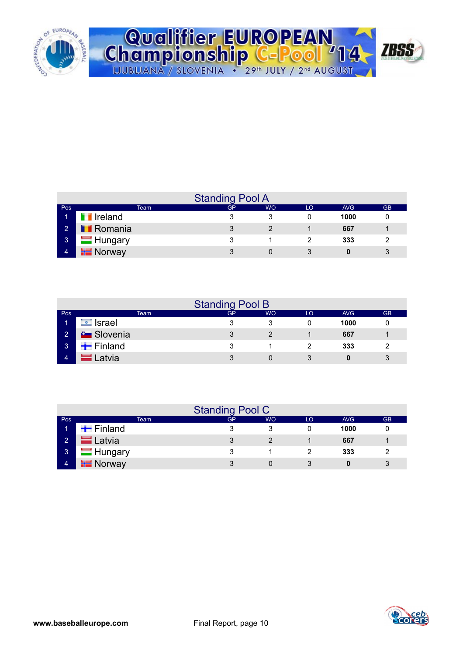

|  | Qualifier EUROPEAN<br>Championship C-Pool '14 / 1555 |  |
|--|------------------------------------------------------|--|
|  |                                                      |  |
|  | LJUBLJANA / SLOVENIA · 29th JULY / 2nd AUGUST        |  |

|                |                        | <b>Standing Pool A</b> |           |    |            |           |
|----------------|------------------------|------------------------|-----------|----|------------|-----------|
| Pos            | Team                   | GP                     | <b>WO</b> | LO | <b>AVG</b> | <b>GB</b> |
| T              | <b>T</b> Ireland       |                        |           |    | 1000       |           |
| $\sim$ 2       | <b>Romania</b>         |                        |           |    | 667        |           |
| 3 <sub>1</sub> | $\blacksquare$ Hungary |                        |           |    | 333        |           |
| $\overline{4}$ | <b>E</b> Norway        |                        |           |    |            |           |

|                |                            |      | <b>Standing Pool B</b> |           |    |            |           |
|----------------|----------------------------|------|------------------------|-----------|----|------------|-----------|
| Pos            |                            | Team | GP.                    | <b>WO</b> | LO | <b>AVG</b> | <b>GB</b> |
| и              | <b><del>⊡</del></b> Israel |      |                        |           |    | 1000       |           |
| $\sqrt{2}$     | <b>C</b> Slovenia          |      |                        |           |    | 667        |           |
| 3 <sup>1</sup> | $\blacksquare$ Finland     |      |                        |           |    | 333        | 2         |
| 4              | Latvia                     |      |                        |           |    |            | 3         |

|                |                        | <b>Standing Pool C</b> |           |    |      |           |
|----------------|------------------------|------------------------|-----------|----|------|-----------|
| Pos            | Team                   | GP                     | <b>WO</b> | LO | AVG  | <b>GB</b> |
|                | <b>+</b> Finland       |                        |           |    | 1000 |           |
| $\overline{2}$ | $=$ Latvia             |                        |           |    | 667  |           |
| 3              | $\blacksquare$ Hungary | ີ                      |           |    | 333  | າ         |
| 4              | $\equiv$ Norway        |                        |           |    |      |           |

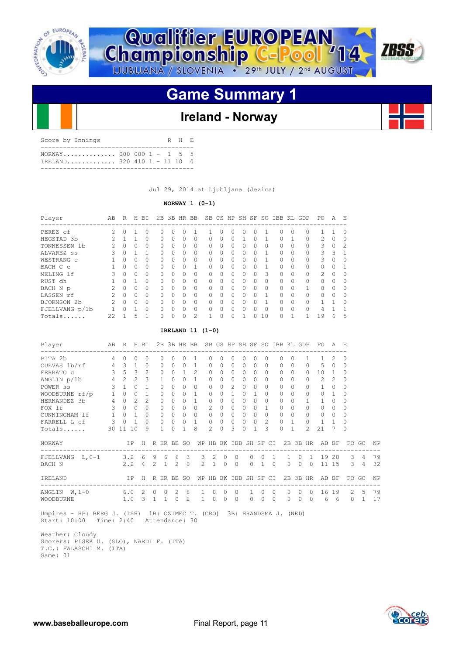



### **Ireland - Norway**

| Score by Innings |  |  | R H E |  |
|------------------|--|--|-------|--|
|                  |  |  |       |  |
|                  |  |  |       |  |

Jul 29, 2014 at Ljubljana (Jezica)

#### **NORWAY 1 (0-1)**

|                |                                                         |                                                                         |                                                                                                                                                                                                                                                                                                                                                                                                                                                                                                                                                                             |                                                                                                                                 |                                                                                                                                                                                                       |                                                                                                                                            |                                                                                                                                                                                                                                                                               |                                                                                                                                                                                                                                                                                                                                                                                           |                                                                                                                                                                                                        |                                                                                                                                                                                                       |                                                                                                                                                                                                                                                                                                         |                                                                                                                                                                                                          |              |                                                                                                                                                                                                                                                                                                                       |                                                                                                                                                                                                                                                                      |                                                                                                                                                                                                                                                                      |                                                                                                                                                                                                                                                                                                                   |                                                                                                                                                                                                         | A                                                                                                               | Е                                                                                                                                                                                                                                                                                                                            |                                                                                                                                                                                                                                                                                            |                                           |
|----------------|---------------------------------------------------------|-------------------------------------------------------------------------|-----------------------------------------------------------------------------------------------------------------------------------------------------------------------------------------------------------------------------------------------------------------------------------------------------------------------------------------------------------------------------------------------------------------------------------------------------------------------------------------------------------------------------------------------------------------------------|---------------------------------------------------------------------------------------------------------------------------------|-------------------------------------------------------------------------------------------------------------------------------------------------------------------------------------------------------|--------------------------------------------------------------------------------------------------------------------------------------------|-------------------------------------------------------------------------------------------------------------------------------------------------------------------------------------------------------------------------------------------------------------------------------|-------------------------------------------------------------------------------------------------------------------------------------------------------------------------------------------------------------------------------------------------------------------------------------------------------------------------------------------------------------------------------------------|--------------------------------------------------------------------------------------------------------------------------------------------------------------------------------------------------------|-------------------------------------------------------------------------------------------------------------------------------------------------------------------------------------------------------|---------------------------------------------------------------------------------------------------------------------------------------------------------------------------------------------------------------------------------------------------------------------------------------------------------|----------------------------------------------------------------------------------------------------------------------------------------------------------------------------------------------------------|--------------|-----------------------------------------------------------------------------------------------------------------------------------------------------------------------------------------------------------------------------------------------------------------------------------------------------------------------|----------------------------------------------------------------------------------------------------------------------------------------------------------------------------------------------------------------------------------------------------------------------|----------------------------------------------------------------------------------------------------------------------------------------------------------------------------------------------------------------------------------------------------------------------|-------------------------------------------------------------------------------------------------------------------------------------------------------------------------------------------------------------------------------------------------------------------------------------------------------------------|---------------------------------------------------------------------------------------------------------------------------------------------------------------------------------------------------------|-----------------------------------------------------------------------------------------------------------------|------------------------------------------------------------------------------------------------------------------------------------------------------------------------------------------------------------------------------------------------------------------------------------------------------------------------------|--------------------------------------------------------------------------------------------------------------------------------------------------------------------------------------------------------------------------------------------------------------------------------------------|-------------------------------------------|
| 2              | $\circ$                                                 | 1                                                                       | $\Omega$                                                                                                                                                                                                                                                                                                                                                                                                                                                                                                                                                                    | $\Omega$                                                                                                                        | U                                                                                                                                                                                                     | $\Omega$                                                                                                                                   | 1                                                                                                                                                                                                                                                                             | 1                                                                                                                                                                                                                                                                                                                                                                                         | $\Omega$                                                                                                                                                                                               | $\Omega$                                                                                                                                                                                              | $\Omega$                                                                                                                                                                                                                                                                                                |                                                                                                                                                                                                          |              |                                                                                                                                                                                                                                                                                                                       |                                                                                                                                                                                                                                                                      |                                                                                                                                                                                                                                                                      | 0                                                                                                                                                                                                                                                                                                                 | 1                                                                                                                                                                                                       | 1                                                                                                               | 0                                                                                                                                                                                                                                                                                                                            |                                                                                                                                                                                                                                                                                            |                                           |
| $\overline{2}$ | $\mathbf{1}$                                            | 1                                                                       | 0                                                                                                                                                                                                                                                                                                                                                                                                                                                                                                                                                                           | 0                                                                                                                               |                                                                                                                                                                                                       | 0                                                                                                                                          | 0                                                                                                                                                                                                                                                                             | 0                                                                                                                                                                                                                                                                                                                                                                                         | 0                                                                                                                                                                                                      | 0                                                                                                                                                                                                     | 1                                                                                                                                                                                                                                                                                                       |                                                                                                                                                                                                          |              |                                                                                                                                                                                                                                                                                                                       |                                                                                                                                                                                                                                                                      |                                                                                                                                                                                                                                                                      | 0                                                                                                                                                                                                                                                                                                                 | 2                                                                                                                                                                                                       | $\circ$                                                                                                         | $\mathbf{0}$                                                                                                                                                                                                                                                                                                                 |                                                                                                                                                                                                                                                                                            |                                           |
|                |                                                         |                                                                         |                                                                                                                                                                                                                                                                                                                                                                                                                                                                                                                                                                             | 0                                                                                                                               | 0                                                                                                                                                                                                     |                                                                                                                                            |                                                                                                                                                                                                                                                                               | $\Omega$                                                                                                                                                                                                                                                                                                                                                                                  | $\Omega$                                                                                                                                                                                               |                                                                                                                                                                                                       |                                                                                                                                                                                                                                                                                                         |                                                                                                                                                                                                          |              |                                                                                                                                                                                                                                                                                                                       |                                                                                                                                                                                                                                                                      |                                                                                                                                                                                                                                                                      | $\Omega$                                                                                                                                                                                                                                                                                                          |                                                                                                                                                                                                         |                                                                                                                 |                                                                                                                                                                                                                                                                                                                              |                                                                                                                                                                                                                                                                                            |                                           |
|                |                                                         |                                                                         |                                                                                                                                                                                                                                                                                                                                                                                                                                                                                                                                                                             |                                                                                                                                 |                                                                                                                                                                                                       |                                                                                                                                            |                                                                                                                                                                                                                                                                               |                                                                                                                                                                                                                                                                                                                                                                                           |                                                                                                                                                                                                        |                                                                                                                                                                                                       |                                                                                                                                                                                                                                                                                                         |                                                                                                                                                                                                          |              |                                                                                                                                                                                                                                                                                                                       |                                                                                                                                                                                                                                                                      |                                                                                                                                                                                                                                                                      |                                                                                                                                                                                                                                                                                                                   |                                                                                                                                                                                                         |                                                                                                                 |                                                                                                                                                                                                                                                                                                                              |                                                                                                                                                                                                                                                                                            |                                           |
|                |                                                         |                                                                         |                                                                                                                                                                                                                                                                                                                                                                                                                                                                                                                                                                             |                                                                                                                                 |                                                                                                                                                                                                       |                                                                                                                                            |                                                                                                                                                                                                                                                                               |                                                                                                                                                                                                                                                                                                                                                                                           |                                                                                                                                                                                                        |                                                                                                                                                                                                       |                                                                                                                                                                                                                                                                                                         |                                                                                                                                                                                                          |              |                                                                                                                                                                                                                                                                                                                       |                                                                                                                                                                                                                                                                      |                                                                                                                                                                                                                                                                      |                                                                                                                                                                                                                                                                                                                   |                                                                                                                                                                                                         |                                                                                                                 |                                                                                                                                                                                                                                                                                                                              |                                                                                                                                                                                                                                                                                            |                                           |
|                |                                                         |                                                                         |                                                                                                                                                                                                                                                                                                                                                                                                                                                                                                                                                                             |                                                                                                                                 |                                                                                                                                                                                                       |                                                                                                                                            |                                                                                                                                                                                                                                                                               |                                                                                                                                                                                                                                                                                                                                                                                           |                                                                                                                                                                                                        |                                                                                                                                                                                                       |                                                                                                                                                                                                                                                                                                         |                                                                                                                                                                                                          |              |                                                                                                                                                                                                                                                                                                                       |                                                                                                                                                                                                                                                                      |                                                                                                                                                                                                                                                                      |                                                                                                                                                                                                                                                                                                                   |                                                                                                                                                                                                         |                                                                                                                 |                                                                                                                                                                                                                                                                                                                              |                                                                                                                                                                                                                                                                                            |                                           |
|                |                                                         |                                                                         |                                                                                                                                                                                                                                                                                                                                                                                                                                                                                                                                                                             |                                                                                                                                 |                                                                                                                                                                                                       |                                                                                                                                            |                                                                                                                                                                                                                                                                               |                                                                                                                                                                                                                                                                                                                                                                                           |                                                                                                                                                                                                        |                                                                                                                                                                                                       |                                                                                                                                                                                                                                                                                                         |                                                                                                                                                                                                          |              |                                                                                                                                                                                                                                                                                                                       |                                                                                                                                                                                                                                                                      |                                                                                                                                                                                                                                                                      |                                                                                                                                                                                                                                                                                                                   |                                                                                                                                                                                                         |                                                                                                                 |                                                                                                                                                                                                                                                                                                                              |                                                                                                                                                                                                                                                                                            |                                           |
|                |                                                         |                                                                         |                                                                                                                                                                                                                                                                                                                                                                                                                                                                                                                                                                             |                                                                                                                                 |                                                                                                                                                                                                       |                                                                                                                                            |                                                                                                                                                                                                                                                                               |                                                                                                                                                                                                                                                                                                                                                                                           |                                                                                                                                                                                                        |                                                                                                                                                                                                       |                                                                                                                                                                                                                                                                                                         |                                                                                                                                                                                                          |              |                                                                                                                                                                                                                                                                                                                       |                                                                                                                                                                                                                                                                      |                                                                                                                                                                                                                                                                      |                                                                                                                                                                                                                                                                                                                   |                                                                                                                                                                                                         |                                                                                                                 |                                                                                                                                                                                                                                                                                                                              |                                                                                                                                                                                                                                                                                            |                                           |
|                |                                                         |                                                                         |                                                                                                                                                                                                                                                                                                                                                                                                                                                                                                                                                                             |                                                                                                                                 |                                                                                                                                                                                                       |                                                                                                                                            |                                                                                                                                                                                                                                                                               |                                                                                                                                                                                                                                                                                                                                                                                           |                                                                                                                                                                                                        |                                                                                                                                                                                                       |                                                                                                                                                                                                                                                                                                         |                                                                                                                                                                                                          |              |                                                                                                                                                                                                                                                                                                                       |                                                                                                                                                                                                                                                                      |                                                                                                                                                                                                                                                                      |                                                                                                                                                                                                                                                                                                                   |                                                                                                                                                                                                         |                                                                                                                 |                                                                                                                                                                                                                                                                                                                              |                                                                                                                                                                                                                                                                                            |                                           |
|                |                                                         |                                                                         |                                                                                                                                                                                                                                                                                                                                                                                                                                                                                                                                                                             |                                                                                                                                 |                                                                                                                                                                                                       |                                                                                                                                            |                                                                                                                                                                                                                                                                               |                                                                                                                                                                                                                                                                                                                                                                                           |                                                                                                                                                                                                        |                                                                                                                                                                                                       |                                                                                                                                                                                                                                                                                                         |                                                                                                                                                                                                          |              |                                                                                                                                                                                                                                                                                                                       |                                                                                                                                                                                                                                                                      |                                                                                                                                                                                                                                                                      |                                                                                                                                                                                                                                                                                                                   |                                                                                                                                                                                                         |                                                                                                                 |                                                                                                                                                                                                                                                                                                                              |                                                                                                                                                                                                                                                                                            |                                           |
|                |                                                         |                                                                         |                                                                                                                                                                                                                                                                                                                                                                                                                                                                                                                                                                             |                                                                                                                                 |                                                                                                                                                                                                       |                                                                                                                                            |                                                                                                                                                                                                                                                                               |                                                                                                                                                                                                                                                                                                                                                                                           |                                                                                                                                                                                                        |                                                                                                                                                                                                       |                                                                                                                                                                                                                                                                                                         |                                                                                                                                                                                                          |              |                                                                                                                                                                                                                                                                                                                       |                                                                                                                                                                                                                                                                      |                                                                                                                                                                                                                                                                      |                                                                                                                                                                                                                                                                                                                   |                                                                                                                                                                                                         |                                                                                                                 |                                                                                                                                                                                                                                                                                                                              |                                                                                                                                                                                                                                                                                            |                                           |
|                |                                                         |                                                                         |                                                                                                                                                                                                                                                                                                                                                                                                                                                                                                                                                                             |                                                                                                                                 |                                                                                                                                                                                                       |                                                                                                                                            |                                                                                                                                                                                                                                                                               |                                                                                                                                                                                                                                                                                                                                                                                           |                                                                                                                                                                                                        |                                                                                                                                                                                                       |                                                                                                                                                                                                                                                                                                         |                                                                                                                                                                                                          |              |                                                                                                                                                                                                                                                                                                                       |                                                                                                                                                                                                                                                                      |                                                                                                                                                                                                                                                                      |                                                                                                                                                                                                                                                                                                                   |                                                                                                                                                                                                         |                                                                                                                 |                                                                                                                                                                                                                                                                                                                              |                                                                                                                                                                                                                                                                                            |                                           |
|                |                                                         |                                                                         |                                                                                                                                                                                                                                                                                                                                                                                                                                                                                                                                                                             |                                                                                                                                 |                                                                                                                                                                                                       |                                                                                                                                            |                                                                                                                                                                                                                                                                               |                                                                                                                                                                                                                                                                                                                                                                                           |                                                                                                                                                                                                        |                                                                                                                                                                                                       |                                                                                                                                                                                                                                                                                                         |                                                                                                                                                                                                          |              |                                                                                                                                                                                                                                                                                                                       |                                                                                                                                                                                                                                                                      |                                                                                                                                                                                                                                                                      |                                                                                                                                                                                                                                                                                                                   |                                                                                                                                                                                                         |                                                                                                                 |                                                                                                                                                                                                                                                                                                                              |                                                                                                                                                                                                                                                                                            |                                           |
|                |                                                         |                                                                         |                                                                                                                                                                                                                                                                                                                                                                                                                                                                                                                                                                             |                                                                                                                                 |                                                                                                                                                                                                       |                                                                                                                                            |                                                                                                                                                                                                                                                                               |                                                                                                                                                                                                                                                                                                                                                                                           |                                                                                                                                                                                                        |                                                                                                                                                                                                       |                                                                                                                                                                                                                                                                                                         |                                                                                                                                                                                                          |              |                                                                                                                                                                                                                                                                                                                       |                                                                                                                                                                                                                                                                      |                                                                                                                                                                                                                                                                      |                                                                                                                                                                                                                                                                                                                   |                                                                                                                                                                                                         |                                                                                                                 |                                                                                                                                                                                                                                                                                                                              |                                                                                                                                                                                                                                                                                            |                                           |
|                |                                                         |                                                                         |                                                                                                                                                                                                                                                                                                                                                                                                                                                                                                                                                                             |                                                                                                                                 |                                                                                                                                                                                                       |                                                                                                                                            |                                                                                                                                                                                                                                                                               |                                                                                                                                                                                                                                                                                                                                                                                           |                                                                                                                                                                                                        |                                                                                                                                                                                                       |                                                                                                                                                                                                                                                                                                         |                                                                                                                                                                                                          |              |                                                                                                                                                                                                                                                                                                                       |                                                                                                                                                                                                                                                                      |                                                                                                                                                                                                                                                                      |                                                                                                                                                                                                                                                                                                                   |                                                                                                                                                                                                         |                                                                                                                 |                                                                                                                                                                                                                                                                                                                              |                                                                                                                                                                                                                                                                                            |                                           |
|                |                                                         | 0                                                                       | 0                                                                                                                                                                                                                                                                                                                                                                                                                                                                                                                                                                           | 0                                                                                                                               |                                                                                                                                                                                                       |                                                                                                                                            | 1                                                                                                                                                                                                                                                                             |                                                                                                                                                                                                                                                                                                                                                                                           | $\circ$                                                                                                                                                                                                | 0                                                                                                                                                                                                     | 0                                                                                                                                                                                                                                                                                                       |                                                                                                                                                                                                          | 0            |                                                                                                                                                                                                                                                                                                                       |                                                                                                                                                                                                                                                                      |                                                                                                                                                                                                                                                                      | 1                                                                                                                                                                                                                                                                                                                 | 1                                                                                                                                                                                                       | 2                                                                                                               | $\Omega$                                                                                                                                                                                                                                                                                                                     |                                                                                                                                                                                                                                                                                            |                                           |
|                |                                                         |                                                                         | $\Omega$                                                                                                                                                                                                                                                                                                                                                                                                                                                                                                                                                                    | 0                                                                                                                               | 0                                                                                                                                                                                                     |                                                                                                                                            | $\mathbf{1}$                                                                                                                                                                                                                                                                  |                                                                                                                                                                                                                                                                                                                                                                                           | $\Omega$                                                                                                                                                                                               | $\Omega$                                                                                                                                                                                              | $\Omega$                                                                                                                                                                                                                                                                                                |                                                                                                                                                                                                          |              |                                                                                                                                                                                                                                                                                                                       |                                                                                                                                                                                                                                                                      |                                                                                                                                                                                                                                                                      | $\Omega$                                                                                                                                                                                                                                                                                                          | 5                                                                                                                                                                                                       | $\Omega$                                                                                                        | $\Omega$                                                                                                                                                                                                                                                                                                                     |                                                                                                                                                                                                                                                                                            |                                           |
|                |                                                         |                                                                         | -2                                                                                                                                                                                                                                                                                                                                                                                                                                                                                                                                                                          | 0                                                                                                                               |                                                                                                                                                                                                       |                                                                                                                                            |                                                                                                                                                                                                                                                                               |                                                                                                                                                                                                                                                                                                                                                                                           | $\circ$                                                                                                                                                                                                |                                                                                                                                                                                                       | $\circ$                                                                                                                                                                                                                                                                                                 |                                                                                                                                                                                                          |              |                                                                                                                                                                                                                                                                                                                       |                                                                                                                                                                                                                                                                      |                                                                                                                                                                                                                                                                      | 0                                                                                                                                                                                                                                                                                                                 |                                                                                                                                                                                                         |                                                                                                                 | 0                                                                                                                                                                                                                                                                                                                            |                                                                                                                                                                                                                                                                                            |                                           |
|                |                                                         | 2                                                                       |                                                                                                                                                                                                                                                                                                                                                                                                                                                                                                                                                                             |                                                                                                                                 |                                                                                                                                                                                                       |                                                                                                                                            |                                                                                                                                                                                                                                                                               |                                                                                                                                                                                                                                                                                                                                                                                           | $\Omega$                                                                                                                                                                                               |                                                                                                                                                                                                       | $\Omega$                                                                                                                                                                                                                                                                                                |                                                                                                                                                                                                          |              |                                                                                                                                                                                                                                                                                                                       |                                                                                                                                                                                                                                                                      |                                                                                                                                                                                                                                                                      | $\Omega$                                                                                                                                                                                                                                                                                                          | 2                                                                                                                                                                                                       |                                                                                                                 | $\Omega$                                                                                                                                                                                                                                                                                                                     |                                                                                                                                                                                                                                                                                            |                                           |
|                |                                                         |                                                                         |                                                                                                                                                                                                                                                                                                                                                                                                                                                                                                                                                                             |                                                                                                                                 |                                                                                                                                                                                                       |                                                                                                                                            |                                                                                                                                                                                                                                                                               |                                                                                                                                                                                                                                                                                                                                                                                           | $\circ$                                                                                                                                                                                                | 2                                                                                                                                                                                                     | $\Omega$                                                                                                                                                                                                                                                                                                |                                                                                                                                                                                                          |              |                                                                                                                                                                                                                                                                                                                       |                                                                                                                                                                                                                                                                      |                                                                                                                                                                                                                                                                      | $\Omega$                                                                                                                                                                                                                                                                                                          | $\mathbf{1}$                                                                                                                                                                                            |                                                                                                                 | $\Omega$                                                                                                                                                                                                                                                                                                                     |                                                                                                                                                                                                                                                                                            |                                           |
|                |                                                         |                                                                         |                                                                                                                                                                                                                                                                                                                                                                                                                                                                                                                                                                             |                                                                                                                                 |                                                                                                                                                                                                       |                                                                                                                                            |                                                                                                                                                                                                                                                                               |                                                                                                                                                                                                                                                                                                                                                                                           | $\Omega$                                                                                                                                                                                               | $\mathbf{1}$                                                                                                                                                                                          | $\Omega$                                                                                                                                                                                                                                                                                                |                                                                                                                                                                                                          |              |                                                                                                                                                                                                                                                                                                                       |                                                                                                                                                                                                                                                                      |                                                                                                                                                                                                                                                                      | $\Omega$                                                                                                                                                                                                                                                                                                          |                                                                                                                                                                                                         |                                                                                                                 | 0                                                                                                                                                                                                                                                                                                                            |                                                                                                                                                                                                                                                                                            |                                           |
|                |                                                         |                                                                         |                                                                                                                                                                                                                                                                                                                                                                                                                                                                                                                                                                             | $\Omega$                                                                                                                        |                                                                                                                                                                                                       |                                                                                                                                            |                                                                                                                                                                                                                                                                               |                                                                                                                                                                                                                                                                                                                                                                                           | 0                                                                                                                                                                                                      |                                                                                                                                                                                                       | $\Omega$                                                                                                                                                                                                                                                                                                |                                                                                                                                                                                                          |              |                                                                                                                                                                                                                                                                                                                       |                                                                                                                                                                                                                                                                      |                                                                                                                                                                                                                                                                      | $\mathbf{1}$                                                                                                                                                                                                                                                                                                      | $\mathbf{1}$                                                                                                                                                                                            |                                                                                                                 | $\Omega$                                                                                                                                                                                                                                                                                                                     |                                                                                                                                                                                                                                                                                            |                                           |
|                |                                                         |                                                                         |                                                                                                                                                                                                                                                                                                                                                                                                                                                                                                                                                                             |                                                                                                                                 |                                                                                                                                                                                                       |                                                                                                                                            |                                                                                                                                                                                                                                                                               |                                                                                                                                                                                                                                                                                                                                                                                           |                                                                                                                                                                                                        |                                                                                                                                                                                                       |                                                                                                                                                                                                                                                                                                         |                                                                                                                                                                                                          |              |                                                                                                                                                                                                                                                                                                                       |                                                                                                                                                                                                                                                                      |                                                                                                                                                                                                                                                                      |                                                                                                                                                                                                                                                                                                                   |                                                                                                                                                                                                         |                                                                                                                 |                                                                                                                                                                                                                                                                                                                              |                                                                                                                                                                                                                                                                                            |                                           |
|                |                                                         |                                                                         |                                                                                                                                                                                                                                                                                                                                                                                                                                                                                                                                                                             |                                                                                                                                 |                                                                                                                                                                                                       |                                                                                                                                            |                                                                                                                                                                                                                                                                               |                                                                                                                                                                                                                                                                                                                                                                                           |                                                                                                                                                                                                        |                                                                                                                                                                                                       |                                                                                                                                                                                                                                                                                                         |                                                                                                                                                                                                          |              |                                                                                                                                                                                                                                                                                                                       |                                                                                                                                                                                                                                                                      |                                                                                                                                                                                                                                                                      |                                                                                                                                                                                                                                                                                                                   |                                                                                                                                                                                                         |                                                                                                                 |                                                                                                                                                                                                                                                                                                                              |                                                                                                                                                                                                                                                                                            |                                           |
|                |                                                         |                                                                         |                                                                                                                                                                                                                                                                                                                                                                                                                                                                                                                                                                             |                                                                                                                                 |                                                                                                                                                                                                       |                                                                                                                                            |                                                                                                                                                                                                                                                                               |                                                                                                                                                                                                                                                                                                                                                                                           |                                                                                                                                                                                                        |                                                                                                                                                                                                       |                                                                                                                                                                                                                                                                                                         |                                                                                                                                                                                                          |              |                                                                                                                                                                                                                                                                                                                       |                                                                                                                                                                                                                                                                      |                                                                                                                                                                                                                                                                      |                                                                                                                                                                                                                                                                                                                   |                                                                                                                                                                                                         |                                                                                                                 |                                                                                                                                                                                                                                                                                                                              |                                                                                                                                                                                                                                                                                            |                                           |
|                |                                                         |                                                                         |                                                                                                                                                                                                                                                                                                                                                                                                                                                                                                                                                                             |                                                                                                                                 |                                                                                                                                                                                                       |                                                                                                                                            |                                                                                                                                                                                                                                                                               |                                                                                                                                                                                                                                                                                                                                                                                           |                                                                                                                                                                                                        |                                                                                                                                                                                                       |                                                                                                                                                                                                                                                                                                         |                                                                                                                                                                                                          |              |                                                                                                                                                                                                                                                                                                                       |                                                                                                                                                                                                                                                                      |                                                                                                                                                                                                                                                                      |                                                                                                                                                                                                                                                                                                                   |                                                                                                                                                                                                         |                                                                                                                 |                                                                                                                                                                                                                                                                                                                              |                                                                                                                                                                                                                                                                                            |                                           |
|                |                                                         |                                                                         |                                                                                                                                                                                                                                                                                                                                                                                                                                                                                                                                                                             |                                                                                                                                 |                                                                                                                                                                                                       |                                                                                                                                            |                                                                                                                                                                                                                                                                               |                                                                                                                                                                                                                                                                                                                                                                                           |                                                                                                                                                                                                        |                                                                                                                                                                                                       |                                                                                                                                                                                                                                                                                                         |                                                                                                                                                                                                          |              |                                                                                                                                                                                                                                                                                                                       |                                                                                                                                                                                                                                                                      |                                                                                                                                                                                                                                                                      |                                                                                                                                                                                                                                                                                                                   |                                                                                                                                                                                                         |                                                                                                                 |                                                                                                                                                                                                                                                                                                                              |                                                                                                                                                                                                                                                                                            | NP                                        |
|                |                                                         |                                                                         | 6                                                                                                                                                                                                                                                                                                                                                                                                                                                                                                                                                                           | 9                                                                                                                               |                                                                                                                                                                                                       |                                                                                                                                            |                                                                                                                                                                                                                                                                               | 3                                                                                                                                                                                                                                                                                                                                                                                         |                                                                                                                                                                                                        |                                                                                                                                                                                                       |                                                                                                                                                                                                                                                                                                         | 0                                                                                                                                                                                                        | 0            | 1                                                                                                                                                                                                                                                                                                                     | 1                                                                                                                                                                                                                                                                    | $\mathbf{0}$                                                                                                                                                                                                                                                         | 1                                                                                                                                                                                                                                                                                                                 |                                                                                                                                                                                                         |                                                                                                                 |                                                                                                                                                                                                                                                                                                                              | -4                                                                                                                                                                                                                                                                                         | 79                                        |
|                |                                                         |                                                                         | 4                                                                                                                                                                                                                                                                                                                                                                                                                                                                                                                                                                           | 2                                                                                                                               |                                                                                                                                                                                                       |                                                                                                                                            |                                                                                                                                                                                                                                                                               | 2                                                                                                                                                                                                                                                                                                                                                                                         |                                                                                                                                                                                                        |                                                                                                                                                                                                       |                                                                                                                                                                                                                                                                                                         | $\circ$                                                                                                                                                                                                  | $\mathbf{1}$ |                                                                                                                                                                                                                                                                                                                       | $\mathbf{0}$                                                                                                                                                                                                                                                         | $\circ$                                                                                                                                                                                                                                                              | $\overline{0}$                                                                                                                                                                                                                                                                                                    |                                                                                                                                                                                                         |                                                                                                                 |                                                                                                                                                                                                                                                                                                                              | $\overline{4}$                                                                                                                                                                                                                                                                             | 32                                        |
|                |                                                         |                                                                         |                                                                                                                                                                                                                                                                                                                                                                                                                                                                                                                                                                             |                                                                                                                                 |                                                                                                                                                                                                       |                                                                                                                                            |                                                                                                                                                                                                                                                                               |                                                                                                                                                                                                                                                                                                                                                                                           |                                                                                                                                                                                                        |                                                                                                                                                                                                       |                                                                                                                                                                                                                                                                                                         |                                                                                                                                                                                                          |              |                                                                                                                                                                                                                                                                                                                       |                                                                                                                                                                                                                                                                      |                                                                                                                                                                                                                                                                      |                                                                                                                                                                                                                                                                                                                   |                                                                                                                                                                                                         |                                                                                                                 |                                                                                                                                                                                                                                                                                                                              |                                                                                                                                                                                                                                                                                            | ΝP                                        |
|                |                                                         |                                                                         |                                                                                                                                                                                                                                                                                                                                                                                                                                                                                                                                                                             | $\circ$                                                                                                                         |                                                                                                                                                                                                       |                                                                                                                                            |                                                                                                                                                                                                                                                                               | 1                                                                                                                                                                                                                                                                                                                                                                                         |                                                                                                                                                                                                        |                                                                                                                                                                                                       |                                                                                                                                                                                                                                                                                                         | 1                                                                                                                                                                                                        | 0            | $\circ$                                                                                                                                                                                                                                                                                                               | $\mathbf{0}$                                                                                                                                                                                                                                                         | 0                                                                                                                                                                                                                                                                    | 0                                                                                                                                                                                                                                                                                                                 |                                                                                                                                                                                                         |                                                                                                                 |                                                                                                                                                                                                                                                                                                                              | - 5                                                                                                                                                                                                                                                                                        | 79                                        |
|                |                                                         |                                                                         |                                                                                                                                                                                                                                                                                                                                                                                                                                                                                                                                                                             |                                                                                                                                 |                                                                                                                                                                                                       |                                                                                                                                            |                                                                                                                                                                                                                                                                               | $\mathbf{1}$                                                                                                                                                                                                                                                                                                                                                                              |                                                                                                                                                                                                        |                                                                                                                                                                                                       |                                                                                                                                                                                                                                                                                                         | $\Omega$                                                                                                                                                                                                 | $\Omega$     | $\Omega$                                                                                                                                                                                                                                                                                                              | $\Omega$                                                                                                                                                                                                                                                             | $\Omega$                                                                                                                                                                                                                                                             | $\Omega$                                                                                                                                                                                                                                                                                                          | 6                                                                                                                                                                                                       | - 6                                                                                                             |                                                                                                                                                                                                                                                                                                                              | $\mathbf{1}$                                                                                                                                                                                                                                                                               | 17                                        |
|                | 3<br>$\mathbf{1}$<br>3<br>22<br>$\overline{\mathbf{3}}$ | AB R<br>$\overline{2}$<br>$\mathbf{1}$<br>1<br>40<br>1<br>$\Omega$<br>0 | $\Omega$<br>$\Omega$<br>$\circ$<br>$\mathbf{1}$<br>$\overline{0}$<br>$\mathbf{0}$<br>$\Omega$<br>$\Omega$<br>$\cap$<br>$\Omega$<br>$\Omega$<br>1<br>$2 \quad 0 \quad 0$<br>$2 \quad 0 \quad 0$<br>200<br>$\mathbf{1}$<br>FJELLVANG p/1b 1 0<br>5<br>1<br>$\begin{array}{ccc} & 4 & 3 & 1 \\ & 3 & 5 & 3 \end{array}$<br>ANGLIN $p/1b$ 4 2<br>$3\quad 1\quad 0$<br>$1 \quad 0 \quad 0$<br>$\overline{c}$<br>4 0<br>300<br>$\mathbf{1}$<br>$\mathbf{1}$<br>30 11 10<br>IP<br>--------------------------<br>FJELLVANG $L, 0-1$ 3.2<br>2.2<br>ΙP<br>--------------------------- | H BI<br>$\Omega$<br>$\mathbf{1}$<br>0<br>$\Omega$<br>$\Omega$<br>$\Omega$<br>0<br>0<br>0<br>1<br>2<br>$\Omega$<br>$\Omega$<br>9 | $\Omega$<br>0<br>$\Omega$<br>$\Omega$<br>$\Omega$<br>0<br>$\Omega$<br>$\Omega$<br>$\circ$<br>$\Omega$<br>AB R H BI<br>3<br>$\mathbf{1}$<br>$\mathbf{1}$<br>$\circ$<br>$\circ$<br>$\mathbf{1}$<br>6.02 | $\Omega$<br>$\circ$<br>0<br>$\mathbf{1}$<br>$\circ$<br>$\circ$<br>$\circ$<br>$\Omega$<br>6<br>$\mathbf{1}$<br>$\circ$<br>$1.0 \t3 \t1 \t1$ | $\Omega$<br>$\Omega$<br>$\Omega$<br>$\Omega$<br>$\Omega$<br>$\Omega$<br>$\Omega$<br>$\Omega$<br>$\mathbf{0}$<br>0<br>$\mathbf{0}$<br>0<br>$\Omega$<br>$\Omega$<br>$\Omega$<br>$\Omega$<br>$\mathbf{0}$<br>$\Omega$<br>0<br>$\Omega$<br>$\mathbf{1}$<br>6<br>2<br>2<br>$\circ$ | $\Omega$<br>$\Omega$<br>0<br>$\mathbf{0}$<br>0<br>0<br>$\Omega$<br>$\mathbf{1}$<br>$\Omega$<br>$\Omega$<br>$\Omega$<br>$\Omega$<br>$0\quad 0$<br>$0\quad 0$<br>$0\quad 0$<br>$\mathbf{0}$<br>0<br>$\overline{c}$<br>0<br>0<br>$1 \quad 2$<br>$0 \quad 1$<br>$0\quad 0$<br>$0\quad1$<br>$0\quad1$<br>$0\quad 0$<br>$0 \quad 0$<br>$0\quad1$<br>8<br>3<br>$\circ$<br>H R ER BB SO<br>8<br>2 | $\circ$<br>$\circ$<br>$\Omega$<br>$\Omega$<br>$\Omega$<br>0<br>$\circ$<br>$\circ$<br>0<br>$\mathbf{1}$<br>0<br>$\Omega$<br>$\circ$<br>$\Omega$<br>0<br>0<br>2<br>$\Omega$<br>$\circ$<br>$\overline{c}$ | $\circ$<br>0<br>$\Omega$<br>$\Omega$<br>$\Omega$<br>0<br>$\Omega$<br>0<br>$\circ$<br>IRELAND $11$ (1-0)<br>$\circ$<br>$\Omega$<br>$\circ$<br>$\Omega$<br>2<br>$\mathbf{1}$<br>$\mathbf 0$<br>$\Omega$ | $\Omega$<br>$\mathbf{0}$<br>0<br>$\Omega$<br>0<br>$\Omega$<br>0<br>$\mathbf{0}$<br>$\begin{matrix} 0 & 0 \end{matrix}$<br>$\circ$<br>$\mathbf{0}$<br>$\overline{0}$<br>$\bigcirc$<br>$\overline{0}$<br>$0\quad 0$<br>$\bigcirc$<br>$\overline{0}$<br>3<br>$\mathbf{0}$<br>$\circ$<br>$\circ$<br>$\circ$ | $\Omega$<br>$\Omega$<br>$\Omega$<br>$\Omega$<br>$\Omega$<br>$\Omega$<br>$\Omega$<br>$\Omega$<br>$\Omega$<br>0<br>1<br>$\circ$<br>$\Omega$<br>$\Omega$<br>$\Omega$<br>$\circ$<br>$\circ$<br>0<br>$\Omega$ |              | $\Omega$<br>1<br>0<br>$\Omega$<br>$\Omega$<br>$\circ$<br>$\Omega$<br>$\Omega$<br>$\Omega$<br>$\Omega$<br>$\Omega$<br>$\Omega$<br>$\Omega$<br>$\circ$<br>$\circ$<br>010<br>$\circ$<br>$\Omega$<br>$\Omega$<br>$\circ$<br>$\Omega$<br>$\Omega$<br>$\mathbf{1}$<br>$\Omega$<br>$\Omega$<br>$\Omega$<br>$\circ$<br>3<br>1 | 1<br>$\mathbf{1}$<br>$\mathbf{1}$<br>$\mathbf{1}$<br>3<br>$\Omega$<br>$\Omega$<br>$\mathbf{1}$<br>$\overline{1}$<br>$\circ$<br>$\Omega$<br>$\Omega$<br>$\Omega$<br>$\Omega$<br>$\overline{1}$<br>$\bigcirc$<br>$\overline{2}$<br>$\bigcirc$<br>WP HB BK IBB SH SF CI | $\Omega$<br>0<br>$\Omega$<br>$\Omega$<br>$\circ$<br>$\Omega$<br>$\Omega$<br>$\Omega$<br>$\Omega$<br>$\Omega$<br>$\Omega$<br>$\circ$<br>$\Omega$<br>0<br>$\Omega$<br>0<br>$\Omega$<br>$\Omega$<br>$\Omega$<br>$\Omega$<br>$\circ$<br>$\Omega$<br>$\Omega$<br>$\Omega$ | $\Omega$<br>$\mathbf{1}$<br>$\Omega$<br>$\Omega$<br>0<br>$\Omega$<br>$\Omega$<br>$\Omega$<br>$\Omega$<br>$\Omega$<br>$\bigcirc$<br>$\overline{0}$<br>$\overline{1}$<br>0<br>$\Omega$<br>$\mathbf 0$<br>$\Omega$<br>$\Omega$<br>$\Omega$<br>$\Omega$<br>$\bigcirc$<br>$\bigcirc$<br>$\overline{1}$<br>$\mathbf{1}$ | 0<br>0<br>$\Omega$<br>$\Omega$<br>$\Omega$<br>$\mathbf{1}$<br>$\Omega$<br>$\Omega$<br>$\circ$<br>$\mathbf{1}$<br>2B 3B HR BB SB CS HP SH SF SO IBB KL GDP<br>0<br>$\Omega$<br>$\Omega$<br>$\mathcal{L}$ | 2B 3B HR BB SB CS HP SH SF SO IBB KL GDP PO<br>3<br>$\Omega$<br>2<br>$\Omega$<br>$\Omega$<br>4<br>19<br>1<br>21 | $3 \quad 0$<br>3 <sup>3</sup><br>$\overline{0}$<br>$\overline{0}$<br>$\overline{0}$<br>$\overline{0}$<br>$0\quad 0$<br>$\overline{0}$<br>$1\quad1$<br>$\overline{1}$<br>6<br>10 <sub>1</sub><br>$\overline{2}$<br>$\overline{0}$<br>$0\quad1$<br>$\overline{0}$<br>$0\quad 0$<br>$0 \quad 0$<br>$\overline{1}$<br>7<br>11 15 | $\overline{c}$<br>$\mathbf{1}$<br>$\Omega$<br>1<br>$\Omega$<br>$\Omega$<br>0<br>$\Omega$<br>$\Omega$<br>1<br>5<br>PO A E<br>---------------<br>$\Omega$<br>$\Omega$<br>0<br>$\Omega$<br>H R ER BB SO WP HB BK IBB SH SF CI 2B 3B HR AB BF<br>---------<br>19 28<br>2B 3B HR AB BF<br>16 19 | FO GO<br>3<br>3<br>FO GO<br>2<br>$\Omega$ |

Start: 10:00 Time: 2:40 Attendance: 30

 Weather: Cloudy Scorers: PISEK U. (SLO), NARDI F. (ITA) T.C.: FALASCHI M. (ITA) Game: 01

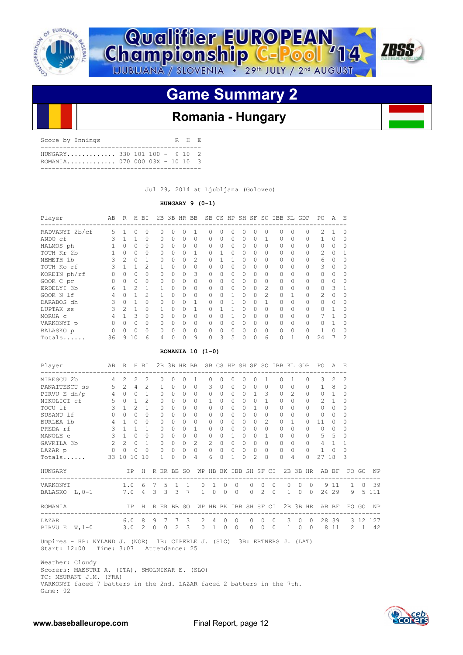



### **Romania - Hungary**

| Score by Innings               |  |  | R H E |  |
|--------------------------------|--|--|-------|--|
|                                |  |  |       |  |
| $HUNGARY$ 330 101 100 - 9 10 2 |  |  |       |  |
| ROMANTA 070 000 03X - 10 10 3  |  |  |       |  |
|                                |  |  |       |  |

Jul 29, 2014 at Ljubljana (Golovec)

#### **HUNGARY 9 (0-1)**

| Player         | AВ               | R             | H            | ВI            | 2B       | 3B HR BB     |              |          |    |          |              |          |           |               | SB CS HP SH SF SO IBB KL |          | GDP      | P0       | A            | E |
|----------------|------------------|---------------|--------------|---------------|----------|--------------|--------------|----------|----|----------|--------------|----------|-----------|---------------|--------------------------|----------|----------|----------|--------------|---|
| RADVANYI 2b/cf | ----------<br>5. |               | <sup>0</sup> | $\Omega$      | 0        | U            | <sup>0</sup> |          |    | Ω        | <sup>0</sup> | O        |           | $\Omega$      | 0                        | 0        | 0        | 2        |              |   |
| ANDO cf        | 3                |               |              | 0             | $\Omega$ | 0            | $\Omega$     | $\Omega$ |    | $\Omega$ | $\Omega$     | $\Omega$ | $\Omega$  | 1             | $\Omega$                 | $\Omega$ | 0        |          | <sup>0</sup> |   |
| HALMOS ph      |                  | $\Omega$      | $\Omega$     | 0             | $\Omega$ | 0            | $\Omega$     | 0        |    | $\Omega$ | $\Omega$     | $\Omega$ | $\Omega$  | $\Omega$      | $\Omega$                 | $\Omega$ | 0        | $\Omega$ | $\Omega$     |   |
| TOTH Kr 2b     |                  | $\Omega$      | 0            | 0             | 0        | 0            | $\Omega$     |          |    |          | $\Omega$     | $\Omega$ | $\Omega$  | 0             | $\Omega$                 | 0        | 0        | 2.       | $\Omega$     |   |
| NEMETH 1b      |                  | $\mathcal{D}$ | $\Omega$     |               | 0        | 0            | $\Omega$     | 2        |    |          |              | 0        | 0         | $\Omega$      | $\Omega$                 | 0        | $\Omega$ | 6        | $\Omega$     |   |
| TOTH Ko rf     |                  |               |              | 2             |          | 0            | $\Omega$     | 0        |    | 0        | 0            | $\Omega$ | 0         | $\Omega$      | $\Omega$                 | 0        | 0        | 3        | $\Omega$     |   |
| KOREIN ph/rf   | 0                | $\Omega$      | $\Omega$     | 0             | 0        | 0            | $\Omega$     | 3        | O  | 0        | 0            | $\Omega$ | $\Omega$  | $\Omega$      | $\Omega$                 | 0        | 0        | 0        | $\Omega$     |   |
| GOOR C pr      | 0                | $\Omega$      | $\Omega$     | $\Omega$      | 0        | 0            | $\Omega$     | $\Omega$ | O. | 0        | $\Omega$     | $\Omega$ | $\Omega$  | $\Omega$      | $\Omega$                 | 0        | 0        | $\Omega$ | $\Omega$     |   |
| ERDELYI 3b     | Б                |               | 2            | 1             |          | <sup>0</sup> | $\Omega$     | $\Omega$ |    | O.       | $\bigcap$    | $\Omega$ | $\bigcap$ | $\mathcal{L}$ | $\Omega$                 | $\Omega$ | 0        | $\Omega$ | २            |   |
| GOOR N lf      | 4                | 0             |              | $\mathcal{P}$ | 1.       | <sup>0</sup> | $\Omega$     | $\Omega$ | U  | O        |              | $\Omega$ | O.        | $\mathcal{P}$ | $\Omega$                 |          | $\Omega$ | 2        | $\Omega$     |   |
| DARABOS dh     | 3                | $\Omega$      |              | $\Omega$      | O.       | 0            | $\Omega$     |          |    | Ω        |              | O        | ∩         |               | $\Omega$                 | O        | 0        | $\Omega$ | <sup>0</sup> |   |
| LUPTAK SS      |                  | $\mathcal{P}$ |              | $\Omega$      |          | U            |              |          |    |          |              |          | U         | $\Omega$      | $\cap$                   | U        | 0        | O.       |              |   |
| MORUA c        |                  |               | 3            | $\Omega$      | O.       | U            |              | 0        |    | n        |              |          | O         | $\Omega$      | $\Omega$                 | Ω        | 0        |          |              |   |
| VARKONYI p     | 0                | 0             | 0            | $\Omega$      | 0        | O            | <sup>0</sup> | $\Omega$ |    | 0        | <sup>0</sup> | $\Omega$ | 0         | $\Omega$      | $\Omega$                 | O        | 0        | O.       |              |   |
| BALASKO p      | 0                | O             |              | $\Omega$      | 0        | U            | $\Omega$     | $\Omega$ |    | Ω        | 0            | O        | 0         | $\Omega$      | $\Omega$                 | 0        | 0        |          | $\Omega$     |   |
| Totals         | 36               | 9             | 10           | 6             | 4        | 0            | 0            | 9        |    | 3        | 5            | 0        | 0         | 6             | 0                        |          | 0        | 24       |              |   |

#### **ROMANIA 10 (1-0)**

| Player                                                                                                                                                               |              | AB R H BI                                              |              |                |               |          |          |                |                     |                           |                |           |                |                     |                |                |                     | 2B 3B HR BB SB CS HP SH SF SO IBB KL GDP PO A E      |                |                                                               |              |
|----------------------------------------------------------------------------------------------------------------------------------------------------------------------|--------------|--------------------------------------------------------|--------------|----------------|---------------|----------|----------|----------------|---------------------|---------------------------|----------------|-----------|----------------|---------------------|----------------|----------------|---------------------|------------------------------------------------------|----------------|---------------------------------------------------------------|--------------|
| MIRESCU 2b 4 2                                                                                                                                                       |              |                                                        | 2            | 2              | 0             | 0        | $\Omega$ | $\overline{1}$ | $\Omega$            | $\Omega$                  | $\Omega$       | $\Omega$  | $\Omega$       | $\mathbf{1}$        | $\Omega$       | $\overline{1}$ | $\Omega$            |                                                      | $3 \quad 2$    | 2                                                             |              |
| PANAITESCU ss 5 2 4                                                                                                                                                  |              |                                                        |              | 2              | $\mathbf{1}$  | $\Omega$ | $\Omega$ | $\bigcirc$     | 3                   | $\Omega$                  | $\mathbf{0}$   | $\Omega$  | $\Omega$       | $\Omega$            | $\circ$        | $\Omega$       | $\circ$             |                                                      | $1 \quad 8$    | $\Omega$                                                      |              |
| PIRVU E dh/p $4 \t 0 \t 0$                                                                                                                                           |              |                                                        |              | $\mathbf{1}$   | $\Omega$      | $\Omega$ | $\Omega$ | $\bigcap$      | $\Omega$            | $\Omega$                  | $\Omega$       | $\bigcap$ | $\mathbf{1}$   | 3                   | $\bigcap$      | $\mathfrak{D}$ | $\Omega$            | $0\quad1$                                            |                | $\Omega$                                                      |              |
| NIKOLICI cf 50                                                                                                                                                       |              |                                                        | $\mathbf{1}$ | 2              | $\Omega$      | $\Omega$ | $\Omega$ | $\Omega$       | $\mathbf{1}$        | $\Omega$                  | $\Omega$       | $\bigcap$ | $\Omega$       | $\mathbf{1}$        | $\bigcap$      | $\Omega$       | $\Omega$            | $2 \quad 1$                                          |                | $\Omega$                                                      |              |
| TOCU lf                                                                                                                                                              | $\mathbf{3}$ | $1 \quad 2$                                            |              | $\overline{1}$ | $\Omega$      | $\Omega$ | $\Omega$ | $\Omega$       | $\Omega$            | $\Omega$                  | $\Omega$       | $\Omega$  | $\overline{1}$ | $\Omega$            | $\Omega$       | $\Omega$       | $\Omega$            | $\Omega$                                             | $\bigcirc$     | $\Omega$                                                      |              |
| SUSANU lf                                                                                                                                                            |              | $0 \quad 0 \quad 0$                                    |              | $\Omega$       | $\Omega$      | $\Omega$ |          | $0 \quad 0$    | $\mathbf{0}$        | $\Omega$                  | $\Omega$       | $\Omega$  | $\Omega$       | $\Omega$            | $\Omega$       | $\bigcirc$     | $\Omega$            | $\circ$                                              | $\bigcirc$     | $\Omega$                                                      |              |
| BURLEA 1b 4 1 0                                                                                                                                                      |              |                                                        |              | $\Omega$       | $\Omega$      | $\Omega$ | $\Omega$ | $\Omega$       | $\circ$             | $\cap$                    | $\Omega$       | $\Omega$  | $\Omega$       | $\overline{2}$      | $\bigcap$      | $\mathbf{1}$   | $\Omega$            | 11                                                   | $\Omega$       | $\Omega$                                                      |              |
| PREDA rf 3 1 1                                                                                                                                                       |              |                                                        |              | $\overline{1}$ | $\Omega$      | $\Omega$ |          | $0 \quad 1$    | $\mathbf{0}$        |                           | $0\quad 0$     | $\bigcap$ | $\cap$         | $\Omega$            | $\cap$         | $\Omega$       | $\cap$              | $\circ$                                              | $\overline{0}$ | $\Omega$                                                      |              |
| MANOLE C                                                                                                                                                             |              | $3\quad1\quad0$                                        |              | $\circ$        | $\circ$       | $\circ$  |          | $0\quad 0$     | $\circ$             |                           | $0\quad1$      |           |                | $0 \quad 0 \quad 1$ |                | $0\quad 0$     | $\circ$             |                                                      | 5 5            | $\circ$                                                       |              |
| GAVRILA 3b                                                                                                                                                           |              | $2 \t 2 \t 0$                                          |              | $\overline{1}$ | $\Omega$      | $\Omega$ |          | $0\quad 2$     | 2                   |                           | $0 \quad 0$    | $\Omega$  | $\Omega$       | $\Omega$            |                | $0 \quad 0$    | $\Omega$            | $4 \quad 1$                                          |                | 1                                                             |              |
| LAZAR p                                                                                                                                                              |              | $\begin{array}{ccccccccc}\n0 & 0 & 0 & 0\n\end{array}$ |              | $\Omega$       | $\Omega$      | $\Omega$ |          | $0 \quad 0$    | $\Omega$            | $\Omega$                  | $\circ$        | $\Omega$  |                | $0 \quad 0$         | $\cap$         | $\Omega$       | $\cap$              | $1 \quad 0$                                          |                | $\Omega$                                                      |              |
| Totals                                                                                                                                                               |              | 33 10 10 10                                            |              |                | $\mathbf{1}$  | $\Omega$ | $\Omega$ | 4              | 6                   | $\Omega$                  | $\mathbf{1}$   | $\cap$    | $\mathfrak{D}$ | 8                   | $\Omega$       | $\overline{4}$ | $\Omega$            | 27 18                                                |                | $\overline{\mathbf{3}}$                                       |              |
| <b>HUNGARY</b><br>----------------------------                                                                                                                       |              |                                                        |              |                |               |          |          |                |                     |                           |                |           |                |                     |                |                |                     |                                                      |                | IP H R ER BB SO WP HB BK IBB SH SF CI 2B 3B HR AB BF FO GO NP |              |
| VARKONYI                                                                                                                                                             |              |                                                        |              |                | 1.0 6 7 5 1 1 |          |          |                | $\Omega$            | $\overline{1}$<br>$\circ$ | $\overline{0}$ |           | $0\quad 0$     |                     | $\overline{0}$ | $\circ$        | $0\quad 0$          |                                                      | 911            | $\sim$ 1                                                      | 0 39         |
| BALASKO L, 0-1 7.0 4 3 3 3 7                                                                                                                                         |              |                                                        |              |                |               |          |          |                | $1 \quad 0$         | $\Omega$                  | $\bigcirc$     |           | $\Omega$       | $\overline{2}$      | $\bigcirc$     |                | $1 \quad 0 \quad 0$ |                                                      | 24 29          |                                                               | 9 5 1 1 1    |
| ROMANIA                                                                                                                                                              |              |                                                        |              |                |               |          |          |                |                     |                           |                |           |                |                     |                |                |                     | IP H R ER BB SO WP HB BK IBB SH SF CI 2B 3B HR AB BF |                |                                                               | FO GO NP     |
| LAZAR                                                                                                                                                                |              | 6.08                                                   |              |                | 9 7 7 3       |          |          |                | $2 \quad 4 \quad 0$ |                           | $\bigcirc$     |           | $\Omega$       | $\Omega$            | $\bigcirc$     |                | 3 0 0               |                                                      |                | 28 39 3 12 127                                                |              |
| PIRVUE W, 1-0 3.0 2 0 0 2 3 0 1 0 0 0 0 0 1 0 0                                                                                                                      |              |                                                        |              |                |               |          |          |                |                     |                           |                |           |                |                     |                |                |                     | 8 1 1                                                |                |                                                               | $2 \t1 \t42$ |
| Umpires - HP: NYLAND J. (NOR) 1B: CIPERLE J. (SLO) 3B: ERTNERS J. (LAT)<br>Start: 12:00 Time: 3:07 Attendance: 25                                                    |              |                                                        |              |                |               |          |          |                |                     |                           |                |           |                |                     |                |                |                     |                                                      |                |                                                               |              |
| Weather: Cloudy<br>Scorers: MAESTRI A. (ITA), SMOLNIKAR E. (SLO)<br>TC: MEURANT J.M. (FRA)<br>VARKONYI faced 7 batters in the 2nd. LAZAR faced 2 batters in the 7th. |              |                                                        |              |                |               |          |          |                |                     |                           |                |           |                |                     |                |                |                     |                                                      |                |                                                               |              |

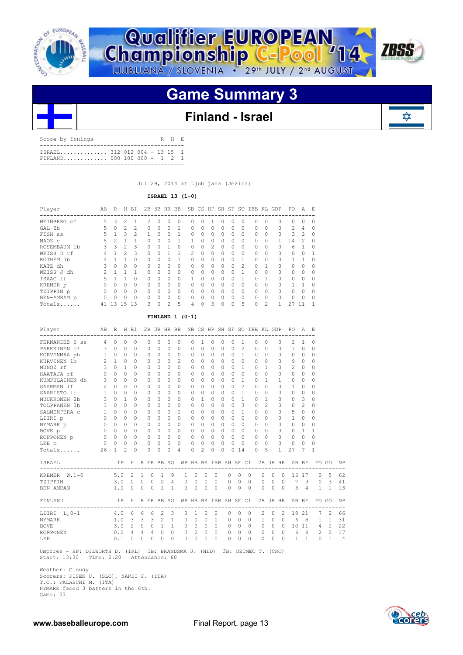



₥

### **Game Summary 3**

### **Finland - Israel**

| Score by Innings                                              |  |
|---------------------------------------------------------------|--|
| ISRAEL 312 012 004 - 13 15 1<br>$FINLAND$ 000 100 000 - 1 2 1 |  |

Jul 29, 2014 at Ljubljana (Jezica)

 **ISRAEL 13 (1-0)**

| Player       | AВ       | R  | Н             | ΒI                                                                                                                                                                                                                                                                                                                                                                                                                         | 2B           |   | 3B HR     | BB       | SB.           | CS.      | HP. | SH        | SF       | SO           | IBB | KL             | GDP       | PO             | A              | E.        |
|--------------|----------|----|---------------|----------------------------------------------------------------------------------------------------------------------------------------------------------------------------------------------------------------------------------------------------------------------------------------------------------------------------------------------------------------------------------------------------------------------------|--------------|---|-----------|----------|---------------|----------|-----|-----------|----------|--------------|-----|----------------|-----------|----------------|----------------|-----------|
| WEINBERG cf  | 5.       | 3  | 2             |                                                                                                                                                                                                                                                                                                                                                                                                                            | 2            | 0 | 0         | 0        | 0             | 0        |     | 0         | 0        | 0            | 0   | $\Omega$       | 0         | 0              | 0              | $\Omega$  |
| GAL 2b       | 5        | 0  | 2             | 2                                                                                                                                                                                                                                                                                                                                                                                                                          | $\Omega$     | 0 | 0         |          | 0             | $\Omega$ | 0   | $\Omega$  | 0        | <sup>n</sup> | 0   | $\Omega$       | $\Omega$  | $\mathcal{L}$  | 4              | $\Omega$  |
| FISH SS      | 5        |    | 3             | $\mathfrak{D}_{1}^{2}(\mathfrak{D}_{1})=\mathfrak{D}_{2}^{2}(\mathfrak{D}_{2})=\mathfrak{D}_{2}^{2}(\mathfrak{D}_{1})=\mathfrak{D}_{2}^{2}(\mathfrak{D}_{2})=\mathfrak{D}_{2}^{2}(\mathfrak{D}_{1})=\mathfrak{D}_{2}^{2}(\mathfrak{D}_{1})=\mathfrak{D}_{2}^{2}(\mathfrak{D}_{1})=\mathfrak{D}_{2}^{2}(\mathfrak{D}_{1})=\mathfrak{D}_{2}^{2}(\mathfrak{D}_{1})=\mathfrak{D}_{2}^{2}(\mathfrak{D}_{1})=\mathfrak{D}_{2}^{$ |              | U | O         |          | $\Omega$      | 0        | 0   | $\Omega$  | 0        | <sup>n</sup> | 0   | $\Omega$       | 0         | 3              | $\mathfrak{D}$ | $\Omega$  |
| MAOZ c       | 5        |    |               |                                                                                                                                                                                                                                                                                                                                                                                                                            | <sup>n</sup> | 0 | 0         |          |               | 0        | 0   | $\Omega$  | 0        | 0            | 0   | $\Omega$       |           | $\overline{4}$ | 2              | $\Omega$  |
| ROSEMBAUM 1b | 3        | 3  | 2             | 3                                                                                                                                                                                                                                                                                                                                                                                                                          | 0            | 0 |           | $\Omega$ | 0             | $\Omega$ | 2   | $\Omega$  | 0        | 0            | 0   | $\Omega$       | $\Omega$  | 6              |                | $\Omega$  |
| WEISS D rf   | 4        |    | $\mathcal{D}$ | 3                                                                                                                                                                                                                                                                                                                                                                                                                          | <sup>0</sup> | Λ |           |          | $\mathcal{P}$ | O        | O   | $\bigcap$ | O        | U            | 0   | $\Omega$       | $\Omega$  | $\Omega$       | O              |           |
| ROTHEM 3b    |          |    |               | $\Omega$                                                                                                                                                                                                                                                                                                                                                                                                                   | <sup>0</sup> | U | O         |          | 0             | Ω        | 0   | $\Omega$  | 0        |              | 0   | $\Omega$       | 0         |                |                | $\bigcap$ |
| KATZ dh      | 3        | 0  | 0             | $\Omega$                                                                                                                                                                                                                                                                                                                                                                                                                   | 0            | 0 | 0         | 0        | 0             | 0        | 0   | $\Omega$  | 0        | 2            | 0   |                | $\Omega$  | $\Omega$       | 0              | $\Omega$  |
| WEISS J dh   |          |    |               |                                                                                                                                                                                                                                                                                                                                                                                                                            | <sup>0</sup> | 0 | $\Omega$  | $\Omega$ | 0             | $\Omega$ | 0   | $\Omega$  | 0        |              | 0   | $\Omega$       | $\Omega$  | $\Omega$       | $\Omega$       | $\Omega$  |
| ISAAC lf     | 5        |    |               | $\bigcap$                                                                                                                                                                                                                                                                                                                                                                                                                  | <sup>0</sup> | O | $\bigcap$ | $\Omega$ |               | O        | O   | $\bigcap$ | O        |              | O   |                | $\bigcap$ | $\Omega$       | $\Omega$       | $\bigcap$ |
| KREMER p     |          | Λ  | 0             | $\Omega$                                                                                                                                                                                                                                                                                                                                                                                                                   | <sup>0</sup> | U | O         | $\Omega$ | 0             | O        | O   | $\Omega$  | O        | Λ            | 0   | $\Omega$       | 0         |                |                | $\cap$    |
| TZIPPIN p    | $\Omega$ | 0  | 0             | $\Omega$                                                                                                                                                                                                                                                                                                                                                                                                                   | 0            | 0 | $\Omega$  | $\Omega$ | 0             | 0        | 0   | $\Omega$  | 0        | 0            | 0   | $\Omega$       | $\Omega$  | $\Omega$       | 0              | $\Omega$  |
| BEN-AMRAM p  | $\Omega$ | 0  | Ω             | $\Omega$                                                                                                                                                                                                                                                                                                                                                                                                                   | $\Omega$     | 0 | $\Omega$  | $\Omega$ | $\Omega$      | $\Omega$ | 0   | $\Omega$  | $\Omega$ | 0            | 0   | $\Omega$       | $\Omega$  | $\Omega$       | O              | $\Omega$  |
| Totals       | 41       | 13 | 5             | 13                                                                                                                                                                                                                                                                                                                                                                                                                         | 3            | Λ | 2         | 5        | 4             | Λ        | 3   | $\Omega$  | Λ        | 5            | O   | $\mathfrak{D}$ |           | 27             | 11             |           |

#### **FINLAND 1 (0-1)**

| Player                       | AВ           | $R_{\perp}$  |                | H BI                    |          |          |              |              | 2B 3B HR BB SB CS HP SH SF SO IBB KL GDP |          |              |          |                       |              |          |                          |          |          |                |              | PO.            | A            | E            |                |    |
|------------------------------|--------------|--------------|----------------|-------------------------|----------|----------|--------------|--------------|------------------------------------------|----------|--------------|----------|-----------------------|--------------|----------|--------------------------|----------|----------|----------------|--------------|----------------|--------------|--------------|----------------|----|
| FERNANDEZ S ss               | 4            | $\Omega$     | 0              | $\Omega$                |          | $\Omega$ | $\Omega$     | $\Omega$     | 0                                        | 0        | 1            |          | 0                     | $\Omega$     | $\Omega$ | 1                        |          | $\Omega$ | $\Omega$       | 0            | 2              | 1            | $\Omega$     |                |    |
| PARKKINEN cf                 | 3            | $\Omega$     | $\Omega$       | 0                       |          | $\Omega$ | $\Omega$     | 0            | $\Omega$                                 | 0        | $\Omega$     |          | $\Omega$              | $\Omega$     | $\Omega$ | $\overline{\mathcal{L}}$ |          | $\Omega$ | $\bigcap$      | 0            | 7              | $\Omega$     | $\Omega$     |                |    |
| KORVENMAA ph                 | $\mathbf{1}$ | $\circ$      | $\Omega$       | 0                       |          | $\Omega$ | $\Omega$     | $\Omega$     | $\Omega$                                 | $\Omega$ | $\Omega$     |          | 0                     | $\Omega$     | $\Omega$ | $\mathbf{1}$             |          | $\Omega$ | $\Omega$       | 0            | $\Omega$       | $\Omega$     | $\Omega$     |                |    |
| KURVINEN 1b                  | 2            | $\mathbf{1}$ | $\Omega$       | 0                       |          | $\Omega$ | $\Omega$     | 0            | 2                                        | 0        | 0            |          | 0                     | $\Omega$     | $\Omega$ | $\Omega$                 |          | $\Omega$ | $\Omega$       | 0            | 9              | $\Omega$     | 0            |                |    |
| MUNOZ rf                     | 3            | $\Omega$     | 1              | <sup>n</sup>            |          | $\Omega$ | O            | <sup>n</sup> | $\cap$                                   | 0        | <sup>0</sup> |          | $\Omega$              | 0            | $\Omega$ | $\mathbf{1}$             |          | $\Omega$ | 1              | 0            | $\mathfrak{D}$ | $\Omega$     | $\Omega$     |                |    |
| HAATAJA rf                   | $\Omega$     | $\bigcap$    | $\Omega$       | <sup>n</sup>            |          | $\Omega$ | O            | $\bigcap$    | $\cap$                                   | 0        | $\bigcap$    |          | 0                     | $\bigcap$    | $\Omega$ | $\cap$                   |          | $\Omega$ | $\cap$         | $\Omega$     | $\Omega$       | $\Omega$     | $\Omega$     |                |    |
| KUMPULAINEN dh               | 3            | $\bigcap$    | $\Omega$       | <sup>n</sup>            |          | $\Omega$ | $\Omega$     | $\bigcap$    | 0                                        | $\Omega$ | $\bigcap$    |          | 0                     | $\bigcap$    | $\Omega$ | 1                        |          | $\Omega$ | 1.             | 1.           | $\Omega$       | $\Omega$     | O            |                |    |
| SAARMAN lf                   | 2            | $\cap$       | $\Omega$       | <sup>n</sup>            |          | $\Omega$ | $\Omega$     | $\bigcap$    | 0                                        | 0        | O            |          | $\Omega$              | $\bigcap$    | $\Omega$ | $\mathfrak{D}$           |          | $\Omega$ | $\cap$         | $\cap$       | 1              | $\Omega$     | $\Omega$     |                |    |
| SAARISTO 1f                  | $\mathbf{1}$ | $\Omega$     | $\Omega$       | 0                       |          | $\Omega$ | $\Omega$     | $\Omega$     | 0                                        | 0        | $\Omega$     |          | $\Omega$              | $\Omega$     | $\Omega$ | $\mathbf{1}$             |          | $\Omega$ | $\Omega$       | 0            | $\Omega$       | $\Omega$     | $\Omega$     |                |    |
| MUUKKONEN 2b                 | 3            | $\Omega$     | 1              | 0                       |          | $\Omega$ | $\Omega$     | 0            | 0                                        | $\Omega$ | 1            |          | 0                     | $\Omega$     | $\Omega$ | $\mathbf{1}$             |          | $\Omega$ | 1.             | 0            | $\Omega$       | 3            | $\Omega$     |                |    |
| TOLPPANEN 3b                 | 3            | $\Omega$     | 0              | 0                       |          | $\Omega$ | O            | <sup>n</sup> | 0                                        | 0        | $\bigcap$    |          | 0                     | $\Omega$     | $\Omega$ | 3                        |          | $\Omega$ | $\overline{c}$ | 0            | 0              | 2            | O            |                |    |
| SALMENPERA C                 | $\mathbf{1}$ | $\bigcap$    | 0              | 0                       |          | $\Omega$ | $\Omega$     | 0            | 2                                        | 0        | $\Omega$     |          | $\Omega$              | $\Omega$     | $\Omega$ | 1                        |          | $\Omega$ | $\Omega$       | 0            | 5              | $\Omega$     | $\Omega$     |                |    |
| LIIRI p                      | $\Omega$     | $\Omega$     | $\Omega$       | 0                       |          | $\Omega$ | $\Omega$     | 0            | $\Omega$                                 | 0        | $\Box$       |          | 0                     | $\Omega$     | $\Omega$ | $\Omega$                 |          | $\Omega$ | $\Omega$       | 0            | $\mathbf{1}$   | $\Omega$     | $\Omega$     |                |    |
| NYMARK p                     | $\Omega$     | $\bigcap$    | $\Omega$       | <sup>n</sup>            |          | $\Omega$ | O            | $\bigcap$    | 0                                        | 0        | $\cap$       |          | 0                     | $\bigcap$    | $\Omega$ | $\cap$                   |          | $\Omega$ | $\Omega$       | O            | $\Omega$       | $\Omega$     | O            |                |    |
| BOVE p                       | $\circ$      | $\Omega$     | 0              | 0                       |          | 0        | $\Omega$     | $\Omega$     | 0                                        | 0        | $\bigcap$    |          | $\Omega$              | $\Omega$     | $\Omega$ | $\Omega$                 |          | $\Omega$ | $\Omega$       | 0            | $\Omega$       | $\mathbf{1}$ | 1            |                |    |
| ROPPONEN p                   | $0\quad 0$   |              | $\Omega$       | $\Omega$                |          | $\Omega$ | $\Omega$     | $\Omega$     | $\Omega$                                 | $\Omega$ | $\Omega$     |          | $\Omega$              | $\Omega$     | $\Omega$ | $\Omega$                 |          | $\Omega$ | $\Omega$       | 0            | $\Omega$       | $\Omega$     | $\Omega$     |                |    |
| LEE p                        | $0\quad 0$   |              | 0              | 0                       |          | 0        | 0            | 0            | 0                                        | 0        | 0            |          | 0                     | $\Omega$     | $\Omega$ | $\Omega$                 |          | $\Omega$ | $\Omega$       | 0            | 0              | $\Omega$     | $\Omega$     |                |    |
| Totals                       | 26           | 1.           | $\overline{2}$ | <sup>n</sup>            |          | 0        | O            | $\Omega$     | 4                                        | 0        | 2            |          | 0                     | <sup>n</sup> | $\Omega$ | 14                       |          | 0        | 5              | 1.           | 27             | 7            | 1            |                |    |
|                              |              |              |                |                         |          |          |              |              |                                          |          |              |          |                       |              |          |                          |          |          |                |              |                |              |              |                |    |
| ISRAEL<br>------------------ |              |              | IP.            |                         |          |          | H R ER BB SO |              |                                          |          |              |          | WP HB BK IBB SH SF CI |              |          |                          |          |          |                |              | 2B 3B HR AB BF |              |              | FO GO          | ΝP |
| KREMER $W, 1-0$              |              | 5.0          |                | 2                       | 1        | 0        | 1            | 9            |                                          | 1        | 0            | 0        | $\circ$               |              | 0        | $\Omega$                 | 0        | 0        | 0              | $\Omega$     | 16             | 17           | 0            | 5              | 62 |
| TZIPPIN                      |              | 3.0          |                | $\Omega$                | 0        | 0        | 2            | 4            |                                          | 0        | 0            | 0        | 0                     |              | 0        | 0                        | $\circ$  | 0        | 0              | $\mathbf{0}$ | 7              | 9            | 0            | 3              | 41 |
| BEN-AMRAM                    |              | 1.0          |                | $\Omega$                | $\Omega$ | 0        | $\mathbf{1}$ | 1            |                                          | $\Omega$ | $\Omega$     | $\Omega$ | $\Omega$              |              | $\Omega$ | $\Omega$                 | $\Omega$ | $\Omega$ | $\Omega$       | $\Omega$     | 3              | 4            | 1            | 1              | 13 |
|                              |              |              |                |                         |          |          |              |              |                                          |          |              |          |                       |              |          |                          |          |          |                |              |                |              |              |                |    |
| FINLAND                      |              |              | IP H           |                         |          |          | R ER BB SO   |              |                                          |          |              |          | WP HB BK IBB SH SF CI |              |          |                          |          |          | 2B 3B HR       |              | AB BF          |              |              | FO GO          | ΝP |
| LIIRI L, 0-1                 |              | 4.0 6        |                |                         | 6        | 6        | 2            | 3            |                                          | 0        | 1.           | 0        | $\circ$               |              | 0        | $\Omega$                 | $\Omega$ | 2        | 0              | 2            | 18             | 21           | 7            | 2              | 66 |
| NYMARK                       |              | 1.0          |                | $\overline{\mathbf{3}}$ | 3        | 3        | 2            | 1            |                                          | 0        | $\Omega$     | $\Omega$ | $\Omega$              |              | 0        | $\Omega$                 | $\Omega$ | 1        | $\Omega$       | $\Omega$     | 6              | 8            | $\mathbf{1}$ | 1              | 31 |
| <b>BOVE</b>                  |              | 3.0          |                | 2                       | 0        | 0        | $\mathbf{1}$ | $\mathbf{1}$ |                                          | 0        | $\Omega$     | $\Omega$ | $\Omega$              |              | 0        | $\Omega$                 | $\Omega$ | 0        | $\Omega$       | $\Omega$     | 10             | 11           | 4            | $\mathfrak{D}$ | 22 |
| ROPPONEN                     |              | 0.2          |                | 4                       | 4        | 4        | $\Omega$     | $\cap$       |                                          | 0        | 2            | $\Omega$ | $\Omega$              |              | $\Omega$ | $\Omega$                 | $\cap$   | $\Omega$ | $\Omega$       | $\Omega$     | 6              | 8            | 2            | $\Omega$       | 17 |
| LEE                          |              | 0.1          |                | $\Omega$                | 0        | 0        | $\Omega$     | $\Omega$     |                                          | 0        | $\Omega$     | $\Omega$ | 0                     |              | 0        | 0                        | $\Omega$ | $\Omega$ | $\Omega$       | 0            | 1              | $\mathbf{1}$ | 0            | 1              | 4  |
|                              |              |              |                |                         |          |          |              |              |                                          |          |              |          |                       |              |          |                          |          |          |                |              |                |              |              |                |    |

Umpires - HP: DILWORTH D. (IRL) 1B: BRANDSMA J. (NED) 3B: OZIMEC T. (CRO) Start: 13:30 Time: 2:20 Attendance: 60

 Weather: Cloudy Scorers: PISEK U. (SLO), NARDI F. (ITA) T.C.: FALASCHI M. (ITA) NYMARK faced 3 batters in the 6th. Game: 03

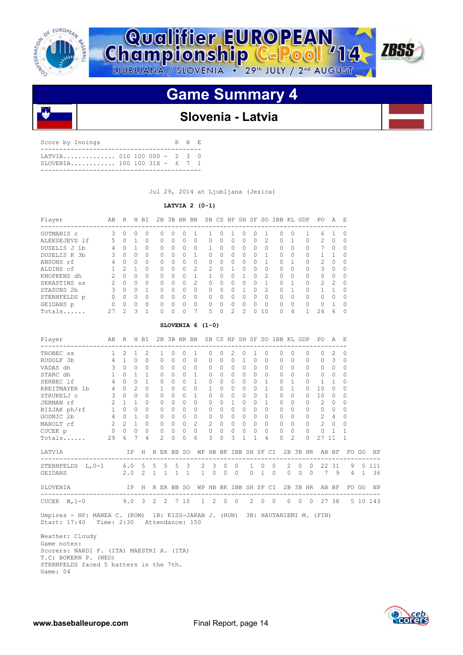

![](_page_13_Picture_1.jpeg)

![](_page_13_Picture_2.jpeg)

### **Slovenia - Latvia**

| Score by Innings             |  |  | R H E |  |
|------------------------------|--|--|-------|--|
| SLOVENIA 100 100 31X - 6 7 1 |  |  |       |  |

Jul 29, 2014 at Ljubljana (Jezica)

#### **LATVIA 2 (0-1)**

| Player             | AВ            | R             | H            | <b>BT</b>    | 2B | 3B           | HR.      | BB.            |               |   |               | SB CS HP SH SF |          | <sub>SO</sub> | <b>TBB</b>   | KL       | GDP      | PO.            | A             | E.       |
|--------------------|---------------|---------------|--------------|--------------|----|--------------|----------|----------------|---------------|---|---------------|----------------|----------|---------------|--------------|----------|----------|----------------|---------------|----------|
| GUTMANIS c         | 3             | $\Omega$      | <sup>o</sup> | <sup>0</sup> | Ω  | <sup>0</sup> | O        |                |               |   |               | Ω              | O        |               | $^{(1)}$     | $\Omega$ |          | 6              |               | $\Omega$ |
| ALEKSEJEVS 1f      | 5             | $\Omega$      |              | 0            | Ω  | 0            | 0        | $\Omega$       | $\bigcap$     | 0 | $\Omega$      | 0              | $\Omega$ | 2             | $\bigcap$    |          | 0        | $\mathcal{L}$  | 0             | $\Omega$ |
| DUSELIS J<br>- 1 b | 4             |               |              | $\Omega$     | Λ  | <sup>0</sup> | 0        | $\Omega$       |               | Λ | $\Omega$      | U              | $\Omega$ | O             | <sup>n</sup> | $\Omega$ | 0        | 7              | 0             | $\Omega$ |
| DUSELIS K 3b       | 3             | O             | $\Omega$     | O            | Λ  | <sup>0</sup> | O        |                | $\cap$        | n | $\bigcap$     | O              | $\Omega$ |               | $\cap$       | $\Omega$ | 0        |                |               | $\Omega$ |
| ANSONS rf          | 4             | 0             | <sup>o</sup> | O            | 0  | <sup>0</sup> | 0        | $\Omega$       | $\bigcap$     | Λ | O             |                | 0        |               | O.           |          | 0        | $\mathfrak{D}$ | 0             | $\Omega$ |
| ALDINS cf          |               | $\mathcal{P}$ |              | O            | Λ  | <sup>0</sup> | $\Omega$ | $\mathcal{L}$  | $\mathcal{P}$ | ∩ | п             | U              | O        | <sup>0</sup>  | $\cap$       | $\Omega$ | 0        | 3              | $\Omega$      | $\Omega$ |
| KNOPKENS dh        | $\mathcal{P}$ | $\Omega$      | $\cap$       | O            | Λ  | O            | ∩        |                |               | Λ | $\Omega$      |                | $\Omega$ | 2             | $\cap$       | $\Omega$ | 0        | $\bigcap$      | O             | $\Omega$ |
| SKRASTINS ss       | $\mathcal{P}$ | $\Omega$      | $\Omega$     | $\Omega$     | Λ  | O            | 0        | $\mathfrak{D}$ | $\cap$        | ∩ | O             |                |          |               | <sup>n</sup> |          | $\Omega$ | $\mathcal{P}$  | $\mathcal{P}$ | $\Omega$ |
| STASUNS 2b         | 3             | $\Omega$      | $\cap$       |              | Λ  | <sup>0</sup> | ∩        | $\Omega$       | $\cap$        | Λ | <sup>0</sup>  |                | ∩        | $\mathcal{P}$ | <sup>n</sup> |          | 0        |                |               | $\Omega$ |
| STERNFELDS p       | 0             | O             | $\bigcap$    | O            | 0  | <sup>0</sup> | O        | $\Omega$       | $\cap$        | Λ | O             | U              | $\Omega$ | U             | $\bigcap$    | $\Omega$ | 0        | O              | O             | $\Omega$ |
| GEIDANS p          | $\Omega$      | $\Omega$      | $\cap$       | $\Omega$     | Ω  | O            | $\Omega$ | $\Omega$       | $\cap$        | U | $\Omega$      | U              |          |               | $\cap$       | $\Omega$ | 0        | $\cap$         |               | $\Omega$ |
| Totals             | 27            | っ             | っ            |              |    | O            |          |                | 5             | ∩ | $\mathcal{L}$ | $\mathcal{D}$  |          | 10            | <sup>n</sup> | 4        | 1        | 24             | 6             |          |

#### **SLOVENIA 6 (1-0)**

| Player                                                                                                                  | AB R H BI      |              |                |              |               |                     |           | 2B 3B HR BB SB CS HP SH SF SO IBB KL GDP PO |              |           |               |          |                |                |              |          |                |          |          |                                                               | A E            |                |         |
|-------------------------------------------------------------------------------------------------------------------------|----------------|--------------|----------------|--------------|---------------|---------------------|-----------|---------------------------------------------|--------------|-----------|---------------|----------|----------------|----------------|--------------|----------|----------------|----------|----------|---------------------------------------------------------------|----------------|----------------|---------|
| -------------------------------------<br>TROBEC SS                                                                      | $\mathbf{1}$   | 2            | $\mathbf{1}$   | 2            | $\mathbf{1}$  | $\Omega$            | $\Omega$  | $\overline{1}$                              | $\Omega$     | $\Omega$  | $\mathcal{L}$ |          | $\Omega$       | $\overline{1}$ | $\Omega$     | $\Omega$ | $\Omega$       |          | $\Omega$ | $\Omega$                                                      | $\mathcal{L}$  | $\Omega$       |         |
| RUDOLF 3b                                                                                                               |                | $4 \quad 1$  | $\Omega$       | $\Omega$     | $\Omega$      | $\Omega$            | $\bigcap$ | $\Omega$                                    | $\Omega$     | $\Omega$  | $\Omega$      | 1        |                | $\Omega$       | $\Omega$     | $\Omega$ | $\Omega$       |          | $\Omega$ | $\Omega$                                                      | 3              | $\Omega$       |         |
| VADAS dh                                                                                                                | $\mathcal{E}$  | $\circ$      | $\Omega$       | $\Omega$     | $\Omega$      | $\Omega$            | $\Omega$  | $\Omega$                                    | $\Omega$     | $\Omega$  | $\Omega$      | $\circ$  |                | $\Omega$       | $\Omega$     | $\Omega$ | $\Omega$       |          | $\Omega$ | $\Omega$                                                      | $\Omega$       | $\Omega$       |         |
| STARC dh                                                                                                                | $\overline{1}$ | $\Omega$     | $\mathbf{1}$   | $\mathbf{1}$ | $\Omega$      | $\Omega$            |           | $0 \quad 1$                                 | $\Omega$     | $\Omega$  | $\Omega$      |          | $\Omega$       | $\Omega$       | $\Omega$     | $\Omega$ | $\Omega$       |          | $\cap$   | $\Omega$                                                      | $\Omega$       | $\Omega$       |         |
| SERBEC 1f                                                                                                               | $\overline{4}$ | $\cap$       | $\Omega$       | $\mathbf{1}$ | $\Omega$      | $\Omega$            | $\Omega$  | $\overline{1}$                              | $\Omega$     | $\bigcap$ | $\Omega$      |          | $\Omega$       | $\cap$         | $\mathbf{1}$ | $\Omega$ | $\overline{1}$ |          |          | $\mathbf{1}$                                                  | $\mathbf{1}$   | $\Omega$       |         |
| KREITMAYER 1b 4 0                                                                                                       |                |              | $\mathfrak{D}$ | $\Omega$     | $\mathbf{1}$  | $\Omega$            | $\Omega$  | $\Omega$                                    | $\mathbf{1}$ | $\bigcap$ | $\Omega$      | $\Omega$ |                | $\Omega$       | 1            | $\Omega$ | $\overline{1}$ |          | $\Omega$ | 10                                                            | $\Omega$       | $\Omega$       |         |
| STRUKELJ c                                                                                                              |                | $3 \quad 0$  | $\Omega$       | $\Omega$     | $\Omega$      | $\Omega$            | $\Omega$  | $\overline{1}$                              | $\Omega$     | $\Omega$  | $\Omega$      |          | $\circ$        | $\Omega$       | 1            | $\Omega$ | $\Omega$       |          | $\Omega$ | 10                                                            | $\Omega$       | $\Omega$       |         |
| $\sim$ 2<br>JERMAN rf                                                                                                   |                | $\mathbf{1}$ | $\overline{1}$ | $\Omega$     | $\Omega$      | $\bigcap$           | $\Omega$  | $\Omega$                                    | $\Omega$     | $\bigcap$ | $\mathbf{1}$  |          | $\Omega$       | $\Omega$       | $\mathbf{1}$ | $\Omega$ | $\Omega$       |          | $\Omega$ | $\mathfrak{D}$                                                | $\Omega$       | $\Omega$       |         |
| BIZJAK ph/rf 1 0 0<br>GODNIC 2b 4 0 1                                                                                   |                |              |                | $\Omega$     | $\Omega$      | $\Omega$            | $\cap$    | $\Omega$                                    | $\Omega$     | $\Omega$  |               | $\Omega$ | $\Omega$       | $\Omega$       | $\Omega$     | $\cap$   | $\Omega$       |          | $\cap$   | $\Omega$                                                      | $\Omega$       | $\Omega$       |         |
|                                                                                                                         |                |              |                | $\Omega$     | $\Omega$      | $\Omega$            | $\Omega$  | $\Omega$                                    | $\Omega$     | $\Omega$  | $\Omega$      |          | $\Omega$       | $\Omega$       | $\Omega$     | $\Omega$ | $\Omega$       |          | $\Omega$ | $\overline{2}$                                                | $\overline{4}$ | $\Omega$       |         |
| MAROLT cf 2 2 1                                                                                                         |                |              |                | $\Omega$     | $\Omega$      | $0 \quad 0 \quad 2$ |           |                                             | 2            |           | $0 \quad 0$   |          | $0 \quad 0$    |                | $\Omega$     | $\Omega$ | $\Omega$       |          | $\Omega$ | $2 \quad 0$                                                   |                | $\Omega$       |         |
| CUCEK p 0 0 0                                                                                                           |                |              |                | $\circ$      | $\circ$       |                     |           | $\begin{matrix} 0 & 0 & 0 \end{matrix}$     | $\circ$      |           | $0\quad 0$    |          | $\overline{0}$ | $\Omega$       | $\Omega$     | $\circ$  | $\circ$        |          | $\Omega$ | $\circ$                                                       | $\overline{1}$ | -1             |         |
| Totals                                                                                                                  | 29             | 6            | 7              | 4            | $\mathcal{L}$ | $\Omega$            | $\Omega$  | 6                                           | 3            | $\Omega$  |               | 3        |                |                | 4            | $\Omega$ | $\mathfrak{D}$ |          | $\Omega$ | 27 11                                                         |                |                |         |
| LATVIA                                                                                                                  |                |              |                |              |               |                     |           |                                             |              |           |               |          |                |                |              |          |                |          |          | IP H R ER BB SO WP HB BK IBB SH SF CI 2B 3B HR AB BF FO GO NP |                |                |         |
| STERNFELDS L, 0-1 6.0 5 5 5 5 3                                                                                         |                |              |                |              |               |                     |           |                                             | $2 \quad 3$  |           | $\circ$       | $\circ$  | 1              | $\Omega$       |              | $\Omega$ |                |          |          | 2 0 0 22 31 9 5 111                                           |                |                |         |
| GEIDANS                                                                                                                 | 2.0 2 1 1 1 1  |              |                |              |               |                     |           |                                             | $\mathbf{1}$ | $\Omega$  | $\circ$       | $\Omega$ | $\Omega$       | $\overline{1}$ | $\Omega$     |          | $\Omega$       | $\Omega$ | $\Omega$ | 7 9                                                           |                | $\overline{4}$ | 1 36    |
| IP H R ER BB SO WP HB BK IBB SH SF CI<br>SLOVENIA                                                                       |                |              |                |              |               |                     |           |                                             |              |           |               |          |                |                |              |          |                |          | 2B 3B HR | AB BF                                                         |                |                | FOGO NP |
| CUCEK W, 1-0 9.0 3 2 2 7 10                                                                                             |                |              |                |              |               |                     |           |                                             | 1 2 0 0      |           |               |          | 2 0 0          |                |              |          |                |          |          | 0 0 0 27 38 5 10 143                                          |                |                |         |
| Umpires - HP: MANEA C. (ROM) 1B: KISS-JAKAB J. (HUN) 3B: HAUTANIEMI M. (FIN)<br>Start: 17:40 Time: 2:30 Attendance: 150 |                |              |                |              |               |                     |           |                                             |              |           |               |          |                |                |              |          |                |          |          |                                                               |                |                |         |

 Weather: Cloudy Game notes: Scorers: NARDI F. (ITA) MAESTRI A. (ITA) T.C: BOKERN P. (NED) STERNFELDS faced 5 batters in the 7th. Game: 04

![](_page_13_Picture_12.jpeg)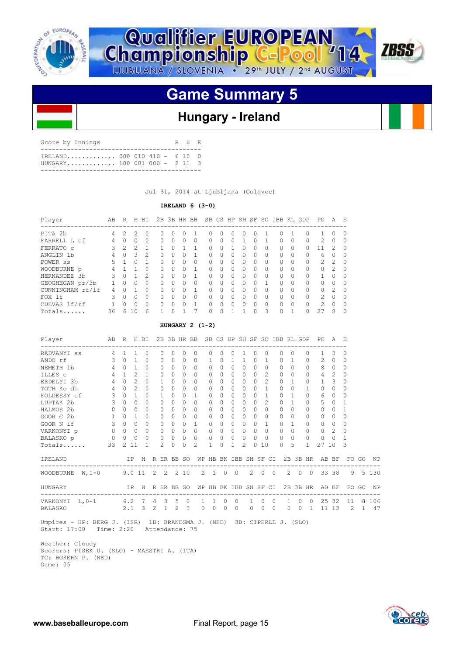![](_page_14_Picture_0.jpeg)

![](_page_14_Picture_1.jpeg)

# **Hungary - Ireland**

| Score by Innings             |  |  | R H E |  |
|------------------------------|--|--|-------|--|
| TRELAND 000 010 410 - 6 10 0 |  |  |       |  |

Jul 31, 2014 at Ljubljana (Golovec)

#### **IRELAND 6 (3-0)**

| Player           | AВ | R             | H              | <b>BT</b>     | 2B       | 3B HR        |   | <b>BB</b> |          |          |          | SB CS HP SH  | SF | SO.          | IBB KL GDP |           |              | PO.            | A             | E.       |
|------------------|----|---------------|----------------|---------------|----------|--------------|---|-----------|----------|----------|----------|--------------|----|--------------|------------|-----------|--------------|----------------|---------------|----------|
| PITA 2b          | 4  | 2             | 2              | 0             | $^{(1)}$ | 0            |   |           | O        | $^{(1)}$ | $\Omega$ |              | Ω  |              | 0          |           | $\Omega$     |                | 0             | 0        |
| FARRELL L cf     | 4  | 0             | 0              | $\Omega$      | 0        | $\Omega$     |   | 0         | 0        |          | $\Omega$ |              | 0  |              | U          |           | $\Omega$     | 2              | $\Omega$      | U        |
| FERRATO C        | २  | $\mathcal{L}$ | 2              | 1             |          | <sup>0</sup> |   |           | $\Omega$ |          |          |              | Ω  | $\Omega$     | $\cap$     | $\bigcap$ | 0            | -1             | $\mathcal{P}$ | O        |
| ANGLIN 1b        | 4  | $\Omega$      | 3              | $\mathcal{P}$ | 0        | $\bigcap$    | O |           | O        | O.       | $\Omega$ | <sup>n</sup> | O  | $\bigcap$    | $\bigcap$  | $\Omega$  | $\Omega$     | 6              | $\Omega$      | $^{(1)}$ |
| POWER SS         | 5  |               | n              |               | 0.       | $\Omega$     |   | 0         | Ω        |          | $\Omega$ |              | 0  | <sup>0</sup> | O.         |           | $\Omega$     | $\mathcal{L}$  | $\mathcal{P}$ | O        |
| WOODBURNE p      | 4  |               |                | $\bigcap$     | U.       | $\bigcap$    | ∩ |           | O        | ∩        | $\cap$   | ∩            | O  | $\bigcap$    | $\cap$     | $\cap$    | $\Omega$     | $\cap$         | $\mathcal{P}$ | O        |
| HERNANDEZ<br>.3b | 3  | $\Omega$      |                | $\mathcal{P}$ | 0        | $\Omega$     |   |           | $\Omega$ | $\Omega$ | $\Omega$ | U            | O  | $\cap$       | $\cap$     | $\Omega$  | $\Omega$     |                | <sup>0</sup>  | U        |
| GEOGHEGAN pr/3b  |    | $\Omega$      | U              | $\Omega$      | 0        | $\bigcap$    | n | 0         | O        |          | $\cap$   | U            | O  | 1            | $\cap$     | $\cap$    | $\bigcap$    | $\cap$         | <sup>0</sup>  |          |
| CUNNINGHAM rf/lf | 4  | ∩             |                | $\Omega$      | 0        | $\bigcap$    | n |           | O        | U        | $\Omega$ | ∩            | O  | <sup>0</sup> | $\bigcap$  | $\cap$    | $\Omega$     | $\Omega$       | $\mathcal{P}$ | O        |
| FOX 1f           | 3  | $\Omega$      | n              | $\bigcap$     | 0        | $\bigcap$    |   | U         | O        | Λ        | $\Omega$ | ∩            | Ω  | <sup>0</sup> | $\cap$     | $\bigcap$ | $\Omega$     | $\mathfrak{D}$ | <sup>0</sup>  | U        |
| CUEVAS lf/rf     |    | $\cap$        | U              | $\Omega$      | 0        | $\Omega$     |   |           | O        |          | $\Omega$ | U            | Ω  | $\cap$       | $\cap$     | $\Omega$  | $\Omega$     | $\mathcal{P}$  | $\Omega$      | U        |
| Totals           | 36 | ี             | 1 <sub>0</sub> | 6             |          | ∩            |   |           | O        |          |          |              | Λ  | 3            | $\cap$     |           | <sup>n</sup> | 27             | 8             |          |

#### **HUNGARY 2 (1-2)**

| Player<br>-------------------              | AВ                | R            |                             | H BI      | 2B<br>------------ |               | 3B HR BB        |              |                                  |                            |                     |                     |              |                          |                             | SB CS HP SH SF SO IBB KL GDP |                   |              |                      | PO.<br>-------------- | A              | E                   |       |             |
|--------------------------------------------|-------------------|--------------|-----------------------------|-----------|--------------------|---------------|-----------------|--------------|----------------------------------|----------------------------|---------------------|---------------------|--------------|--------------------------|-----------------------------|------------------------------|-------------------|--------------|----------------------|-----------------------|----------------|---------------------|-------|-------------|
| RADVANYI ss                                | 4                 | $\mathbf{1}$ |                             | $\Omega$  |                    | $\Omega$      | 0               | $\Omega$     | $\Omega$                         | $\Omega$                   | $\Omega$            | 0                   |              | $\Omega$                 | $\Omega$                    | $\bigcap$                    | $\bigcap$         |              | 0                    | $\mathbf{1}$          | 3              | 0                   |       |             |
| ANDO rf                                    | 3                 | $\Omega$     | 1                           | $\Omega$  |                    | $\Omega$      | 0               | $\bigcap$    | $\bigcap$                        | 1.                         | 0                   | 1                   |              | $\bigcap$                | 1                           | $\bigcap$                    | 1                 |              | 0                    | $\mathfrak{D}$        | $\Omega$       | 0                   |       |             |
| NEMETH 1b                                  | 4                 | O.           |                             | 0         |                    | 0             | 0               | O.           | $\Omega$                         | 0                          | 0                   | 0                   | <sup>0</sup> | $\bigcap$                | $\Omega$                    | $\bigcap$                    | $\Omega$          |              | 0                    | 8                     | $\Omega$       | 0                   |       |             |
| ILLES c                                    | 4                 | 1            | 2                           | 1         |                    | $\Omega$      | 0               | $\Omega$     | $\bigcap$                        | $\Omega$                   | O                   | 0                   | $\bigcap$    | $\Omega$                 | $\mathcal{L}$               | $\bigcap$                    | $\bigcap$         |              | 0                    | 4                     | 2              | 0                   |       |             |
| ERDELYI 3b                                 | 4                 | $\Omega$     | $\mathcal{D}_{\mathcal{L}}$ | $\bigcap$ |                    | 1             | 0               | $\Omega$     | $\Omega$                         | $\Omega$                   | $\Omega$            | $\Omega$            | $\Omega$     | $\bigcap$                | $\mathcal{D}_{\mathcal{L}}$ | $\Omega$                     | 1                 |              | 0                    | 1                     | 3              | 0                   |       |             |
| TOTH Ko dh                                 | $\overline{4}$    | $\Omega$     | $\mathfrak{D}$              | $\Omega$  |                    | 0             | 0               | $\Omega$     | $\Omega$                         | 0                          | $\Omega$            | $\Omega$            | $\Omega$     | $\Omega$                 |                             | $\Omega$                     | $\Omega$          |              | 1.                   | 0                     | 0              | 0                   |       |             |
| FOLDESSY cf                                | 3                 | $\Omega$     | $\mathbf{1}$                | 0         |                    | 1             | 0               | 0            | 1                                | 0                          |                     | 0                   | $\Box$       | $\Omega$                 |                             | $\bigcap$                    | 1                 |              | 0                    | 6                     | $\Omega$       | 0                   |       |             |
| LUPTAK 2b                                  | 3                 | $\Omega$     | O                           | 0         |                    | $\Omega$      | 0               | 0            | $\bigcap$                        | $\Omega$                   | 0                   | 0                   | $\Box$       |                          | $\mathfrak{D}$              | $\bigcap$                    | 1                 |              | 0                    | 5                     | $\Omega$       | 1                   |       |             |
| HALMOS 2b                                  | 0                 | $\bigcap$    | O                           | O.        |                    | $\Omega$      | O               | $\bigcap$    | 0                                | $\Omega$                   | O                   | $\Omega$            | $\bigcap$    | $\Omega$                 | <sup>0</sup>                | $\Omega$                     | $\Omega$          |              | 0                    | $\bigcap$             | $\Omega$       | 1                   |       |             |
| GOOR C 2b                                  | $\mathbf{1}$      | $\Omega$     | 1                           | 0         |                    | 0             | 0               | 0            | $\Omega$                         | $\Omega$                   | O.                  | $\Omega$            | $\Omega$     | $\Omega$                 | 0                           | <sup>0</sup>                 | $\Omega$          |              | 0                    | $\Omega$              | $\Omega$       | 0                   |       |             |
| GOOR N lf                                  | 3                 | $\Omega$     | 0                           | 0         |                    | 0             | 0               | O.           | 1                                | $\Omega$                   | 0                   | 0                   | <sup>0</sup> | $\bigcap$                | 1                           | <sup>0</sup>                 | 1                 |              | 0                    | $\Omega$              | $\Omega$       | 0                   |       |             |
| VARKONYI p                                 | $\Omega$          | $\Omega$     | $\Omega$                    | $\Omega$  |                    | $\Omega$      | 0               | $\bigcap$    | $\Omega$                         | $\Omega$                   | $\Omega$            | $\Omega$            | $\bigcap$    | $\bigcap$                | $\cap$                      | $\Omega$                     | $\Omega$          |              | 0                    | $\Omega$              | $\mathfrak{D}$ | 0                   |       |             |
| BALASKO p                                  | 0                 | $\circ$      | $\circ$                     | 0         |                    | 0             | 0               | 0            | $\Omega$                         | 0                          | 0                   | 0                   | $\Omega$     | $\Omega$                 | 0                           | $\Omega$                     | $\mathbf 0$       |              | $\Omega$             | $\circ$               | $\Omega$       | 1                   |       |             |
| Totals                                     | 33                | 2            | 11                          | 1         |                    | $\mathcal{L}$ | 0               | $\Omega$     | $\mathcal{D}_{\mathcal{L}}$      | 1                          | 0                   | 1                   | 2            |                          | 10                          | <sup>0</sup>                 | 5.                |              | 1.                   | 27                    | 10             | 3                   |       |             |
| IRELAND                                    |                   |              | IP H                        |           |                    |               |                 |              | R ER BB SO WP HB BK IBB SH SF CI |                            |                     |                     |              |                          |                             |                              |                   |              |                      | 2B 3B HR AB BF        |                |                     | FO GO | - NP        |
| W, $1-0$<br>WOODBURNE                      | $9.0$ 11 2 2 2 10 |              |                             |           |                    |               |                 |              |                                  | $2\quad 1\quad 0$          |                     | $\overline{0}$      |              | $2^{1}$                  | $\Omega$                    | $\bigcirc$                   | $2^{1}$           | $\Omega$     | $\bigcirc$           |                       | 33 38          | 9                   |       | 5 1 3 0     |
| HUNGARY<br>------------------------------- |                   |              | IP                          | H         | R ER BB SO         |               |                 |              |                                  |                            |                     |                     |              |                          | WP HB BK IBB SH SF CI       | ------------                 |                   |              | 2B 3B HR             |                       | AB BF          | FO.                 | GO    | ΝP          |
| VARKONYI<br>$L, 0-1$<br><b>BALASKO</b>     | $6.2$ 7 4         | 2.1          |                             | 3         | $\mathfrak{D}$     | $\mathbf{1}$  | $3\quad 5$<br>2 | $\circ$<br>3 | $\mathbf{1}$<br>$\Omega$         | $\overline{1}$<br>$\Omega$ | $\circ$<br>$\Omega$ | $\circ$<br>$\Omega$ |              | $\mathbf{1}$<br>$\Omega$ | $\circ$<br>$\Omega$         | $\circ$<br>$\Omega$          | $\mathbf{1}$<br>0 | $\circ$<br>0 | $\overline{0}$<br>1. | 25<br>11              | 32<br>13       | 11<br>$\mathcal{L}$ | 1     | 8 106<br>47 |
|                                            |                   |              |                             |           |                    |               |                 |              |                                  |                            |                     |                     |              |                          |                             |                              |                   |              |                      |                       |                |                     |       |             |

 Umpires - HP: BERG J. (ISR) 1B: BRANDSMA J. (NED) 3B: CIPERLE J. (SLO) Start: 17:00 Time: 2:20 Attendance: 75

 Weather: Cloudy Scorers: PISEK U. (SLO) - MAESTRI A. (ITA) TC: BOKERN P. (NED) Game: 05

![](_page_14_Picture_11.jpeg)

**ZBSS**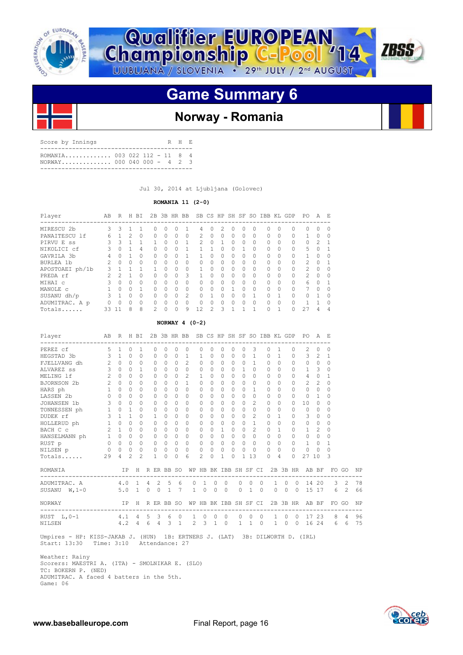![](_page_15_Picture_0.jpeg)

![](_page_15_Picture_1.jpeg)

![](_page_15_Picture_3.jpeg)

### **Norway - Romania**

| Score by Innings                                             |  |  |  | R H E |  |
|--------------------------------------------------------------|--|--|--|-------|--|
| ROMANTA 003 022 112 - 11 8 4<br>$NORMAY$ 000 040 000 - 4 2 3 |  |  |  |       |  |
|                                                              |  |  |  |       |  |

Jul 30, 2014 at Ljubljana (Golovec)

#### **ROMANIA 11 (2-0)**

| Player          | AВ            | R        | H        | BT.          |                |           | 2B 3B HR BB |                |               |          |          |          |          |           | SB CS HP SH SF SO IBB KL GDP |          |          | PO.            | $\overline{A}$ | E.             |
|-----------------|---------------|----------|----------|--------------|----------------|-----------|-------------|----------------|---------------|----------|----------|----------|----------|-----------|------------------------------|----------|----------|----------------|----------------|----------------|
| MIRESCU 2b      | 3             | 3        |          |              | 0              | $\bigcap$ | Ω           |                | 4             | $\Omega$ | 2        | $\Omega$ | 0        | $\bigcap$ | $\bigcap$                    | $\Omega$ | $\Omega$ | 0              | $\Omega$       | $\Omega$       |
| PANAITESCU 1f   | 6             |          | 2        | $\Omega$     | $\Omega$       | $\Omega$  | 0           | $\Omega$       | $\mathcal{L}$ | $\Omega$ | $\Omega$ | $\Omega$ | $\Omega$ | $\Omega$  | $\Omega$                     | $\Omega$ | $\Omega$ | $\mathbf{1}$   | $\Omega$       | $\Omega$       |
| PIRVU E SS      | 3             | 3        |          |              |                | $\bigcap$ | 0           | 1              | $\mathcal{L}$ | $\Omega$ |          | $\Omega$ | $\Omega$ | $\bigcap$ | $\Omega$                     | $\Omega$ | $\Omega$ | 0              | $\mathcal{P}$  | 1              |
| NIKOLICI cf     | 3             |          |          | 4            | 0              | $\Omega$  | O           |                |               |          |          | $\Omega$ |          | $\bigcap$ | $\Omega$                     | $\Omega$ | $\Omega$ | 5              | 0              |                |
| GAVRILA 3b      | 4             | ∩        |          | <sup>0</sup> | $\cap$         | $\bigcap$ | 0           |                |               | O        | 0        | $\Omega$ | O        | $\bigcap$ | $\bigcap$                    | $\Omega$ | $\Omega$ | $\mathbf{1}$   | $\bigcap$      | ∩              |
| BURLEA 1b       | 2             | $\Omega$ | 0        | $\Omega$     | 0              | $\Omega$  | 0           | 0              | 0             | $\Omega$ | $\Omega$ | $\Omega$ | 0        | $\bigcap$ | $\Omega$                     | $\Omega$ | 0        | $\mathfrak{D}$ | $\Omega$       |                |
| APOSTOAEI ph/1b | 3             |          |          | 1            |                | $\cap$    | 0           | 0              |               | $\Omega$ | $\Omega$ | $\Omega$ | O        | $\cap$    | $\bigcap$                    | $\Omega$ | $\Omega$ | $\mathcal{P}$  | $\bigcap$      | ∩              |
| PREDA rf        | $\mathcal{P}$ | 2        |          | $\Omega$     | O              | $\Omega$  | 0           | 3              |               | $\Omega$ | $\Omega$ | $\Omega$ | 0        | $\bigcap$ | $\cap$                       | $\Omega$ | 0        | $\mathcal{L}$  | $\Omega$       | $\Omega$       |
| MIHAI C         | 3             | $\Omega$ | O        | $\cap$       | $\Omega$       | $\bigcap$ | 0           | $\Omega$       | $\Omega$      | $\Omega$ | $\Omega$ | $\Omega$ | O        | $\cap$    | $\bigcap$                    | $\cap$   | $\Omega$ | 6              | $\cap$         |                |
| MANOLE C        |               | O        | O        |              | O              | $\bigcap$ | 0           | 0              | $\Omega$      | $\Omega$ | $\Omega$ |          | 0        | $\bigcap$ | $\Omega$                     | $\Omega$ | $\Omega$ |                | $\Omega$       | ∩              |
| SUSANU dh/p     | 3             |          | $\Omega$ | $\cap$       | U              | $\bigcap$ | 0           | $\mathfrak{D}$ | $\Omega$      |          | $\cap$   | $\Omega$ | Λ        |           | $\cap$                       |          | $\Omega$ | 0              |                | $\cap$         |
| ADUMITRAC. A p  | 0             |          | O        | $\Omega$     | O              | $\bigcap$ | 0           | 0              | 0             | $\Omega$ | $\Omega$ | $\Omega$ | Ω        | $\bigcap$ | $\Omega$                     | $\cap$   | $\Omega$ |                |                | $\Omega$       |
| Totals          | 33            | 11       | 8        | 8            | $\mathfrak{D}$ | $\bigcap$ | 0           | 9              | 12            | 2        | २        | п        |          | 1         | Λ                            |          | $\Omega$ | 27             | 4              | $\overline{4}$ |

#### **NORWAY 4 (0-2)**

|               |                                                                                                                                          |                                                                                                                                                          |                                                                                                                                                                                                                                            |                                                                                                               |                                                                                     |                                                                                              |                                                                                                                                     |                                                                                                                                          |                                                                                                                                                                                                 |                                                                                      |                                                                                                                                                    |                                                                                                                                                                                                   |                                                            |                                                                                                                                                                                                           |                                                                                                                                                                                            |                                                                                                                                                                                                                        |                                                                                                                          |                                                                                                                                                                                                                                                                                | PO.                                                                                                                                                     |                                                                                                                                                                                            |                                                                                                            |                                                                                                                                                                                                         |                                                                              |
|---------------|------------------------------------------------------------------------------------------------------------------------------------------|----------------------------------------------------------------------------------------------------------------------------------------------------------|--------------------------------------------------------------------------------------------------------------------------------------------------------------------------------------------------------------------------------------------|---------------------------------------------------------------------------------------------------------------|-------------------------------------------------------------------------------------|----------------------------------------------------------------------------------------------|-------------------------------------------------------------------------------------------------------------------------------------|------------------------------------------------------------------------------------------------------------------------------------------|-------------------------------------------------------------------------------------------------------------------------------------------------------------------------------------------------|--------------------------------------------------------------------------------------|----------------------------------------------------------------------------------------------------------------------------------------------------|---------------------------------------------------------------------------------------------------------------------------------------------------------------------------------------------------|------------------------------------------------------------|-----------------------------------------------------------------------------------------------------------------------------------------------------------------------------------------------------------|--------------------------------------------------------------------------------------------------------------------------------------------------------------------------------------------|------------------------------------------------------------------------------------------------------------------------------------------------------------------------------------------------------------------------|--------------------------------------------------------------------------------------------------------------------------|--------------------------------------------------------------------------------------------------------------------------------------------------------------------------------------------------------------------------------------------------------------------------------|---------------------------------------------------------------------------------------------------------------------------------------------------------|--------------------------------------------------------------------------------------------------------------------------------------------------------------------------------------------|------------------------------------------------------------------------------------------------------------|---------------------------------------------------------------------------------------------------------------------------------------------------------------------------------------------------------|------------------------------------------------------------------------------|
| 5.            | $\mathbf{1}$                                                                                                                             | $\Omega$                                                                                                                                                 | 1                                                                                                                                                                                                                                          |                                                                                                               | $\Omega$                                                                            | $\Omega$                                                                                     | $\Omega$                                                                                                                            | $\Omega$                                                                                                                                 | 0                                                                                                                                                                                               | $\Omega$                                                                             | $\Omega$                                                                                                                                           |                                                                                                                                                                                                   |                                                            |                                                                                                                                                                                                           |                                                                                                                                                                                            | $\Omega$                                                                                                                                                                                                               |                                                                                                                          | $\Omega$                                                                                                                                                                                                                                                                       | 2                                                                                                                                                       | $\Omega$                                                                                                                                                                                   | 0                                                                                                          |                                                                                                                                                                                                         |                                                                              |
| 3             |                                                                                                                                          | $\Omega$                                                                                                                                                 | $\Omega$                                                                                                                                                                                                                                   |                                                                                                               | $\bigcap$                                                                           | $\bigcap$                                                                                    | $\Omega$                                                                                                                            | $\mathbf{1}$                                                                                                                             | $\mathbf{1}$                                                                                                                                                                                    | $\bigcap$                                                                            | $\Omega$                                                                                                                                           |                                                                                                                                                                                                   |                                                            |                                                                                                                                                                                                           |                                                                                                                                                                                            | $\cap$                                                                                                                                                                                                                 |                                                                                                                          | $\Omega$                                                                                                                                                                                                                                                                       | 3                                                                                                                                                       | $\mathcal{L}$                                                                                                                                                                              | 1                                                                                                          |                                                                                                                                                                                                         |                                                                              |
|               | $\Omega$                                                                                                                                 | $\Omega$                                                                                                                                                 | $\Omega$                                                                                                                                                                                                                                   |                                                                                                               | $\Omega$                                                                            | $\Omega$                                                                                     | $\Omega$                                                                                                                            | $\overline{2}$                                                                                                                           | $\Omega$                                                                                                                                                                                        | $\Omega$                                                                             | $\Omega$                                                                                                                                           |                                                                                                                                                                                                   |                                                            |                                                                                                                                                                                                           |                                                                                                                                                                                            | $\Omega$                                                                                                                                                                                                               |                                                                                                                          | $\Omega$                                                                                                                                                                                                                                                                       | $\Omega$                                                                                                                                                | $\Omega$                                                                                                                                                                                   | $\Omega$                                                                                                   |                                                                                                                                                                                                         |                                                                              |
|               |                                                                                                                                          |                                                                                                                                                          |                                                                                                                                                                                                                                            |                                                                                                               |                                                                                     |                                                                                              |                                                                                                                                     |                                                                                                                                          |                                                                                                                                                                                                 |                                                                                      |                                                                                                                                                    |                                                                                                                                                                                                   |                                                            |                                                                                                                                                                                                           |                                                                                                                                                                                            |                                                                                                                                                                                                                        |                                                                                                                          |                                                                                                                                                                                                                                                                                |                                                                                                                                                         |                                                                                                                                                                                            |                                                                                                            |                                                                                                                                                                                                         |                                                                              |
|               |                                                                                                                                          |                                                                                                                                                          |                                                                                                                                                                                                                                            |                                                                                                               |                                                                                     |                                                                                              |                                                                                                                                     |                                                                                                                                          |                                                                                                                                                                                                 |                                                                                      |                                                                                                                                                    |                                                                                                                                                                                                   |                                                            |                                                                                                                                                                                                           |                                                                                                                                                                                            |                                                                                                                                                                                                                        |                                                                                                                          |                                                                                                                                                                                                                                                                                |                                                                                                                                                         |                                                                                                                                                                                            |                                                                                                            |                                                                                                                                                                                                         |                                                                              |
|               |                                                                                                                                          |                                                                                                                                                          |                                                                                                                                                                                                                                            |                                                                                                               |                                                                                     |                                                                                              |                                                                                                                                     |                                                                                                                                          |                                                                                                                                                                                                 |                                                                                      |                                                                                                                                                    |                                                                                                                                                                                                   |                                                            |                                                                                                                                                                                                           |                                                                                                                                                                                            |                                                                                                                                                                                                                        |                                                                                                                          |                                                                                                                                                                                                                                                                                |                                                                                                                                                         |                                                                                                                                                                                            |                                                                                                            |                                                                                                                                                                                                         |                                                                              |
|               |                                                                                                                                          |                                                                                                                                                          | $\Omega$                                                                                                                                                                                                                                   |                                                                                                               | 0                                                                                   | $\Omega$                                                                                     | $\bigcap$                                                                                                                           |                                                                                                                                          | 0                                                                                                                                                                                               | $\Omega$                                                                             |                                                                                                                                                    |                                                                                                                                                                                                   |                                                            |                                                                                                                                                                                                           |                                                                                                                                                                                            | $\Omega$                                                                                                                                                                                                               |                                                                                                                          | $\cap$                                                                                                                                                                                                                                                                         |                                                                                                                                                         |                                                                                                                                                                                            |                                                                                                            |                                                                                                                                                                                                         |                                                                              |
|               |                                                                                                                                          |                                                                                                                                                          |                                                                                                                                                                                                                                            |                                                                                                               |                                                                                     |                                                                                              |                                                                                                                                     |                                                                                                                                          |                                                                                                                                                                                                 |                                                                                      |                                                                                                                                                    |                                                                                                                                                                                                   |                                                            |                                                                                                                                                                                                           |                                                                                                                                                                                            |                                                                                                                                                                                                                        |                                                                                                                          |                                                                                                                                                                                                                                                                                |                                                                                                                                                         |                                                                                                                                                                                            |                                                                                                            |                                                                                                                                                                                                         |                                                                              |
|               |                                                                                                                                          |                                                                                                                                                          | <sup>n</sup>                                                                                                                                                                                                                               |                                                                                                               |                                                                                     |                                                                                              |                                                                                                                                     |                                                                                                                                          |                                                                                                                                                                                                 |                                                                                      |                                                                                                                                                    |                                                                                                                                                                                                   |                                                            |                                                                                                                                                                                                           |                                                                                                                                                                                            |                                                                                                                                                                                                                        |                                                                                                                          |                                                                                                                                                                                                                                                                                |                                                                                                                                                         |                                                                                                                                                                                            |                                                                                                            |                                                                                                                                                                                                         |                                                                              |
|               |                                                                                                                                          |                                                                                                                                                          | $\bigcap$                                                                                                                                                                                                                                  |                                                                                                               | $\Omega$                                                                            | $\Omega$                                                                                     | $\Omega$                                                                                                                            |                                                                                                                                          | 0                                                                                                                                                                                               | $\Omega$                                                                             |                                                                                                                                                    |                                                                                                                                                                                                   |                                                            |                                                                                                                                                                                                           |                                                                                                                                                                                            | $\bigcap$                                                                                                                                                                                                              |                                                                                                                          | $\bigcap$                                                                                                                                                                                                                                                                      |                                                                                                                                                         | $\Omega$                                                                                                                                                                                   | $\Omega$                                                                                                   |                                                                                                                                                                                                         |                                                                              |
|               |                                                                                                                                          |                                                                                                                                                          | <sup>n</sup>                                                                                                                                                                                                                               |                                                                                                               | 1                                                                                   | $\cap$                                                                                       | $\Omega$                                                                                                                            | $\bigcap$                                                                                                                                | 0                                                                                                                                                                                               | $\Omega$                                                                             |                                                                                                                                                    |                                                                                                                                                                                                   |                                                            |                                                                                                                                                                                                           |                                                                                                                                                                                            | $\bigcap$                                                                                                                                                                                                              |                                                                                                                          | O.                                                                                                                                                                                                                                                                             |                                                                                                                                                         |                                                                                                                                                                                            | $\Omega$                                                                                                   |                                                                                                                                                                                                         |                                                                              |
| HOLLERUD ph   |                                                                                                                                          |                                                                                                                                                          | $\Omega$                                                                                                                                                                                                                                   |                                                                                                               | $\Omega$                                                                            | $\Omega$                                                                                     | $\Omega$                                                                                                                            | $\Omega$                                                                                                                                 | $\Omega$                                                                                                                                                                                        | $\cap$                                                                               | $\Omega$                                                                                                                                           |                                                                                                                                                                                                   |                                                            |                                                                                                                                                                                                           |                                                                                                                                                                                            | $\bigcap$                                                                                                                                                                                                              |                                                                                                                          | $\bigcap$                                                                                                                                                                                                                                                                      | $\Omega$                                                                                                                                                | $\Omega$                                                                                                                                                                                   | $\Omega$                                                                                                   |                                                                                                                                                                                                         |                                                                              |
|               |                                                                                                                                          |                                                                                                                                                          | $\bigcap$                                                                                                                                                                                                                                  |                                                                                                               | $\Omega$                                                                            | $\cap$                                                                                       | $\cap$                                                                                                                              |                                                                                                                                          | $\Omega$                                                                                                                                                                                        | $\bigcap$                                                                            |                                                                                                                                                    |                                                                                                                                                                                                   |                                                            |                                                                                                                                                                                                           |                                                                                                                                                                                            |                                                                                                                                                                                                                        |                                                                                                                          | $\bigcap$                                                                                                                                                                                                                                                                      |                                                                                                                                                         |                                                                                                                                                                                            | $\Omega$                                                                                                   |                                                                                                                                                                                                         |                                                                              |
| HANSELMANN ph |                                                                                                                                          |                                                                                                                                                          |                                                                                                                                                                                                                                            |                                                                                                               |                                                                                     |                                                                                              |                                                                                                                                     |                                                                                                                                          | $\Omega$                                                                                                                                                                                        | $\Omega$                                                                             |                                                                                                                                                    |                                                                                                                                                                                                   |                                                            |                                                                                                                                                                                                           |                                                                                                                                                                                            |                                                                                                                                                                                                                        |                                                                                                                          |                                                                                                                                                                                                                                                                                |                                                                                                                                                         |                                                                                                                                                                                            |                                                                                                            |                                                                                                                                                                                                         |                                                                              |
|               |                                                                                                                                          |                                                                                                                                                          |                                                                                                                                                                                                                                            |                                                                                                               |                                                                                     |                                                                                              |                                                                                                                                     |                                                                                                                                          | $\Omega$                                                                                                                                                                                        |                                                                                      |                                                                                                                                                    |                                                                                                                                                                                                   |                                                            |                                                                                                                                                                                                           |                                                                                                                                                                                            |                                                                                                                                                                                                                        |                                                                                                                          |                                                                                                                                                                                                                                                                                |                                                                                                                                                         | $\Omega$                                                                                                                                                                                   | 1                                                                                                          |                                                                                                                                                                                                         |                                                                              |
|               | $\Omega$                                                                                                                                 |                                                                                                                                                          |                                                                                                                                                                                                                                            |                                                                                                               |                                                                                     |                                                                                              |                                                                                                                                     |                                                                                                                                          | $\circ$                                                                                                                                                                                         | $\Omega$                                                                             |                                                                                                                                                    |                                                                                                                                                                                                   |                                                            |                                                                                                                                                                                                           |                                                                                                                                                                                            | $\Omega$                                                                                                                                                                                                               |                                                                                                                          | $\Omega$                                                                                                                                                                                                                                                                       | $\Omega$                                                                                                                                                | $\Omega$                                                                                                                                                                                   | $\Omega$                                                                                                   |                                                                                                                                                                                                         |                                                                              |
| 29            | $\overline{4}$                                                                                                                           |                                                                                                                                                          |                                                                                                                                                                                                                                            |                                                                                                               | $\mathbf{1}$                                                                        | $\Omega$                                                                                     | $\Omega$                                                                                                                            | 6                                                                                                                                        | 2                                                                                                                                                                                               | $\Omega$                                                                             |                                                                                                                                                    |                                                                                                                                                                                                   |                                                            |                                                                                                                                                                                                           |                                                                                                                                                                                            | $\Omega$                                                                                                                                                                                                               |                                                                                                                          | $\Omega$                                                                                                                                                                                                                                                                       |                                                                                                                                                         |                                                                                                                                                                                            | 3                                                                                                          |                                                                                                                                                                                                         |                                                                              |
|               |                                                                                                                                          |                                                                                                                                                          |                                                                                                                                                                                                                                            |                                                                                                               |                                                                                     |                                                                                              |                                                                                                                                     |                                                                                                                                          |                                                                                                                                                                                                 |                                                                                      |                                                                                                                                                    |                                                                                                                                                                                                   |                                                            |                                                                                                                                                                                                           |                                                                                                                                                                                            |                                                                                                                                                                                                                        |                                                                                                                          |                                                                                                                                                                                                                                                                                |                                                                                                                                                         |                                                                                                                                                                                            |                                                                                                            |                                                                                                                                                                                                         | NP                                                                           |
|               |                                                                                                                                          |                                                                                                                                                          |                                                                                                                                                                                                                                            | $\overline{4}$                                                                                                |                                                                                     |                                                                                              |                                                                                                                                     |                                                                                                                                          |                                                                                                                                                                                                 |                                                                                      |                                                                                                                                                    |                                                                                                                                                                                                   | $\Omega$                                                   | $\Omega$                                                                                                                                                                                                  | $\Omega$                                                                                                                                                                                   |                                                                                                                                                                                                                        | $\Omega$                                                                                                                 |                                                                                                                                                                                                                                                                                |                                                                                                                                                         |                                                                                                                                                                                            |                                                                                                            | $\mathcal{L}$                                                                                                                                                                                           | 78                                                                           |
|               |                                                                                                                                          |                                                                                                                                                          |                                                                                                                                                                                                                                            |                                                                                                               |                                                                                     |                                                                                              |                                                                                                                                     |                                                                                                                                          |                                                                                                                                                                                                 |                                                                                      |                                                                                                                                                    |                                                                                                                                                                                                   | $\Omega$                                                   | $\mathbf{1}$                                                                                                                                                                                              | $\Omega$                                                                                                                                                                                   |                                                                                                                                                                                                                        | $\Omega$                                                                                                                 |                                                                                                                                                                                                                                                                                |                                                                                                                                                         |                                                                                                                                                                                            |                                                                                                            | 2                                                                                                                                                                                                       | 66                                                                           |
|               |                                                                                                                                          |                                                                                                                                                          |                                                                                                                                                                                                                                            |                                                                                                               |                                                                                     |                                                                                              |                                                                                                                                     |                                                                                                                                          |                                                                                                                                                                                                 |                                                                                      |                                                                                                                                                    |                                                                                                                                                                                                   |                                                            |                                                                                                                                                                                                           |                                                                                                                                                                                            |                                                                                                                                                                                                                        |                                                                                                                          |                                                                                                                                                                                                                                                                                |                                                                                                                                                         |                                                                                                                                                                                            |                                                                                                            |                                                                                                                                                                                                         | NP                                                                           |
|               |                                                                                                                                          |                                                                                                                                                          |                                                                                                                                                                                                                                            |                                                                                                               |                                                                                     |                                                                                              |                                                                                                                                     |                                                                                                                                          |                                                                                                                                                                                                 |                                                                                      |                                                                                                                                                    |                                                                                                                                                                                                   | 0<br>$\mathbf{1}$                                          | $\Omega$<br>1                                                                                                                                                                                             | $\mathbf{0}$<br>$\overline{0}$                                                                                                                                                             |                                                                                                                                                                                                                        |                                                                                                                          |                                                                                                                                                                                                                                                                                |                                                                                                                                                         |                                                                                                                                                                                            |                                                                                                            | $\overline{4}$<br>6                                                                                                                                                                                     | 96<br>75                                                                     |
|               | 3<br>$\overline{c}$<br>$\Omega$<br>3<br>$\mathbf{1}$<br>TONNESSEN ph<br>3<br>$\mathbf{1}$<br>$\circ$<br>ADUMITRAC. A<br>---------------- | $\overline{1}$<br>$\overline{2}$<br>$\Omega$<br>$\Omega$<br>$2^{\circ}$<br>1<br>$\Omega$<br>$\Omega$<br>$\Omega$<br>$\Omega$<br>$\mathbf{1}$<br>$\Omega$ | $\Omega$<br>$\Omega$<br>$\cap$<br>$\Omega$<br>$\Omega$<br>$\Omega$<br>$\Omega$<br>$\mathbf{1}$<br>$\mathbf{1}$<br>$\Omega$<br>$2 \quad 1$<br>$\Omega$<br>$1 \quad 0 \quad 0$<br>$0 \quad 0$<br>$\circ$<br>$\circ$<br>$\overline{2}$<br>5.0 | AB R H BI<br>$\mathbf{1}$<br>$\bigcap$<br>$\bigcap$<br>$\bigcap$<br>$\circ$<br>IP -<br>4.1<br>$4\overline{ }$ | $\Omega$<br>$\circ$<br>$\mathfrak{D}$<br>4.0 1<br>$1 \quad 0$<br>H<br>$4.2 \quad 4$ | $\Omega$<br>$\Omega$<br>$\Omega$<br>$\Omega$<br>0<br>$\mathbf{0}$<br>$\circ$<br>$\circ$<br>5 | $\Omega$<br>$\Omega$<br>$\bigcap$<br>$\Omega$<br>$\Omega$<br>$\Omega$<br>$\Omega$<br>$\circ$<br>$\bigcirc$<br>3 <sup>7</sup><br>6 4 | $\Omega$<br>$\Omega$<br>$\cap$<br>$\Omega$<br>$\Omega$<br>$\Omega$<br>$\Omega$<br>$\bigcirc$<br>$2 \quad 5$<br>$\overline{1}$<br>6<br>-3 | $\Omega$<br>$\mathfrak{D}$<br>$\mathbf{1}$<br>$\Omega$<br>$\Omega$<br>$\Omega$<br>$\Omega$<br>$\Omega$<br>$\Omega$<br>$\Omega$<br>$\Omega$<br>6<br>7<br>R ER BB SO<br>$\circ$<br>$\overline{1}$ | $\Omega$<br>$\mathbf{1}$<br>$\Omega$<br>$\Omega$<br>0<br>0<br>$\mathbf{1}$<br>1<br>2 | $\Omega$<br>$\Omega$<br>$\Omega$<br>$\Omega$<br>$\cap$<br>$\Omega$<br>$\mathbf{1}$<br>$\Omega$<br>---------------------------<br>$\mathbf{0}$<br>3 | $\Omega$<br>$\Omega$<br>$\Omega$<br>$\circ$<br>$\Omega$<br>$\Omega$<br>$\Omega$<br>$\Omega$<br>$\Omega$<br>$\Omega$<br>$\circ$<br>$\mathbf{1}$<br>$\Omega$<br>$\Omega$<br>$\circ$<br>$\mathbf{1}$ | $\mathbf{1}$<br>$\Omega$<br>$\Omega$<br>$\circ$<br>$\circ$ | $\Omega$<br>$\Omega$<br>$\Omega$<br>$\Omega$<br>$\Omega$<br>$\Omega$<br>$\Omega$<br>$\Omega$<br>$\Omega$<br>$\Omega$<br>$\Omega$<br>$\Omega$<br>$\bigcap$<br>$\Omega$<br>$\Omega$<br>$\Omega$<br>$\Omega$ | $\Omega$<br>$\Omega$<br>$\circ$<br>$\mathbf{1}$<br>$\Omega$<br>$\Omega$<br>$\circ$<br>$\Omega$<br>$\Omega$<br>$\Omega$<br>$\Omega$<br>$\Omega$<br>$\cap$<br>$\circ$<br>$\circ$<br>$\Omega$ | 3<br>$\mathbf{1}$<br>$\mathbf{1}$<br>$\Omega$<br>$\Omega$<br>$\Omega$<br>1<br>$\Omega$<br>$\mathfrak{D}$<br>$\Omega$<br>$\mathfrak{D}$<br>$\mathbf{1}$<br>$\mathfrak{D}$<br>$\Omega$<br>$\Omega$<br>$\bigcirc$<br>1 13 | $\Omega$<br>$\Omega$<br>$\bigcap$<br>$\bigcap$<br>$\bigcap$<br>$\Omega$<br>$\Omega$<br>$\Omega$<br>WP HB BK IBB SH SF CI | $\mathbf{1}$<br>$\mathbf{1}$<br>$\Omega$<br>$\Omega$<br>$\Omega$<br>$\bigcap$<br>$\Omega$<br>$\bigcap$<br>$\Omega$<br>$\bigcap$<br>$\bigcap$<br>$\mathbf{1}$<br>$\Omega$<br>$\Omega$<br>$\Omega$<br>$\overline{4}$<br>$\mathbf{1}$<br>$\Omega$<br>$\mathbf{1}$<br>$\mathbf{1}$ | 2B 3B HR BB SB CS HP SH SF SO IBB KL GDP<br>$\bigcap$<br>$\Omega$<br>$\bigcap$<br>$\cap$<br>$\Omega$<br>$\Omega$<br>$\Omega$<br>$\mathbf{0}$<br>$\circ$ | $\mathbf{1}$<br>4<br>$\mathfrak{D}$<br>$\Omega$<br>$\Omega$<br>10<br>$\Omega$<br>3<br>$\mathbf{1}$<br>$\Omega$<br>$\mathbf{1}$<br>27<br>$\Omega$<br>$\Omega$<br>$\Omega$<br>$\overline{0}$ | 3<br>$\Omega$<br>$\mathfrak{D}$<br>$\circ$<br>1<br>$\Omega$<br>$\Omega$<br>2<br>$\Omega$<br>10<br>15<br>17 | A F.<br>$\Omega$<br>$\mathbf{1}$<br>$\Omega$<br>$\mathbf 0$<br>$\Omega$<br>$\Omega$<br>$\Omega$<br>IP H R ER BB SO WP HB BK IBB SH SF CI 2B 3B HR AB BF<br>14 20<br>17<br>2B 3B HR AB BF<br>23<br>16 24 | FO GO<br>3<br>6<br>FO GO<br>--------------------------------------<br>8<br>6 |

 Umpires - HP: KISS-JAKAB J. (HUN) 1B: ERTNERS J. (LAT) 3B: DILWORTH D. (IRL) Start: 13:30 Time: 3:10 Attendance: 27

 Weather: Rainy Scorers: MAESTRI A. (ITA) - SMOLNIKAR E. (SLO) TC: BOKERN P. (NED) ADUMITRAC. A faced 4 batters in the 5th. Game: 06

![](_page_15_Picture_13.jpeg)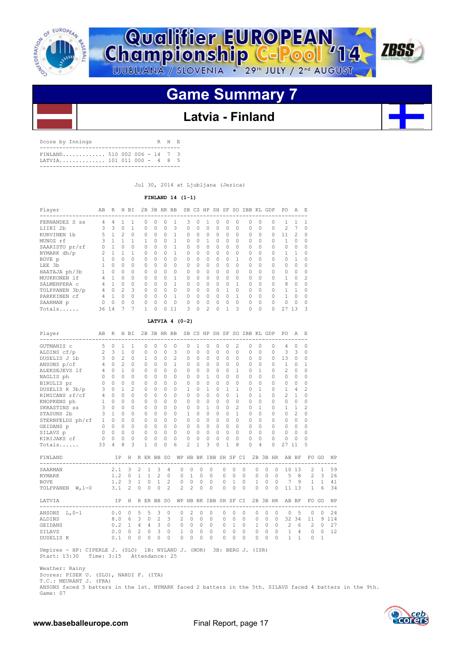![](_page_16_Picture_0.jpeg)

![](_page_16_Picture_1.jpeg)

### **Latvia - Finland**

| Score by Innings             |  |  | R H |  |
|------------------------------|--|--|-----|--|
| FINLAND 510 002 006 - 14 7 3 |  |  |     |  |

Jul 30, 2014 at Ljubljana (Jezica)

 **FINLAND 14 (1-1)**

| Player                     | AB | R        | Н              | BI.       | 2B       |          | 3B HR BB  |              | SB        |          | CS HP SH SF |           |          | SO.      | IBB       | KL.      | GDP      | PO.          | A      | $F_{i}$       |
|----------------------------|----|----------|----------------|-----------|----------|----------|-----------|--------------|-----------|----------|-------------|-----------|----------|----------|-----------|----------|----------|--------------|--------|---------------|
| FERNANDEZ S ss             | 4  | 4        |                |           | U        | Ω        |           |              | ς         | Ω        |             |           | O        |          | O         |          | Ω        |              |        |               |
| LIIRI 2b                   | २  | 3        | 0              |           | $\Omega$ | $\Omega$ | $\Omega$  | 3            | $\Omega$  | $\Omega$ | 0           | $\Omega$  | 0        | 0        | $\Omega$  | $\Omega$ | 0        | 2            |        | $\Omega$      |
| KURVINEN<br>1 <sub>b</sub> | 5. |          | 2              | $\Omega$  | $\cap$   | $\Omega$ | $\Omega$  |              | $\cap$    | $\Omega$ | 0           | $\bigcap$ | $\Omega$ | $\Omega$ | $\Omega$  | $\Omega$ | O        | 11           | 2      | $\Omega$      |
| MUNOZ rf                   | 3  |          |                |           |          | $\Omega$ | $\cap$    |              | $\bigcap$ | $\Omega$ |             | $\bigcap$ | $\Omega$ | $\Omega$ | $\Omega$  | $\Omega$ | $\Omega$ |              | $\cap$ | $\Omega$      |
| SAARISTO pr/rf             |    |          | $\Omega$       | $\Omega$  | $\cap$   | 0        | $\Omega$  |              | $\Omega$  | $\Omega$ | 0           | $\Omega$  | $\Omega$ | $\Omega$ | $\Omega$  |          | $\Omega$ | 0            | $\cap$ | $\Omega$      |
| NYMARK dh/p                |    |          |                |           | $\cap$   | $\Omega$ | $\bigcap$ | $\mathbf{1}$ | $\Omega$  | $\cap$   | O           | $\cap$    | $\Omega$ | $\Omega$ | $\bigcap$ |          |          |              |        | $\Omega$      |
| BOVE p                     |    | 0        | 0              | $\Omega$  | $\cap$   | $\Omega$ | $\Omega$  | $\Omega$     | $\Omega$  | $\Omega$ | O           | $\bigcap$ | 0        |          | $\Omega$  | $\Omega$ |          |              |        | $\Omega$      |
| LEE 3b                     |    | 0        | 0              | $\Omega$  | 0        | Ω        | $\Omega$  | $\Omega$     | $\Omega$  | $\cap$   | 0           | $\bigcap$ | 0        | $\Omega$ | $\Omega$  |          |          | O            | n      | $\Omega$      |
| HAATAJA ph/3b              |    | O        | $\Omega$       | $\Omega$  | $\cap$   | $\Omega$ | $\bigcap$ | $\Omega$     | $\Omega$  | $\cap$   | O           | $\bigcap$ | $\Omega$ | $\Omega$ | $\Omega$  | $\Omega$ | $\Omega$ | $\Omega$     | $\cap$ | $\Omega$      |
| MUUKKONEN 1f               | 4  |          | $\cap$         | $\cap$    | $\Omega$ | $\Omega$ | $\bigcap$ | 1            | $\Omega$  | $\Omega$ | O           | $\cap$    | $\Omega$ | O        | $\Omega$  | $\Omega$ |          | $\mathbf{1}$ | $\cap$ | $\mathcal{L}$ |
| SALMENPERA C               |    |          | O              | $\bigcap$ | $\cap$   | $\Omega$ | $\cap$    | 1            | $\Omega$  | $\cap$   | O           | $\bigcap$ | O        |          | $\Omega$  |          |          | 8            | $\cap$ | $\Omega$      |
| TOLPPANEN 3b/p             |    | $\Omega$ | $\mathfrak{D}$ | 3         | $\Omega$ | Ω        | $\Omega$  | $\Omega$     | O         | $\cap$   | O           | $\bigcap$ |          | $\Omega$ | $\cap$    |          |          |              |        | $\Omega$      |
| PARKKINEN cf               | 4  |          | $\Omega$       | $\bigcap$ | $\cap$   | $\Omega$ | $\cap$    | $\mathbf{1}$ | $\Omega$  | $\cap$   | O           | $\cap$    | $\cap$   |          | $\cap$    | $\Omega$ |          |              | O      | $\Omega$      |
| SAARMAN p                  |    | O        | O              | $\bigcap$ | $\cap$   | $\Omega$ | $\cap$    | $\Omega$     | $\Omega$  | $\Omega$ | O           | $\bigcap$ | $\Omega$ | $\Omega$ | $\Omega$  | $\Omega$ | $\Omega$ | Λ            | O      | $\Omega$      |
| $Totals$                   | 36 | 14       |                |           |          |          |           | 11           | ς         | 0        | 2           | $\cap$    |          | ς        | $\Omega$  | $\Omega$ | O        | 21           | 13     | $\mathcal{R}$ |

#### **LATVIA 4 (0-2)**

| Player                      | AB             | R              |                | H BI           |                |                |                         |                | 2B 3B HR BB    |                       |              |              |             |          |              |                | SB CS HP SH SF SO IBB KL GDP |             |            | PO.            | A              | - F.              |              |           |
|-----------------------------|----------------|----------------|----------------|----------------|----------------|----------------|-------------------------|----------------|----------------|-----------------------|--------------|--------------|-------------|----------|--------------|----------------|------------------------------|-------------|------------|----------------|----------------|-------------------|--------------|-----------|
| GUTMANIS C                  | 5              | $\Omega$       | 1              | 1              |                | $\Omega$       | $\Omega$                | $\Omega$       | $\Omega$       | $\Omega$              | $\mathbf{1}$ | $\Omega$     | $\Omega$    | $\Omega$ |              | $\overline{c}$ | $\Omega$                     | 0           | 0          | 4              | $\Omega$       | $\Omega$          |              |           |
| ALDINS cf/p                 | 2              | 3              | $\mathbf{1}$   | $\Omega$       |                | $\Omega$       | $\Omega$                | $\Omega$       | 3              | $\Omega$              | $\Omega$     | $\Omega$     | $\cap$      | $\Omega$ |              | $\Omega$       | $\Omega$                     | $\Omega$    | 0          | 3              | 3              | $\Omega$          |              |           |
| DUSELIS J 1b                | 3              | $\Omega$       | $\overline{c}$ | $\Omega$       |                | 1              | $\Omega$                | $\Omega$       | 2              | $\Omega$              | $\Omega$     | $\Omega$     | $\Omega$    | $\Omega$ |              | $\Omega$       | $\Omega$                     | 0           | $\Omega$   | 13             | $\Omega$       | $\Omega$          |              |           |
| ANSONS p/cf                 | 4              | $\Omega$       | $\overline{c}$ | $\Omega$       |                | 0              | $\Omega$                | $\Omega$       | $\mathbf{1}$   | $\Omega$              | $\bigcap$    | $\Omega$     | $\cap$      | $\Omega$ |              | $\Omega$       | $\bigcap$                    | $\Omega$    | 0          | $\mathbf{1}$   | $\Omega$       | 1                 |              |           |
| ALEKSEJEVS 1f               | $\overline{4}$ | $\Omega$       | $\mathbf{1}$   | $\Omega$       |                | $\Omega$       | $\Omega$                | $\Omega$       | $\Omega$       | $\Omega$              | $\Omega$     | $\Omega$     | $\cap$      | $\Omega$ |              | $\mathbf{1}$   | $\Omega$                     | 1           | 0          | $\mathfrak{D}$ | $\Omega$       | $\Omega$          |              |           |
| NAGLIS ph                   |                | $0\quad 0$     | $\Omega$       | $\Omega$       |                | $\Omega$       | $\Omega$                | $\Omega$       | $\Omega$       | $\Omega$              | $\Omega$     | 1            | $\Omega$    | $\Omega$ |              | 0              | $\Omega$                     | $\Omega$    | 0          | $\Omega$       | $\Omega$       | $\Omega$          |              |           |
| BIRULIS pr                  | $\Omega$       | $\Omega$       | $\Omega$       | $\Omega$       |                | $\Omega$       | O                       | $\Omega$       | $\cap$         | $\Omega$              | $\Omega$     | $\Omega$     | $\bigcap$   | $\Omega$ |              | $\Omega$       | $\bigcap$                    | $\Omega$    | 0          | $\Omega$       | $\Omega$       | $\Omega$          |              |           |
| DUSELIS K 3b/p              | 3              | $\Omega$       | $\mathbf{1}$   | $\overline{c}$ |                | $\Omega$       | O                       | $\Omega$       | $\cap$         | 1                     | $\Omega$     | 1            | $\bigcap$   | 1        |              | 1              | $\bigcap$                    | 1           | 0          | $\mathbf{1}$   | 4              | $\overline{a}$    |              |           |
| RIMICANS rf/cf              | $4 -$          | $\Omega$       | $\Omega$       | $\Omega$       |                | $\Omega$       | $\Omega$                | $\cap$         | $\bigcap$      | $\Omega$              | $\bigcap$    | $\Omega$     | $\bigcap$   | $\Omega$ |              | 1              | $\bigcap$                    | 1           | 0          | $\mathfrak{D}$ | $\mathbf{1}$   | 0                 |              |           |
| KNOPKENS ph                 | $\mathbf{1}$   | $\Omega$       | $\Omega$       | $\bigcap$      |                | $\Omega$       | $\Omega$                | $\cap$         | $\Omega$       | $\Omega$              | $\cap$       | $\Omega$     | $\bigcap$   | $\cap$   |              | $\Omega$       | $\bigcap$                    | $\Omega$    | 0          | 0              | $\Omega$       | $\Omega$          |              |           |
| SKRASTINS ss                | 3              | $\Omega$       | $\Omega$       | $\Omega$       |                | $\Omega$       | $\Omega$                | $\Omega$       | $\Omega$       | $\Omega$              | $\Omega$     | $\mathbf{1}$ | $\cap$      | $\Omega$ |              | $\overline{c}$ | $\Omega$                     | 1           | 0          | $\mathbf{1}$   | $\mathbf{1}$   | $\overline{c}$    |              |           |
| STASUNS 2b                  | $\mathbf{3}$   | $\overline{1}$ | $\Omega$       | $\Omega$       |                | $\Omega$       | $\Omega$                | $\Omega$       | $\Omega$       | 1                     | $\Omega$     | $\Omega$     | $\Omega$    | $\Omega$ |              | $\mathbf{1}$   | $\Omega$                     | $\Omega$    | 0          | $\Omega$       | $\mathfrak{D}$ | $\Omega$          |              |           |
| STERNFELDS ph/rf            | 1              | $\Omega$       | $\Omega$       | $\Omega$       |                | $\Omega$       | O                       | $\Omega$       | $\bigcap$      | $\Omega$              | $\bigcap$    | $\Omega$     | $\bigcap$   | $\Omega$ |              | 0              | $\bigcap$                    | $\Omega$    | 0          | $\Omega$       | $\Omega$       | 0                 |              |           |
| GEIDANS p                   | $\Omega$       | $\Omega$       | $\Omega$       | $\Omega$       |                | $\Omega$       | $\Omega$                | $\Omega$       | $\Omega$       | $\Omega$              | $\bigcap$    | $\Omega$     | $\bigcap$   | $\Omega$ |              | 0              | $\bigcap$                    | $\Omega$    | 0          | $\Omega$       | $\Omega$       | $\Omega$          |              |           |
| SILAVS p                    | $\Omega$       | $\Omega$       | $\Omega$       | $\Omega$       |                | $\Omega$       | $\Omega$                | $\Omega$       | $\Omega$       | $\Omega$              | $\Omega$     | $\Omega$     | $\bigcap$   | $\Omega$ |              | 0              | $\Omega$                     | 0           | 0          | $\Omega$       | $\Omega$       | 0                 |              |           |
| KIRIJAKS cf                 | $\Omega$       | $\Omega$       | $\Omega$       | $\Omega$       |                | $\Omega$       | $\Omega$                | $\Omega$       | $\Omega$       | $\Omega$              | $\Omega$     | 0            | $\Omega$    | $\Omega$ |              | $\Omega$       | $\Omega$                     | 0           | 0          | $\Omega$       | $\Omega$       | $\Omega$          |              |           |
| Totals                      | 33             | 4              | 8              | 3              |                | 1              | $\Omega$                | $\Omega$       | 6              | $\mathfrak{D}$        | $\mathbf{1}$ | 3            | $\cap$      | 1        |              | 8              | $\cap$                       | 4           | 0          | 27             | 11             | 5                 |              |           |
|                             |                |                |                |                |                |                |                         |                |                |                       |              |              |             |          |              |                |                              |             |            |                |                |                   |              |           |
| FINLAND<br>-----------      |                | IP             |                | Н              |                |                | R ER BB SO              |                |                | WP HB BK IBB SH SF CI |              |              |             |          |              |                |                              | 2B 3B HR    |            | AB BF          |                |                   | FO GO        | NP        |
| SAARMAN                     |                | 2.1            |                | 3              | $\mathcal{L}$  | $\mathbf{1}$   | 3                       | 4              | $\Omega$       | $\Omega$              | $\Omega$     | $\Omega$     |             | $\Omega$ | $\Omega$     | $\Omega$       | $\Omega$                     | $\Omega$    | $\Omega$   |                | 10 13          | $\overline{2}$    | 1            | 59        |
| <b>NYMARK</b>               |                | 1.2            |                | $\Omega$       | $\mathbf{1}$   | 1              | $\overline{2}$          | $\Omega$       | $\Omega$       | $\mathbf{1}$          | $\Omega$     |              | $\Omega$    | $\circ$  | $\Omega$     | $\Omega$       | $\mathbf 0$                  | $\circ$     | $\Omega$   | 5              | - 8            | $\overline{2}$    | 3            | 26        |
| <b>BOVE</b>                 |                | 1.2            |                | $\mathcal{B}$  | 1              | $\Omega$       | $\mathbf{1}$            | $\mathcal{L}$  | $\circ$        | 0                     | $\Omega$     |              | $\Omega$    | 0        | 1            | $\Omega$       | $\mathbf{1}$                 | $\Omega$    | $\bigcirc$ | 7              | 9              | $\overline{1}$    | 1            | 41        |
| TOLPPANEN<br>W.1-0          |                | 3.1            |                | $\overline{2}$ | $\circ$        | $\Omega$       | $\Omega$                | $\mathfrak{D}$ | $\overline{c}$ | $\overline{2}$        | $\Omega$     |              | $\Omega$    | $\Omega$ | $\Omega$     | $\Omega$       | $\Omega$                     | $\Omega$    | $\Omega$   | 11             | 13             | $\mathbf{1}$      | 6            | 34        |
|                             |                |                |                |                |                |                |                         |                |                |                       |              |              |             |          |              |                |                              | 2B 3B HR    |            |                |                |                   |              |           |
| LATVIA<br>----------------- |                | IP             |                | H              |                |                | R ER BB SO              |                |                | WP HB BK IBB SH SF CI |              |              |             |          |              |                |                              |             |            | AB             | BF             | FO.<br>---------- | GO           | <b>NP</b> |
| ANSONS L, 0-1               |                | 0.0            |                | $\mathbf{0}$   | 5              | 5              | 3                       | 0              | 0              | $\overline{c}$        | $\Omega$     |              | 0           | 0        | $\Omega$     | $\Omega$       | 0                            | $\circ$     | 0          | 0              | 5              | $\circ$           | 0            | 24        |
| <b>ALDINS</b>               |                | 8.0            |                | 6              | 3              | $\circ$        | 2                       | 3              | 2              | $\Omega$              | $\Omega$     |              | $\Omega$    | $\Omega$ | $\Omega$     | $\Omega$       | $\circ$                      | $\Omega$    | $\Omega$   | 32             | 34             | 11                | 9            | 114       |
| <b>GEIDANS</b>              |                | 0.2            |                | $\mathbf{1}$   | $\overline{4}$ | $\overline{4}$ | $\overline{\mathbf{3}}$ | $\Omega$       | $\circ$        | $\mathbf 0$           | $\Omega$     |              | $\Omega$    | 0        | $\mathbf{1}$ | $\Omega$       | $\mathbf{1}$                 | $\circ$     | $\Omega$   | $\overline{c}$ | 6              | $\overline{c}$    | $\Omega$     | 27        |
| SILAVS                      |                | 0.0            |                | $\Omega$       | 2              | $\circ$        | 3                       | $\circ$        | $\mathbf{1}$   | 0                     | $\Omega$     |              | $\mathbf 0$ | 0        | $\Omega$     | $\mathbf 0$    | $\circ$                      | $\circ$     | $\circ$    | $\mathbf{1}$   | 4              | $\circ$           | $\mathbf 0$  | 12        |
| DUSELIS K                   |                | 0.1            |                | $\Omega$       | $\Omega$       | 0              | $\Omega$                | $\Omega$       | $\Omega$       | 0                     | $\Omega$     |              | $\Omega$    | $\Omega$ | $\Omega$     | $\Omega$       | $\Omega$                     | $\mathbf 0$ | $\Omega$   | 1              | $\mathbf{1}$   | $\Omega$          | $\mathbf{1}$ |           |
|                             |                |                |                |                |                |                |                         |                |                |                       |              |              |             |          |              |                |                              |             |            |                |                |                   |              |           |

 Umpires - HP: CIPERLE J. (SLO) 1B: NYLAND J. (NOR) 3B: BERG J. (ISR) Start: 13:30 Time: 3:15 Attendance: 25

 Weather: Rainy Scores: PISEK U. (SLO), NARDI F. (ITA) T.C.: MEURANT J. (FRA)

 ANSONS faced 5 batters in the 1st. NYMARK faced 2 batters in the 5th. SILAVS faced 4 batters in the 9th. Game: 07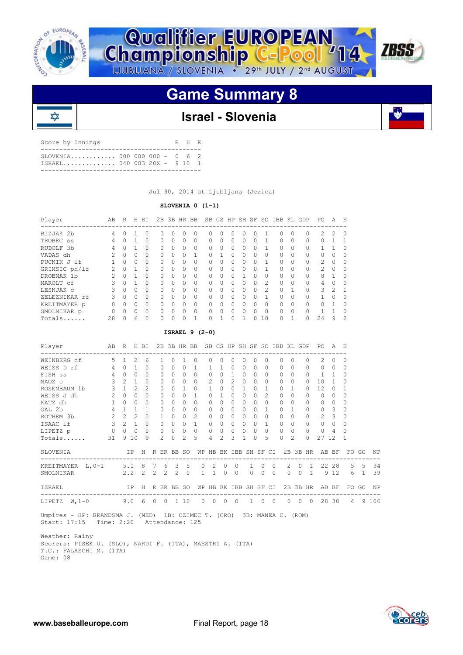![](_page_17_Picture_0.jpeg)

∞

![](_page_17_Picture_1.jpeg)

![](_page_17_Picture_2.jpeg)

![](_page_17_Picture_3.jpeg)

| Score by Innings                                             |  |  | R H E |  |
|--------------------------------------------------------------|--|--|-------|--|
| $TSRAFI_1, \ldots, \ldots, \ldots, 040, 003, 20X = 9, 10, 1$ |  |  |       |  |

Jul 30, 2014 at Ljubljana (Jezica)

#### **SLOVENIA 0 (1-1)**

| Player        | AВ | R | H            | ВI       | 2B           |           | 3B HR BB         |              |          |          |              | SB CS HP SH SF |              | SO.           | IBB      |          | KL GDP   | PО            | A              | E,            |
|---------------|----|---|--------------|----------|--------------|-----------|------------------|--------------|----------|----------|--------------|----------------|--------------|---------------|----------|----------|----------|---------------|----------------|---------------|
| BIZJAK 2b     | 4  | Ω |              | 0        | O            | $\Omega$  | $\Box$           | 0            | U        | $\Omega$ | 0            | $\Box$         | n            |               | $^{(1)}$ | $\Omega$ | O        | $\mathcal{P}$ | $\mathfrak{D}$ | $\Omega$      |
| TROBEC SS     | 4  | 0 |              | 0        | $\Omega$     | $\Omega$  | 0                | 0            | U        | $\Omega$ | 0            | $\Omega$       |              |               |          | 0        | 0        | n             |                |               |
| RUDOLF 3b     | 4  | Ω |              | $\Omega$ | $\Omega$     | $\Omega$  | <sup>o</sup>     | <sup>0</sup> | U        | $\Omega$ | <sup>0</sup> | $\bigcap$      | n            |               | ∩        | $\Omega$ | O        |               |                | $\Omega$      |
| VADAS dh      | 2  | Ω | 0            | 0        | O            | $\Omega$  | $\cap$           |              | U        |          | O            | $\bigcap$      | ∩            | 0             |          | $\Omega$ | 0        | 0             | 0              | 0             |
| PUCNIK J 1f   |    | Ω | $\Omega$     | $\Omega$ | $\Omega$     | $\bigcap$ | $\left( \right)$ | 0            | U        | $\Omega$ | <sup>0</sup> | $\Omega$       | <sup>n</sup> |               |          | $\Omega$ | 0        | 2             | $\Omega$       | $\Omega$      |
| GRIMSIC ph/lf | 2  | O |              | $\Omega$ | O            | $\Omega$  | $\cap$           | <sup>0</sup> | $\Omega$ | $\Omega$ | 0            | $\Omega$       | ∩            |               |          | $\Omega$ | $\Omega$ | 2             | $\Omega$       | $\Omega$      |
| DROBNAK 1b    |    | 0 |              | 0        | $\Omega$     | $\Omega$  | $\Omega$         | 0            | U        | $\Omega$ | O            |                | ∩            | 0             |          | $\Omega$ | $\Omega$ | 8             |                | $\Omega$      |
| MAROLT cf     | 3  | Ω |              | $\Omega$ | $\Omega$     | $\Omega$  | <sup>n</sup>     | <sup>0</sup> | U        | $\Omega$ | O            | $\bigcap$      | ∩            | $\mathcal{P}$ | ∩        | $\Omega$ | $\Omega$ | 4             | $\Omega$       | $\Omega$      |
| LESNJAK C     | 3  | 0 | $\Omega$     | 0        | <sup>0</sup> | $\Omega$  | $\bigcap$        | O            | O        | $\Omega$ | O            | $\Omega$       | ∩            | 2             |          |          | 0        | 3             | $\mathcal{L}$  | 1             |
| ZELEZNIKAR rf | 3  | O | <sup>0</sup> | $\Omega$ | <sup>0</sup> | $\Omega$  | 0                | O            | U        | $\Omega$ | <sup>0</sup> | $\bigcap$      | ∩            |               | ∩        | $\Omega$ | O        |               | $\Omega$       | $\Omega$      |
| KREITMAYER p  |    | O | $\Omega$     | $\Omega$ | <sup>0</sup> | $\Omega$  | $\cap$           | $\Omega$     | U        | $\Omega$ | $\Omega$     | $\Omega$       | <sup>n</sup> | $\Omega$      | $\cap$   | $\Omega$ | $\Omega$ | U             | 1              | $\Omega$      |
| SMOLNIKAR p   |    | Ω | <sup>0</sup> | $\Omega$ | <sup>0</sup> | $\Omega$  | $\cap$           | O            | U        | 0        | O            | $\Omega$       | <sup>n</sup> | O             | ∩        | $\Omega$ | O        |               |                | $\Omega$      |
| Totals        | 28 |   | 6            | $\Omega$ |              | 0         |                  |              | U        |          |              |                |              | 10            |          |          |          | 24            | 9              | $\mathcal{D}$ |

#### **ISRAEL 9 (2-0)**

| Player<br>-----------------------------------                                                                     | AB R H BI           |                     |     |                 |                |              |              |                                        | 2B 3B HR BB SB CS HP SH SF SO IBB KL GDP PO A E               |              |             |               |              |             |                           |            |          |                |                     |                                |                |                |           |
|-------------------------------------------------------------------------------------------------------------------|---------------------|---------------------|-----|-----------------|----------------|--------------|--------------|----------------------------------------|---------------------------------------------------------------|--------------|-------------|---------------|--------------|-------------|---------------------------|------------|----------|----------------|---------------------|--------------------------------|----------------|----------------|-----------|
| WEINBERG cf 5 1 2                                                                                                 |                     |                     |     | 6               |                | $\mathbf{1}$ | $\Omega$     |                                        | $1 \quad 0$                                                   | $\Omega$     | $\Omega$    | $\Omega$      | $\Omega$     | $\cap$      | $\Omega$                  |            | $\cap$   | $\cap$         | $\cap$              | $2^{\circ}$                    | $\Omega$       | 0              |           |
| WEISS D rf 4 0 1                                                                                                  |                     |                     |     | $\Omega$        |                | $\circ$      | $\Omega$     |                                        | $0\quad1$                                                     | $\mathbf{1}$ |             | $1 \quad 0$   | $\circ$      | $\circ$     | $\Omega$                  |            | $\circ$  | $\bigcirc$     | $\Omega$            | $\circ$                        | $\circ$        | $\circ$        |           |
| FISH SS                                                                                                           |                     | $4 \quad 0 \quad 0$ |     | $\Omega$        |                | $\Omega$     | $\Omega$     | $\begin{matrix} 0 & 0 \end{matrix}$    |                                                               | $\Omega$     |             | $0 \quad 1$   | $\cap$       |             | $\cap$<br>$\bigcap$       |            | $\cap$   | $\Omega$       | $\cap$              | $\overline{1}$                 | $\overline{1}$ | 0              |           |
| MAOZ c                                                                                                            |                     | $3 \quad 2 \quad 1$ |     | $\cap$          |                | $\Omega$     | $\Omega$     | $\cap$ $\cap$                          |                                                               | $2^{\circ}$  |             | $0 \t 2 \t 0$ |              |             | $0 \quad 0$               |            | $\cap$   | $\cap$         | $\Omega$            | $10 \quad 1$                   |                | $\Omega$       |           |
| ROSEMBAUM $1b$ 3 1 2                                                                                              |                     |                     |     | -2              |                | $\Omega$     | $\Omega$     |                                        | $1 \quad 0$                                                   | $\mathbf{1}$ |             | $0\quad 0$    | $\mathbf{1}$ | $\Omega$    | $\overline{1}$            |            | $\Omega$ | $\overline{1}$ | $\Omega$            | 12.                            | $\bigcirc$     | $\overline{1}$ |           |
| WEISS J dh                                                                                                        |                     |                     |     | $\cap$          |                | $\Omega$     | $\Omega$     | $\cap$                                 | $\mathbf{1}$                                                  | $\Omega$     | 1           | $\circ$       | $\Omega$     |             | $\Omega$<br>$\mathcal{L}$ |            | $\Omega$ | $\Omega$       | $\cap$              | $\cap$                         | $\Omega$       | $\Omega$       |           |
| $\begin{array}{ccccccccc} \text{dh} & & & 2 & 0 & 0 \\ & & & 1 & 0 & 0 \\ \end{array}$<br>KATZ dh                 |                     |                     |     | $\Omega$        |                | $\Omega$     | $\Omega$     | $\cap$                                 | $\Omega$                                                      | $\Omega$     | $\cap$      | $\Omega$      | $\cap$       |             | $\cap$<br>$\Omega$        |            | $\cap$   | $\cap$         | $\Omega$            |                                | $0 \quad 0$    | $\Omega$       |           |
| GAL 2b                                                                                                            | $4 \quad 1 \quad 1$ |                     |     | $\overline{1}$  |                | $\circ$      | $\Omega$     | $\Omega$                               | $\Omega$                                                      | $\mathbf{0}$ | $\Omega$    | $\circ$       | $\Omega$     | $\Omega$    | $\overline{1}$            | $\bigcirc$ |          | $\overline{1}$ | $\Omega$            | 0 <sup>3</sup>                 |                | $\Omega$       |           |
| ROTHEM 3b                                                                                                         |                     |                     |     | $2 \t2 \t2 \t0$ |                | $\mathbf{1}$ | $\Omega$     | $\begin{array}{ccc} 0 & 2 \end{array}$ |                                                               | $\Omega$     | $\cap$      | $\Omega$      |              |             | $0 \quad 0 \quad 0$       |            | $\circ$  | $\Omega$       | $\Omega$            | $2 \quad 3$                    |                | $\Omega$       |           |
| ISAAC 1f 3 2 1 0 0                                                                                                |                     |                     |     |                 |                |              |              |                                        | $0 \quad 0 \quad 1$                                           |              |             |               |              |             | 0 0 0 0 0 1 0 0           |            |          |                | $\Omega$            | $0\quad 0$                     |                | $\Omega$       |           |
| LIPETZ p 0 0 0                                                                                                    |                     |                     |     |                 | $\overline{0}$ | $\circ$      |              | $0\quad 0\quad 0$                      |                                                               | $\circ$      |             | $0\quad 0$    | $\circ$      |             | $\Omega$<br>$\circ$       | $\bigcirc$ |          | $\bigcirc$     | $\Omega$            | $\circ$                        | $\overline{4}$ | 0              |           |
| Totals                                                                                                            | 31                  |                     | 910 | 9               |                | $2^{\circ}$  | $\Omega$     | $2^{\circ}$                            | 5                                                             | 4            | $2^{\circ}$ | 3             | $\mathbf{1}$ | $\Omega$    | 5                         |            | $\cap$   | $2^{1}$        | $\Omega$            | 27 12                          |                | -1             |           |
|                                                                                                                   |                     |                     |     |                 |                |              |              |                                        |                                                               |              |             |               |              |             |                           |            |          |                |                     |                                |                |                |           |
| SLOVENIA                                                                                                          |                     |                     |     |                 |                |              |              |                                        | IP H R ER BB SO WP HB BK IBB SH SF CI 2B 3B HR AB BF FO GO NP |              |             |               |              |             |                           |            |          |                |                     |                                |                |                |           |
| KREITMAYER L, 0-1 5.1 8 7 6 3 5 0 2 0 0 1 0 0                                                                     |                     |                     |     |                 |                |              |              |                                        |                                                               |              |             |               |              |             |                           |            |          |                |                     | 2 0 1 22 28 5 5 94             |                |                |           |
| SMOLNIKAR 2.2 2 2 2 2 0 1 1 0 0 0 0 0 0 0 1 9 12 6 1                                                              |                     |                     |     |                 |                |              |              |                                        |                                                               |              |             |               |              |             |                           |            |          |                |                     |                                |                |                | 39        |
|                                                                                                                   |                     |                     |     |                 |                |              |              |                                        |                                                               |              |             |               |              |             |                           |            |          |                |                     |                                |                |                |           |
| ISRAEL IP H R ER BB SO WP HB BK IBB SH SF CI 2B 3B HR AB BF FO GO NP                                              |                     |                     |     |                 |                |              |              |                                        |                                                               |              |             |               |              |             |                           |            |          |                |                     |                                |                |                |           |
| LIPETZ W.1-0 9.0 6 0                                                                                              |                     |                     |     |                 |                |              | $0 \t1 \t10$ |                                        |                                                               | $0 \quad 0$  | $\bigcirc$  | $\Omega$      |              | $1 \quad 0$ |                           | $\bigcirc$ |          |                | $0 \quad 0 \quad 0$ | ------------------------------ | 28 30          |                | 4 9 1 0 6 |
| Umpires - HP: BRANDSMA J. (NED) 1B: OZIMEC T. (CRO) 3B: MANEA C. (ROM)<br>Start: 17:15 Time: 2:20 Attendance: 125 |                     |                     |     |                 |                |              |              |                                        |                                                               |              |             |               |              |             |                           |            |          |                |                     |                                |                |                |           |
| Weather: Rainy                                                                                                    |                     |                     |     |                 |                |              |              |                                        |                                                               |              |             |               |              |             |                           |            |          |                |                     |                                |                |                |           |

![](_page_17_Picture_10.jpeg)

**ZBSS** 

T.C.: FALASCHI M. (ITA)

Game: 08

Scorers: PISEK U. (SLO), NARDI F. (ITA), MAESTRI A. (ITA)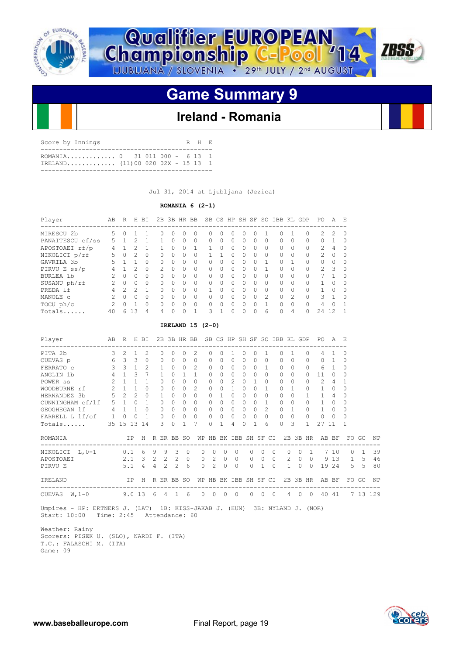![](_page_18_Picture_0.jpeg)

![](_page_18_Picture_1.jpeg)

### **Ireland - Romania**

| Score by Innings                                                |  |  | R H E |  |
|-----------------------------------------------------------------|--|--|-------|--|
| ROMANIA 0 31 011 000 - 6 13 1<br>IRELAND $(11)0002002X - 15131$ |  |  |       |  |

Jul 31, 2014 at Ljubljana (Jezica)

#### **ROMANIA 6 (2-1)**

| Player           | AВ            | R             | H             | <b>BT</b> | 2B            |              | 3B HR     | BB               |              |          |           | SB CS HP SH SF |              | SO.           | <b>TBB</b>   | KL             | GDP      | PO.           | A             | E.     |
|------------------|---------------|---------------|---------------|-----------|---------------|--------------|-----------|------------------|--------------|----------|-----------|----------------|--------------|---------------|--------------|----------------|----------|---------------|---------------|--------|
| MIRESCU 2b       | 5.            | $\Omega$      |               |           | 0             | 0            | ∩         | $\left( \right)$ | $^{(1)}$     | O        | $^{(1)}$  | O              |              |               | <sup>0</sup> |                | 0        | $\mathcal{L}$ | $\mathcal{L}$ | - 0    |
| PANAITESCU cf/ss | 5.            |               |               |           |               | 0            | $\Omega$  | $\Omega$         | <sup>0</sup> | $\Omega$ | $\Omega$  | $\Omega$       | 0            | $\Omega$      | $\Omega$     | $\Omega$       | $\Omega$ | $\Omega$      |               |        |
| APOSTOAEI rf/p   | 4             |               |               |           |               | <sup>0</sup> | $\Omega$  |                  |              | $\Omega$ | $\bigcap$ | $\Omega$       | $\cap$       | $\Omega$      | $\cap$       | $\Omega$       | 0        | $\mathcal{P}$ | 4             |        |
| NIKOLICI p/rf    | 5.            | $\Omega$      | 2             | $\Omega$  | 0             | 0            | $\bigcap$ | 0                |              |          | $\bigcap$ | <sup>0</sup>   | n.           | $\Omega$      | $\bigcap$    | $\Omega$       | $\Omega$ | $\mathcal{L}$ | $\Omega$      | ∩      |
| GAVRILA 3b       | 5             |               |               | $\Omega$  | 0             | 0            | $\bigcap$ | $\bigcap$        |              | 0        | 0         | $\Omega$       | n            |               | $\cap$       |                | $\Omega$ | $\Omega$      | $\Omega$      |        |
| PIRVU E $ss/p$   | 4             |               | 2             | $\Omega$  | $\mathcal{P}$ | $\Omega$     | $\Omega$  | $\Omega$         | ∩            | $\cap$   | $\bigcap$ | $\Omega$       | ∩            | $\mathbf{1}$  | $\cap$       | $\Omega$       | $\Omega$ | $\mathcal{P}$ | 3             | $\cap$ |
| BURLEA 1b        | 2             | $\Omega$      | $\Omega$      | $\Omega$  | $\Omega$      | $\Omega$     | $\Omega$  | $\bigcap$        | U            | $\Omega$ | $\bigcap$ | $\Omega$       | 0            | $\bigcap$     | $\cap$       | $\Omega$       | $\Omega$ | 7             |               |        |
| SUSANU ph/rf     | $\mathcal{P}$ | $\Omega$      | $\Omega$      | $\Omega$  | $\Omega$      | $\Omega$     | $\Omega$  | $\Omega$         |              | $\Omega$ | $\bigcap$ | $\Omega$       | <sup>n</sup> | $\Omega$      | $\cap$       | $\Omega$       | $\Omega$ |               | O             |        |
| PREDA 1f         | 4             | $\mathcal{P}$ | $\mathcal{P}$ | 1         | $\Omega$      | <sup>0</sup> | $\cap$    | $\bigcap$        |              | $\Omega$ | $\bigcap$ | $\Omega$       | n.           | $\Omega$      | $\cap$       | $\Omega$       | $\Omega$ |               | $\Omega$      | ∩      |
| MANOLE C         | $\mathcal{P}$ | O             | $\Omega$      | $\Omega$  | 0             | 0            | $\bigcap$ | $\Omega$         | U            | O.       | $\bigcap$ | $\Omega$       | U.           | $\mathcal{L}$ | $\Omega$     | $\mathfrak{D}$ | $\Omega$ | 3             |               |        |
| TOCU ph/c        | $\mathcal{P}$ | $\Omega$      |               | $\Omega$  | $\Omega$      | <sup>0</sup> | $\cap$    | $\Omega$         |              | $\Omega$ | $\bigcap$ | $\Omega$       | ∩            | 1             | $\Omega$     | $\Omega$       | $\Omega$ | 4             | n             |        |
| Totals           | 40            | ี             | ר ו           | 4         | 4             | U            |           |                  | ₹            |          | $\Omega$  | $\Omega$       | ∩            | 6             | O            | 4              | 0        | 24            | 12            |        |

#### **IRELAND 15 (2-0)**

| Player                                                                                                               | AB R H BI   |                     |                |                |                |          |               | 2B 3B HR BB SB CS HP SH SF SO IBB KL GDP PO A E      |             |                |                |          |                |                     |           |                     |              |                                      |                |                                                                |       |          |
|----------------------------------------------------------------------------------------------------------------------|-------------|---------------------|----------------|----------------|----------------|----------|---------------|------------------------------------------------------|-------------|----------------|----------------|----------|----------------|---------------------|-----------|---------------------|--------------|--------------------------------------|----------------|----------------------------------------------------------------|-------|----------|
| --------------------------------<br>$\overline{3}$ $\overline{2}$ $\overline{1}$<br>PITA 2b                          |             |                     |                | $\overline{2}$ | $\Omega$       | 0        | $\Omega$      | $\mathcal{L}$                                        | $\Omega$    | $\Omega$       | $\overline{1}$ | $\Omega$ | $\Omega$       | $\mathbf{1}$        | $\Omega$  | $\overline{1}$      | $\Omega$     | ------------------<br>$\overline{4}$ | $\overline{1}$ | 0                                                              |       |          |
| 6 <sup>3</sup><br>CUEVAS p                                                                                           |             |                     | $\overline{3}$ | $\Omega$       | $\Omega$       | $\Omega$ | $\Omega$      | $\Omega$                                             | $\Omega$    | $\Omega$       | $\Omega$       | $\Omega$ | $\Omega$       | $\Omega$            | $\cap$    | $\Omega$            | $\Omega$     | $\Omega$                             | $\overline{1}$ | $\Omega$                                                       |       |          |
| FERRATO C                                                                                                            |             | $3 \t3 \t1$         |                |                | $2 \quad 1$    | $\Omega$ | $\Omega$      | $\overline{2}$                                       | $\Omega$    | $\Omega$       | $\Omega$       | $\Omega$ | $\Omega$       | $\overline{1}$      | $\Omega$  | $\bigcap$           | $\cap$       | 6                                    | $\overline{1}$ | $\Omega$                                                       |       |          |
| ANGLIN 1b                                                                                                            |             |                     |                | 4 1 3 7 1      |                | $\Omega$ |               | $1 \quad 1$                                          | $\Omega$    | $\cap$         | $\overline{0}$ | $\cap$   | $\cap$         | $\bigcap$           | $\Omega$  | $\Omega$            | $\cap$       | 11                                   | $\bigcirc$     | $\Omega$                                                       |       |          |
| POWER SS                                                                                                             |             | $2 \quad 1 \quad 1$ |                | $\sim$ 1       | $\Omega$       | $\Omega$ | $\cap$        | $\Omega$                                             | $\Omega$    | $\cap$         | 2              | $\cap$   | $\overline{1}$ | $\Omega$            | $\bigcap$ | $\Omega$            | $\Omega$     | 2                                    | $\overline{4}$ | 1                                                              |       |          |
| WOODBURNE rf 2 1 1                                                                                                   |             |                     |                | $\bigcirc$     | $\Omega$       | $\Omega$ | $\Omega$      | $\mathcal{L}$                                        | $\Omega$    | $\Omega$       | $\overline{1}$ | $\Omega$ | $\Omega$       | $\overline{1}$      | $\Omega$  | $\overline{1}$      | $\Omega$     | $\mathbf{1}$                         | $\Omega$       | $\Omega$                                                       |       |          |
| $5\quad 2\quad 2\quad 0$<br>HERNANDEZ 3b                                                                             |             |                     |                |                | $\overline{1}$ | $\Omega$ | $\Omega$      | $\Omega$                                             | $\Omega$    |                | $1 \quad 0$    | $\Omega$ | $\Omega$       | $\Omega$            | $\cap$    | $\Omega$            | $\mathbf{1}$ | $\overline{1}$                       | $\overline{4}$ | 0                                                              |       |          |
| CUNNINGHAM cf/lf 5 1 0 1                                                                                             |             |                     |                |                | $\Omega$       | $\Omega$ | $\cap$        | $\Omega$                                             | $\Omega$    | $\Omega$       | $\Omega$       | $\Omega$ | $\Omega$       | $\mathbf{1}$        | $\bigcap$ | $\Omega$            | $\cap$       | $\mathbf{1}$                         | $\Omega$       | 0                                                              |       |          |
| GEOGHEGAN 1f 4 1 1 0                                                                                                 |             |                     |                |                | $\Omega$       | $\Omega$ | $\cap$ $\cap$ |                                                      | $\Omega$    |                | $0 \quad 0$    | $\cap$   |                | $0 \t 2$            | $0\quad1$ |                     | $\cap$       | $\mathbf{1}$                         | $\Omega$       | $\Omega$                                                       |       |          |
| FARRELL L lf/cf 1 0 0 1                                                                                              |             |                     |                |                | $\Omega$       | $\Omega$ | $0\quad 0$    |                                                      | $\circ$     |                | $0\quad 0$     | $\Omega$ | $\Omega$       | $\Omega$            | $\Omega$  | $\Omega$            | $\Omega$     | $\circ$                              | $\Omega$       | $\Omega$                                                       |       |          |
| Totals                                                                                                               | 35 15 13 14 |                     |                |                | 3              | $\Omega$ | $\mathbf{1}$  | 7                                                    | $\Omega$    | $\mathbf{1}$   | 4              | $\cap$   | $\mathbf{1}$   | 6                   | $\cap$    | 3                   | $\mathbf{1}$ | 27                                   | 11             | 1                                                              |       |          |
| ROMANIA                                                                                                              |             |                     |                |                |                |          |               | IP H R ER BB SO WP HB BK IBB SH SF CI 2B 3B HR AB BF |             |                |                |          |                |                     |           |                     |              |                                      |                |                                                                | FO GO | NP       |
| NIKOLICI L, 0-1 0.1 6 9 9 3 0                                                                                        |             |                     |                |                |                |          |               |                                                      | $0 \quad 0$ |                | $0 \quad 0$    |          |                | $0 \quad 0 \quad 0$ |           |                     |              |                                      |                | 0 0 1 7 10 0 1 39                                              |       |          |
| APOSTOAEI                                                                                                            |             |                     |                |                |                |          |               | 2.1 3 2 2 2 0 0 2 0 0 0 0 0 2 0 0 9 13 1 5           |             |                |                |          |                |                     |           |                     |              |                                      |                |                                                                |       | 46       |
| PIRVU E                                                                                                              |             |                     |                | 5.1 4 4 2 2    |                |          | $6^{\circ}$   |                                                      |             | $0 \t 2 \t 0$  | $\bigcirc$     |          | $\Omega$       | $1 \quad 0$         |           | $1 \quad 0 \quad 0$ |              |                                      |                | 19 24 5 5                                                      |       | 80       |
| IRELAND                      IP H R ER BB SO WP HB BK IBB SH SF CI 2B 3B HR AB BF                                    |             |                     |                |                |                |          |               |                                                      |             |                |                |          |                |                     |           |                     |              |                                      |                |                                                                |       | FO GO NP |
| CUEVAS W.1-0 9.0 13 6 4 1 6 0 0                                                                                      |             |                     |                |                |                |          |               |                                                      |             | $\overline{0}$ | $\overline{0}$ |          |                |                     |           |                     |              |                                      |                | ------------------------------<br>0 0 0 4 0 0 4 0 4 1 7 13 129 |       |          |
| Umpires - HP: ERTNERS J. (LAT) 1B: KISS-JAKAB J. (HUN) 3B: NYLAND J. (NOR)<br>Start: 10:00 Time: 2:45 Attendance: 60 |             |                     |                |                |                |          |               |                                                      |             |                |                |          |                |                     |           |                     |              |                                      |                |                                                                |       |          |

 Weather: Rainy Scorers: PISEK U. (SLO), NARDI F. (ITA) T.C.: FALASCHI M. (ITA) Game: 09

![](_page_18_Picture_11.jpeg)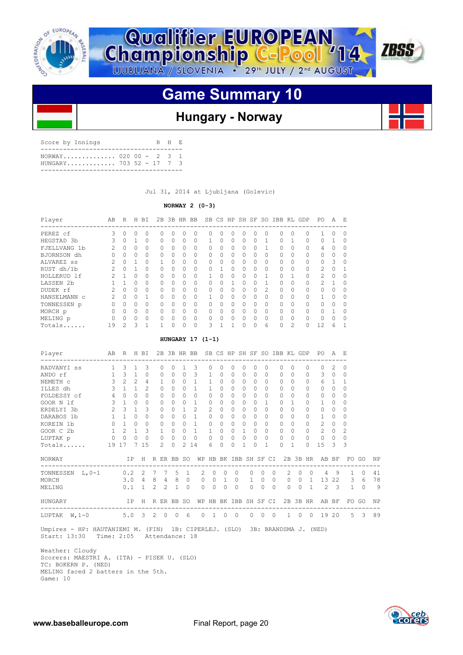![](_page_19_Picture_0.jpeg)

![](_page_19_Picture_1.jpeg)

### **Hungary - Norway**

| Score by Innings |                                                  |  |  | R H E |  |
|------------------|--------------------------------------------------|--|--|-------|--|
|                  | NORWAY 020 00 - 2 3 1<br>HUNGARY 703 52 - 17 7 3 |  |  |       |  |
|                  |                                                  |  |  |       |  |

Jul 31, 2014 at Ljubljana (Golevic)

#### **NORWAY 2 (0-3)**

| Player             | AB            | R        | H            | ВI       | 2B |              | 3B HR BB |           |              |   |          |   |           |              | SB CS HP SH SF SO IBB KL GDP |               |                                          | PO.           | A        | E,       |
|--------------------|---------------|----------|--------------|----------|----|--------------|----------|-----------|--------------|---|----------|---|-----------|--------------|------------------------------|---------------|------------------------------------------|---------------|----------|----------|
| PEREZ cf           | 3             | 0        | $\bigcap$    | $\Omega$ | Ω  | <sup>0</sup> | 0        | $\Omega$  | ∩            |   | $\Omega$ | Ω |           | <sup>0</sup> | $\cap$                       | $\Omega$      | -----------------------------------<br>0 |               | 0        | $\Omega$ |
| HEGSTAD 3b         | 3             | 0        |              | 0        | 0  | $\Omega$     | 0        | $\Omega$  |              |   | 0        | 0 | $\Omega$  |              | $\bigcap$                    |               | 0                                        | 0             |          | $\Omega$ |
| FJELLVANG<br>- 1 b | $\mathcal{P}$ | $\Omega$ | $\Omega$     | $\Omega$ | 0  | $\Omega$     | 0        | $\Omega$  | $\bigcap$    | 0 | $\Omega$ | 0 | $\Omega$  | 1            | $\bigcap$                    | $\Omega$      | 0                                        | 4             | $\Omega$ | $\Omega$ |
| BJORNSON dh        | U             | $\Omega$ | $\Omega$     | $\Omega$ | 0  | 0            | 0        | $\Omega$  | U            | Ω | $\Omega$ | U | $\Omega$  | <sup>0</sup> | $\bigcap$                    | $\Omega$      | 0                                        | $\cap$        | O        | ∩        |
| ALVAREZ ss         | $\mathcal{P}$ | $\Omega$ |              | $\Omega$ |    | $\Omega$     | $\Omega$ | $\Omega$  | $\cap$       |   | $\Omega$ | U | $\Omega$  | 0            | $\bigcap$                    | $\Omega$      | 0                                        | 0             | 3        | $\Omega$ |
| RUST dh/1b         | 2             | 0        |              | 0        | 0  | 0            | 0        | $\Omega$  | <sup>0</sup> |   | $\Omega$ | 0 | $\Omega$  | $\Omega$     | $\bigcap$                    | $\Omega$      | 0                                        | 2             | 0        |          |
| HOLLERUD 1f        | $\mathcal{P}$ |          | <sup>n</sup> | $\Omega$ | 0  | $\Omega$     | 0        | $\Omega$  |              | ∩ | $\Omega$ | U | $\Omega$  |              | $\cap$                       |               | 0                                        | $\mathcal{L}$ | $\Omega$ | $\Omega$ |
| LASSEN 2b          |               |          | $\cap$       | $\Omega$ | Λ  | <sup>0</sup> | $\Omega$ | $\bigcap$ | U            |   |          |   |           |              |                              | $\Omega$      | 0                                        | $\mathcal{L}$ |          | $\Omega$ |
| DUDEK rf           |               | 0        | $\Omega$     | $\Omega$ | 0  | $\Omega$     | 0        | $\Omega$  | <sup>0</sup> | Ω | 0        | U | $\Omega$  | 2            | O.                           | $\Omega$      | 0                                        | O             | 0        | O        |
| HANSELMANN C       | $\mathcal{L}$ | $\Omega$ | $\Omega$     |          | 0  | $\Omega$     | O        | $\Omega$  |              | n | $\Omega$ | O | $\bigcap$ | <sup>0</sup> | $\cap$                       | $\Omega$      | 0                                        |               | O        | $\Omega$ |
| TONNESSEN p        | U             | $\Omega$ | $\bigcap$    | $\Omega$ | Λ  | $\Omega$     | $\Omega$ | $\Omega$  | ∩            |   | $\Omega$ | O | $\Omega$  | <sup>0</sup> | <sup>n</sup>                 | $\Omega$      | 0                                        | $\cap$        | $\Omega$ |          |
| MORCH p            | 0             | $\Omega$ | $\Omega$     | $\Omega$ | 0  | $\Omega$     | $\Omega$ | $\Omega$  | $\Omega$     | Ω | $\Omega$ | U | $\Omega$  | 0            | $\bigcap$                    | $\Omega$      | 0                                        | $\Omega$      |          | $\Omega$ |
| MELING p           | 0             | O        | $\bigcap$    | O        | 0  | <sup>0</sup> | 0        | $\Omega$  | U            | Λ | $\Omega$ | U | $\Omega$  | <sup>0</sup> | $\bigcap$                    | $\Omega$      | 0                                        | <sup>0</sup>  | O        | $\Omega$ |
| Totals             | 19            | っ        | ₹            |          |    | U            |          | $\Omega$  |              |   |          |   |           | 6            | $\cap$                       | $\mathcal{D}$ | O                                        | 12            | 6        |          |

#### **HUNGARY 17 (1-1)**

| Player<br>--------------------------------                                                                               |              | AB R H BI           |                |                |               |                       |              | 2B 3B HR BB SB CS HP SH SF SO IBB KL GDP  |                |          |             |          |          | ------      |             |           |               |                | PO A E<br>------------------                         |                |                                                |             |     |
|--------------------------------------------------------------------------------------------------------------------------|--------------|---------------------|----------------|----------------|---------------|-----------------------|--------------|-------------------------------------------|----------------|----------|-------------|----------|----------|-------------|-------------|-----------|---------------|----------------|------------------------------------------------------|----------------|------------------------------------------------|-------------|-----|
| RADVANYI ss                                                                                                              |              | $1 \t3 \t1$         |                | 3              | $\Omega$      |                       | $\mathbf{1}$ | 3                                         | $\Omega$       | $\Omega$ | $\Omega$    | $\Omega$ | $\Omega$ |             | $\Omega$    | $\Omega$  | $\Omega$      | $\Omega$       | $\cap$                                               | 2              | $\Omega$                                       |             |     |
| ANDO rf                                                                                                                  |              | $1 \quad 3 \quad 1$ |                | $\circ$        | $\circ$       | $\Omega$              | $\Omega$     | 3                                         | $\mathbf{1}$   | $\Omega$ | $\Omega$    | $\Omega$ | $\Omega$ |             | $\bigcap$   | $\Omega$  | $\Omega$      | $\mathbf 0$    | 3                                                    | $\overline{0}$ | $\overline{0}$                                 |             |     |
| NEMETH C                                                                                                                 | $\mathbf{3}$ | $\overline{2}$      | 2              | $\overline{4}$ | $\mathbf{1}$  | $\circ$               | $\Omega$     | $\overline{1}$                            | $\mathbf{1}$   | $\Omega$ | $\Omega$    | $\Omega$ | $\Omega$ |             | $\bigcap$   | $\cap$    | $\Omega$      | $\Omega$       | 6                                                    | $\overline{1}$ | $\overline{1}$                                 |             |     |
| ILLES dh                                                                                                                 |              | $3 \quad 1$         | $\overline{1}$ | $\mathcal{L}$  | $\Omega$      | $\Omega$              |              | $0\quad1$                                 | $\mathbf{1}$   | $\Omega$ | $\bigcirc$  | $\Omega$ | $\Omega$ | $\Omega$    |             | $\bigcap$ | $\Omega$      | $\Omega$       | $0 \quad 0$                                          |                | $\Omega$                                       |             |     |
| FOLDESSY cf                                                                                                              |              | 4 0                 | $\Omega$       | $\cap$         | $\Omega$      | $\Omega$              | $\cap$       | $\Omega$                                  | $\Omega$       | $\Omega$ | $\Omega$    | $\Omega$ | $\Omega$ |             | $\Omega$    | $\Omega$  | $\Omega$      | $\Omega$       | $\Omega$                                             | $\Omega$       | $\Omega$                                       |             |     |
| GOOR N 1f                                                                                                                | $\mathbf{3}$ | $\overline{1}$      | $\Omega$       | $\Omega$       | $\Omega$      | $\Omega$              | $\Omega$     | $\overline{1}$                            | $\circ$        | $\Omega$ | $\Omega$    | $\Omega$ | $\Omega$ |             | 1           | $\cap$    | $\mathbf{1}$  | $\Omega$       | $\mathbf{1}$                                         | $\bigcap$      | $\Omega$                                       |             |     |
| ERDELYI 3b                                                                                                               |              | $2 \t 3 \t 1$       |                | 3              | $\Omega$      | $\Omega$              | $\mathbf{1}$ | $\overline{2}$                            | 2              | $\cap$   | $\cap$      | $\Omega$ | $\Omega$ |             | $\cap$      | $\cap$    | $\Omega$      | $\Omega$       | $\Omega$                                             | $\cap$         | $\Omega$                                       |             |     |
| DARABOS 1b                                                                                                               |              | $1 \quad 1$         | $\Omega$       | $\Omega$       | $\Omega$      | $\Omega$              |              | $0 \quad 1$                               | $\Omega$       | $\Omega$ | $\Omega$    | $\circ$  | $\Omega$ |             | $\bigcap$   | $\Omega$  | $\Omega$      | $\Omega$       | $\mathbf{1}$                                         | $\Omega$       | $\Omega$                                       |             |     |
| KOREIN 1b                                                                                                                |              | $0\quad1$           | $\Omega$       | $\Omega$       | $\Omega$      | $\Omega$              |              | $0 \quad 1$                               | $\Omega$       | $\Omega$ | $\Omega$    | $\Omega$ | $\Omega$ |             | $\bigcap$   | $\bigcap$ | $\Omega$      | $\Omega$       | $2^{1}$                                              | $\Omega$       | $\Omega$                                       |             |     |
| GOOR C 2b 1 2 1                                                                                                          |              |                     |                | $\mathcal{B}$  | $\mathbf{1}$  |                       |              | $0 \quad 0 \quad 1$                       | $\mathbf{1}$   |          | $0 \quad 0$ |          | 1        | $0 \quad 0$ |             | $\Omega$  | $\Omega$      | $\Omega$       | $2 \ 0$                                              |                | $\mathfrak{D}$                                 |             |     |
| LUPTAK p 0 0                                                                                                             |              |                     | $\circ$        | $\circ$        | $\Omega$      | $\circ$               |              | $0\quad 0$                                | $\Omega$       | $\Omega$ | $\bigcirc$  | $\Omega$ | $\Omega$ |             | $\Omega$    | $\Omega$  | $\Omega$      | $\Omega$       | $0\quad 0$                                           |                | $\Omega$                                       |             |     |
| Totals                                                                                                                   | 19 17        |                     |                | 7 15           | $\mathcal{L}$ | $\Omega$              |              | 2.14                                      | 6              | $\Omega$ | $\Omega$    | 1        | 0        |             | 1           | $\Omega$  | $\mathbf{1}$  | $\Omega$       | 15                                                   | $\mathcal{F}$  | 3                                              |             |     |
| NORWAY                                                                                                                   |              |                     |                |                |               |                       |              |                                           |                |          |             |          |          |             |             |           |               |                | IP H R ER BB SO WP HB BK IBB SH SF CI 2B 3B HR AB BF |                |                                                | FO GO       | ΝP  |
| TONNESSEN L, 0-1 0.2 2 7 7 5 1                                                                                           |              |                     |                |                |               |                       |              | ------------------------------------<br>2 | $\Omega$       |          | $0\quad 0$  |          | $\Omega$ |             | $0 \quad 0$ |           | $2^{\circ}$   | $0 \quad 0$    | $\overline{4}$                                       | -9             | ------------------------------<br>$\mathbf{1}$ | $\Omega$    | 41  |
| MORCH                                                                                                                    |              |                     |                |                |               | $3.0 \t4 \t8 \t4 \t8$ | $\Omega$     | $\Omega$                                  |                | 0 1 0 1  |             |          |          |             | $0 \quad 0$ |           |               |                |                                                      |                | 0 0 1 13 22 3 6                                |             | 78  |
| MELING                                                                                                                   |              | 0.1                 |                | $\sim$ 1       |               | $2 \t 2 \t 1$         | $\Omega$     | $\Omega$                                  | $\Omega$       | $\Omega$ |             | $\Omega$ | $\Omega$ | $\Omega$    | $\Omega$    | $\Omega$  | $\Omega$      | $\overline{1}$ | $\overline{2}$                                       | $\overline{3}$ |                                                | $1 \quad 0$ | - 9 |
| HUNGARY                                                                                                                  |              |                     |                |                |               |                       |              | IP H R ER BB SO WP HB BK IBB SH SF CI     |                |          |             |          |          |             |             |           |               |                | 2B 3B HR AB BF                                       |                |                                                | FO GO       | ΝP  |
| LUPTAK W, 1-0 5.0 3 2 0 0 6                                                                                              |              |                     |                |                |               |                       |              | $\Omega$                                  | $\overline{1}$ | $\Omega$ | $\bigcirc$  |          | $\Omega$ | $\Omega$    | $\bigcirc$  |           | 1<br>$\Omega$ |                | 0 19 20                                              |                | ------------------------------                 | $5 \quad 3$ | 89  |
| Umpires - HP: HAUTANIEMI M. (FIN) 1B: CIPERLEJ. (SLO) 3B: BRANDSMA J. (NED)<br>Time: 2:05 Attendance: 18<br>Start: 13:30 |              |                     |                |                |               |                       |              |                                           |                |          |             |          |          |             |             |           |               |                |                                                      |                |                                                |             |     |

 Weather: Cloudy Scorers: MAESTRI A. (ITA) - PISEK U. (SLO) TC: BOKERN P. (NED) MELING faced 2 batters in the 5th. Game: 10

![](_page_19_Picture_11.jpeg)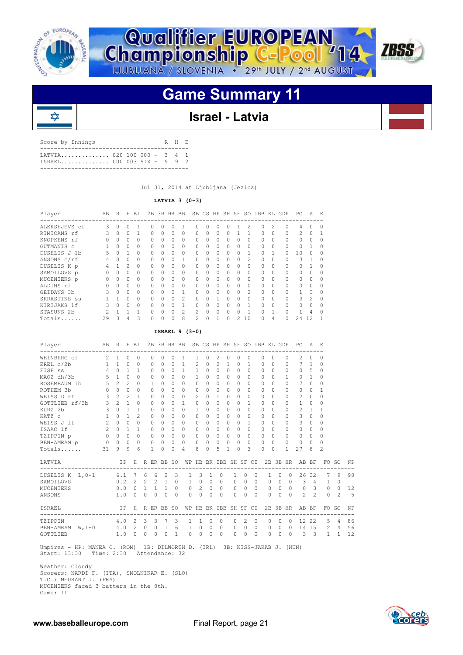![](_page_20_Picture_0.jpeg)

₥

![](_page_20_Picture_1.jpeg)

### **Game Summary 11**

### **Israel - Latvia**

| Score by Innings                                                                  |  |  | R H E |  |
|-----------------------------------------------------------------------------------|--|--|-------|--|
| LATVIA 020 100 000 - 3 4 1<br>$TSRAFI_1, \ldots, \ldots, \ldots, 00000351X - 992$ |  |  |       |  |
|                                                                                   |  |  |       |  |

Jul 31, 2014 at Ljubljana (Jezica)

#### **LATVIA 3 (0-3)**

| Player          | AB | R            | H             | ВI       | 2B       | 3B HR BB  |    |                |               |              | SB CS HP SH SF |          |               | -SO            | IBB KL   |                | GDP      | PO.           | A            | F.        |
|-----------------|----|--------------|---------------|----------|----------|-----------|----|----------------|---------------|--------------|----------------|----------|---------------|----------------|----------|----------------|----------|---------------|--------------|-----------|
| ALEKSEJEVS cf   | Κ  | $\cap$       | n             |          |          |           |    |                | O             | $\Omega$     |                | 0        |               | $\mathcal{L}$  | $\Omega$ | $\mathfrak{D}$ | 0        | 4             | O            | O         |
| RIMICANS rf     | २  | $\Omega$     | 0             |          | 0        | $\Omega$  | 0  | $\Omega$       | 0             | $\Omega$     | $\Omega$       | 0        |               |                | $\Omega$ |                | $\Omega$ | $\mathcal{L}$ | $\Omega$     |           |
| KNOPKENS rf     | U  | $\Omega$     | 0             | $\Omega$ | 0        | $\Omega$  | 0  | $\Omega$       | 0             | $\Omega$     | $\Omega$       | $\Omega$ | 0             | $\Omega$       | $\Omega$ | n.             | 0        | 0             | $\Omega$     | $\Omega$  |
| GUTMANIS C      |    | <sup>n</sup> | O             | $\Omega$ | O.       | $\bigcap$ | O  | $\Omega$       | 0             | 0            | $\Omega$       | $\Omega$ | 0             | <sup>n</sup>   | $\cap$   | n              | $\Omega$ | $\cap$        |              | O         |
| DUSELIS J 1b    | 5. | O            |               | $\Omega$ | O        | $\cap$    | O  | $\Omega$       | O.            | $\Omega$     | $\Omega$       | $\cap$   | O             |                | $\cap$   |                | O        | 10            | $\cap$       | O         |
| ANSONS c/rf     | 4  | O            | 0             | $\Omega$ | $\Omega$ | $\cap$    |    | 1              | $\Omega$      | $\Omega$     | $\Omega$       | $\Omega$ | 0             | $\mathfrak{D}$ | $\cap$   |                | 0        | 3             |              | O         |
| DUSELIS K p     |    |              | $\mathcal{L}$ | $\Omega$ | $\Omega$ | $\Omega$  | 0  | $\Omega$       | 0             | $\Omega$     | $\Omega$       | $\Omega$ | 0             | $\Omega$       | $\Omega$ |                | 0        | 0             |              | 0         |
| SAMOILOVS p     | Ω  | <sup>n</sup> | O.            | $\Omega$ | 0        | $\bigcap$ | O. | $\Omega$       | 0             | <sup>n</sup> | $\bigcap$      | $\Omega$ | O.            | $\Omega$       | $\cap$   | O              | $\Omega$ | 0             | $\Omega$     | $\Omega$  |
| MUCENIEKS p     | Ω  | U            | O             | $\Omega$ | O.       | $\bigcap$ | O  | $\Omega$       | 0             | O            | $\bigcap$      | $\Omega$ | O             | <sup>n</sup>   | $\cap$   | U              | $\Omega$ | <sup>n</sup>  | <sup>n</sup> | O         |
| ALDINS rf       |    | O            | O             | $\Omega$ | O        | $\cap$    | Λ  | 0              | O.            | $\Omega$     | $\Omega$       | O.       | O             | <sup>n</sup>   | $\cap$   |                | 0        | 0             | $\cap$       |           |
| GEIDANS 3b      |    | $\Omega$     | 0             | $\Omega$ | $\Omega$ | $\cap$    | O  | 1              | $\Omega$      | $\Omega$     | $\Omega$       | $\Omega$ | $\Omega$      | $\mathfrak{D}$ | $\cap$   |                | 0        |               | 3            | $\bigcap$ |
| SKRASTINS ss    |    |              | 0             | $\Omega$ | $\Omega$ | $\Omega$  | 0  | 2              | $\Omega$      | 0            |                | $\cap$   | 0             | $\Omega$       | $\Omega$ |                | $\Omega$ | 3             | 2            | $\Omega$  |
| KIRIJAKS 1f     |    | <sup>n</sup> | O.            | $\Omega$ | O.       | $\bigcap$ | Λ  |                | 0             | O            | $\Omega$       | $\cap$   | 0             |                | $\cap$   | U              | $\Omega$ | $\Omega$      | <sup>n</sup> | $\Omega$  |
| STASUNS<br>- 2b | 2  |              |               | n,       | Λ        | $\cap$    |    | $\mathfrak{D}$ | $\mathcal{P}$ | U            | $\cap$         | $\cap$   |               |                | $\cap$   |                | $\Omega$ |               | 4            | ∩         |
| Totals          | 29 | 3            | 4             | 3        |          |           |    | 8              | 2             | 0            |                |          | $\mathcal{L}$ | 10             | 0        | 4              | $\Omega$ | 24            | 12           |           |

#### **ISRAEL 9 (3-0)**

| Player<br>--------------------------------                                                                                | AB R H BI      |                                 |                |                |            |              |                                                    |                     |                                       |                       |              |                                             |              |          |           |                |          |              |          |                | 2B 3B HR BB SB CS HP SH SF SO IBB KL GDP PO A E      |                |               |               |    |
|---------------------------------------------------------------------------------------------------------------------------|----------------|---------------------------------|----------------|----------------|------------|--------------|----------------------------------------------------|---------------------|---------------------------------------|-----------------------|--------------|---------------------------------------------|--------------|----------|-----------|----------------|----------|--------------|----------|----------------|------------------------------------------------------|----------------|---------------|---------------|----|
| WEINBERG cf                                                                                                               | $\overline{2}$ | $\mathbf{1}$                    | $\Omega$       | $\circ$        |            | $\Omega$     | $\Omega$                                           | $\Omega$            | 1                                     | 1                     | $\Omega$     | 2                                           | $\circ$      | $\circ$  |           | 0              | $\Omega$ | $\Omega$     |          | 0              | $\mathfrak{D}$                                       | $\Omega$       | $\Omega$      |               |    |
| $EREL c/2b$                                                                                                               | $\mathbf{1}$   | $\overline{1}$                  | $\Omega$       | $\Omega$       |            | $\Omega$     | $\Omega$                                           | $\Omega$            | $\overline{1}$                        | $\mathfrak{D}$        | $\Omega$     | 2                                           | $\mathbf{1}$ | $\Omega$ |           | 1              | $\Omega$ | $\bigcap$    |          | $\Omega$       | 7                                                    | $\mathbf{1}$   | $\Omega$      |               |    |
| FISH SS                                                                                                                   |                | $4 \quad 0$                     | 1              | 1              |            | $\circ$      | $\Omega$                                           | $\Omega$            | $\overline{1}$                        | $\mathbf{1}$          | $\Omega$     | $\Omega$                                    | $\Omega$     | $\Omega$ |           | $\Omega$       | $\Omega$ | $\Omega$     |          | 0              | $\Omega$                                             | -5             | $\Omega$      |               |    |
| MAOZ dh/3b                                                                                                                |                | $5\quad 1\quad 0$               |                | $\bigcap$      |            | $\Omega$     | $\cap$                                             | $\cap$              | $\Omega$                              | $\mathbf{1}$          | $\bigcap$    | $\Omega$                                    | $\Omega$     | $\Omega$ |           | $\cap$         | $\Omega$ | $\bigcap$    |          | 1              | $\Omega$                                             | $\overline{1}$ | $\Omega$      |               |    |
| ROSEMBAUM 1b                                                                                                              | $5 -$          |                                 | $2 \quad 2$    | $\bigcap$      |            | $\mathbf{1}$ | $\bigcap$                                          | $\Omega$            | $\Omega$                              | 0                     | $\cap$       | $\Omega$                                    | $\bigcap$    | $\Omega$ |           | $\bigcap$      | $\Omega$ | $\bigcap$    |          | $\Omega$       | $7^{\circ}$                                          | $\Omega$       | $\Omega$      |               |    |
| ROTHEM 3b                                                                                                                 |                | $0\quad 0\quad 0$               |                | $\Omega$       |            | $\Omega$     | $\Omega$                                           | $\Omega$            | $\Omega$                              | 0                     | $\Omega$     | $\Omega$                                    | $\Omega$     | $\Omega$ |           | $\Omega$       | $\Omega$ | $\Omega$     |          | $\Omega$       | $\Omega$                                             | $\bigcirc$     | 1             |               |    |
| WEISS D rf                                                                                                                | $\mathbf{3}$   | 2 <sup>2</sup>                  | $\overline{c}$ | $\mathbf{1}$   |            | $\Omega$     | 0                                                  | $\Omega$            | $\Omega$                              | $\overline{c}$        | $\Omega$     | $\mathbf{1}$                                | $\Omega$     | $\Omega$ |           | $\Omega$       | $\Omega$ | $\Omega$     |          | 0              | 2                                                    | $\Omega$       | $\Omega$      |               |    |
| GOTTLIEB rf/3b 3                                                                                                          |                |                                 | $2 \quad 1$    | $\Omega$       |            | $\Omega$     | $\cap$                                             | $\Omega$            | $\mathbf{1}$                          | $\Omega$              | <sup>n</sup> | $\Omega$                                    | $\bigcap$    | $\Omega$ |           | 1              | $\Omega$ | $\bigcap$    |          | $\Omega$       | $\mathbf{1}$                                         | $\Omega$       | $\Omega$      |               |    |
| $\overline{3}$ 0<br>KURZ 2b                                                                                               |                |                                 | $\overline{1}$ | 1              |            | $\circ$      | $\Omega$                                           | $\Omega$            | $\Omega$                              | $\mathbf{1}$          | $\Omega$     | $\Omega$                                    | $\Omega$     | $\Omega$ |           | $\Omega$       | $\Omega$ | $\Omega$     |          | 0              | 2                                                    | $\overline{1}$ | $\mathbf{1}$  |               |    |
| KATZ C                                                                                                                    | 1              | $\Omega$                        | $\mathbf{1}$   | $\mathfrak{D}$ |            | $\Omega$     | $\bigcap$                                          | $\Omega$            | $\Omega$                              | 0                     | $\bigcap$    | $\Omega$                                    | $\cap$       | $\Omega$ |           | $\cap$         | $\Omega$ | $\Omega$     |          | 0              | 3                                                    | $\Omega$       | $\cap$        |               |    |
| WEISS J 1f                                                                                                                | $\overline{2}$ | $\Omega$                        | $\Omega$       | $\Omega$       |            | $\Omega$     | $\Omega$                                           | $\Omega$            | $\Omega$                              | 0                     | $\Omega$     | $\Omega$                                    | $\Omega$     | $\Omega$ |           | $\mathbf{1}$   | $\Omega$ | $\Omega$     |          | 0              | 3                                                    | $\Omega$       | $\Omega$      |               |    |
| ISAAC lf                                                                                                                  |                | $2 \t 0 \t 1$                   |                | $\mathbf{1}$   |            | $\circ$      | $\Omega$                                           | $\Omega$            | $\bigcirc$                            | 0                     | $\bigcap$    | $\Omega$                                    | $\Omega$     | $\Omega$ |           | $\cap$         | $\Omega$ | $\Omega$     |          | $\Omega$       | 0                                                    | $\bigcirc$     | $\Omega$      |               |    |
| $\begin{array}{ccc} & & 0 & 0 & 0 \end{array}$<br>TZIPPIN p                                                               |                |                                 |                | $\overline{0}$ |            | $\Omega$     |                                                    | $0 \quad 0 \quad 0$ |                                       | $\Omega$              |              | $0 \quad 0$                                 | $\Omega$     | $\Omega$ |           | $\Omega$       | $\Omega$ | $\Omega$     |          | $\Omega$       | $\Omega$                                             | $\bigcirc$     | $\Omega$      |               |    |
| BEN-AMRAM p                                                                                                               |                | $0\quad 0\quad 0\quad 0\quad 0$ |                |                |            | $\circ$      | $\begin{array}{ccccccccc}\n0 & 0 & 0\n\end{array}$ |                     |                                       | $\circ$               |              | $0\quad 0$                                  | $\Omega$     | $\Omega$ |           | $\Omega$       | $\Omega$ | $\Omega$     |          | $\Omega$       | $\circ$                                              | - 0            | $\Omega$      |               |    |
| Totals                                                                                                                    | 31             |                                 | 99             | 6              |            | $\mathbf{1}$ | $\bigcap$                                          | $\Omega$            | 4                                     | 8                     | $\cap$       | -5                                          | 1            | $\Omega$ |           | 3              | $\cap$   | $\Omega$     |          | 1              | 27                                                   | 8              | $\mathcal{D}$ |               |    |
| LATVIA                     IP H R ER BB SO WP HB BK IBB SH SF CI 2B 3B HR AB BF FO GO<br>-------------------------------- |                |                                 |                |                |            |              |                                                    |                     |                                       |                       |              |                                             |              |          |           |                |          |              |          |                |                                                      |                |               |               | ΝP |
| DUSELIS K L, 0-1 6.1 7 6 6 2 3                                                                                            |                |                                 |                |                |            |              |                                                    |                     |                                       | $1 \quad 3 \quad 1$   |              |                                             | $\circ$      | 1        | $\Omega$  | $\overline{0}$ |          | $\mathbf{1}$ |          | $0 \quad 0$    |                                                      |                | 26 32 7       | 9             | 98 |
| SAMOILOVS                                                                                                                 |                | $0.2$ 2 2 2 1                   |                |                |            |              |                                                    |                     | $0 \quad 1 \quad 0$                   |                       |              | $\begin{matrix} 0 & 0 & 0 & 0 \end{matrix}$ |              |          |           | $\bigcirc$     |          |              |          |                | 0 0 0 3 4 1                                          |                |               | $\Omega$      |    |
| MUCENIEKS                                                                                                                 |                |                                 |                |                |            |              | 0.0 0 1 1 1                                        | $\Omega$            |                                       | $0\quad 2$            |              | $0\quad 0\quad 0$                           |              |          | $\Omega$  | $\bigcirc$     |          |              |          |                | 0 0 0 0 3 0                                          |                |               | $\bigcirc$    | 12 |
| ANSONS                                                                                                                    |                | 1.0                             |                | $\Omega$       | $\Omega$   | $\Omega$     | $\bigcirc$                                         | $\Omega$            |                                       | $\bigcap$<br>$\Omega$ | $\Omega$     |                                             | $\Omega$     | $\Omega$ | $\bigcap$ | $\bigcirc$     |          | $\Omega$     | $\Omega$ | $\overline{0}$ |                                                      | $2 \quad 2$    | $\Omega$      | $\mathcal{L}$ | 5  |
| ISRAEL                                                                                                                    |                |                                 |                |                |            |              |                                                    |                     | IP H R ER BB SO WP HB BK IBB SH SF CI |                       |              |                                             |              |          |           |                |          |              |          |                | 2B 3B HR AB BF<br>---------------------------------- |                |               | FO GO         | ΝP |
| TZIPPIN                                                                                                                   |                | $4.0$ 2 3                       |                |                |            |              | $3 \overline{7}$                                   | 3                   |                                       | $\mathbf{1}$          | 1            | $\circ$                                     | $\circ$      | $\circ$  | 2         | $\circ$        |          | $\circ$      | $\circ$  | $\Omega$       |                                                      |                | 12 22 5 4     |               | 86 |
| BEN-AMRAM W, 1-0 4.0 2 0 0 1                                                                                              |                |                                 |                |                |            |              |                                                    |                     | 6                                     | 1 0                   |              | $\begin{matrix} 0 & 0 & 0 & 0 \end{matrix}$ |              |          |           | $\bigcirc$     |          |              |          |                | 0 0 0 14 15 2 4                                      |                |               |               | 56 |
| GOTTLIEB                                                                                                                  |                | $1.0 \t 0$                      |                |                | $\bigcirc$ | $\Omega$     | $\Omega$                                           | $\overline{1}$      |                                       | $\Omega$<br>$\Omega$  | $\Omega$     |                                             | $\Omega$     | $\Omega$ | $\Omega$  | $\bigcirc$     |          | $\Omega$     | $\Omega$ |                | 0 3 3 1 1                                            |                |               |               | 12 |
| Umpires - HP: MANEA C. (ROM) 1B: DILWORTH D. (IRL) 3B: KISS-JAKAB J. (HUN)                                                |                |                                 |                |                |            |              |                                                    |                     |                                       |                       |              |                                             |              |          |           |                |          |              |          |                |                                                      |                |               |               |    |

 Weather: Cloudy Scorers: NARDI F. (ITA), SMOLNIKAR E. (SLO) T.C.: MEURANT J. (FRA) MUCENIEKS faced 3 batters in the 8th. Game: 11

Start: 13:30 Time: 2:30 Attendance: 32

![](_page_20_Picture_11.jpeg)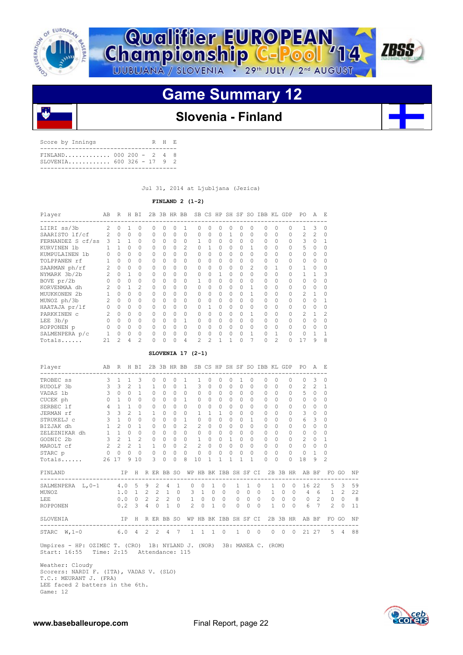![](_page_21_Picture_0.jpeg)

![](_page_21_Picture_1.jpeg)

![](_page_21_Picture_3.jpeg)

### **Slovenia - Finland**

| Score by Innings                                         |  |  | R H E |  |
|----------------------------------------------------------|--|--|-------|--|
| $FINLAND$ 000 200 - 2 4 8<br>$SLOVENTA$ 600 326 - 17 9 2 |  |  |       |  |
|                                                          |  |  |       |  |

Jul 31, 2014 at Ljubljana (Jezica)

#### **FINLAND 2 (1-2)**

| Player            | AB             | R              | H           | BI             |           |          | 2B 3B HR BB |                | <b>SB</b>      |              |          | CS HP SH SF  |           |                |          |                | SO IBB KL GDP | PO.            | Α              | E,       |
|-------------------|----------------|----------------|-------------|----------------|-----------|----------|-------------|----------------|----------------|--------------|----------|--------------|-----------|----------------|----------|----------------|---------------|----------------|----------------|----------|
| LIIRI ss/3b       | $\mathfrak{D}$ | $\Omega$       |             | $\Omega$       | $\cap$    | U        | U           |                |                | U            | O        | $\Omega$     |           | $\cap$         |          | $\Omega$       |               |                | 3              | O        |
| SAARISTO lf/cf    | $\mathfrak{D}$ | $\Omega$       | $\circ$     | $\circ$        | $\cap$    | $\Omega$ | $\Omega$    | $\mathbf{0}$   |                | $\circ$      | $\Omega$ | $\mathbf{1}$ | $\Omega$  | $\Omega$       | $\Omega$ | $\Omega$       |               | $\mathfrak{D}$ | $\mathfrak{D}$ | $\cap$   |
| FERNANDEZ S cf/ss | २              |                | $1 \quad 1$ | $\Omega$       | O.        | $\Omega$ | $\Omega$    | $\Omega$       |                | $\Omega$     | $\Omega$ | $\Omega$     | $\Omega$  | $\Omega$       | $\Omega$ | $\Omega$       |               | 3              |                |          |
| KURVINEN 1b       |                |                | $\cap$      | $\Omega$       | $\cap$    | $\Omega$ | $\cap$      | $\mathfrak{D}$ |                | 1            | $\Omega$ | $\Omega$     | $\Omega$  |                | $\cap$   | $\Omega$       |               | 5              |                | $\cap$   |
| KUMPULAINEN 1b    |                | $\cap$         | 0           | $\Omega$       | $\cap$    | $\cap$   | $\cap$      | $\mathbf{0}$   |                | $\Omega$     | $\cap$   | $\Omega$     | $\bigcap$ | $\Omega$       | $\cap$   | $\Omega$       |               |                |                |          |
| TOLPPANEN rf      |                | $\cap$         | $\Omega$    | $\Omega$       | $\bigcap$ | $\Omega$ | $\Omega$    | $\mathbf{0}$   | $\cap$         | $\Omega$     | $\Omega$ | $\Omega$     | $\Omega$  | $\Omega$       | $\cap$   | $\Omega$       |               | $\bigcap$      | U              | $\Omega$ |
| SAARMAN ph/rf     |                | $\Omega$       | $\Omega$    | $\Omega$       | $\cap$    | $\cap$   | $\cap$      | $\Omega$       |                | $\cap$       | $\Omega$ | $\Omega$     | $\bigcap$ | $\mathfrak{D}$ | 0        |                |               |                |                | $\Omega$ |
| NYMARK 3b/2b      |                | $\Omega$       |             | $\Omega$       | $\cap$    | $\Omega$ | $\Omega$    | 0              |                | $\Omega$     |          | $\Omega$     | $\Omega$  | $\Omega$       | $\cap$   | $\Omega$       |               |                |                | 3        |
| BOVE pr/2b        |                | $\Omega$       | $\Omega$    |                | $\cap$    | $\Omega$ | $\Omega$    | $\mathbf{0}$   |                | $\bigcap$    | $\Omega$ | $\Omega$     | $\bigcap$ | $\Omega$       | $\Omega$ | $\Omega$       |               | $\cap$         |                |          |
| KORVENMAA dh      |                | $\cap$         |             | $\mathfrak{D}$ | $\cap$    | $\cap$   | $\bigcap$   | $\Omega$       |                | $\cap$       | $\cap$   | $\Omega$     | $\bigcap$ |                | $\cap$   | $\Omega$       |               | $\cap$         | $\cap$         | $\Omega$ |
| MUUKKONEN 2b      |                | $\Omega$       | $\Omega$    |                | $\cap$    | $\cap$   | $\Omega$    | $\Omega$       |                | $\cap$       | $\Omega$ | $\Omega$     | $\Omega$  |                | $\cap$   | $\Omega$       |               | 2              |                |          |
| MUNOZ ph/3b       |                | $\Omega$       | $\Omega$    | $\Omega$       | $\cap$    | $\Omega$ | $\Omega$    | $\mathbf 0$    |                | $\Omega$     | $\Omega$ | $\Omega$     | $\Omega$  | $\Omega$       | $\cap$   | $\Omega$       |               |                |                |          |
| HAATAJA pr/lf     |                | 0              | $\Omega$    | $\Omega$       | $\cap$    | $\Omega$ | $\Omega$    | $\Omega$       |                | $\mathbf{1}$ | $\Omega$ | $\Omega$     | $\Omega$  | $\Omega$       | 0        | $\Omega$       |               | $\cap$         |                | $\cap$   |
| PARKKINEN C       |                | $\bigcap$      | $\Omega$    | $\Omega$       | $\cap$    | $\Omega$ | $\bigcap$   | $\Omega$       |                | $\cap$       | $\Omega$ | $\Omega$     | $\Omega$  |                | $\cap$   | $\Omega$       |               | 2              |                | 2        |
| $LEE$ 3b/p        |                | 0              | 0           | $\Omega$       |           | $\Omega$ | 0           |                |                | $\cap$       | $\Omega$ | $\Omega$     | $\Omega$  | $\Omega$       |          | $\Omega$       |               |                |                | O        |
| ROPPONEN p        |                | $\Omega$       | $\Omega$    | $\Omega$       | 0         | $\Omega$ | $\Omega$    | $\mathbf{0}$   |                | $\Omega$     | $\Omega$ | $\Omega$     | $\Omega$  | $\Omega$       | $\cap$   | $\Omega$       |               | $\cap$         |                | $\Omega$ |
| SALMENPERA p/c    |                | $\Omega$       | 0           | $\Omega$       | $\Omega$  | $\Omega$ | $\Omega$    | $\mathbf{0}$   |                | $\Omega$     | $\Omega$ | $\Omega$     | $\Omega$  |                | 0        |                |               |                |                |          |
| Totals            | 21             | $\mathfrak{D}$ | 4           |                |           | U        | $\cap$      | 4              | $\mathfrak{D}$ |              |          |              |           |                | O        | $\mathfrak{D}$ |               | 17             | 9              | 8        |

#### **SLOVENIA 17 (2-1)**

| Player<br>-----------------------------------                        |                | AB R H BI      |                |                |                |              |                     |                |                |                                  |                |              |              |              |              |                |                | 2B 3B HR BB SB CS HP SH SF SO IBB KL GDP |              |          |                   | PO.                                                  | AE             |                                     |                |    |
|----------------------------------------------------------------------|----------------|----------------|----------------|----------------|----------------|--------------|---------------------|----------------|----------------|----------------------------------|----------------|--------------|--------------|--------------|--------------|----------------|----------------|------------------------------------------|--------------|----------|-------------------|------------------------------------------------------|----------------|-------------------------------------|----------------|----|
| TROBEC SS                                                            | 3              | $\mathbf{1}$   | $\mathbf{1}$   | 3              |                | $\mathbf{0}$ | $\Omega$            | $\mathbf{0}$   | 1              |                                  |                | $\circ$      | 0            | $\circ$      | $\mathbf{1}$ |                | 0              | $\Omega$                                 | $\Omega$     |          | $\Omega$          | $\Omega$                                             | 3              | 0                                   |                |    |
| RUDOLF 3b                                                            | $\mathcal{S}$  | $\mathcal{E}$  | $\mathfrak{D}$ | $\mathbf{1}$   |                | $\mathbf{1}$ | $\Omega$            | $\Omega$       | $\mathbf{1}$   |                                  | 3              | $\Omega$     | $\Omega$     | $\bigcap$    | $\Omega$     |                | $\Omega$       | $\cap$                                   | $\Omega$     |          | $\Omega$          | $\mathfrak{D}$                                       | $\overline{2}$ | 1                                   |                |    |
| VADAS 1b                                                             | 3              | $\Omega$       | $\Omega$       | $\mathbf{1}$   |                | $\Omega$     | $\Omega$            | $\Omega$       | $\Omega$       |                                  | $\Omega$       | $\Omega$     | $\Omega$     | $\Omega$     | $\Omega$     |                | $\Omega$       | $\cap$                                   | $\cap$       |          | $\cap$            | 5                                                    | $\circ$        | $\Omega$                            |                |    |
| CUCEK ph                                                             | $\Omega$       | $\overline{1}$ | $\Omega$       | $\Omega$       |                | $\Omega$     | $\Omega$            | $\Omega$       | $\overline{1}$ |                                  | $\Omega$       | $\Omega$     | $\Omega$     | $\Omega$     | $\Omega$     |                | $\Omega$       | $\bigcap$                                | $\Omega$     |          | $\cap$            | $\Omega$                                             | $\Omega$       | $\Omega$                            |                |    |
| SERBEC 1f                                                            |                | $4 \quad 1$    | $\mathbf{1}$   | $\cap$         |                | $\Omega$     | $\Omega$            | $\bigcap$      | $\Omega$       |                                  | $\Omega$       | $\Omega$     | $\Omega$     | $\Omega$     | $\Omega$     |                | $\Omega$       | $\cap$                                   | $\cap$       |          | $\cap$            | $\Omega$                                             | $\Omega$       | $\Omega$                            |                |    |
| JERMAN rf                                                            | $\overline{3}$ | $\mathbf{3}$   | $\mathfrak{D}$ | 1              |                | $\mathbf{1}$ | $\Omega$            | $\cap$         | $\Omega$       |                                  | 1              | 1            | 1            | $\Omega$     | $\Omega$     |                | $\Omega$       | $\cap$                                   | $\cap$       |          | 0                 | 3                                                    | $\circ$        | $\Omega$                            |                |    |
| STRUKELJ C                                                           | 3              | $\mathbf{1}$   | $\Omega$       | $\cap$         |                | $\Omega$     | $\Omega$            | $\cap$         | $\mathbf{1}$   |                                  | $\Omega$       | $\Omega$     | $\Omega$     | $\Omega$     | $\bigcap$    |                | 1              | $\bigcap$                                | $\bigcap$    |          | $\cap$            | 6                                                    | 3              | $\Omega$                            |                |    |
| BIZJAK dh                                                            | 1              | $\overline{2}$ | $\Omega$       | $\mathbf{1}$   |                | $\Omega$     | $\Omega$            | $\cap$         | $\mathcal{L}$  |                                  | $\mathfrak{D}$ | $\Omega$     | $\Omega$     | $\Omega$     | $\Omega$     |                | $\Omega$       | $\bigcap$                                | $\cap$       |          | 0                 | $\Omega$                                             | $\Omega$       | 0                                   |                |    |
| ZELEZNIKAR dh                                                        |                | $1 \quad 1$    | $\Omega$       | $\Omega$       |                | $\Omega$     | $\Omega$            | $\cap$         | $\cap$         |                                  | $\Omega$       | $\Omega$     | $\Omega$     | $\Omega$     | $\Omega$     |                | $\Omega$       | $\cap$                                   | $\cap$       |          | 0                 | $\Omega$                                             | $\Omega$       | $\Omega$                            |                |    |
| GODNIC 2b                                                            | $\mathfrak{Z}$ | 2              | $\mathbf{1}$   | 2              |                | $\mathbf{0}$ | $\Omega$            | $\Omega$       | $\Omega$       |                                  | 1              | $\Omega$     | $\mathbf{0}$ | $\mathbf{1}$ | $\Omega$     |                | 0              | $\bigcap$                                | $\bigcap$    |          | $\Omega$          | 2                                                    | $\circ$        | 1                                   |                |    |
| MAROLT cf                                                            |                | $2 \quad 2$    | $\mathcal{L}$  | $\overline{1}$ |                | 1            | $\Omega$            | $\cap$         | $\mathfrak{D}$ |                                  | $\mathfrak{D}$ | $\bigcap$    | $\Omega$     | $\Omega$     | $\Omega$     |                | $\Omega$       | $\bigcap$                                | $\Omega$     |          | $\bigcap$         | $\Omega$                                             | $\mathbf{0}$   | $\cap$                              |                |    |
| STARC p                                                              | $\overline{0}$ | $\overline{0}$ | $\circ$        | $\overline{0}$ |                | $\mathbf{0}$ | $\mathbf{0}$        | $\circ$        | $\Omega$       |                                  | $\circ$        | $\mathbf{0}$ | $\circ$      | $\circ$      | $\Omega$     |                | 0              | $\Omega$                                 | $\Omega$     |          | $\Omega$          | $\circ$                                              | -1             | $\Omega$                            |                |    |
| Totals                                                               | 26             | 17             |                | 910            |                | 3            | $\Omega$            | $\Omega$       | 8              | 10                               |                | 1            | 1            |              | $\mathbf{1}$ |                | 1              | $\Omega$                                 | $\cap$       |          | $\cap$            | 18                                                   | 9              | $\mathcal{D}$                       |                |    |
| FINLAND                                                              |                |                | IP H           |                |                |              |                     |                |                | R ER BB SO WP HB BK IBB SH SF CI |                |              |              |              |              |                |                |                                          |              |          | 2B 3B HR          | AB BF                                                |                | ----------------------------------- | FO GO          | NP |
| SALMENPERA L, 0-1                                                    |                | 4.0 5          |                |                | 9              |              | $2 \quad 4$         | $\overline{1}$ |                | $\Omega$                         | $\Omega$       | $\mathbf{1}$ | $\Omega$     |              | $\mathbf{1}$ | $\overline{1}$ | $\Omega$       |                                          | $\mathbf{1}$ | $\circ$  | $\cap$            | 16                                                   | 22             | $5 -$                               | $\mathcal{B}$  | 59 |
| MUNOZ                                                                |                |                |                | 1.0 1          | 2              |              | 2 1                 |                | $\overline{0}$ | $\mathbf{3}$                     | $\overline{1}$ | $\Omega$     | $\circ$      |              | $\circ$      | $\circ$        | $\Omega$       |                                          | $\mathbf{1}$ | $\circ$  | $\overline{0}$    |                                                      | $4\quad 6$     | $\frac{1}{2}$                       | $2^{1}$        | 22 |
| LEE                                                                  |                |                |                | $0.0 \quad 0$  |                |              | $2 \quad 2 \quad 2$ |                | $\Omega$       | $1 \quad 0$                      |                | $\circ$      | $\bigcirc$   |              | $\circ$      | $\Omega$       | $\bigcirc$     |                                          |              |          | $0\quad 0\quad 0$ |                                                      | $0\quad 2$     | $\circ$                             | $\Omega$       | 8  |
| <b>ROPPONEN</b>                                                      |                | 0.2            |                | $\overline{3}$ | $\overline{4}$ | $\Omega$     | $\mathbf{1}$        | $\Omega$       |                | $2 -$                            | $\Omega$       | $\mathbf{1}$ | $\Omega$     |              | $\Omega$     | $\cap$         | $\cap$         |                                          | $\mathbf{1}$ | $\Omega$ | $\bigcap$         |                                                      | 6 7            | 2                                   | $\Omega$       | 11 |
| SLOVENIA                                                             |                |                |                |                |                |              |                     |                |                |                                  |                |              |              |              |              |                |                |                                          |              |          |                   | IP H R ER BB SO WP HB BK IBB SH SF CI 2B 3B HR AB BF |                |                                     | FO GO          | NP |
| 6.04<br>STARC $W, 1-0$                                               |                |                |                |                |                |              |                     | 2 2 4 7        |                | $1 \quad 1 \quad 1$              |                |              | $\circ$      |              | 1            | $\circ$        | $\overline{0}$ |                                          | $\circ$      | $\circ$  | $\overline{0}$    | 21 27                                                |                |                                     | 5 <sub>4</sub> | 88 |
| Umpires - HP: OZIMEC T. (CRO) 1B: NYLAND J. (NOR) 3B: MANEA C. (ROM) |                |                |                |                |                |              |                     |                |                |                                  |                |              |              |              |              |                |                |                                          |              |          |                   |                                                      |                |                                     |                |    |

Start: 16:55 Time: 2:15 Attendance: 115

 Weather: Cloudy Scorers: NARDI F. (ITA), VADAS V. (SLO) T.C.: MEURANT J. (FRA) LEE faced 2 batters in the 6th. Game: 12

![](_page_21_Picture_13.jpeg)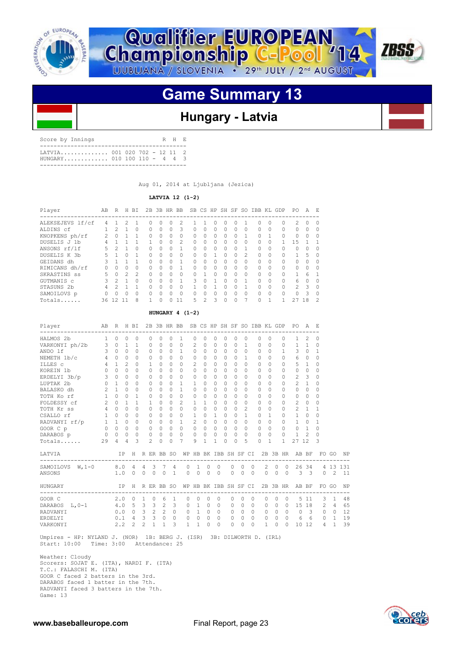![](_page_22_Picture_0.jpeg)

![](_page_22_Picture_1.jpeg)

### **Hungary - Latvia**

Score by Innings R H E ------------------------------------------- LATVIA.............. 001 020 702 - 12 11 2 HUNGARY............. 010 100 110 - 4 4 3 -------------------------------------------

Aug 01, 2014 at Liubliana (Jezica)

 **LATVIA 12 (1-2)**

| Player           | AВ | R             |               | H BI          | 2B |              | 3B HR BB     |                |   |              | SB CS HP SH SF SO |          |          |              | IBB KL GDP   |              |   | PO.           | A             | E             |
|------------------|----|---------------|---------------|---------------|----|--------------|--------------|----------------|---|--------------|-------------------|----------|----------|--------------|--------------|--------------|---|---------------|---------------|---------------|
| ALEKSEJEVS lf/cf | 4  |               |               |               | U  | $^{(1)}$     | <sup>0</sup> | 2              |   |              | Λ                 | Ω        | $^{(1)}$ |              | $^{(1)}$     | 0            | 0 | $\mathcal{P}$ | $\Omega$      | - 0           |
| ALDINS cf        |    | 2             |               | U             | 0  | $\Omega$     | $\Omega$     | 3              | 0 | $\Omega$     | O                 | 0        | 0        | O            | <sup>0</sup> | $\Omega$     | 0 | $\Omega$      | 0             | $\Omega$      |
| KNOPKENS ph/rf   | 2  | 0             |               |               | O  | $\Omega$     | $\cap$       | 0              | 0 | $\Omega$     | O                 | O        | 0        |              | <sup>0</sup> |              | 0 | $\Omega$      | $\cap$        | $\Omega$      |
| DUSELIS J 1b     |    |               |               |               |    | <sup>n</sup> | $\bigcap$    | $\mathfrak{D}$ | 0 | O            | O                 | O        | O        | $\bigcap$    | <sup>0</sup> | O            |   | 1.5           |               |               |
| ANSONS rf/lf     | 5  |               |               | Ω             | O  | <sup>n</sup> | <sup>n</sup> |                | 0 | O            | $\Omega$          | 0        | O        |              | O            | $\Omega$     | U | $\Omega$      | $\cap$        | 0             |
| DUSELIS K 3b     | 5  |               | U             |               | O  | <sup>n</sup> | $\bigcap$    | O              | 0 | <sup>0</sup> |                   | O        | $\Omega$ | 2            | <sup>0</sup> | <sup>0</sup> | U |               | 5             | - 0           |
| GEIDANS dh       | २  |               |               |               | O  | <sup>n</sup> | $\bigcap$    | 1              | O | O            | O                 | O        | O        | O            | <sup>0</sup> | <sup>0</sup> | 0 | $\bigcap$     | <sup>n</sup>  | $\Omega$      |
| RIMICANS dh/rf   |    | 0             | 0             | Λ             | O  | <sup>n</sup> | $\bigcap$    |                | 0 | $\Omega$     | $\Omega$          | O        | $\Omega$ | $\Omega$     | <sup>0</sup> | 0            | 0 | $\Omega$      | $\cap$        | $\Omega$      |
| SKRASTINS ss     | 5  | O.            | $\mathcal{P}$ | $\mathcal{P}$ | O  | U            | <sup>n</sup> | $\cap$         | 0 |              | U                 | O        | O        | $\bigcap$    | $\cap$       | $\cap$       | U | 1.            | 6             |               |
| GUTMANIS c       |    | $\mathcal{P}$ |               | Λ             | O  | <sup>n</sup> | <sup>n</sup> |                | 3 | O            |                   | O        | O        |              | O            | O            | 0 | 6             | $\cap$        | $\Omega$      |
| STASUNS 2b       | 4  | 2             |               |               | O  | <sup>n</sup> | $\cap$       | O              |   | U            |                   | $\Omega$ | O        |              | <sup>0</sup> | O            | U | $\mathcal{P}$ | $\mathcal{L}$ | $\bigcirc$    |
| SAMOILOVS p      |    | 0             | O             | U             | O  | <sup>n</sup> | $\bigcap$    | $\Omega$       | 0 | O            | O                 | O        | O        | <sup>0</sup> | <sup>0</sup> | <sup>0</sup> | O | $\Omega$      | Κ             | $\Omega$      |
| Totals           | 36 | -12           |               | 8             |    |              |              | 11             | 5 | 2            | २                 | O        | O        |              |              |              |   | 27            | 18            | $\mathcal{L}$ |

#### **HUNGARY 4 (1-2)**

| Player                   | AB R H BI                       |              |                |                           |                |              |              |                | 2B 3B HR BB SB CS HP SH SF SO IBB KL GDP |                          |              |                |          |              |            |                |                           |                |          |                | PO.                                               | AE                      |          |               |     |
|--------------------------|---------------------------------|--------------|----------------|---------------------------|----------------|--------------|--------------|----------------|------------------------------------------|--------------------------|--------------|----------------|----------|--------------|------------|----------------|---------------------------|----------------|----------|----------------|---------------------------------------------------|-------------------------|----------|---------------|-----|
| HALMOS 2b                | 1                               | $\Omega$     | $\Omega$       | $\circ$                   |                | $\Omega$     | 0            | 0              | 1                                        | 0                        | $\Omega$     | $\Omega$       | $\Omega$ |              | $\Omega$   | 0              | $\Omega$                  | $\Omega$       |          | 0              | 1                                                 | $\mathfrak{D}$          | 0        |               |     |
| VARKONYI ph/2b 3         |                                 | $\Omega$     | 1              | 1                         |                | $\Omega$     | $\Omega$     | $\Omega$       | $\Omega$                                 | $\mathcal{L}$            | $\Omega$     | 0              | $\Omega$ |              | $\Omega$   | 1              | 0                         | $\Omega$       |          | $\Omega$       | 1                                                 | 1                       | $\Omega$ |               |     |
| ANDO 1f                  | $\mathbf{3}$                    | $\Omega$     | $\Omega$       | $\Omega$                  |                | $\Omega$     | $\Omega$     | $\Omega$       | $\overline{1}$                           | $\Omega$                 | $\Omega$     | $\Omega$       | $\Omega$ |              | $\Omega$   | $\Omega$       | $\Omega$                  | $\Omega$       |          | 1              | 3                                                 | $\Omega$                | 1        |               |     |
| NEMETH 1b/c              | $\overline{4}$                  | $\cap$       | <sup>n</sup>   | $\Omega$                  |                | $\Omega$     | <sup>n</sup> | $\bigcap$      | $\bigcap$                                | 0                        | $\cap$       | <sup>0</sup>   | $\Omega$ |              | $\cap$     | 1              | <sup>0</sup>              | $\cap$         |          | 0              | 6                                                 | $\Omega$                | $\Omega$ |               |     |
| ILLES c                  | $\overline{4}$                  | $\mathbf{1}$ | $\mathfrak{D}$ | O.                        |                | 1            | $\bigcap$    | <sup>n</sup>   | $\bigcap$                                | $\mathcal{L}$            | $\cap$       | $\Omega$       | $\Omega$ |              | $\Omega$   | <sup>0</sup>   | O                         | $\cap$         |          | $\cap$         | 5.                                                | 1                       | $\Omega$ |               |     |
| KOREIN 1b                | $\circ$                         | $\Omega$     | $\Omega$       | 0                         |                | $\Omega$     | $\Omega$     | <sup>n</sup>   | $\Omega$                                 | 0                        | $\Omega$     | 0              | $\Omega$ |              | $\Omega$   | $\Omega$       | $\Omega$                  | $\Omega$       |          | $\Omega$       | $\Omega$                                          | $\Omega$                | $\Omega$ |               |     |
| ERDELYI 3b/p             | $\mathbf{3}$                    | $\Omega$     | $\Omega$       | 0                         |                | $\Omega$     | $\Omega$     | <sup>n</sup>   | $\Omega$                                 | 0                        | $\Omega$     | 0              | $\Omega$ |              | $\Omega$   | $\Omega$       | O                         | $\cap$         |          | 0              | 2                                                 | 3                       | $\Omega$ |               |     |
| LUPTAK 2b                | $\Omega$                        | $\mathbf{1}$ | $\cap$         | 0                         |                | $\Omega$     | $\Omega$     | <sup>n</sup>   | 1                                        | 1                        | $\Omega$     | $\Omega$       | $\Omega$ |              | $\Omega$   | $\Omega$       | $\Omega$                  | $\Omega$       |          | $\Omega$       | $\mathfrak{D}$                                    | 1                       | 0        |               |     |
| BALASKO dh               | 2                               | $\mathbf{1}$ | $\Omega$       | 0                         |                | $\Omega$     | $\Omega$     | $\Omega$       | $\mathbf{1}$                             | 0                        | $\Omega$     | $\Omega$       | $\Omega$ |              | $\Omega$   | $\Omega$       | $\Omega$                  | $\Omega$       |          | $\Omega$       | $\Omega$                                          | $\Omega$                | $\Omega$ |               |     |
| TOTH Ko rf               | $\mathbf{1}$                    | $\Omega$     | $\Omega$       | 1                         |                | $\Omega$     | $\Omega$     | $\Omega$       | $\Omega$                                 | 0                        | $\Omega$     | 0              | $\Omega$ |              | $\Omega$   | $\Omega$       | O                         | $\cap$         |          | $\Omega$       | $\Omega$                                          | $\Omega$                | $\Omega$ |               |     |
| FOLDESSY cf              | 2                               | $\cap$       | 1              | 1.                        |                | 1            | <sup>n</sup> | <sup>n</sup>   | 2                                        | 1                        | 1            | $\cap$         | $\Omega$ |              | $\Omega$   | $\Omega$       | O                         | $\cap$         |          | $\cap$         | 2                                                 | $\Omega$                | $\Omega$ |               |     |
| TOTH Kr ss               | 4                               | $\cap$       | $\cap$         | $\Omega$                  |                | $\Omega$     | $\Omega$     | <sup>n</sup>   | $\Omega$                                 | 0                        | $\Omega$     | $\circ$        | $\Omega$ |              | $\bigcirc$ | $\mathfrak{D}$ | $\cap$                    | $\Omega$       |          | $\Omega$       | 2                                                 | $\overline{1}$          | 1        |               |     |
| CSALLO rf                | 1                               | $\Omega$     | $\Omega$       | 0                         |                | $\Omega$     | $\Omega$     | $\Omega$       | $\circ$                                  | $\mathbf{1}$             | $\Omega$     | 1              | $\Omega$ |              | $\Omega$   | 1              | $\Omega$                  | 1              |          | $\Omega$       | 1                                                 | 0                       | $\Omega$ |               |     |
| RADVANYI rf/p            | 1                               | $\mathbf{1}$ | $\Omega$       | $\Omega$                  |                | $\Omega$     | $\Omega$     | $\Omega$       | 1                                        | $\mathcal{L}$            | $\cap$       | $\Omega$       | $\Omega$ |              | $\Omega$   | 0              | $\Omega$                  | $\Omega$       |          | $\cap$         | 1                                                 | $\Omega$                | 1        |               |     |
| GOOR C p                 | $\begin{matrix}0&0\end{matrix}$ |              | $\bigcirc$     | $\Omega$                  | $\overline{0}$ |              | $\Omega$     | $\bigcirc$     | $\Omega$                                 | $\Omega$                 | $\Omega$     | $\Omega$       | $\Omega$ |              | $\Omega$   | $\Omega$       | $\Omega$                  | $\Omega$       |          | $\cap$         | $\Omega$                                          | $\overline{1}$          | 0        |               |     |
| DARABOS p 0 0            |                                 |              | $\overline{0}$ | $\circ$                   |                | $\circ$      | $\Omega$     | $\overline{0}$ | $\bigcirc$                               | $\circ$                  | $\Omega$     | $\circ$        | $\Omega$ |              | $\Omega$   | $\Omega$       | $\Omega$                  | $\Omega$       |          | $\Omega$       | 1                                                 | 2                       | $\Omega$ |               |     |
| Totals                   | 29                              | 4            | 4              | 3                         |                | $2^{\circ}$  | $\Omega$     | $\Omega$       | 7                                        | 9                        | 1            | $\mathbf{1}$   | 0        |              | $\Omega$   | 5              | $\Omega$                  | $\overline{1}$ |          | 1              | 27 12                                             |                         | 3        |               |     |
| LATVIA                   |                                 |              | IP             |                           |                |              |              |                |                                          |                          |              |                |          |              |            |                |                           |                |          |                | H R ER BB SO WP HB BK IBB SH SF CI 2B 3B HR AB BF |                         |          | FO GO         | NP  |
| SAMOILOVS $W, 1-0$ 8.0 4 |                                 |              |                |                           | 4              | 3            | - 7          | 4              |                                          | 0<br>1                   |              | 0              | 0        | 0            | $\Omega$   |                | 0                         | 2              | 0        | $\circ$        | ------------------------------                    | 26 34                   |          | 4 1 3         | 131 |
| ANSONS                   |                                 | 1.0          |                | $\Omega$                  | $\Omega$       | $\Omega$     | $\bigcirc$   | $\overline{1}$ |                                          | $\Omega$<br>$\Omega$     | $\Omega$     |                | $\Omega$ | $\Omega$     | $\Omega$   | $\bigcirc$     |                           | $\Omega$       | $\Omega$ | $\bigcirc$     | $\overline{\mathbf{3}}$                           | $\overline{\mathbf{3}}$ | $\Omega$ | $\mathcal{L}$ | 11  |
| HUNGARY                  |                                 |              |                | IP H R ER BB SO           |                |              |              |                |                                          | WP HB BK IBB SH SF CI    |              |                |          |              |            |                |                           |                |          |                | 2B 3B HR AB BF<br>---------------                 |                         |          | FO GO         | NP  |
| GOOR C                   |                                 | 2.0          |                | $\mathbf{0}$              | $\mathbf{1}$   | $\circ$      | 6            | $\mathbf{1}$   |                                          | 0<br>0                   |              | $\mathbf{0}$   | 0        | 0            | $\Omega$   |                | ---------<br>$\mathbf{0}$ | $\circ$        | 0        | $\Omega$       | 5                                                 | 11                      | 3        | 1             | 48  |
| DARABOS L, 0-1           | 4.0 5                           |              |                |                           | 3              |              | $3 \quad 2$  | 3              |                                          | $\mathbf{1}$<br>$\Omega$ |              | $\Omega$       | $\Omega$ | 0            | $\Omega$   |                | $\Omega$                  | $\Omega$       | $\Omega$ | $\Omega$       | 15                                                | 18                      | 2        | 4             | 65  |
| RADVANYI                 |                                 |              |                | $0.0 \t 0 \t 3 \t 2 \t 2$ |                |              |              | $\circ$        |                                          | <sup>1</sup><br>$\circ$  | $\mathbf{0}$ | $\overline{0}$ |          | $\mathbf{0}$ | $\Omega$   |                | $\Omega$                  | $\circ$        | 0        | $\overline{0}$ | $\circ$                                           | $\overline{\mathbf{3}}$ | 0        | $\mathbf{0}$  | 12  |
| ERDELYI                  |                                 |              |                | $0.1 \quad 4$             | 3              | $\mathbf{3}$ | $\Omega$     | $\Omega$       |                                          | $\Omega$<br>$\Omega$     |              | $\Omega$       | $\Omega$ | $\Omega$     | $\Omega$   |                | $\Omega$                  | $\Omega$       | $\Omega$ | $\Omega$       | 6                                                 | 6                       | $\Omega$ | 1             | 19  |
| VARKONYI                 |                                 | 2, 2         |                | 2                         | 2              | 1            | $\mathbf{1}$ | 3              |                                          | $\mathbf{1}$<br>1        |              | $\Omega$       | $\Omega$ | 0            | 0          |                | $\Omega$                  | 1              | 0        | $\Omega$       |                                                   | 10 12                   | 4        | 1             | 39  |

 Umpires - HP: NYLAND J. (NOR) 1B: BERG J. (ISR) 3B: DILWORTH D. (IRL) Start: 10:00 Time: 3:00 Attendance: 25

 Weather: Cloudy Scorers: SOJAT E. (ITA), NARDI F. (ITA) T.C.: FALASCHI M. (ITA) GOOR C faced 2 batters in the 3rd. DARABOS faced 1 batter in the 7th. RADVANYI faced 3 batters in the 7th. Game: 13

![](_page_22_Picture_12.jpeg)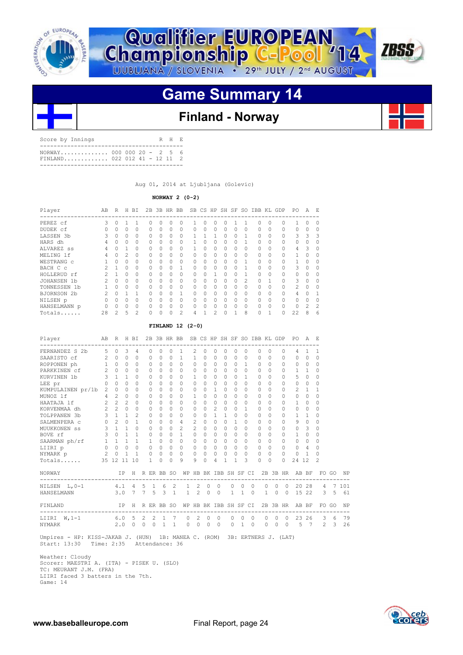![](_page_23_Picture_0.jpeg)

![](_page_23_Picture_1.jpeg)

### **Finland - Norway**

| NORWAY 000 000 20 - 2 5 6    | Score by Innings |  |  | R H E |  |
|------------------------------|------------------|--|--|-------|--|
| FINLAND 022 012 41 - 12 11 2 |                  |  |  |       |  |

Aug 01, 2014 at Ljubljana (Golevic)

#### **NORWAY 2 (0-2)**

| Player         | AВ | R | H            | ΒI       | 2B           |              | 3B HR BB     |          | SB           |          | CS HP          | SH SF        |   | SO. | IBB KL       |          | GDP | PO. | Ά              | E.            |
|----------------|----|---|--------------|----------|--------------|--------------|--------------|----------|--------------|----------|----------------|--------------|---|-----|--------------|----------|-----|-----|----------------|---------------|
| PEREZ cf       | Κ  | 0 |              |          | O            | O            | O            | $\Omega$ |              | O        | O              | <sup>0</sup> |   |     | $\Omega$     | $\cap$   | O   |     | Ω              | $\Omega$      |
| DUDEK cf       |    | Ω | 0            | $\Omega$ | 0            | 0            | $\Omega$     | 0        | 0            | $\Omega$ | 0              | $\Omega$     | 0 | O   | 0            | $\Omega$ | O   | 0   | 0              | $\Omega$      |
| LASSEN 3b      |    | 0 | 0            | $\Omega$ | 0            | 0            | $\Omega$     | $\Omega$ |              |          |                | $\Omega$     | 0 |     | $\Omega$     | $\Omega$ |     | 3   | 3              | 3             |
| HARS dh        | 4  | Ω | <sup>n</sup> | $\Omega$ | <sup>0</sup> | 0            | $\Omega$     | $\Omega$ |              | O        | 0              | $\Omega$     | U |     | $\Omega$     | $\cap$   |     | 0   | <sup>n</sup>   | $\Omega$      |
| ALVAREZ SS     | 4  | N |              | $\Omega$ | <sup>0</sup> | 0            | $\Omega$     | $\Omega$ |              | $\Omega$ | 0              | $\Omega$     | 0 | O   | 0            | $\cap$   | 0   | 4   | 3              | $\Omega$      |
| MELING 1f      |    | N | 2.           | $\Omega$ | <sup>0</sup> | O            | 0            | $\Omega$ |              | O        | 0              | $\Omega$     | O | O   | $\Omega$     | $\Omega$ |     |     | Ω              | $\Omega$      |
| WESTRANG C     |    | N | 0            | $\Omega$ | <sup>0</sup> | O            | 0            | $\Omega$ | O            | O        | O              | $\Omega$     | Ω |     | O            | O        |     |     | Ω              | $\Omega$      |
| BACH C c       |    |   | 0            | $\Omega$ | <sup>0</sup> | O            | 0            |          | O            | O        | O              | $\Omega$     | Ω |     | $\Omega$     | $\Omega$ |     | 3   | 0              | $\Omega$      |
| HOLLERUD rf    |    |   | 0            | $\Omega$ | <sup>0</sup> | 0            | 0            | $\Omega$ | <sup>0</sup> | 0        |                | $\Omega$     | U |     | $\Omega$     | $\Omega$ | 0   | 0   | 0              | $\Omega$      |
| JOHANSEN<br>1b | 2  | O | <sup>n</sup> | $\Omega$ | <sup>0</sup> | <sup>n</sup> | <sup>n</sup> | $\Omega$ | <sup>0</sup> | O        | O              | $\bigcap$    | O | 2   | <sup>0</sup> |          | O   | 3   | <sup>n</sup>   | $\Omega$      |
| TONNESSEN 1b   |    | Λ | <sup>n</sup> | $\Omega$ | <sup>0</sup> | O            | <sup>0</sup> | $\Omega$ | 0            | O        | O              | $\Omega$     | O | O   | O            | O        | O   | 2   | <sup>n</sup>   | $\bigcap$     |
| BJORNSON 2b    |    | O |              |          | U            | O            | O            |          |              | O        | O              | $\Omega$     | O | O   | $\Omega$     | $\Omega$ |     | 4   | Λ              |               |
| NILSEN p       |    | N | 0            | $\Omega$ | <sup>0</sup> | O            | 0            | $\Omega$ | O            | O        | O              | $\Omega$     | O | O   | O            | O        |     | 0   | Ω              | 0             |
| HANSELMANN p   |    | Ω | 0            | $\Omega$ | 0            | 0            | 0            | $\Omega$ | 0            | 0        | 0              | $\Omega$     | O | 0   | $\Omega$     | $\Omega$ | 0   | 0   | $\mathfrak{D}$ | $\mathcal{D}$ |
| Totals         | 28 | 2 | 5            | 2        | O            | N            | O            | 2        | 4            |          | $\mathfrak{D}$ | $\cap$       |   | 8   | 0            |          | U   | 22  | 8              | 6             |

#### **FINLAND 12 (2-0)**

| Player                                      | AВ             | R H BI              |                |                |                 |              |                |                | 2B 3B HR BB SB CS HP SH SF SO IBB KL GDP |               |              |               |              |              |              |              |              |          |          | PO.                                  | A              | - F.           |       |     |
|---------------------------------------------|----------------|---------------------|----------------|----------------|-----------------|--------------|----------------|----------------|------------------------------------------|---------------|--------------|---------------|--------------|--------------|--------------|--------------|--------------|----------|----------|--------------------------------------|----------------|----------------|-------|-----|
| FERNANDEZ S 2b                              | 5              | $\Omega$            | 3              | 4              |                 | $\Omega$     | $\Omega$       | $\Omega$       | $\mathbf{1}$                             | 2             | $\Omega$     | 0             | $\Omega$     | $\Omega$     | $\Omega$     | 0            | $\Omega$     |          | $\Omega$ | 4                                    | 1              | 1              |       |     |
| SAARISTO cf                                 | $2^{\circ}$    | $\Omega$            | $\Omega$       | $\Omega$       |                 | $\Omega$     | $\Omega$       | $\Omega$       | $\mathbf{1}$                             | $\mathbf{1}$  | $\Omega$     | $\Omega$      | $\Omega$     | $\Omega$     | $\Omega$     | $\Omega$     | $\Omega$     |          | $\Omega$ | $\Omega$                             | $\Omega$       | $\Omega$       |       |     |
| ROPPONEN ph                                 | $\mathbf{1}$   | $\Omega$            | $\Omega$       | $\Omega$       |                 | $\Omega$     | $\Omega$       | $\Omega$       | $\Omega$                                 | $\Omega$      | $\Omega$     | $\Omega$      | $\Omega$     | $\Omega$     | 1            | $\Omega$     | $\Omega$     |          | $\Omega$ | $\Omega$                             | 0              | $\Omega$       |       |     |
| PARKKINEN cf                                | 2              | $\Omega$            | $\Omega$       | 0              |                 | $\Omega$     | $\Omega$       | $\Omega$       | $\Omega$                                 | $\Omega$      | $\Omega$     | $\Omega$      | $\Omega$     | $\Omega$     | $\Omega$     | <sup>0</sup> | $\Omega$     |          | $\Omega$ | -1                                   | $\overline{1}$ | $\Omega$       |       |     |
| KURVINEN 1b                                 | 3              | $\mathbf{1}$        | $\mathbf{1}$   | 0              | $\Omega$        |              | $\bigcap$      | $\bigcap$      | $\Omega$                                 | $\mathbf{1}$  | $\Omega$     | $\Omega$      | $\Omega$     | $\Omega$     | 1.           | O            | $\cap$       |          | $\Omega$ | $5^{\circ}$                          | $\Omega$       | $\cap$         |       |     |
| LEE pr                                      | $\mathbf{0}$   | $\Omega$            | $\Omega$       | $\Omega$       |                 | $\Omega$     | $\Omega$       | <sup>n</sup>   | $\Omega$                                 | $\circ$       | $\Omega$     | $\Omega$      | $\Omega$     | $\Omega$     | $\Omega$     | $\bigcap$    | $\Omega$     |          | $\Omega$ | 0                                    | $\circ$        | $\Omega$       |       |     |
| KUMPULAINEN pr/1b                           | 2              | $\cap$              | $\Omega$       | 0              |                 | $\Omega$     | $\Omega$       | $\bigcap$      | $\bigcap$                                | 0             | $\Omega$     | $\mathbf{1}$  | $\Omega$     | $\Omega$     | 0            | O            | $\bigcap$    |          | $\cap$   | 2                                    | 1              | 1              |       |     |
| MUNOZ 1f                                    | 4              | $\mathfrak{D}$      | $\bigcap$      | O.             |                 | $\Omega$     | $\Omega$       | <sup>n</sup>   | $\Omega$                                 | 1             | $\Omega$     | $\Omega$      | $\Omega$     | $\Omega$     | <sup>0</sup> | $\Box$       | $\cap$       |          | $\cap$   | $\Omega$                             | $\Omega$       | <sup>n</sup>   |       |     |
| HAATAJA 1f                                  | 2              | $\mathfrak{D}$      | 2              | $\Omega$       |                 | $\Omega$     | $\Omega$       | <sup>n</sup>   | $\Omega$                                 | $\Omega$      | $\cap$       | $\Omega$      | $\Omega$     | $\Omega$     | $\Omega$     | O            | $\Omega$     |          | $\Omega$ | 1                                    | $\Omega$       | $\Omega$       |       |     |
| KORVENMAA dh                                | $\overline{2}$ | $2^{\circ}$         | $\cap$         | $\Omega$       |                 | $\Omega$     | $\bigcap$      | $\bigcap$      | $\bigcap$                                | $\Omega$      | $\Omega$     | $\mathcal{L}$ | $\Omega$     | $\Omega$     | 1.           | O            | $\cap$       |          | $\cap$   | $\Omega$                             | $\Omega$       | $\Omega$       |       |     |
| TOLPPANEN 3b                                | 3              | $\mathbf{1}$        | $\mathbf{1}$   | $\mathfrak{D}$ | $\Omega$        |              | $\Omega$       | <sup>n</sup>   | $\Omega$                                 | 0             | $\Omega$     | $\mathbf{1}$  | $\mathbf{1}$ | $\Omega$     | 0            | $\Omega$     | $\Omega$     |          | $\Omega$ | $\mathbf{1}$                         | $\mathbf{1}$   | $\Omega$       |       |     |
| SALMENPERA C                                | $\Omega$       | $\mathcal{L}$       | $\Omega$       | 1              |                 | $\Omega$     | $\Omega$       | $\Omega$       | 4                                        | 2             | $\Omega$     | $\Omega$      | $\Omega$     | 1            | <sup>0</sup> | O            | $\cap$       |          | $\Omega$ | 9                                    | $\circ$        | $\Omega$       |       |     |
| MUUKKONEN SS                                | 3              | $\mathbf{1}$        | $\mathbf{1}$   | $\Omega$       | $\Omega$        |              | $\Omega$       | $\Omega$       | $\mathcal{L}$                            | $\mathcal{L}$ | $\Omega$     | $\Omega$      | $\Omega$     | $\Omega$     | <sup>0</sup> | O            | $\Omega$     |          | $\Omega$ | $\Omega$                             | 3              | $\Omega$       |       |     |
| BOVE rf                                     | 3              | $\Omega$            | $\overline{1}$ | $\overline{1}$ | $\circ$         |              | $\Omega$       | $\Omega$       | $\overline{1}$                           | $\Omega$      | $\Omega$     | $\Omega$      | $\Omega$     | $\Omega$     | $\Omega$     | $\Omega$     | $\Omega$     |          | $\Omega$ | $\mathbf{1}$                         | $\circ$        | $\Omega$       |       |     |
| SAARMAN ph/rf                               |                | $1 \quad 1 \quad 1$ |                | $\overline{1}$ |                 | $\mathbf{1}$ | $\Omega$       | $\Omega$       | $\Omega$                                 | $\Omega$      | $\Omega$     | $\Omega$      | $\Omega$     | $\Omega$     | $\Omega$     | <sup>0</sup> | $\Omega$     |          | $\Omega$ | $\Omega$                             | $\circ$        | $\Omega$       |       |     |
| LIIRI p                                     | $\circ$        | $\bigcap$           | $\overline{0}$ | $\circ$        | $\Omega$        |              | $\Omega$       | $\Omega$       | $\Omega$                                 | $\circ$       | $\cap$       | $\Omega$      | $\Omega$     | $\Omega$     | $\Omega$     | $\Omega$     | $\Omega$     |          | $\Omega$ | $\Omega$                             | $\overline{4}$ | <sup>n</sup>   |       |     |
| NYMARK p                                    | 2              | $\circ$             | $\mathbf{1}$   | $\overline{1}$ | $\circ$         |              | 0              | $\Omega$       | $\Omega$                                 | 0             | $\Omega$     | $\circ$       | $\circ$      | $\circ$      | 0            | $\Omega$     | $\Omega$     |          | $\cap$   | 0                                    | $\overline{1}$ | <sup>n</sup>   |       |     |
| Totals                                      |                | 35 12 11 10         |                |                |                 | 1            | $\cap$         | $\Omega$       | 9                                        | 9             | $\Omega$     | 4             |              | 1            | 3            | $\cap$       | $\cap$       |          | $\cap$   | 24 12                                |                | $\mathfrak{D}$ |       |     |
| NORWAY                                      |                |                     |                |                | IP H R ER BB SO |              |                |                |                                          |               |              |               |              |              |              |              |              |          |          | WP HB BK IBB SH SF CI 2B 3B HR AB BF |                |                | FO GO | NP  |
| --------------------<br>NILSEN L, 0-1 4.1 4 |                |                     |                |                | 5               |              | 16             | 2              | $\mathbf{1}$                             | 2             | $\circ$      | $\circ$       |              | $\circ$      | $\circ$      | $\Omega$     | $\Omega$     | $\Omega$ | $\Omega$ |                                      | 20 28          | $\overline{4}$ | 7     | 101 |
| HANSELMANN                                  |                | 3.0                 |                | $7^{\circ}$    |                 |              | $7 \t5 \t3$    | $\overline{1}$ | $\mathbf{1}$                             | $2^{1}$       | $\Omega$     | $\Omega$      |              | $\mathbf{1}$ | $\mathbf{1}$ | $\bigcirc$   | $\mathbf{1}$ | $\Omega$ | $\Omega$ |                                      | 15 22          | 3              | 5     | 61  |
| FINLAND                                     |                |                     |                |                | IP H R ER BB SO |              |                |                |                                          |               |              |               |              |              |              |              |              |          |          | WP HB BK IBB SH SF CI 2B 3B HR AB BF |                |                | FO GO | ΝP  |
| 6.05<br>LIIRI $W, 1-1$                      |                |                     |                |                | 2               |              | 2 1            | $\overline{7}$ | $\circ$                                  | 2             | $\mathbf{0}$ | $\circ$       |              | $\circ$      | $\circ$      | $\circ$      | $\circ$      | $\circ$  | $\Omega$ | 23                                   | 26             | $\mathbf{3}$   | 6     | 79  |
| NYMARK                                      |                | 2.0                 |                | $\Omega$       | $\circ$         | $\Omega$     | $\overline{1}$ | $\mathbf{1}$   | $\Omega$                                 | $\Omega$      | $\Omega$     | $\Omega$      |              | $\Omega$     | 1            | $\Omega$     | $\Omega$     | $\Omega$ | $\cap$   | .5                                   | 7              | $\overline{2}$ | 3     | 26  |

 Umpires - HP: KISS-JAKAB J. (HUN) 1B: MANEA C. (ROM) 3B: ERTNERS J. (LAT) Start: 13:30 Time: 2:35 Attendance: 36

 Weather: Cloudy Scorer: MAESTRI A. (ITA) - PISEK U. (SLO) TC: MEURANT J.M. (FRA) LIIRI faced 3 batters in the 7th. Game: 14

![](_page_23_Picture_12.jpeg)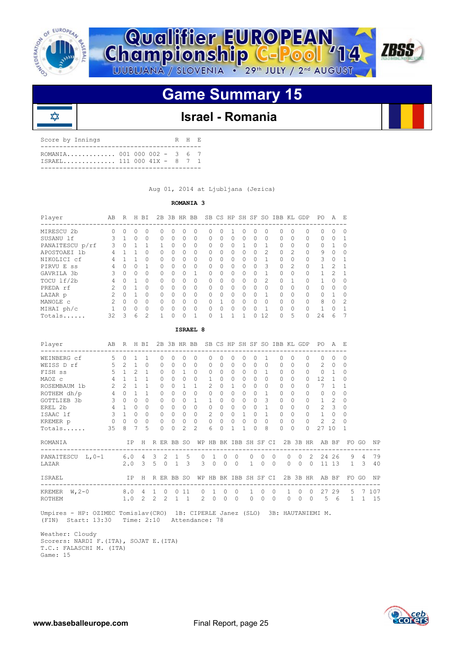![](_page_24_Picture_0.jpeg)

⋩

![](_page_24_Picture_1.jpeg)

# *ZBSS*

### **Game Summary 15**

![](_page_24_Picture_4.jpeg)

| Score by Innings                                          |  |  | R H F. |  |
|-----------------------------------------------------------|--|--|--------|--|
| ROMANTA 001 000 002 - 3 6 7<br>TSRAEL 111 000 41X - 8 7 1 |  |  |        |  |

Aug 01, 2014 at Ljubljana (Jezica)

#### **ROMANIA 3**

| Player            | AВ             | R        | H        | <b>BT</b>     | 2B           | 3B       | HR.       | BB.      |              | SB CS HP  |              |              | SH SF        | -SO            | TBB.         | KT.            | GDP      | PO.       | A             | E.            |
|-------------------|----------------|----------|----------|---------------|--------------|----------|-----------|----------|--------------|-----------|--------------|--------------|--------------|----------------|--------------|----------------|----------|-----------|---------------|---------------|
| MIRESCU 2b        | 0              | 0        | 0        | 0             | 0            | 0        | 0         | $\Omega$ | O            | 0         |              | 0            | O            | 0              | 0            | 0              | 0        | $\Omega$  | 0             | $\Omega$      |
| SUSANU 1f         | 3              |          | $\Omega$ | 0             | $\Omega$     | 0        | $\Omega$  | $\Omega$ | <sup>0</sup> | $\Omega$  | $\Omega$     | $\Omega$     | $\Omega$     | $\Omega$       | $\bigcap$    | $\Omega$       | $\Omega$ | $\Omega$  | $\Omega$      |               |
| PANAITESCU p/rf   | 3              | 0        |          |               |              | 0        | 0         | $\Omega$ | O            | $\Omega$  | 0            |              | $\Omega$     |                | O.           | $\Omega$       | 0        | $\Omega$  |               | $\Omega$      |
| APOSTOAEI 1b      | 4              |          |          | O.            | 0            | 0        | 0         | $\Omega$ | U            | $\bigcap$ | $\Omega$     | <sup>0</sup> | $\Omega$     | $\mathfrak{D}$ | $\bigcap$    | $\mathfrak{D}$ | $\Omega$ | 9         | $\Omega$      | $\Omega$      |
| NIKOLICI cf       | 4              |          |          | 0             | 0            | 0        | $\Omega$  | $\Omega$ | U            | $\Omega$  | 0            | 0            | <sup>0</sup> |                | <sup>0</sup> | $\Omega$       | 0        | 3         | $\Omega$      |               |
| PIRVU<br>E.<br>SS | 4              | U        | $\cap$   |               | $\bigcap$    | 0        | $\bigcap$ | $\Omega$ | $\cap$       | $\bigcap$ | 0            | <sup>0</sup> | $\Omega$     | 3              | $\cap$       | $\mathfrak{D}$ | $\Omega$ |           | $\mathcal{P}$ |               |
| GAVRILA 3b        |                | $\Omega$ | $\Omega$ | 0             | 0            | 0        | $\Omega$  |          | U            | $\Omega$  | 0            | $\cap$       | <sup>0</sup> |                | $\cap$       | $\Omega$       | 0        |           | $\mathcal{P}$ |               |
| TOCU 1f/2b        | 4              | $\Omega$ |          | $\Omega$      | $\Omega$     | 0        | $\Omega$  | $\Omega$ | O.           | $\Omega$  | 0            | $\cap$       | $\Omega$     | $\mathfrak{D}$ | O.           | 1              | O        |           | <sup>0</sup>  | $\bigcap$     |
| PREDA rf          | $\mathfrak{D}$ | $\cap$   |          | $\Omega$      | 0            | 0        | $\Omega$  | $\Omega$ | U            | $\Omega$  | 0            | $\cap$       | <sup>0</sup> | $\bigcap$      | $\cap$       | <sup>0</sup>   | 0        | $\bigcap$ | <sup>0</sup>  | $\cap$        |
| LAZAR p           |                | $\Omega$ |          | $\Omega$      | 0            | $\Omega$ | $\Omega$  | $\Omega$ | U            | $\Omega$  | 0            | $\cap$       | <sup>0</sup> |                | O.           | $\Omega$       | 0        | $\cap$    |               | $\Omega$      |
| MANOLE C          | 2              | $\cap$   | $\cap$   | $\Omega$      | <sup>n</sup> | 0        | U         | $\Omega$ | ∩            |           | <sup>0</sup> | $\bigcap$    | ∩            | U              | <sup>n</sup> | <sup>0</sup>   | 0        | 8         | <sup>0</sup>  | $\mathcal{P}$ |
| MIHAI ph/c        |                | $\Omega$ | $\Omega$ | $\Omega$      | $\Omega$     | 0        | $\Omega$  | $\Omega$ | U            | O.        | <sup>0</sup> | $\cap$       | ∩            |                | O.           | $\Omega$       | $\Omega$ |           | $\Omega$      |               |
| Totals            | 32             | २        | 6        | $\mathcal{P}$ |              | U        | Λ         |          |              |           |              |              | ∩            | 12.            | O.           | 5              | O        | 2.4       | 6             |               |

### **ISRAEL 8** Player AB R H BI 2B 3B HR BB SB CS HP SH SF SO IBB KL GDP PO A E ---------------------------------------------------------------------------------- WEINBERG cf 5 0 1 1 0 0 0 0 0 0 0 0 0 1 0 0 0 0 0 0 WEISS Drf 5 2 1 0 0 0 0 0 0 0 0 0 0 0 0 0 0 2 0 0 FISH ss 5 1 2 1 0 0 1 0 0 0 0 0 0 1 0 0 0 0 1 0 MAOZ c 4 1 1 1 0 0 0 0 1 0 0 0 0 0 0 0 0 12 1 0 ROSEMBAUM 1b 2 2 1 1 0 0 1 1 2 0 1 0 0 0 0 0 0 7 1 1 ROTHEM dh/p 4 0 1 1 0 0 0 0 0 0 0 0 0 1 0 0 0 0 0 0 GOTTLIEB 3b 3 0 0 0 0 0 0 1 1 0 0 0 0 3 0 0 0 1 2 0 EREL 2b 4 1 0 0 0 0 0 0 0 0 0 0 0 1 0 0 0 2 3 0 ISAAC lf 3 1 0 0 0 0 0 0 2 0 0 1 0 1 0 0 0 1 0 0 KREMER p 0 0 0 0 0 0 0 0 0 0 0 0 0 0 0 0 0 2 2 0 Totals...... 35 8 7 5 0 0 2 2 6 0 1 1 0 8 0 0 0 27 10 1 ROMANIA IP H R ER BB SO WP HB BK IBB SH SF CI 2B 3B HR AB BF FO GO NP ------------------------------------------------------------------------------------------- PANAITESCU L,0-1 6.0 4 3 2 1 5 0 1 0 0 0 0 0 0 0 2 24 26 9 4 79 LAZAR 2.0 3 5 0 1 3 3 0 0 0 1 0 0 0 0 0 11 13 1 3 40 ISRAEL IP H R ER BB SO WP HB BK IBB SH SF CI 2B 3B HR AB BF FO GO NP ------------------------------------------------------------------------------------------- KREMER W,2-0 8.0 4 1 0 0 11 0 1 0 0 1 0 0 1 0 0 27 29 5 7 107 ROTHEM 1.0 2 2 2 1 1 2 0 0 0 0 0 0 0 0 0 5 6 1 1 15

 Umpires - HP: OZIMEC Tomislav(CRO) 1B: CIPERLE Janez (SLO) 3B: HAUTANIEMI M. (FIN) Start: 13:30 Time: 2:10 Attendance: 78

 Weather: Cloudy Scorers: NARDI F.(ITA), SOJAT E.(ITA) T.C.: FALASCHI M. (ITA) Game: 15

![](_page_24_Picture_12.jpeg)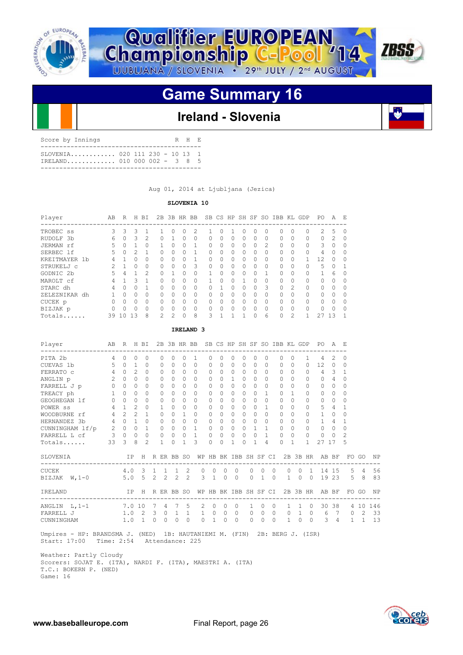![](_page_25_Picture_0.jpeg)

![](_page_25_Picture_1.jpeg)

### **Ireland - Slovenia**

| Score by Innings            |  |  | R H E |  |
|-----------------------------|--|--|-------|--|
| TRELAND 010 000 002 - 3 8 5 |  |  |       |  |
|                             |  |  |       |  |

Aug 01, 2014 at Ljubljana (Jezica)

### **SLOVENIA 10**

| Player               | AВ | R        | H  | ВI             | 2В            | 3B           | HR           | BB           |   | SB CS | HP           | SH       | SF | SO.           | IBB          | ΚL             | GDP      | PO.       | A             | E        |
|----------------------|----|----------|----|----------------|---------------|--------------|--------------|--------------|---|-------|--------------|----------|----|---------------|--------------|----------------|----------|-----------|---------------|----------|
| TROBEC <sub>ss</sub> | 3. | 3        | 3  |                |               | U            | <sup>0</sup> | 2            |   | Ω     |              | O        | 0  | $\Omega$      | O            | 0              | 0        | 2.        | 5             | $\Omega$ |
| RUDOLF 3b            | 6  | $\Omega$ | 3  | 2              | 0             |              | $\Omega$     | $\Omega$     | 0 | 0     | $\Omega$     | $\Omega$ | O  | $\Omega$      | $\Omega$     | $\Omega$       | $\Omega$ | $\Omega$  | $\mathcal{L}$ |          |
| JERMAN rf            | 5  | $\Omega$ |    | $\Omega$       |               | 0            | $\Omega$     |              |   | 0     | 0            | $\Omega$ | 0  | $\mathcal{L}$ | $\Omega$     | 0              | $\Omega$ | 3         | $\Omega$      |          |
| SERBEC 1f            | 5  | $\Omega$ |    |                | 0             | 0            | <sup>0</sup> |              |   | 0     | $\Omega$     | $\Omega$ | 0  | $\Omega$      | $\Omega$     | $\Omega$       | $\Omega$ | 4         | $\Omega$      |          |
| KREITMAYER 1b        | 4  |          |    | 0              | O.            | O            | <sup>0</sup> |              |   | Ω     | <sup>0</sup> | O        | Λ  | $\bigcap$     | <sup>0</sup> | O              |          | 12        | <sup>0</sup>  |          |
| STRUKELJ c           |    |          |    | $\Omega$       | $\Omega$      | 0            | $\Omega$     | 3            |   | 0     | 0            | 0        | 0  | $\Omega$      | $\Omega$     | 0              | 0        | 5         | $\Omega$      |          |
| GODNIC <sub>2b</sub> | 5  | 4        |    | $\mathfrak{D}$ | 0             |              | <sup>0</sup> | <sup>0</sup> |   | 0     | <sup>0</sup> | O        | Ω. |               | $\Omega$     | O              | $\Omega$ |           | 6             |          |
| MAROLT cf            | 4  |          | ٦  |                | 0             | 0            | $\Omega$     | 0            |   | 0     | 0            |          | 0  | $\Omega$      | $\Omega$     | 0              | 0        | $\Omega$  | $\Omega$      |          |
| STARC dh             | 4  | $\Omega$ |    |                | O.            | O            | O            | $\bigcap$    |   |       | 0            | $\Omega$ | Ω. | 3             | $\Omega$     | $\mathcal{P}$  | $\Omega$ | $\Omega$  | O             |          |
| ZELEZNIKAR<br>dh     |    | $\Omega$ |    | $\Omega$       | 0             | 0            | O            | $\bigcap$    |   | Ω     | 0            | O        | 0  | $\Omega$      | $\Omega$     | $\Omega$       | $\Omega$ | $\Omega$  | $\Omega$      |          |
| CUCEK p              | 0  | $\Omega$ | 0  | $\Omega$       | 0             | <sup>0</sup> | ∩            | $\bigcap$    | ∩ | O     | <sup>0</sup> | $\Omega$ | ∩  | $\Omega$      | $\Omega$     | O              | $\Omega$ | $\bigcap$ | O             | U        |
| BIZJAK p             | 0  | $\Omega$ |    | $\Omega$       | 0             | O            | O            | $\bigcap$    |   | Ω     | <sup>0</sup> | O        | n  | $\Omega$      | $\Omega$     | 0              | $\Omega$ | $\cap$    | $\Omega$      |          |
| Totals               | 39 | $\Omega$ | 13 | 8              | $\mathcal{P}$ | っ            | ∩            | 8            | २ |       |              |          |    | 6             | $\Omega$     | $\mathfrak{D}$ |          |           | 13            |          |

 **IRELAND 3**

| Player<br>---------------------- | AB              | $\,$ R         |                             | H BI         |                         |          | 2B 3B HR BB  |               |                |                       |           |                |           |              |                |            | SB CS HP SH SF SO IBB KL GDP |              |                | PO.<br>--------------- | A             | E        |       |     |
|----------------------------------|-----------------|----------------|-----------------------------|--------------|-------------------------|----------|--------------|---------------|----------------|-----------------------|-----------|----------------|-----------|--------------|----------------|------------|------------------------------|--------------|----------------|------------------------|---------------|----------|-------|-----|
| PITA 2b                          | $\overline{4}$  | $\Omega$       | 0                           | $\Omega$     |                         | $\Omega$ | 0            | $\Omega$      | $\mathbf{1}$   | $\Omega$              | $\Omega$  | $\Omega$       | $\Omega$  | $\Omega$     | $\Omega$       |            | $\bigcap$                    | $\Omega$     | $\mathbf{1}$   | 4                      | $\mathcal{L}$ | $\Omega$ |       |     |
| CUEVAS 1b                        | 5               | $\Omega$       | 1                           | $\Omega$     |                         | $\Omega$ | 0            | $\Omega$      | $\bigcap$      | $\Omega$              | 0         | 0              | $\Omega$  | O            | $\Omega$       |            | $\bigcap$                    | $\bigcap$    | 0              | 12                     | $\Omega$      | 0        |       |     |
| FERRATO C                        | $\overline{4}$  | $\Omega$       | $\mathfrak{D}$              | $\Omega$     |                         | 0        | $\Omega$     | $\cap$        | $\Omega$       | $\Omega$              | $\Omega$  | $\Omega$       | $\Omega$  | $\bigcap$    | $\Omega$       |            | <sup>0</sup>                 | $\Omega$     | 0              | 4                      | 3             | 1        |       |     |
| ANGLIN p                         | 2               | $\Omega$       | $\Omega$                    | $\bigcap$    |                         | $\Omega$ | O            | $\bigcap$     | $\Omega$       | $\Omega$              | $\bigcap$ | 1.             | $\bigcap$ | $\bigcap$    | <sup>0</sup>   |            | <sup>0</sup>                 | $\Omega$     | 0              | $\bigcap$              | 4             | 0        |       |     |
| FARRELL J p                      | $\circ$         | $\Omega$       | $\Omega$                    | $\Omega$     |                         | $\Omega$ | 0            | $\Omega$      | $\Omega$       | $\Omega$              | $\Omega$  | $\Omega$       | $\Omega$  | $\Omega$     | $\Omega$       |            | $\Omega$                     | $\Omega$     | 0              | $\Omega$               | $\Omega$      | 0        |       |     |
| TREACY ph                        | $\mathbf{1}$    | $\Omega$       | 0                           | 0            |                         | 0        | 0            | 0             | $\Omega$       | 0                     | $\bigcap$ | $\Omega$       | $\bigcap$ | $\bigcap$    | 1              |            | $\bigcap$                    | $\mathbf{1}$ | 0              | $\Omega$               | $\Omega$      | 0        |       |     |
| GEOGHEGAN 1f                     | $\Omega$        | $\Omega$       | $\Omega$                    | $\Omega$     |                         | $\Omega$ | O            | $\bigcap$     | $\Omega$       | $\Omega$              | $\Omega$  | $\Omega$       | $\bigcap$ | $\Omega$     | $\Omega$       |            | $\cap$                       | $\Omega$     | 0              | $\bigcap$              | $\Omega$      | 0        |       |     |
| POWER <sub>ss</sub>              | $\overline{4}$  | $\mathbf{1}$   | $\mathfrak{D}$              | $\bigcap$    |                         | 1.       | 0            | $\Omega$      | $\Omega$       | $\Omega$              | $\bigcap$ | $\Omega$       | $\bigcap$ | $\bigcap$    | 1              |            | $\bigcap$                    | $\Omega$     | 0              | 5.                     | 4             | 1        |       |     |
| WOODBURNE rf                     | $\overline{4}$  | $\mathfrak{D}$ | $\mathcal{D}_{\mathcal{L}}$ | 1            |                         | $\Omega$ | O            | 1.            | $\Omega$       | $\Omega$              | $\Omega$  | 0              | $\bigcap$ | $\cap$       | $\cap$         |            | $\bigcap$                    | $\bigcap$    | 0              | 1                      | $\Omega$      | $\Omega$ |       |     |
| HERNANDEZ 3b                     | $4\overline{ }$ | $\Omega$       | 1.                          | $\Omega$     |                         | $\Omega$ | $\Omega$     | $\Omega$      | $\Omega$       | $\Omega$              | $\bigcap$ | $\Omega$       | $\Omega$  | $\Omega$     | $\Omega$       |            | $\Omega$                     | $\Omega$     | 0              | $\mathbf{1}$           | 4             | 1        |       |     |
| CUNNINGHAM lf/p                  | 2               | $\circ$        | 0                           | $\mathbf{1}$ |                         | $\circ$  | 0            | $\Omega$      | $\mathbf{1}$   | 0                     | $\Omega$  | $\Omega$       | $\Omega$  | $\mathbf{1}$ | 1.             |            | $\Omega$                     | $\Omega$     | 0              | $\Omega$               | $\Omega$      | 0        |       |     |
| FARRELL L cf                     | 3               | $\Omega$       | $\mathbf 0$                 | $\Omega$     |                         | $\circ$  | $\Omega$     | $\Omega$      | $\overline{1}$ | $\circ$               | $\Omega$  | $\Omega$       | $\Omega$  | $\Omega$     | 1              |            | $\cap$                       | $\Omega$     | 0              | $\Omega$               | $\Omega$      | 2        |       |     |
| Totals                           | 33              | 3              | 8                           | 2            |                         | 1.       | 0            | 1.            | $\mathcal{L}$  | $\Omega$              | $\bigcap$ | $\mathbf{1}$   | $\cap$    | 1            | 4              |            | $\bigcap$                    | $\mathbf{1}$ | 1.             | 27                     | 17            | 5        |       |     |
| SLOVENIA                         |                 |                | IP.                         | H            |                         |          | R ER BB SO   |               |                | WP HB BK IBB SH SF CI |           |                |           |              |                |            |                              |              |                | 2B 3B HR AB BF         |               |          | FO GO | ΝP  |
| <b>CUCEK</b>                     |                 |                | 4.0 3                       |              | $\mathbf{1}$            |          | $1 \quad 1$  | 2             | $\Omega$       | $\Omega$              | $\Omega$  | $\Omega$       |           | $\Omega$     | $\Omega$       | $\Omega$   | $\Omega$                     | $\Omega$     | $\mathbf{1}$   | 14                     | 1.5           | -5       | 4     | 56  |
| BIZJAK W, 1-0                    |                 |                |                             |              |                         |          | 5.0 5 2 2 2  | $\mathcal{L}$ |                | $3 \quad 1$           | $\Omega$  | $\overline{0}$ |           | $\Omega$     | $\overline{1}$ | $\bigcirc$ | $\mathbf{1}$                 | $\circ$      | $\overline{0}$ |                        | 19 23         | .5       | -8    | 83  |
| IRELAND                          |                 |                | IP.                         | $-H$         |                         |          | R ER BB SO   |               |                | WP HB BK IBB SH SF CI |           |                |           |              |                |            |                              |              |                | 2B 3B HR AB BF         |               |          | FO GO | ΝP  |
| ANGLIN $L, 1-1$                  |                 | 7.0 10         |                             |              | 7                       | 4        | 7            | 5             | $\mathcal{L}$  | $\Omega$              | $\Omega$  | $\Omega$       |           | $\mathbf{1}$ | $\Omega$       | $\Omega$   | $\mathbf{1}$                 | $\mathbf{1}$ | $\circ$        | 30                     | 38            |          | 4 10  | 146 |
| FARRELL J                        |                 |                | 1.0 2                       |              | $\overline{\mathbf{3}}$ | $\circ$  | $\mathbf{1}$ | 1             | 1              | $\overline{0}$        | $\circ$   | $\circ$        |           | $\mathbf{0}$ | $\Omega$       | $\circ$    | $\mathbf{0}$                 | $\mathbf{1}$ | $\overline{0}$ | 6                      | 7             | $\circ$  | 2     | 33  |
| CUNNINGHAM                       |                 | 1.0            |                             | 1            | $\Omega$                | $\Omega$ | $\Omega$     | $\Omega$      | $\Omega$       | 1                     | $\Omega$  | $\Omega$       |           | $\Omega$     | $\Omega$       | $\Omega$   | 1                            | $\Omega$     | $\Omega$       | 3                      | 4             | 1.       | 1     | 13  |

 Umpires - HP: BRANDSMA J. (NED) 1B: HAUTANIEMI M. (FIN) 2B: BERG J. (ISR) Start: 17:00 Time: 2:54 Attendance: 225

 Weather: Partly Cloudy Scorers: SOJAT E. (ITA), NARDI F. (ITA), MAESTRI A. (ITA) T.C.: BOKERN P. (NED) Game: 16

![](_page_25_Picture_13.jpeg)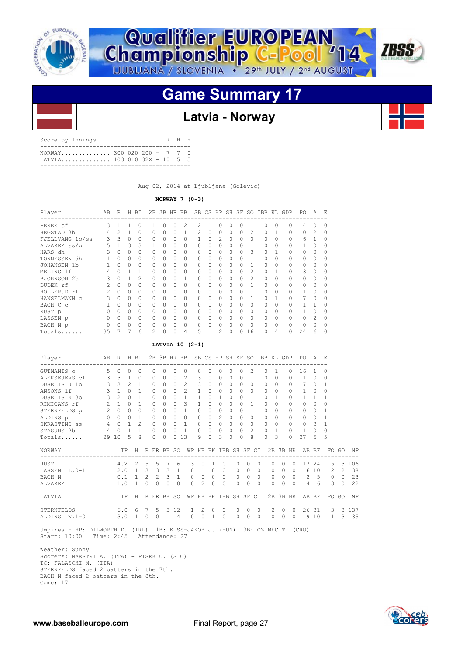![](_page_26_Picture_0.jpeg)

![](_page_26_Picture_1.jpeg)

### **Latvia - Norway**

| NORWAY 300 020 200 - 7 7 0 | Score by Innings |  |  | R H E |  |
|----------------------------|------------------|--|--|-------|--|
|                            |                  |  |  |       |  |

Aug 02, 2014 at Ljubljana (Golevic)

#### **NORWAY 7 (0-3)**

| Player          | AB | R        | H         | BI       | 2B           |          | 3B HR    | BB       |                |          |                |          | SB CS HP SH SF SO |          | IBB KL   |          | GDP      | PO.          | A             | E.     |
|-----------------|----|----------|-----------|----------|--------------|----------|----------|----------|----------------|----------|----------------|----------|-------------------|----------|----------|----------|----------|--------------|---------------|--------|
| PEREZ cf        | 3  |          |           | O        |              | Λ        | O        | 2        | 2              |          | <sup>n</sup>   | 0        |                   |          |          | $\Omega$ | $\Omega$ | -------<br>4 |               |        |
| HEGSTAD 3b      | 4  | 2        | 1.        | $\Omega$ | <sup>n</sup> | $\Omega$ | $\Omega$ | 1        | $\mathfrak{D}$ | O.       | $\Omega$       | 0        | $\Omega$          | 2        | $\Omega$ | 1        | $\Omega$ | $\cap$       | $\mathcal{L}$ | n      |
| FJELLVANG 1b/ss | 3  | 3        | $\bigcap$ | $\Omega$ | 0            | $\cap$   | $\Omega$ | $\Omega$ |                | 0        | 2              | $\Omega$ | $\Omega$          | $\Omega$ | $\cap$   | $\Omega$ | $\Omega$ | 6            |               | $\cup$ |
| ALVAREZ ss/p    | 5  |          | 3         | 3        |              | $\Omega$ | $\Omega$ | $\Omega$ | $\cap$         | $\Omega$ | 0              | $\Omega$ | $\Omega$          |          | 0        | $\Omega$ | 0        |              | 0             |        |
| HARS dh         | 3  | $\cap$   | $\bigcap$ | 0        | $\cap$       | $\cap$   | $\Omega$ | $\Omega$ | $\cap$         | $\Omega$ | $\Omega$       | $\Omega$ | $\bigcap$         | 3        | O.       |          | 0        | 0            | <sup>n</sup>  |        |
| TONNESSEN dh    |    |          | $\bigcap$ | O        | $\cap$       | $\cap$   | $\Omega$ | $\Omega$ | $\cap$         | 0        | $\Omega$       | 0        | $\Omega$          |          |          | 0        | 0        | U            | 0             |        |
| JOHANSEN 1b     |    |          |           | O        | <sup>n</sup> | U        | $\Omega$ | $\Omega$ | <sup>n</sup>   | 0        | $\Omega$       | 0        |                   |          |          | $\Omega$ | 0        | U            |               |        |
| MELING 1f       |    |          |           |          | Ω            | U        | $\Omega$ | $\Omega$ | $\cap$         | $\cap$   | $\Omega$       | 0        |                   | 2        | n.       |          | $\Omega$ | 3            | Ω             |        |
| BJORNSON 2b     |    |          |           |          | 0            | O        | $\Omega$ |          |                | $\Omega$ | $\Omega$       | 0        |                   |          | 0        | $\Omega$ | $\Omega$ | 0            | 0             |        |
| DUDEK rf        |    | $\Omega$ | $\bigcap$ | $\Omega$ | $\Omega$     | O        | $\Omega$ | $\Omega$ |                | $\Omega$ | $\Omega$       | 0        |                   |          | O.       | $\Omega$ | 0        | 0            | 0             |        |
| HOLLERUD rf     |    | $\Omega$ | $\Omega$  | 0        | 0            | O        | $\Omega$ | $\Omega$ |                | 0        | $\Omega$       | 0        |                   |          | O.       | $\Omega$ | 0        |              | 0             |        |
| HANSELMANN C    |    | $\Omega$ | $\bigcap$ | $\Omega$ | $\Omega$     | O        | $\Omega$ | $\Omega$ |                | 0        | $\Omega$       | 0        |                   |          | n.       |          | 0        |              |               |        |
| BACH C c        |    |          |           | $\Omega$ | $\cap$       | $\Omega$ | $\Omega$ | $\Omega$ |                | $\Omega$ | $\Omega$       | O        |                   |          | U        |          | 0        |              |               |        |
| RUST p          |    |          | $\bigcap$ | $\Omega$ | 0            | O        | $\Omega$ | $\Omega$ |                | $\Omega$ | $\Omega$       | 0        | $\Omega$          |          | 0        | $\Omega$ | 0        |              | $\cap$        |        |
| LASSEN p        |    |          | $\bigcap$ | 0        | $\cap$       | Ω        | $\Omega$ | $\Omega$ |                | 0        | O              | 0        | $\bigcap$         | U        | 0        | $\Omega$ | 0        | O            | $\mathcal{P}$ |        |
| BACH N p        |    |          | $\cap$    | O        | U            | Ω        | $\Omega$ | $\Omega$ |                | U        | 0              |          |                   |          | n.       | O        | 0        |              |               |        |
| Totals          | 35 |          |           | 6        | 2            |          |          | 4        | 5              |          | $\mathfrak{D}$ |          |                   | 16       | 0        | 4        | 0        | 2.4          | 6             |        |

#### **LATVIA 10 (2-1)**

| Player<br>-----------------------------------                                                                         |              | AB R H BI                             |                |                |                      |               |          |                        |                       |                      |                      |                      |                      |                                 |                |                      |                            |                      | 2B 3B HR BB SB CS HP SH SF SO IBB KL GDP PO A E      |                |               |       |    |
|-----------------------------------------------------------------------------------------------------------------------|--------------|---------------------------------------|----------------|----------------|----------------------|---------------|----------|------------------------|-----------------------|----------------------|----------------------|----------------------|----------------------|---------------------------------|----------------|----------------------|----------------------------|----------------------|------------------------------------------------------|----------------|---------------|-------|----|
| GUTMANIS C 5 0<br>ALEKSEJEVS cf 3 3 1 0                                                                               |              |                                       | $\Omega$       | $\Omega$       | $\Omega$<br>$\Omega$ | 0<br>$\Omega$ | $\Omega$ | $\Omega$<br>$0\quad 2$ | 0<br>3                | $\Omega$<br>$\Omega$ | $\Omega$<br>$\Omega$ | $\Omega$<br>$\Omega$ | $\Omega$<br>$\Omega$ | $\mathcal{L}$<br>$\overline{1}$ |                | $\Omega$<br>$\Omega$ | $\overline{1}$<br>$\Omega$ | $\Omega$<br>$\Omega$ | 16<br>$1 \quad 0$                                    | $\overline{1}$ | 0<br>$\Omega$ |       |    |
| DUSELIS J 1b                                                                                                          |              | $3 \quad 3$                           | $\mathfrak{D}$ | $\overline{1}$ | $\Omega$             | $\Omega$      | $\cap$   | $2^{1}$                | 3                     | $\Omega$             | $\Omega$             | $\Omega$             |                      | $\Omega$<br>$\Omega$            |                | $\cap$               | $\Omega$                   | <sup>n</sup>         | $7^{\circ}$                                          | $\Omega$       | $\mathbf{1}$  |       |    |
| ANSONS 1f                                                                                                             |              |                                       |                | $\overline{1}$ | $\Omega$             | $\Omega$      | $\cap$   | $2^{1}$                | $\mathbf{1}$          |                      | $0 \quad 0$          | $\Omega$             |                      | $\Omega$<br>$\Omega$            |                | $\Omega$             | $\Omega$                   | $\Omega$             | $1 \quad 0$                                          |                | $\Omega$      |       |    |
| DUSELIS K 3b                                                                                                          | $\mathbf{3}$ | $2 \ 0$                               |                | $\overline{1}$ | $\Omega$             | $\Omega$      |          | $0 \quad 1$            | $\mathbf{1}$          |                      | $0 \quad 1$          |                      | $\Omega$             | $\Omega$<br>$\overline{1}$      |                | $\cap$               | $\overline{1}$             | $\Omega$             |                                                      | $1 \quad 1$    | 1             |       |    |
| RIMICANS rf 2 1 0                                                                                                     |              |                                       |                | $\mathbf{1}$   | $\Omega$             | $\Omega$      | $\cap$   | $\mathcal{E}$          | $\mathbf{1}$          | $\Omega$             | $\circ$              | $\Omega$             | $\Omega$             | $\mathbf{1}$                    |                | $\Omega$             | $\Omega$                   | $\bigcap$            | $\Omega$                                             | $\bigcirc$     | $\Omega$      |       |    |
| STERNFELDS p 2 0 0                                                                                                    |              |                                       |                | $\Omega$       | $\Omega$             | $\Omega$      |          | $0 \quad 1$            | $\Omega$              | $\Omega$             | $\Omega$             | $\Omega$             | $\Omega$             | $\mathbf{1}$                    |                | $\Omega$             | $\Omega$                   | $\bigcap$            | $\Omega$                                             | $\Omega$       | $\mathbf{1}$  |       |    |
| ALDINS p                                                                                                              |              | $0 \quad 0 \quad 0$                   |                | $\overline{1}$ | $\Omega$             |               |          | $0 \quad 0 \quad 0$    | $\Omega$              |                      | $0 \quad 2$          |                      | $\Omega$             | $\Omega$<br>$\Omega$            |                | $\Omega$             | $\Omega$                   | $\bigcap$            |                                                      | $0 \quad 0$    | $\mathbf{1}$  |       |    |
| SKRASTINS ss 4 0 1                                                                                                    |              |                                       |                | $\mathcal{L}$  | $\Omega$             | $\Omega$      |          | $0 \quad 1$            | $\Omega$              |                      | $0 \quad 0$          | $\Omega$             | $\Omega$             | $\Omega$                        |                | $\Omega$             | $\Omega$                   | $\Omega$             | $0 \quad 3$                                          |                | $\mathbf{1}$  |       |    |
| STASUNS 2b 4 0 1 1                                                                                                    |              |                                       |                |                | $\Omega$             | $\Omega$      |          | $0 \quad 1$            | $\Omega$              |                      | $0\quad 0$           |                      | $\Omega$             | $\Omega$<br>$2^{1}$             |                | $0 \quad 1$          |                            | $\Omega$             | $1 \quad 0$                                          |                | $\Omega$      |       |    |
| 29 10<br>Totals                                                                                                       |              |                                       | 5              | - 8            | $\cap$               | $\Omega$      |          | 0.13                   | 9                     | $\cap$               | $\mathcal{L}$        | $\bigcap$            | $\Omega$             | 8                               |                | $\cap$               | $\mathbf{3}$               | $\Omega$             | 27                                                   | $-5$           | 5             |       |    |
| NORWAY                                                                                                                |              |                                       |                |                |                      |               |          |                        |                       |                      |                      |                      |                      |                                 |                |                      |                            |                      | IP H R ER BB SO WP HB BK IBB SH SF CI 2B 3B HR AB BF |                |               | FO GO | NP |
| <b>RUST</b>                                                                                                           |              |                                       |                | 4.2 2 5 5 7    |                      |               |          | 6                      | $\mathcal{E}$         | $0 \quad 1$          |                      | $\Omega$             | $\Omega$             | $\Omega$                        | $\Omega$       |                      | $\Omega$<br>$\Omega$       |                      | $0$ 17 24 5 3 106                                    |                |               |       |    |
| LASSEN L, 0-1 2.0 1 3 3 3 1 0 1 0 0 0 0 0                                                                             |              |                                       |                |                |                      |               |          |                        |                       |                      |                      |                      |                      |                                 |                |                      |                            |                      | 0 0 0 6 10 2 2 38                                    |                |               |       |    |
| BACH N                                                                                                                |              | $0.1 \quad 1 \quad 2 \quad 2 \quad 3$ |                |                |                      |               |          |                        |                       |                      |                      |                      |                      |                                 |                |                      |                            |                      | 1 0 0 0 0 0 0 0 0 0 0 2 5 0 0                        |                |               |       | 23 |
| ALVAREZ                                                                                                               |              |                                       |                | 1.0 1 0 0 0    |                      |               | $\Omega$ |                        | $0 \t 2$              |                      | $\Omega$             | $\bigcirc$           |                      | 0 <sub>0</sub>                  | $\bigcap$      |                      |                            |                      | 0 0 0 4 6 3 0                                        |                |               |       | 22 |
| LATVIA                                                                                                                |              |                                       |                |                |                      |               |          |                        |                       |                      |                      |                      |                      |                                 |                |                      |                            |                      | IP H R ER BB SO WP HB BK IBB SH SF CI 2B 3B HR AB BF |                |               | FO GO | NP |
| STERNFELDS 6.0 6 7 5 3 12                                                                                             |              |                                       |                |                |                      |               |          |                        | $1\quad2\quad0\quad0$ |                      |                      |                      | $\overline{0}$       | $\Omega$                        | $\overline{0}$ |                      |                            |                      | 2 0 0 26 31 3 3 137                                  |                |               |       |    |
| ALDINS W.1-0                                                                                                          |              |                                       |                | 3.0 1 0 0 1 4  |                      |               |          |                        | $0\quad 0$            | $\overline{1}$       |                      | $\bigcirc$           | $\circ$              | $\Omega$                        | $\Omega$       | $\Omega$             | $\Omega$                   | $\bigcirc$           | - 9                                                  |                | 10 1 3 35     |       |    |
| Umpires - HP: DILWORTH D. (IRL) 1B: KISS-JAKOB J. (HUN) 3B: OZIMEC T. (CRO)<br>Start: 10:00 Time: 2:45 Attendance: 27 |              |                                       |                |                |                      |               |          |                        |                       |                      |                      |                      |                      |                                 |                |                      |                            |                      |                                                      |                |               |       |    |

 Weather: Sunny Scorers: MAESTRI A. (ITA) - PISEK U. (SLO) TC: FALASCHI M. (ITA) STERNFELDS faced 2 batters in the 7th. BACH N faced 2 batters in the 8th. Game: 17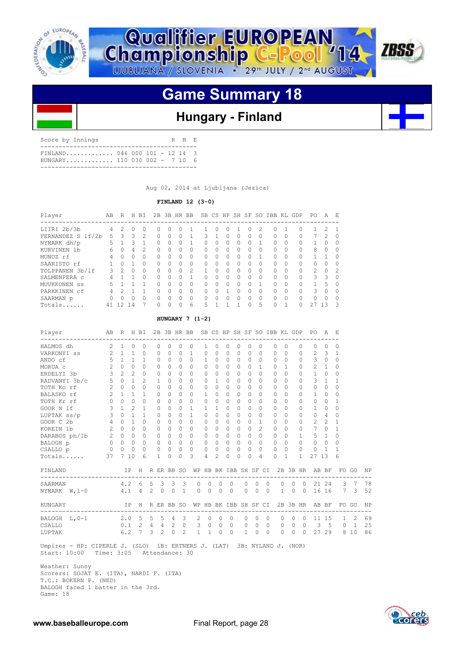![](_page_27_Picture_0.jpeg)

![](_page_27_Picture_1.jpeg)

### **Hungary - Finland**

| Score by Innings              |  |  | R H F. |  |
|-------------------------------|--|--|--------|--|
| FINIAND 046 000 101 - 12 14 3 |  |  |        |  |
|                               |  |  |        |  |

Aug 02, 2014 at Ljubljana (Jezica)

 **FINLAND 12 (3-0)**

| Player            | AB | R             |   | H BT   |        |              | 2B 3B HR BB |               |    |    |          |          |              |           | SB CS HP SH SF SO IBB KL GDP |           |          | PO.           | A             | - F.     |
|-------------------|----|---------------|---|--------|--------|--------------|-------------|---------------|----|----|----------|----------|--------------|-----------|------------------------------|-----------|----------|---------------|---------------|----------|
| LIIRI 2b/3b       | 4  | 2             | 0 |        | 0      | O            |             |               |    | 0  |          |          |              | 2         | 0                            |           |          |               | 2             |          |
| FERNANDEZ S 1f/2b | 5. | 3             | २ | 2      | 0      | $\Omega$     | ∩           |               | 3  |    | $\cap$   | $\Omega$ | 0            | $\cap$    | O.                           | $\Omega$  | O        | 7             | 2             | - 0      |
| NYMARK dh/p       |    |               | 3 |        | O      | $\Omega$     | $\Omega$    |               | U  | 0  | $\Omega$ | $\Omega$ | 0            |           | U                            | $\Omega$  | 0        |               | $\cap$        | - 0      |
| KURVINEN 1b       | 6  | 0             | 4 | 2      | O      | $\bigcap$    | $\Omega$    | 0             | 0  | 0  | $\cap$   | $\Omega$ | 0            | $\cap$    | O.                           | $\Omega$  | 0        | 8             | $\Omega$      | - 0      |
| MUNOZ rf          | 4  | $\Omega$      | ∩ | $\cap$ | 0      | $\cap$       | $\Omega$    | O             | 0  | O. | $\cap$   | $\Omega$ | 0            |           | O.                           | $\Omega$  | O        |               |               | - 0      |
| SAARISTO rf       |    | 0             |   | $\cap$ | O      | $\Omega$     | $\Omega$    | O             | 0  | 0  | $\cap$   | $\Omega$ | 0            | $\cap$    | 0                            | $\Omega$  | O        | $\bigcap$     | $\Omega$      | - 0      |
| TOLPPANEN 3b/lf   | २  | $\mathcal{P}$ | 0 | $\cap$ | 0      | $\bigcap$    | $\bigcap$   | $\mathcal{P}$ |    | O  | $\cap$   | $\Omega$ | 0            | $\cap$    | O.                           | $\Omega$  | $\Omega$ | $\mathcal{P}$ | $\cap$        | - 2      |
| SALMENPERA C      | 4  |               |   | $\cap$ | $\cap$ | U            | $\cap$      |               | 0  | 0  | $\cap$   | U        | 0            | $\bigcap$ | <sup>n</sup>                 | $\bigcap$ | O        | 3             | $\mathcal{E}$ | - 0      |
| MUUKKONEN<br>SS   | 5  |               |   |        | U      | $\cap$       | $\Omega$    | O             | 0  | O. | $\cap$   | $\Omega$ | 0            |           | O.                           | $\Omega$  | O        |               | 5             | - 0      |
| PARKKINEN cf      |    |               |   |        | O      | $\Omega$     | $\Omega$    | O             | 0  | 0  |          | $\cap$   | 0            | $\cap$    | O.                           | $\Omega$  | O        | २             | $\cap$        | $\Omega$ |
| SAARMAN p         |    | 0             | U | $\cap$ | U      | <sup>n</sup> | $\cap$      | $\Omega$      | 0  | O. | $\cap$   | O        | <sup>0</sup> | $\cap$    | O.                           | $\Omega$  | O        | $\Omega$      | $\cap$        | $\Omega$ |
| $Totals$          | 41 |               | 4 |        | Λ      | U            | $\Omega$    | 6             | 5. |    |          |          |              | 5         |                              |           |          |               | २             | -3       |

#### **HUNGARY 7 (1-2)**

| AB R H BI<br>Player<br>-------------------------       |                |                |                |                 |                |                |                 |                | 2B 3B HR BB SB CS HP SH SF SO IBB KL GDP<br>---------------- |                       |           |          |           |           |                |                       |                          |           |                | PO.<br>--------------------- | A F.                    |                |                |           |
|--------------------------------------------------------|----------------|----------------|----------------|-----------------|----------------|----------------|-----------------|----------------|--------------------------------------------------------------|-----------------------|-----------|----------|-----------|-----------|----------------|-----------------------|--------------------------|-----------|----------------|------------------------------|-------------------------|----------------|----------------|-----------|
| HALMOS dh                                              | $2^{1}$        | $\mathbf{1}$   | $\Omega$       | 0               |                | $\Omega$       | 0               | $\Omega$       | $\Omega$                                                     | 1                     | $\Omega$  | 0        | $\Omega$  | 0         | $\Omega$       |                       | $\Omega$                 | $\bigcap$ | 0              | $\Omega$                     | $\Omega$                | $\Omega$       |                |           |
| VARKONYI ss                                            | $\mathcal{L}$  | $\mathbf{1}$   | 1              | 0               |                | $\Omega$       | 0               | O.             | 1.                                                           | 0                     | $\Omega$  | $\Omega$ | $\Omega$  | ∩         | 0              |                       | $\Omega$                 | ∩         | O.             | $\mathcal{L}$                | $\overline{\mathbf{3}}$ | 1              |                |           |
| ANDO cf                                                | 5              | $\overline{1}$ | 1              | 1               |                | 0              | $\Omega$        | $\Omega$       | $\Omega$                                                     | 1                     | $\Omega$  | $\Omega$ | $\Omega$  | $\Omega$  | $\Omega$       |                       | $\Omega$                 | $\bigcap$ | $\Omega$       | 3                            | $\overline{0}$          | $\circ$        |                |           |
| MORUA c                                                | $2^{\circ}$    | $\Omega$       | $\bigcap$      | 0               |                | $\Omega$       | $\Omega$        | $\Omega$       | $\bigcap$                                                    | 0                     | $\bigcap$ | $\Omega$ | $\Omega$  | $\Omega$  | 1              |                       | $\bigcap$                | 1         | $\Omega$       | 2                            | $\overline{1}$          | $\Omega$       |                |           |
| ERDELYI 3b                                             | 3              | $\mathcal{L}$  | $\mathfrak{D}$ | 0               |                | $\Omega$       | $\cap$          | $\bigcap$      | $\bigcap$                                                    | $\Omega$              | $\bigcap$ | $\Omega$ | $\bigcap$ | $\Omega$  | $\Omega$       |                       | $\bigcap$                | $\Omega$  | 0              | $\mathbf{1}$                 | $\Omega$                | $\Omega$       |                |           |
| RADVANYI 3b/c 5                                        |                | $\Omega$       | 1              | 2               |                | 1              | 0               | O.             | $\bigcap$                                                    | $\Omega$              | 1.        | $\Omega$ | $\Omega$  | $\Omega$  | $\bigcap$      |                       | $\bigcap$                | $\bigcap$ | 0              | 3                            | $\overline{1}$          | 1              |                |           |
| TOTH Ko rf                                             | $\overline{2}$ | $\Omega$       | $\Omega$       | 0               |                | $\Omega$       | 0               | O.             | $\bigcap$                                                    | 0                     | $\bigcap$ | $\Omega$ | $\bigcap$ | $\bigcap$ | $\Omega$       |                       | $\bigcap$                | $\Omega$  | 0              | $\Omega$                     | $\Omega$                | $\Omega$       |                |           |
| BALASKO rf                                             | 2              | $\overline{1}$ | 1              | 1               |                | $\Omega$       | 0               | $\Omega$       | $\Omega$                                                     | 1                     | $\Omega$  | $\Omega$ | $\bigcap$ | $\bigcap$ | $\Omega$       |                       | $\Omega$                 | $\bigcap$ | 0              | 1                            | $\Omega$                | $\Omega$       |                |           |
| TOTH Kr rf                                             | $\Omega$       | $\Omega$       | $\Omega$       | 0               |                | $\Omega$       | 0               | $\bigcap$      | $\bigcap$                                                    | 0                     | $\bigcap$ | $\Omega$ | $\bigcap$ | $\bigcap$ | $\Omega$       |                       | $\cap$                   | $\Omega$  | 0              | $\Omega$                     | $\Omega$                | 1              |                |           |
| GOOR N lf                                              | 3              | $\overline{1}$ | $\mathfrak{D}$ | 1               |                | $\Omega$       | 0               | $\Omega$       | 1.                                                           | 1                     | 1.        | $\Omega$ | $\bigcap$ | $\Omega$  | $\Omega$       |                       | $\bigcap$                | $\Omega$  | 0              | $\mathbf{1}$                 | $\bigcap$               | $\Omega$       |                |           |
| LUPTAK ss/p                                            | $\mathbf{3}$   | $\Omega$       | $\mathbf{1}$   | $\mathbf{1}$    |                | $\Omega$       | 0               | O.             | 1                                                            | 0                     | $\bigcap$ | $\Omega$ | $\Omega$  | 0         | 0              |                       | $\cap$                   | $\Omega$  | 0              | $\Omega$                     | $\overline{4}$          | $\Omega$       |                |           |
| GOOR C 2b<br>$\overline{4}$                            |                | $\Omega$       | 1              | 0               |                | $\Omega$       | 0               | $\Omega$       | $\Omega$                                                     | 0                     | $\bigcap$ | $\Omega$ | $\bigcap$ | $\bigcap$ | 1              |                       | $\bigcap$                | $\Omega$  | $\bigcap$      | $\mathcal{L}$                | $\mathcal{L}$           | 1              |                |           |
| KOREIN 1b                                              | $\overline{2}$ | $\Omega$       | $\Omega$       | 0               |                | $\Omega$       | 0               | $\Omega$       | $\Omega$                                                     | 0                     | $\Omega$  | $\Omega$ | $\Omega$  | $\Omega$  | $\mathfrak{D}$ |                       | $\Omega$                 | $\Omega$  | $\Omega$       | 7                            | $\Omega$                | 1              |                |           |
| DARABOS ph/1b                                          | $2^{\circ}$    | $\Omega$       | $\Omega$       | 0               |                | $\Omega$       | 0               | O.             | $\bigcap$                                                    | 0                     | $\bigcap$ | $\Omega$ | $\bigcap$ | $\bigcap$ | $\Omega$       |                       | $\bigcap$                | $\Omega$  | 1.             | 5                            | $\mathbf{1}$            | $\Omega$       |                |           |
| BALOGH p                                               | $0 \quad 0$    |                | $\bigcirc$     | 0               |                | $\Omega$       | $\Omega$        | $\Omega$       | $\bigcap$                                                    | $\Omega$              | $\bigcap$ | $\Omega$ | $\bigcap$ | $\Omega$  | $\Omega$       |                       | $\bigcap$                | $\Omega$  | $\bigcap$      | $\Omega$                     | $\Omega$                | $\Omega$       |                |           |
| $\begin{array}{ccc} & & 0 & 0 \end{array}$<br>CSALLO p |                |                | $\Omega$       | $\Omega$        |                | $\Omega$       | $\Omega$        | $\Omega$       | $\Omega$                                                     | 0                     | $\Omega$  | $\Omega$ | $\Omega$  | $\Omega$  | $\Omega$       |                       | $\Omega$<br>$\Omega$     |           | $\Omega$       | $\Omega$                     | $\mathbf{1}$            | 1              |                |           |
| Totals                                                 | 37             |                | 7 10           | 6               |                | 1              | 0               | $\Omega$       | 3                                                            | 4                     | 2         | 0        | $\Omega$  | $\Omega$  | 4              |                       | $\Omega$<br>$\mathbf{1}$ |           | $\mathbf{1}$   | 27 13                        |                         | 6              |                |           |
| FINLAND                                                |                |                | IP.            |                 |                |                | H R ER BB SO    |                |                                                              |                       |           |          |           |           |                | WP HB BK IBB SH SF CI |                          |           |                | 2B 3B HR AB BF               |                         |                | FO GO          | <b>NP</b> |
| SAARMAN                                                |                |                |                | $4.2\quad 6$    | 5              | 3              | 3               | 3              | $\Omega$                                                     | $\Omega$              | $\Omega$  | $\Omega$ |           | $\Omega$  | $\Omega$       | $\Omega$              | $\Omega$                 | 0         | $\Omega$       | 21                           |                         | 24 3 7         |                | 78        |
| $NYMARK$ $W, 1-0$                                      |                | 4.1            |                | $4\overline{ }$ | $\overline{2}$ | $\circledcirc$ | $\circ$         | $\mathbf{1}$   | $\circ$                                                      | $\circ$               | $\circ$   | $\Omega$ |           | $\circ$   | $\circ$        | $\overline{0}$        | $\mathbf{1}$             | $\circ$   | $\overline{0}$ |                              | 16 16                   | $7^{\circ}$    | 3              | 52        |
| HUNGARY<br>. _ _ _ _ _ _ _ _ _ _ _ _ _ _ _ _ _ _       |                |                |                | -----------     |                |                | IP H R ER BB SO |                |                                                              | WP HB BK IBB SH SF CI |           |          |           |           |                |                       |                          |           |                | 2B 3B HR AB BF               |                         | -------------  | FO GO          | NP        |
| BALOGH L, 0-1 2.0 5                                    |                |                |                |                 | 5              | 5              | $\overline{4}$  | 3              | 2                                                            | $\Omega$              | $\Omega$  | $\Omega$ |           | $\Omega$  | $\Omega$       | $\Omega$              | $\Omega$                 | $\Omega$  | $\Omega$       |                              | 11 15                   | $\overline{1}$ | $\mathfrak{D}$ | 69        |
| CSALLO                                                 |                |                | 0.1            | $2^{\circ}$     | $\overline{4}$ | $\overline{4}$ | 2               | $\Omega$       | 3                                                            | $\circ$               | $\Omega$  | $\Omega$ |           | $\Omega$  | $\Omega$       | $\Omega$              | $\Omega$                 | 0         | $\Omega$       | 3                            | - 5                     | $\Omega$       | $\overline{1}$ | 25        |
| LUPTAK                                                 |                | 6.2            |                | 7               | 3              | $\mathcal{L}$  | $\Omega$        | $\mathfrak{D}$ | $\mathbf{1}$                                                 | 1                     | $\Omega$  | $\Omega$ |           | 1.        | $\Omega$       | $\Omega$              | $\Omega$                 | $\Omega$  | 0              | 27                           | 29                      | 8              | 10             | 86        |

 Umpires - HP: CIPERLE J. (SLO) 1B: ERTNERS J. (LAT) 3B: NYLAND J. (NOR) Start: 10:00 Time: 3:05 Attendance: 30

 Weather: Sunny Scorers: SOJAT E. (ITA), NARDI F. (ITA) T.C.: BOKERN P. (NED) BALOGH faced 1 batter in the 3rd. Game: 18

![](_page_27_Picture_12.jpeg)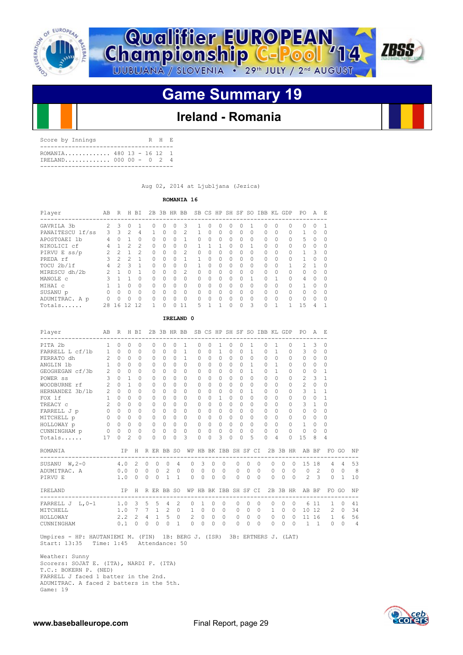![](_page_28_Picture_0.jpeg)

![](_page_28_Picture_1.jpeg)

### **Ireland - Romania**

| Score by Innings                                   |  |  | R H E |  |
|----------------------------------------------------|--|--|-------|--|
| ROMANIA 480 13 - 16 12 1<br>IRELAND 000 00 - 0 2 4 |  |  |       |  |
|                                                    |  |  |       |  |

Aug 02, 2014 at Ljubljana (Jezica)

 **ROMANIA 16**

| Player           | AB            | R      | H             | BI             |        |              | 2B 3B HR BB  |                |           |              | SB CS HP SH SF |              |              |           | SO IBB KL<br>------------------------------- |              | GDP      | PO.           | $\mathcal{A}$ | E.       |
|------------------|---------------|--------|---------------|----------------|--------|--------------|--------------|----------------|-----------|--------------|----------------|--------------|--------------|-----------|----------------------------------------------|--------------|----------|---------------|---------------|----------|
| GAVRILA 3b       | $\mathcal{L}$ | ζ      | 0             |                |        | <sup>n</sup> |              | 3              |           | U            | O.             | O            |              |           | U                                            | O            | U        | U             | <sup>n</sup>  |          |
| PANAITESCU lf/ss | 3             | 3      | $\mathcal{L}$ | 4              |        | $\bigcap$    | 0            | $\mathcal{L}$  |           | $\cap$       | $\Omega$       | $\Omega$     | 0            | $\Omega$  | $\Omega$                                     | <sup>n</sup> | $\Omega$ |               | $\Omega$      | O        |
| APOSTOAEI 1b     | 4             | Λ      |               | $\Omega$       | O.     | $\bigcap$    | O            |                | O.        | $\cap$       | $\bigcap$      | $\Omega$     | O.           | $\bigcap$ | $\bigcap$                                    | <sup>n</sup> | $\Omega$ | 5.            | $\cap$        | ∩        |
| NIKOLICI cf      | 4             |        | 2             | $\mathfrak{D}$ | 0      | $\Omega$     | 0            | $\Omega$       |           |              |                | $\Omega$     |              |           | $\Omega$                                     | 0            | $\Omega$ | 0             | 0             | O        |
| PIRVU E ss/p     | 2             | 2      |               | $\mathfrak{D}$ | $\cap$ | $\bigcap$    | U            | $\mathfrak{D}$ | $\bigcap$ | <sup>n</sup> | $\bigcap$      | $\cap$       | O.           | $\bigcap$ | $\bigcap$                                    | <sup>n</sup> | $\Omega$ | $\mathbf{1}$  | 3             | O        |
| PREDA rf         | 3             | 2      |               |                | 0      | $\Omega$     | Λ            |                |           | $\Omega$     | $\Omega$       | $\Omega$     | 0            | $\Omega$  | $\Omega$                                     | <sup>n</sup> | $\Omega$ |               | $\Omega$      | n        |
| TOCU 2b/1f       | 4             | 2      | 3             |                | $\cap$ | $\bigcap$    | <sup>n</sup> | $\Omega$       |           | $\cap$       | $\bigcap$      | <sup>n</sup> | O.           | $\bigcap$ | $\bigcap$                                    | <sup>n</sup> | 1        | $\mathcal{P}$ |               | O        |
| MIRESCU dh/2b    |               |        | O             |                | 0      | $\bigcap$    | Ω            | $\mathcal{L}$  | $\cap$    | $\Omega$     | $\bigcap$      | $\Omega$     | $\cap$       | $\bigcap$ | $\Omega$                                     | <sup>n</sup> | $\Omega$ | 0             | $\Omega$      |          |
| MANOLE C         | 3             |        |               | <sup>n</sup>   | $\cap$ | $\bigcap$    | <sup>n</sup> | $\cap$         | $\bigcap$ | $\cap$       | $\bigcap$      | $\cap$       | 0            |           | $\bigcap$                                    |              | $\Omega$ | 4             | <sup>n</sup>  | $\Omega$ |
| MIHAI C          |               |        | O             | $\cap$         | $\cap$ | $\bigcap$    | O            | $\Omega$       | O.        | $\cap$       | $\bigcap$      | $\cap$       | $\cap$       | $\bigcap$ | $\bigcap$                                    | $\cap$       | $\cap$   |               | $\Omega$      |          |
| SUSANU p         | <sup>n</sup>  | $\cap$ | O             | $\Omega$       | $\cap$ | $\bigcap$    | <sup>n</sup> | $\Omega$       | $\bigcap$ | $\cap$       | $\bigcap$      | $\cap$       | <sup>n</sup> | $\bigcap$ | $\Omega$                                     | <sup>n</sup> | $\cap$   | 0             | $\cap$        | $\Omega$ |
| ADUMITRAC. A p   |               |        | $\cap$        | $\cap$         | 0      | $\cap$       | $\cap$       | $\Omega$       | 0         | $\cap$       | $\bigcap$      | $\cap$       | $\cap$       | $\bigcap$ | $\bigcap$                                    | $\cap$       | $\cap$   | U             | $\cap$        | $\Omega$ |
| Totals           | 28            | -6     |               | 12             |        |              |              |                | 5         |              |                | Λ            |              | 3         | <sup>n</sup>                                 |              |          | 15            | 4             |          |

#### **IRELAND 0**

| Player               | AB             | R H BI        |              |                |                 |              |                |              | 2B 3B HR BB SB CS HP SH SF SO IBB KL GDP |                       |              |              |           |              |          |           |              |                |              |              | PO.            | $\overline{A}$  | - E            |                |           |
|----------------------|----------------|---------------|--------------|----------------|-----------------|--------------|----------------|--------------|------------------------------------------|-----------------------|--------------|--------------|-----------|--------------|----------|-----------|--------------|----------------|--------------|--------------|----------------|-----------------|----------------|----------------|-----------|
| PITA 2b              | $\mathbf{1}$   | $\Omega$      | $\Omega$     | $\Omega$       |                 | $\Omega$     | $\Omega$       | $\Omega$     | $\mathbf{1}$                             | $\Omega$              | $\Omega$     | $\mathbf{1}$ | $\Omega$  | $\cap$       |          | 1         | $\bigcap$    | $\mathbf{1}$   |              | $\Omega$     | $\mathbf{1}$   | 3               | 0              |                |           |
| FARRELL L cf/1b      | 1              | $\Omega$      | $\Omega$     | $\Omega$       |                 | $\Omega$     | $\Omega$       | $\Omega$     | 1                                        | 0                     | $\Omega$     | 1            | $\Omega$  | $\Omega$     |          | 1         | $\Omega$     | $\mathbf{1}$   |              | 0            | 3              | $\Omega$        | $\Omega$       |                |           |
| FERRATO dh           | $\overline{2}$ | $\Omega$      | $\cap$       | $\bigcap$      |                 | 0            | $\cap$         | $\bigcap$    | 1                                        | 0                     | $\bigcap$    | $\Omega$     | $\Omega$  | $\bigcap$    |          | $\Omega$  | $\bigcap$    | $\bigcap$      |              | 0            | $\Omega$       | $\Omega$        | 0              |                |           |
| ANGLIN 1b            | $\mathbf{1}$   | $\Omega$      | $\cap$       | $\cap$         |                 | <sup>n</sup> | $\cap$         | $\cap$       | $\Omega$                                 | $\cap$                | $\cap$       | $\cap$       | $\bigcap$ | $\Omega$     |          | 1         | $\cap$       | $\mathbf{1}$   |              | <sup>n</sup> | $\Omega$       | $\cap$          | 0              |                |           |
| GEOGHEGAN cf/3b      | $2\quad 0$     |               | $\Omega$     | $\Omega$       |                 | 0            | $\cap$         | <sup>n</sup> | <sup>n</sup>                             | 0                     | $\bigcap$    | $\Omega$     | $\Omega$  | $\Omega$     |          | 1         | $\bigcap$    | $\mathbf{1}$   |              | $\cap$       | $\Omega$       | $\Omega$        | 1              |                |           |
| POWER SS             | $\overline{3}$ | $\bigcap$     | $\mathbf{1}$ | $\cap$         |                 | $\bigcap$    | $\cap$         | <sup>n</sup> | $\bigcap$                                | $\cap$                | $\cap$       | $\Omega$     | $\bigcap$ | $\bigcap$    |          | $\cap$    | $\bigcap$    | $\cap$         |              | $\bigcap$    | 2              | 3               | 1              |                |           |
| WOODBURNE rf         | 2              | $\Omega$      | 1            | $\Omega$       |                 | $\Omega$     | $\Omega$       | $\cap$       | $\Omega$                                 | 0                     | $\Omega$     | $\Omega$     | $\Omega$  | $\Omega$     |          | $\Omega$  | $\Omega$     | $\cap$         |              | $\Omega$     | $\overline{c}$ | $\overline{0}$  | 0              |                |           |
| HERNANDEZ 3b/1b      | 2              | $\Omega$      | $\cap$       | $\bigcap$      |                 | $\Omega$     | $\cap$         | <sup>n</sup> | $\cap$                                   | 0                     | $\Omega$     | $\Omega$     | $\Omega$  | $\Omega$     |          | 1         | <sup>n</sup> | $\cap$         |              | 0            | 3              | -1              | 1              |                |           |
| FOX 1f               | $\mathbf{1}$   | $\Omega$      | $\cap$       | $\Omega$       |                 | $\Omega$     | $\Omega$       | $\cap$       | $\bigcap$                                | 0                     | $\bigcap$    | $\mathbf{1}$ | $\Omega$  | $\Omega$     |          | $\Omega$  | $\bigcap$    | $\cap$         |              | $\cap$       | $\Omega$       | $\Omega$        | 1              |                |           |
| TREACY C             | $\overline{2}$ | $\Omega$      | $\Omega$     | $\bigcap$      |                 | $\Omega$     | $\cap$         | <sup>n</sup> | $\bigcap$                                | $\Omega$              | $\Omega$     | $\Omega$     | $\bigcap$ | $\Omega$     |          | $\Omega$  | $\cap$       | $\cap$         |              | $\Omega$     | 3              | 1               | $\Omega$       |                |           |
| FARRELL J p          |                | $0 \quad 0$   | $\Omega$     | $\Omega$       |                 | $\Omega$     | $\Omega$       | <sup>n</sup> | $\bigcap$                                | 0                     | $\Omega$     | $\Omega$     | $\cap$    | $\bigcap$    |          | $\Omega$  | $\bigcap$    | $\cap$         |              | 0            | $\Omega$       | $\Omega$        | $\Omega$       |                |           |
| MITCHELL p           | $\Omega$       | $\Omega$      | $\Omega$     | $\bigcap$      |                 | $\Omega$     | $\cap$         | <sup>n</sup> | $\bigcap$                                | $\Omega$              | <sup>n</sup> | $\Omega$     | $\cap$    | $\Omega$     |          | O.        | $\cap$       | $\cap$         |              | 0            | $\Omega$       | $\Omega$        | $\cap$         |                |           |
| HOLLOWAY p           |                | $0 \quad 0$   | $\Omega$     | $\Omega$       |                 | $\Omega$     | $\Omega$       | $\Omega$     | $\Omega$                                 | 0                     | $\Omega$     | $\Omega$     | $\cap$    | $\Omega$     |          | $\Omega$  | $\cap$       | $\bigcap$      |              | <sup>n</sup> | $\mathbf{1}$   | $\Omega$        | 0              |                |           |
| CUNNINGHAM p         |                | $0\quad 0$    | $\Omega$     | $\Omega$       |                 | $\circ$      | $\Omega$       | $\Omega$     | $\Omega$                                 | $\Omega$              | $\Omega$     | $\Omega$     | $\Omega$  | $\Omega$     |          | $\Omega$  | $\Omega$     | $\Omega$       |              | $\bigcap$    | $\Omega$       | $\Omega$        | $\Omega$       |                |           |
| Totals               | 17             | $\Omega$      | 2            | $\Omega$       |                 | $\Omega$     | $\Omega$       | $\Omega$     | 3                                        | $\Omega$              | $\Omega$     | 3            | $\Omega$  | $\Omega$     |          | 5         | $\Omega$     | $\overline{4}$ |              | $\Omega$     | 15             | 8               | 4              |                |           |
| ROMANIA              |                |               | TP           | H              |                 |              | R ER BB SO     |              |                                          | WP HB BK IBB SH SF CI |              |              |           |              |          |           |              |                |              | 2B 3B HR     | AB             | BF              |                | FO GO          | <b>NP</b> |
| SUSANU W, 2-0        |                |               |              | 4.0 2          | $\Omega$        | $\Omega$     | $\Omega$       | 4            | $\Omega$                                 | 3                     | $\Omega$     |              | $\Omega$  | $\Omega$     | $\Omega$ | $\bigcap$ |              | $\Omega$       | $\Omega$     | $\bigcap$    |                | 15 18           | $\overline{4}$ | $\overline{a}$ | 53        |
| ADUMITRAC. A         |                | $0.0 \quad 0$ |              |                | $\mathbf{0}$    | $\Omega$     | 2              | $\Omega$     | $\circ$                                  | $\circ$               | $\Omega$     | $\Omega$     |           | $\mathbf{0}$ | $\Omega$ | $\Omega$  |              | $\mathbf{0}$   | $\circ$      | $\bigcirc$   | $\circ$        | 2               | $\circ$        | $\Omega$       | 8         |
| PIRVU E              |                | 1.0           |              | $\Omega$       | $\Omega$        | $\Omega$     | $\mathbf{1}$   | $\mathbf{1}$ | $\Omega$                                 | $\Omega$              | $\Omega$     |              | $\Omega$  | $\Omega$     | $\Omega$ | $\Omega$  |              | $\Omega$       | $\Omega$     | $\bigcirc$   | $\mathfrak{D}$ | 3               | $\Omega$       | 1              | 10        |
| IRELAND              |                |               | IP           | H              |                 |              | R ER BB SO     |              | WP HB BK IBB SH SF CI                    |                       |              |              |           |              |          |           |              |                |              |              | 2B 3B HR AB BF |                 |                | FO GO          | NP        |
| FARRELL $J$ L, $0-1$ |                | 1.0 3         |              |                | 5               | 5            | 4              | 2            | $\mathbf{0}$                             | $\mathbf{1}$          | $\circ$      |              | $\circ$   | 0            | $\Omega$ | $\Omega$  |              | 0              | $\mathbf{0}$ | $\Omega$     | 6              | 11              | 1              | $\circ$        | 41        |
| MITCHELL             |                | 1.0           |              | $7\phantom{0}$ | $7\overline{ }$ | 1            | 2              | $\Omega$     | 1                                        | $\circ$               | $\Omega$     |              | $\Omega$  | $\mathbf{0}$ | $\Omega$ | $\Omega$  |              | $\mathbf{1}$   | $\Omega$     | $\Omega$     | 10             | 12 <sup>°</sup> | 2              | $\Omega$       | 34        |
| HOLLOWAY             |                | 2.2           |              | $\mathcal{L}$  | 4               | $\mathbf{1}$ | $\overline{5}$ | $\Omega$     | 2                                        | $\Omega$              | $\Omega$     |              | $\Omega$  | $\mathbf{0}$ | $\Omega$ | $\Omega$  |              | $\mathbf{0}$   | $\Omega$     | $\Omega$     | 11             | 16              | $\mathbf{1}$   | 6              | 56        |
| CUNNINGHAM           |                | 0.1           |              | $\circ$        | $\circ$         | $\mathbf{0}$ | $\circ$        | 1            | $\Omega$                                 | $\Omega$              | $\Omega$     |              | $\Omega$  | $\Omega$     | $\Omega$ | $\Omega$  |              | $\Omega$       | $\Omega$     | $\Omega$     | 1              | $\overline{1}$  | $\circ$        | $\Omega$       | 4         |

 Umpires - HP: HAUTANIEMI M. (FIN) 1B: BERG J. (ISR) 3B: ERTNERS J. (LAT) Start: 13:35 Time: 1:45 Attendance: 50

 Weather: Sunny Scorers: SOJAT E. (ITA), NARDI F. (ITA) T.C.: BOKERN P. (NED) FARRELL J faced 1 batter in the 2nd. ADUMITRAC. A faced 2 batters in the 5th. Game: 19

![](_page_28_Picture_12.jpeg)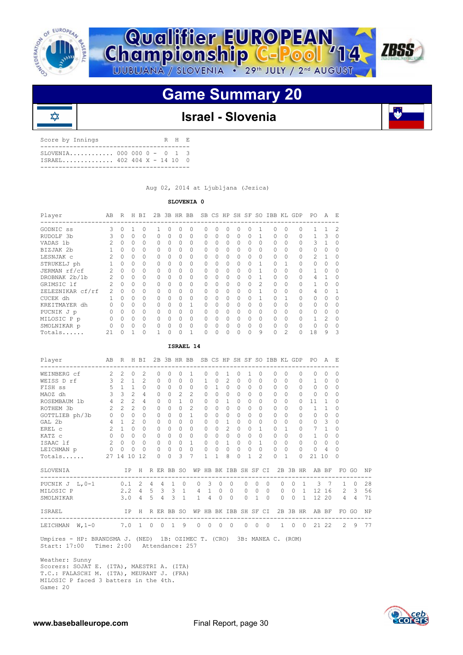![](_page_29_Picture_0.jpeg)

![](_page_29_Picture_1.jpeg)

![](_page_29_Picture_3.jpeg)

### **Israel - Slovenia**

| Score by Innings             |  |  | R H E |  |
|------------------------------|--|--|-------|--|
| $SLOVENIA$ 000 000 0 - 0 1 3 |  |  |       |  |
|                              |  |  |       |  |

Aug 02, 2014 at Ljubljana (Jezica)

 **SLOVENIA 0**

| Player           | AB | R        | H        | BI       | 2B       |          | 3B HR BB     |           | SB.      |          |          |          |              |                |           |              | CS HP SH SF SO IBB KL GDP | P0            | Α            | - E       |
|------------------|----|----------|----------|----------|----------|----------|--------------|-----------|----------|----------|----------|----------|--------------|----------------|-----------|--------------|---------------------------|---------------|--------------|-----------|
| GODNIC SS        | 3  | O        |          |          |          | U        |              | 0         |          | O        | Ω        |          | ∩            |                | $\Omega$  | O            | 0                         |               |              | 2         |
| RUDOLF 3b        | 3  | 0        | 0        | $\Omega$ | 0        | 0        | $\Omega$     | $\Omega$  | 0        | $\Omega$ | 0        | 0        | 0            |                | $\Omega$  | $\Omega$     |                           |               | 3            | $\Omega$  |
| VADAS 1b         |    | 0        | $\Omega$ | $\Omega$ | O        | 0        | $\Omega$     | $\Omega$  | 0        | 0        | 0        | 0        | $\Omega$     | $\Omega$       | $\Omega$  | O            |                           | 3             |              | $\Omega$  |
| BIZJAK 2b        |    | 0        | $\Omega$ | $\Omega$ | $\Omega$ | 0        | $\Omega$     | $\Omega$  | 0        | 0        | 0        | 0        | $\Omega$     | $\Omega$       | $\Omega$  | O            |                           | 0             | 0            | $\Omega$  |
| LESNJAK C        |    | 0        | 0        | $\Omega$ | 0        | 0        | $\Omega$     | $\Omega$  | 0        | 0        | 0        | 0        | $\Omega$     | $\Omega$       | $\Omega$  | $\Omega$     |                           | $\mathcal{P}$ |              | $\Omega$  |
| STRUKELJ ph      |    | 0        | $\Omega$ | $\Omega$ | $\Omega$ | 0        | $\Omega$     | $\Omega$  | 0        | 0        | 0        | 0        | <sup>0</sup> |                | $\Omega$  |              | $\Omega$                  | 0             | 0            | $\Omega$  |
| JERMAN rf/cf     | 2  | $\Omega$ | $\Omega$ |          | $\Omega$ | 0        | $\Omega$     | $\bigcap$ | 0        | O        | $\Omega$ | 0        | <sup>0</sup> |                | $\Omega$  | <sup>0</sup> |                           |               | <sup>0</sup> | $\Omega$  |
| DROBNAK 2b/1b    | 2  | $\Omega$ | $\Omega$ | $\Omega$ | $\Omega$ | 0        | <sup>0</sup> | $\bigcap$ | 0        | 0        | $\Omega$ | $\Omega$ | $\bigcap$    |                | $\Omega$  | $\bigcap$    | 0                         | 4             |              | $\Omega$  |
| GRIMSIC 1f       | 2  | $\Omega$ | $\Omega$ | $\Omega$ | $\Omega$ | $\Omega$ | <sup>0</sup> | $\bigcap$ | $\Omega$ | $\cap$   | $\Omega$ | $\cap$   | $\Omega$     | $\mathfrak{D}$ | $\Omega$  | ∩            | O                         |               | U            | $\cap$    |
| ZELEZNIKAR cf/rf | 2  | 0        | $\Omega$ | $\Omega$ | $\Omega$ | $\Omega$ | O            | $\bigcap$ | 0        | $\cap$   | 0        | 0        | $\Omega$     |                | $\Omega$  | O            |                           | 4             | U            |           |
| CUCEK dh         |    | O        | O        | $\Omega$ | O        | 0        | O            | $\Omega$  | U        | 0        | 0        | 0        | 0            |                | $\cap$    |              | O                         | 0             | 0            | $\bigcap$ |
| KREITMAYER dh    |    | 0        | 0        |          | O        | 0        |              |           |          | U        | U        | 0        | 0            | $\Omega$       | $\bigcap$ |              |                           | 0             |              | $\bigcap$ |
| PUCNIK J p       |    | U        | 0        | $\Omega$ | O        | Ω        | O            | $\Omega$  | U        | U        | U        | 0        | $\Omega$     | $\Omega$       | $\Omega$  | ∩            |                           | 0             | U            | $\Omega$  |
| MILOSIC P p      |    | 0        | $\Omega$ |          | U        | O        | $\Omega$     | $\Omega$  | 0        | 0        | 0        | 0        | $\Omega$     | $\Omega$       | $\Omega$  | O            |                           |               | 2            | $\bigcap$ |
| SMOLNIKAR p      |    | 0        | 0        |          |          | Ω        | O            | $\Omega$  |          | Ω        | U        | 0        | 0            | $\Omega$       |           | O            |                           | $\Omega$      |              | $\Omega$  |
| Totals           | 21 | 0        |          | $\Omega$ |          | $\Omega$ | $\Omega$     |           | 0        | $\Omega$ | 0        | O        | 0            | 9              | $\Omega$  | 2            | 0                         | 18            | 9            | -3        |

#### **ISRAEL 14**

| Player AB R H BI 2B 3B HR BB SB CS HP SH SF SO IBB KL GDP PO A E                                                  |                     |                     |             |          |          |                                        |                   |              |                                     |                                     |          |              |                                     |                            |          |            |              |             |              |  |
|-------------------------------------------------------------------------------------------------------------------|---------------------|---------------------|-------------|----------|----------|----------------------------------------|-------------------|--------------|-------------------------------------|-------------------------------------|----------|--------------|-------------------------------------|----------------------------|----------|------------|--------------|-------------|--------------|--|
| WEINBERG cf 2 2 0 2                                                                                               |                     |                     |             | $\Omega$ | $\Omega$ | $\Omega$                               | $\overline{1}$    | $\Omega$     | $\Omega$                            | $\overline{1}$                      | $\Omega$ | $\mathbf{1}$ | $\Omega$                            | $\Omega$                   | $\Omega$ | $\Omega$   | $\Omega$     | $\Omega$    | $\Omega$     |  |
| WEISS D rf 3 2 1 2 0                                                                                              |                     |                     |             |          | $\Omega$ | $0 \quad 0$                            |                   |              |                                     | $1 \quad 0 \quad 2$                 | $\Omega$ |              | $\begin{matrix} 0 & 0 \end{matrix}$ | $0 \quad 0$                |          | $\Omega$   | $1 \quad 0$  |             | $\Omega$     |  |
| 5 1 1 0 0<br>FISH SS                                                                                              |                     |                     |             |          |          | $0 \quad 0 \quad 0$                    |                   | $\Omega$     |                                     | $1 \quad 0$                         |          |              | $0 \quad 0 \quad 0$                 | 0 <sub>0</sub>             |          | $\cap$     | $0 \quad 0$  |             | $\Omega$     |  |
| MAOZ dh                                                                                                           |                     | $3 \t3 \t2 \t4 \t0$ |             |          |          | $0 \quad 2 \quad 2$                    |                   | $\Omega$     |                                     | $0\quad 0$                          |          |              | $0 \quad 0 \quad 0$                 | $\bigcirc$<br>$\Omega$     |          | $\Omega$   | $0\quad 0$   |             | $\circ$      |  |
|                                                                                                                   |                     |                     |             | $\Omega$ |          | $0 \quad 1 \quad 0$                    |                   | $\Omega$     | $\cap$                              | $\mathbf{1}$                        | $\Omega$ | $\Omega$     | $\Omega$                            | $\bigcap$                  | $\Omega$ | $\Omega$   | $11 \quad 1$ |             | $\Omega$     |  |
|                                                                                                                   |                     |                     |             | $\Omega$ | $\Omega$ | $\begin{array}{ccc} 0 & 2 \end{array}$ |                   | $\Omega$     |                                     | $\begin{matrix} 0 & 0 \end{matrix}$ | $\Omega$ |              | $\begin{matrix} 0 & 0 \end{matrix}$ | $\bigcirc$<br>$\Omega$     |          | $\Omega$   |              | $1 \quad 1$ | $\Omega$     |  |
|                                                                                                                   |                     |                     |             | $\Omega$ |          | $0 \quad 0 \quad 1$                    |                   | $\Omega$     | $\begin{matrix} 0 & 0 \end{matrix}$ |                                     | $\cap$   |              | $0 \quad 0$                         | 0 <sub>0</sub>             |          | $\Omega$   |              | $0\quad 0$  | $\Omega$     |  |
| GAL 2b $\begin{array}{ccc} 4 & 1 & 2 \\ \text{EREL c} & 2 & 1 & 0 \end{array}$                                    |                     |                     | $0\qquad 0$ |          | $\Omega$ | $\begin{matrix} 0 & 0 \end{matrix}$    |                   | $\circ$      |                                     | $0 \quad 1$                         |          |              | $0 \quad 0 \quad 0$                 | $\bigcirc$<br>$\Omega$     |          | $\Omega$   | $0 \quad 3$  |             | $\Omega$     |  |
|                                                                                                                   |                     |                     | $\Omega$    | $\Omega$ | $\Omega$ | $0 \quad 0$                            |                   | $\Omega$     | $\bigcirc$                          |                                     |          |              | 2001                                | $\overline{1}$<br>$\Omega$ |          | $\Omega$   | $7\quad1$    |             | $\Omega$     |  |
| KATZ C                                                                                                            | $0 \quad 0 \quad 0$ | $\overline{0}$      |             | $\Omega$ |          | $0 \quad 0 \quad 0$                    |                   | $\Omega$     |                                     | $0\quad 0$                          |          |              | $0 \quad 0 \quad 0$                 | $\bigcap$<br>$\cap$        |          | $\Omega$   | $1 \quad 0$  |             | $\Omega$     |  |
| ISAAC 1f 2 0 0 0 0 0 0 1                                                                                          |                     |                     |             |          |          |                                        |                   |              |                                     |                                     |          |              | 0 0 1 0 0 1 0 0                     |                            |          | $\Omega$   |              | $0\quad 0$  | $\Omega$     |  |
| LEICHMAN p 0 0 0 0 0                                                                                              |                     |                     |             |          |          |                                        | $0\quad 0\quad 0$ |              |                                     | $0\quad 0\quad 0$                   |          |              | $0\quad 0\quad 0\quad 0\quad 0$     |                            |          | $\bigcirc$ | $0\quad 4$   |             | $\Omega$     |  |
| Totals 27 14 10 12                                                                                                |                     |                     |             | $\Omega$ |          | $0 \quad 3$                            | $7\phantom{.0}$   | $\mathbf{1}$ | $\mathbf{1}$                        | 8                                   | $\Omega$ | 1            | $2^{1}$                             | $\Omega$<br>$\overline{1}$ |          | $\Omega$   | $21 \t10$    |             | $\bigcirc$   |  |
| SLOVENIA IP H R ER BB SO WP HB BK IBB SH SF CI 2B 3B HR AB BF FO GO NP<br>---------------------------------       |                     |                     |             |          |          |                                        |                   |              |                                     |                                     |          |              |                                     |                            |          |            |              |             |              |  |
| PUCNIK J L, 0-1 0.1 2 4 4 1 0 0 3 0 0 0 0 0 0 0 1 3 7 1 0 28                                                      |                     |                     |             |          |          |                                        |                   |              |                                     |                                     |          |              |                                     |                            |          |            |              |             |              |  |
| MILOSIC P 2.2 4 5 3 3 1 4 1 0 0 0 0 0 0 0 1 12 16 2 3 56                                                          |                     |                     |             |          |          |                                        |                   |              |                                     |                                     |          |              |                                     |                            |          |            |              |             |              |  |
| SMOLNIKAR 3.0 4 5 4 3 1 1 4 0 0 0 1 0 0 0 1                                                                       |                     |                     |             |          |          |                                        |                   |              |                                     |                                     |          |              |                                     |                            |          |            |              |             | 12 20 4 4 71 |  |
| ISRAEL IP H R ER BB SO WP HB BK IBB SH SF CI 2B 3B HR AB BF FOGO NP                                               |                     |                     |             |          |          |                                        |                   |              |                                     |                                     |          |              |                                     |                            |          |            |              |             |              |  |
| LEICHMAN W.1-0 7.0 1 0 0 1 9 0 0 0 0 0 0 0 1 0 0 21 22 2 9 77                                                     |                     |                     |             |          |          |                                        |                   |              |                                     |                                     |          |              |                                     |                            |          |            |              |             |              |  |
| Umpires - HP: BRANDSMA J. (NED) 1B: OZIMEC T. (CRO) 3B: MANEA C. (ROM)<br>Start: 17:00 Time: 2:00 Attendance: 257 |                     |                     |             |          |          |                                        |                   |              |                                     |                                     |          |              |                                     |                            |          |            |              |             |              |  |
| Weather: Sunny                                                                                                    |                     |                     |             |          |          |                                        |                   |              |                                     |                                     |          |              |                                     |                            |          |            |              |             |              |  |

 Scorers: SOJAT E. (ITA), MAESTRI A. (ITA) T.C.: FALASCHI M. (ITA), MEURANT J. (FRA) MILOSIC P faced 3 batters in the 4th. Game: 20

![](_page_29_Picture_13.jpeg)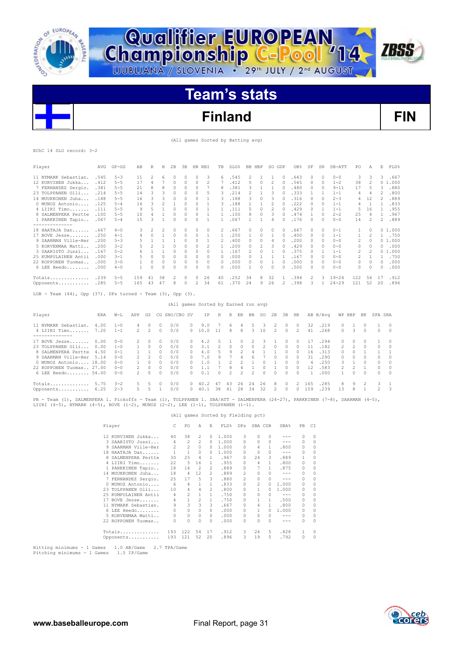![](_page_30_Picture_0.jpeg)

![](_page_30_Picture_1.jpeg)

### **Finland FIN**

**ZBSS** 

(All games Sorted by Batting avg)

|  | EChC 14 SLO record: 3-2 |  |
|--|-------------------------|--|
|  |                         |  |

| Player                                                                                                                       | AVG  | $GP - GS$                             | AВ           | R                       | Η                       | 2B                                   | 3B                  | HR RBI              |                                    | TB             | SLG%           |                    | BB HBP              |                         | SO GDP                       |                                | OB%                | SF                    | SH                      | SB-ATT                         | PO                  | Α                 |                | E FLD%         |
|------------------------------------------------------------------------------------------------------------------------------|------|---------------------------------------|--------------|-------------------------|-------------------------|--------------------------------------|---------------------|---------------------|------------------------------------|----------------|----------------|--------------------|---------------------|-------------------------|------------------------------|--------------------------------|--------------------|-----------------------|-------------------------|--------------------------------|---------------------|-------------------|----------------|----------------|
| 11 NYMARK Sebastian. .545<br>12 KURVINEN Jukka . 412                                                                         |      | $5 - 3$<br>$5 - 5$                    | 11<br>17     | 2<br>4                  | 6<br>7                  | $\Omega$<br>$\circ$                  | $\Omega$<br>$\circ$ | $\Omega$<br>$\circ$ | 3<br>2                             | 6<br>7         | .545<br>.412   |                    | $\overline{2}$<br>5 | 1<br>$\Omega$           | $\mathbf{1}$<br>2            | $\Omega$<br>$\circ$            | .643<br>.545       | $\Omega$<br>$\bigcap$ | $\Omega$<br>$\circ$     | $0 - 0$<br>$1 - 2$             | 3<br>38             | 3<br>2            | 3              | .667<br>01.000 |
| 7 FERNANDEZ Sergio. . 381                                                                                                    |      | $5 - 5$                               | 21           | 8                       | 8                       | $\circ$                              | $\Omega$            | $\Omega$            | 7                                  | 8              | .381           |                    | 3                   | 1                       | 1                            | $\Omega$                       | .480               | $\Omega$              | $\Omega$                | $9 - 11$                       | 17                  | 5                 | 3              | .880           |
| 23 TOLPPANEN Olli .214                                                                                                       |      | $5 - 5$                               | 14           | 3                       | 3                       | 0                                    | $\Omega$            | $\Omega$            | 5                                  | 3              | .214           |                    | 2                   | 1                       | 3                            | $\Omega$                       | .333               | $\mathbf{1}$          | $\mathbf{1}$            | $1 - 1$                        | 4                   | 4                 | 2              | .800           |
| 14 MUUKKONEN Juha . 188                                                                                                      |      | $5 - 5$                               | 16           | 3                       | 3                       | 0                                    | 0                   | $\Omega$            | 1                                  | 3              | .188           |                    | 3                   | $\Omega$                | 3                            | $\circ$                        | .316               | 0                     | $\Omega$                | $2 - 3$                        | 4                   | 12                | 2              | .889           |
| 0 MUNOZ Antonio . 125                                                                                                        |      | $5 - 4$                               | 16           | 3                       | $\mathcal{P}$           | $\mathbf{1}$                         | $\bigcap$           | $\cap$              | $\mathbf{1}$                       | $\mathcal{R}$  | .188           |                    | 1                   | 1.                      | $\mathcal{P}$                | $\Omega$                       | .222               | $\cap$                | $\Omega$                | $1 - 1$                        | $\overline{4}$      | $\overline{1}$    | $\mathbf{1}$   | .833           |
| 4 LIIRI Timo . 111                                                                                                           |      | $5 - 5$                               | - 9          | 5.                      | $\mathbf{1}$            | $\Omega$                             | $\mathcal{O}$       | $\Omega$            | 1                                  | $\mathbf{1}$   | .111           |                    | 5                   | $\Omega$                | 2                            | $\circ$                        | .429               | $\bigcap$             | $\mathbf{1}$            | $1 - 1$                        | 5                   | 16                | $\mathbf{1}$   | .955           |
| 8 SALMENPERA Pertte .100                                                                                                     |      | $5 - 5$                               | 10           | 4                       | $\mathbf{1}$            | $\circ$                              | $\circ$             | $\circ$             | $\mathbf{1}$                       | $\mathbf{1}$   | .100           |                    | 8                   | $\circ$                 | 3                            | $\circ$                        | .474               | $\mathbf{1}$          | $\Omega$                | $2 - 2$                        | 25                  | 4                 |                | 1 .967         |
| 1 PARKKINEN Tapio . 067<br>--------------                                                                                    |      | $5 - 4$                               | 15           | 3                       | 1                       | 0                                    | 0                   | 0                   | 1                                  | -1.            | .067           |                    | 1                   | $\mathbf{1}$            | 4                            | $\Omega$                       | .176               | 0                     | 0                       | $0 - 0$                        | 14                  | 2                 | 2              | .889           |
| 18 HAATAJA Dan . 667                                                                                                         |      | $4 - 0$                               | 3            | 2                       | 2                       | $\circ$                              | $\cap$              | $\circ$             | $\Omega$                           | 2              | .667           |                    | $\Omega$            | $\Omega$                | $\Omega$                     | $\Omega$                       | .667               | $\Omega$              | $\Omega$                | $0 - 1$                        | 1                   | $\circ$           |                | 01.000         |
| 17 BOVE Jesse .250                                                                                                           |      | $4 - 1$                               | 4            | $\Omega$                | $\mathbf{1}$            | $\circ$                              | $\Omega$            | $\Omega$            | 1                                  | $\mathbf{1}$   | .250           |                    | $\mathbf{1}$        | 0                       | $\mathbf{1}$                 | 0                              | .400               | $\circ$               | $\circ$                 | $1 - 1$                        | $\mathbf{1}$        | 2                 |                | 1 .750         |
| 9 SAARMAN Ville-Her .200                                                                                                     |      | $5 - 3$                               | 5            | $\mathbf{1}$            | $\mathbf{1}$            | $\mathbf{1}$                         | $\mathcal{O}$       | $\Omega$            | $\mathbf{1}$                       | 2              | .400           |                    | $\Omega$            | $\Omega$                | 4                            | $\circ$                        | .200               | $\bigcap$             | $\Omega$                | $0 - 0$                        | 2                   | $\Omega$          |                | 01.000         |
| 5 KORVENMAA Matti . 200                                                                                                      |      | $3 - 2$                               | 5            | 2                       | 1                       | $\circ$                              | 0                   | 0                   | 2                                  | $\mathbf{1}$   | .200           |                    | 0                   | 2                       | 3                            | $\circ$                        | .429               | $\circ$               | 0                       | $0 - 0$                        | $\Omega$            | $\circ$           |                | 0.000          |
| 3 SAARISTO Jussi . 167<br>25 KUMPULAINEN Antii .000                                                                          |      | $5 - 2$<br>$3 - 1$                    | 6<br>5       | $\mathbf{1}$<br>$\circ$ | $\mathbf{1}$<br>$\circ$ | $\circ$<br>$\circ$                   | $\circ$<br>$\circ$  | 0<br>$\circ$        | 0<br>$\circ$                       | 1<br>$\circ$   | .167<br>.000   |                    | 2<br>$\Omega$       | $\circ$<br>$\mathbf{1}$ | $\mathbf{1}$<br>$\mathbf{1}$ | $\circ$<br>$\mathbf{1}$        | .375<br>.167       | $\Box$<br>$\Omega$    | $\mathbf{1}$<br>$\circ$ | $1 - 1$<br>$0 - 0$             | 2<br>$\overline{2}$ | 2<br>$\mathbf{1}$ | $\mathbf{1}$   | 01.000<br>.750 |
| 22 ROPPONEN Tuomas 000                                                                                                       |      | $3 - 0$                               | -1           | $\Omega$                | $\cap$                  | $\circ$                              | $\circ$             | 0                   | $\cap$                             | $\Omega$       | .000           |                    | $\Omega$            | $\Omega$                | -1                           | $\Omega$                       | .000               | $\Box$                | $\circ$                 | $0 - 0$                        | $\Omega$            | $\circ$           | $\Omega$       | .000           |
| 6 LEE Heedo .000                                                                                                             |      | $4 - 0$                               | -1           | $\Omega$                | $\Box$                  | 0                                    | 0                   | 0                   | $\Omega$                           | $\Omega$       | .000           |                    | 1                   | 0                       | $\Omega$                     | $\Omega$                       | .500               | 0                     | $\Omega$                | $0 - 0$                        | $\circ$             | $\circ$           | $\Omega$       | .000           |
|                                                                                                                              |      |                                       |              |                         |                         |                                      | $\circ$             |                     |                                    |                |                |                    |                     |                         |                              |                                |                    |                       |                         |                                |                     |                   |                |                |
| Totals .239<br>Opponents .285                                                                                                |      | $5 - 5$<br>$5 - 5$                    | 159<br>165   | 41<br>43                | 38<br>47                | 2<br>8                               | $\circ$             | $\circ$<br>2        | 26<br>34                           | 40<br>61       | .252<br>.370   |                    | 34<br>24            | 8<br>9                  | 32<br>26                     | $\mathbf{1}$<br>$\overline{2}$ | .394<br>.398       | 2<br>3                | 3                       | $19 - 24$<br>$1 \quad 24 - 29$ | 122<br>121          | 54 17<br>52 20    |                | .912<br>.896   |
| LOB - Team $(44)$ , Opp $(37)$ . DPs turned - Team $(3)$ , Opp $(3)$ .                                                       |      |                                       |              |                         |                         |                                      |                     |                     |                                    |                |                |                    |                     |                         |                              |                                |                    |                       |                         |                                |                     |                   |                |                |
|                                                                                                                              |      |                                       |              |                         |                         | (All games Sorted by Earned run avg) |                     |                     |                                    |                |                |                    |                     |                         |                              |                                |                    |                       |                         |                                |                     |                   |                |                |
|                                                                                                                              |      |                                       |              |                         |                         |                                      |                     |                     |                                    |                |                |                    |                     |                         |                              |                                |                    |                       |                         |                                |                     |                   |                |                |
| Player                                                                                                                       | ERA  | $W-L$                                 | APP          | GS                      |                         | CG SHO/CBO SV                        |                     |                     | ΙP                                 | H              |                |                    | R ER BB SO          |                         | 2B                           | 3B                             | HR                 |                       | AB B/Avg                | WP HBP                         |                     | BK                | SFA SHA        |                |
| 11 NYMARK Sebastian.                                                                                                         | 4.00 | $1 - 0$                               | 4            | 0                       | 0                       | 0/0                                  | 0                   |                     | 9.0                                | 7              | 6              | 4                  | 5                   | 3                       | 2                            | 0                              | 0                  | 32                    | .219                    | 0                              | 1                   | 0                 | 1              | $\circ$        |
| 4 LIIRI Timo                                                                                                                 | 7.20 | $1 - 1$                               | 2            | 2                       | $\circ$                 | 0/0                                  | 0                   |                     | 10.0                               | 11             | 8              | 8                  | 3                   | 10                      | 2                            | $\circ$                        | 2                  | 41                    | .268                    | 0                              | 3                   | 0                 | $\circ$        | $\circ$        |
| --------------<br>17 BOVE Jesse 0.00                                                                                         |      | $0 - 0$                               | 2            | 0                       | 0                       | 0/0                                  | 0                   |                     | 4.2                                | 5              | $\mathbf{1}$   | 0                  | 2                   | 3                       | 1                            | 0                              | 0                  | 17                    | .294                    | 0                              | $\circ$             | 0                 | $\mathbf{1}$   | 0              |
| 23 TOLPPANEN Olli 0.00                                                                                                       |      | $1 - 0$                               | $\mathbf{1}$ | $\circ$                 | $\circ$                 | 0/0                                  | 0                   |                     | 3.1                                | 2              | $\circ$        | $\Omega$           | $\circ$             | 2                       | 0                            | $\Omega$                       | 0                  | 11                    | .182                    | 2                              | 2                   | $\Omega$          | $\circ$        | $\circ$        |
| 8 SALMENPERA Pertte 4.50                                                                                                     |      | $0 - 1$                               | 1            | 1                       | 0                       | 0/0                                  | 0                   |                     | 4.0                                | 5              | 9              | 2                  | 4                   | 1                       | $\mathbf{1}$                 | 0                              | 0                  | 16                    | .313                    | 0                              | $^{\circ}$          | 1                 | 1              | 1              |
| 9 SAARMAN Ville-Her 5.14                                                                                                     |      | $0 - 0$                               | 2            | 2                       | $\circ$                 | 0/0                                  | 0                   |                     | 7.0                                | 9              | 7              | 4                  | 6                   | 7                       | $\circ$                      | $\Omega$                       | 0                  | 31                    | .290                    | $\Omega$                       | $\circ$             | $\circ$           | $\circ$        | $\circ$        |
| 0 MUNOZ Antonio 18.00                                                                                                        |      | $0 - 0$                               | $\mathbf{1}$ | $\circ$                 | $\Omega$                | 0/0                                  | $\Omega$            |                     | 1.0                                | $\mathbf{1}$   | $\overline{c}$ | $\mathcal{D}$      | $\mathbf{1}$        | $\Omega$                | $\mathbf{1}$                 | $\Omega$                       | $\Omega$           | $\overline{4}$        | .250                    | 3                              | $\mathbf{1}$        | $\Omega$          | $\circ$        | $\circ$        |
| 22 ROPPONEN Tuomas 27.00                                                                                                     |      | $0 - 0$                               | 2            | $\circ$                 | $\cap$                  | 0/0                                  | 0                   |                     | 1.1                                | 7              | 8              | 4                  | $\mathbf{1}$        | $\circ$                 | $\mathbf{1}$                 | $\Omega$                       | $\Omega$           | 12                    | .583                    | 2                              | 2                   | $\mathbf{1}$      | 0              | $\circ$        |
| 6 LEE Heedo 54.00                                                                                                            |      | $0 - 0$                               | 2            | $\circ$                 | 0                       | 0/0                                  | 0                   |                     | 0.1                                | 0              | 2              | 2                  | 2                   | 0                       | 0                            | 0                              | 0                  | $\overline{1}$        | .000                    | $\mathbf{1}$                   | $\circ$             | 0                 | 0              | $\Omega$       |
| Totals $5.75$                                                                                                                |      | $3 - 2$                               | 5            | 5                       | $\Omega$                | 0/0                                  | 0                   |                     | 40.2 47                            |                | 43             |                    | 26 24               | 26                      | 8                            | $\circ$                        | 2                  | 165                   | .285                    | 8                              | 9                   | 2                 | 3              | $\mathbf{1}$   |
| Opponents 6.25                                                                                                               |      | $2 - 3$                               | 5            | 5                       | 1                       | 0/0                                  |                     |                     | 0 40.1                             | 38             | 41             | 28                 | 34                  | 32                      | $\overline{c}$               | $\circ$                        | 0                  | 159                   | .239                    | 13                             | 8                   | $\mathbf{1}$      | $\mathfrak{D}$ | 3              |
| PB - Team (1), SALMENPERA 1. Pickoffs - Team (1), TOLPPANEN 1. SBA/ATT - SALMENPERA (24-27), PARKKINEN (7-8), SAARMAN (4-5), |      |                                       |              |                         |                         |                                      |                     |                     |                                    |                |                |                    |                     |                         |                              |                                |                    |                       |                         |                                |                     |                   |                |                |
| LIIRI $(4-5)$ , NYMARK $(4-5)$ , BOVE $(1-2)$ , MUNOZ $(2-2)$ , LEE $(1-1)$ , TOLPPANEN $(1-1)$ .                            |      |                                       |              |                         |                         |                                      |                     |                     |                                    |                |                |                    |                     |                         |                              |                                |                    |                       |                         |                                |                     |                   |                |                |
|                                                                                                                              |      |                                       |              |                         |                         |                                      |                     |                     | (All games Sorted by Fielding pct) |                |                |                    |                     |                         |                              |                                |                    |                       |                         |                                |                     |                   |                |                |
|                                                                                                                              |      | Player                                |              |                         |                         | С                                    | PO                  | Α                   | Е                                  |                |                |                    | FLD% DPs SBA CSB    |                         |                              | SBA <sup>*</sup>               | PB.                | CI                    |                         |                                |                     |                   |                |                |
|                                                                                                                              |      | 12 KURVINEN Jukka                     |              |                         |                         | 40                                   | 38                  | 2                   | $\Omega$                           | 1.000          |                | 3                  |                     | $\circ$                 | $\circ$                      |                                | 0                  | $\circ$               |                         |                                |                     |                   |                |                |
|                                                                                                                              |      | 3 SAARISTO Jussi                      |              |                         |                         | $\overline{4}$<br>2                  | 2<br>2              | 2<br>$\circ$        | $\circ$<br>$\cap$                  | 1.000<br>1.000 |                | $\circ$<br>$\circ$ |                     | $\circ$<br>4            | $\circ$<br>1                 | $---$<br>.800                  | $\circ$<br>$\circ$ | $\circ$<br>$\Omega$   |                         |                                |                     |                   |                |                |
|                                                                                                                              |      | 9 SAARMAN Ville-Her<br>18 HAATAJA Dan |              |                         |                         | 1                                    | 1                   | 0                   | $\Omega$                           | 1.000          |                | 0                  |                     | $\circ$                 | $\circ$                      | $- - -$                        | $\Omega$           | $\Omega$              |                         |                                |                     |                   |                |                |
|                                                                                                                              |      | 8 SALMENPERA Pertte                   |              |                         |                         | 30                                   | 25                  | 4                   | $\mathbf{1}$                       |                | .967           | $\circ$            |                     | 24                      | 3                            | .889                           | 1                  | $\Omega$              |                         |                                |                     |                   |                |                |
|                                                                                                                              |      | 4 LIIRI Timo                          |              |                         |                         | 22                                   | -5                  | 16                  | $\mathbf{1}$                       |                | .955           | $\circ$            |                     | 4                       | 1                            | .800                           | $\circ$            | $\Omega$              |                         |                                |                     |                   |                |                |
|                                                                                                                              |      | 1 PARKKINEN Tapio                     |              |                         |                         | 18                                   | 14                  | 2                   | 2                                  |                | .889           | $\circ$            |                     | 7                       | $\overline{1}$               | .875                           | $\circ$            | $\Omega$              |                         |                                |                     |                   |                |                |
|                                                                                                                              |      | 14 MUUKKONEN Juha                     |              |                         |                         | 18                                   | $\overline{4}$      | 12                  | 2                                  |                | .889           | 2                  |                     | $\Omega$                | $\cap$                       | $- - -$                        | $\Omega$           | $\Omega$              |                         |                                |                     |                   |                |                |
|                                                                                                                              |      | 7 FERNANDEZ Sergio.                   |              |                         |                         | 25                                   | 17                  | 5                   | 3                                  |                | .880           | 2                  |                     | 0                       | $\Omega$                     | $ -$                           | 0                  | $\Omega$              |                         |                                |                     |                   |                |                |
|                                                                                                                              |      | 0 MUNOZ Antonio                       |              |                         |                         | 6                                    | $\overline{4}$      | 1                   | $\mathbf{1}$                       |                | .833           | 0                  |                     | 2                       | $\bigcap$                    | 1.000                          | 0                  | $\cap$                |                         |                                |                     |                   |                |                |
|                                                                                                                              |      | 23 TOLPPANEN Olli                     |              |                         |                         | 10                                   | $\overline{4}$      | $\overline{4}$      | 2                                  |                | .800           | $\circ$            |                     | 1                       | $\circ$                      | 1.000                          | $\circ$            | 0                     |                         |                                |                     |                   |                |                |
|                                                                                                                              |      | 25 KUMPULAINEN Antii                  |              |                         |                         | $\overline{4}$                       | $\overline{2}$      | <sup>1</sup>        | 1                                  |                | .750           | $\circ$            |                     | $\Omega$                | $\Omega$                     | $- - -$                        | $\circ$            | $\Omega$<br>$\Omega$  |                         |                                |                     |                   |                |                |
|                                                                                                                              |      | 17 BOVE Jesse<br>11 NYMARK Sebastian. |              |                         |                         | 4<br>9                               | 1<br>3              | 2<br>3              | $\mathbf{1}$<br>3                  |                | .750<br>.667   | $\circ$<br>$\circ$ |                     | 1<br>4                  | 1<br>1                       | .500<br>.800                   | 0<br>$\circ$       | $\circ$               |                         |                                |                     |                   |                |                |
|                                                                                                                              |      | 6 LEE Heedo                           |              |                         |                         | $\circ$                              | $\circ$             | $\circ$             | $\Omega$                           |                | .000           | 0                  |                     | 1                       | 0                            | 1.000                          | 0                  | $\Omega$              |                         |                                |                     |                   |                |                |
|                                                                                                                              |      | 5 KORVENMAA Matti                     |              |                         |                         | $\Omega$                             | $\circ$             | $\bigcap$           | $\circ$                            |                | .000           | $\Omega$           |                     | 0                       | $\cap$                       | $- - -$                        | 0                  | $\Omega$              |                         |                                |                     |                   |                |                |

Totals.............. 193 122 54 17 .912 3 24 5 .828 1 0 Opponents........... 193 121 52 20 .896 3 19 5 .792 0 0

22 ROMPENARY 0111... 10 4 4 2 .000 0 1 0 1.000 0 0<br>17 BOVE Jesse ...... 4 1 2 1 .750 0 0 0 --- 0 0 0<br>11 NYMARK Sebastian. 9 3 3 3 .667 0 4 1 .800 0 0<br>6 LEE Heedo....... 0 0 0 0 .000 0 1 0 1.000 0 0<br>5 KORVENNAR Mattii. 0 0

![](_page_30_Picture_7.jpeg)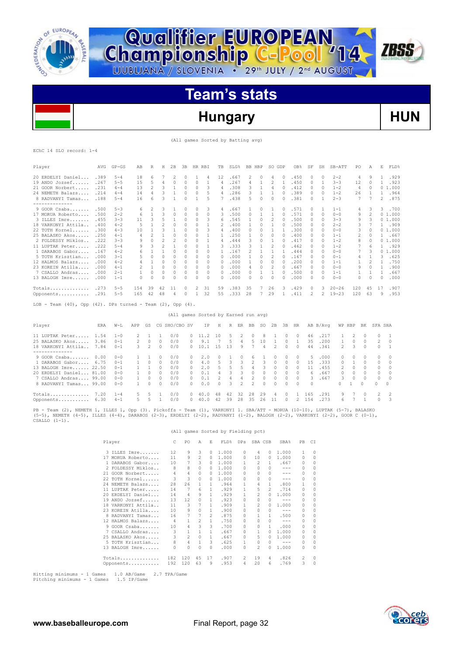![](_page_31_Picture_0.jpeg)

# **Team's stats**

**Championship C-Pool** 14

### **Hungary HUN**

**ZBSS** 

(All games Sorted by Batting avg)

#### EChC 14 SLO record: 1-4

| Player             | AVG  | $GP - GS$ | AB            | R              | Н                        | 2B       | 3B       | <b>HR</b> | RBI      | TB           | SLG%  | BB.                      | HBP      | SO.                      | GDP      | OB <sub>8</sub> | SF       | SH       | SB-ATT    | PO  | Α        | Ε                        | FLD%   |
|--------------------|------|-----------|---------------|----------------|--------------------------|----------|----------|-----------|----------|--------------|-------|--------------------------|----------|--------------------------|----------|-----------------|----------|----------|-----------|-----|----------|--------------------------|--------|
| 20 ERDELYI Daniel  | .389 | $5 - 4$   | 18            | 6              |                          | 2        | 0        |           | 4        | 12           | . 667 | 2                        | $\Omega$ | 4                        | $\Omega$ | .450            | $\Omega$ | $\Omega$ | $2 - 2$   | 4   | 9        |                          | .929   |
| 19 ANDO Jozsef     | .267 | $5 - 5$   | 15            | 5              | 4                        | 0        | 0        | 0         |          | 4            | 267   | 4                        |          | 2                        |          | .450            | $\Omega$ |          | $3 - 3$   | 12  | $\Omega$ |                          | .923   |
| 21 GOOR Norbert.   | .231 | $4 - 4$   | 13            | 2              | 3                        |          | $\Omega$ | $\Omega$  | 3        | 4            | 308   | 3                        |          | 4                        |          | .412            | $\Omega$ | $\Omega$ | $1 - 2$   | 4   | 0        | 0                        | 1,000  |
| 24 NEMETH Balazs   | .214 | $4 - 4$   | 14            | 4              | 3                        |          | $\Omega$ | 0         | 5        | 4            | .286  | 3                        |          |                          |          | .389            | $\Omega$ | $\Omega$ | $1 - 2$   | 26  |          |                          | .964   |
| 8 RADVANYI Tamas   | .188 | $5 - 4$   | 16            | 6              | ٩                        |          | $\Omega$ |           | 5        |              | .438  | 5                        | n        | 0                        |          | .381            | $\Omega$ |          | $2 - 3$   | 7   |          | $\overline{\mathcal{L}}$ | .875   |
|                    |      |           |               |                |                          |          |          |           |          |              |       |                          |          |                          |          |                 |          |          |           |     |          |                          |        |
| $9$ GOOR Csaba     | .500 | $5 - 3$   | 6             | 2              | 3                        |          | 0        | 0         | 3        | 4            | 667   |                          |          |                          |          | .571            |          |          | $1 - 1$   | 4   | 3        | 3                        | .700   |
| 17 MORUA Roberto   | .500 | $2 - 2$   | 6             |                | 3                        | 0        | 0        | 0         | 0        | 3            | .500  | 0                        |          |                          |          | .571            | 0        | $\Omega$ | $0 - 0$   | 9   | 2        |                          | 01.000 |
| 3 ILLES Imre       | .455 | $3 - 3$   | 11            |                | 5                        |          | 0        | 0         | 3        | 6            | .545  |                          |          | 2                        |          | .500            |          | $\Omega$ | $3 - 3$   | 9   | 3        |                          | 01.000 |
| 18 VARKONYI Attila | .400 | $4 - 2$   | 5             |                |                          | $\Omega$ | 0        | 0         |          |              | .400  |                          | 0        |                          |          | .500            | 0        | 0        | $2 - 2$   | 3   |          |                          | .909   |
| 22 TOTH Kornel     | .300 | $4 - 3$   | 10            |                | 3                        |          | 0        | 0         | 3        | 4            | .400  | 0                        | n        |                          |          | .300            | O.       | 0        | $0 - 0$   | 3   | 0        |                          | 01.000 |
| 25 BALASKO Akos    | .250 | $4 - 1$   | 4             | $\mathfrak{D}$ |                          | $\Omega$ | 0        | 0         |          |              | .250  |                          |          | O                        |          | .400            |          | $\Omega$ | $1 - 1$   | 2   | 0        |                          | .667   |
| 2 FOLDESSY Miklos  | .222 | $3 - 3$   | 9             | $\Omega$       | 2                        | 2        | 0        | 0         |          | 4            | .444  | 3                        | 0        |                          | $\cap$   | .417            | $\Omega$ | $\Omega$ | $1 - 2$   | 8   | 0        | 0                        | 1,000  |
| 11 LUPTAK Peter.   | .222 | $5 - 4$   | 9             | 3              | $\overline{\mathcal{L}}$ |          | 0        | 0         |          | 3            | .333  | 3                        |          | 2                        |          | .462            |          | 0        | $1 - 2$   | 7   | 6        |                          | .929   |
| 1 DARABOS Gabor    | .167 | $4 - 2$   | 6             |                |                          | $\Omega$ | 0        | 0         | $\Omega$ |              | .167  | $\overline{\mathcal{L}}$ |          |                          |          | .444            | $\Omega$ | $\Omega$ | $0 - 0$   |     | 3        |                          | 01.000 |
| 5 TOTH Krisztian   | .000 | $3 - 1$   | 5             | $\Omega$       | 0                        | $\Omega$ | 0        | 0         | $\Omega$ | $\Omega$     | . 000 |                          |          | 2                        |          | . 167           | 0        | $\Omega$ | $0 - 1$   | 4   |          | २                        | .625   |
| 12 HALMOS Balazs   | .000 | $4 - 2$   |               |                | 0                        | 0        | 0        | 0         | $\Omega$ | $\Omega$     | .000  |                          | 0        | 0                        |          | .200            | 0        | 0        | $1 - 1$   |     | 2        |                          | .750   |
| 23 KOREIN Atilla   | .000 | $4 - 1$   | $\mathcal{L}$ |                | 0                        | 0        | 0        | 0         | 0        | $\Omega$     | .000  | 4                        | 0        | $\overline{\phantom{a}}$ |          | .667            | 0        | 0        | $0 - 0$   | 9   | 0        |                          | .900   |
| 7 CSALLO Andras    | .000 | $2 - 1$   |               | 0              | 0                        | 0        | 0        | 0         | 0        | $\Omega$     | .000  | 0                        |          |                          |          | .500            | 0        | $\Omega$ | $1 - 1$   |     |          |                          | .667   |
| 13 BALOGH Imre     | .000 | $1 - 1$   | 0             | C              | Λ                        | $\Omega$ | U        | n         | 0        | <sup>0</sup> | .000  | 0                        |          | n                        |          | .000            | n        | $\Omega$ | $0 - 0$   | 0   | Λ        | n                        | .000   |
| Totals             | .273 | $5 - 5$   | 154           | 39             | 42                       | 11       | 0        | 2         | 31       | 59           | .383  | 35                       |          | 26                       | 3        | .429            |          | 3        | $20 - 26$ | 120 | 45       | 17                       | .907   |
| Opponents          | .291 | $5 - 5$   | 165           | 42             | 48                       | 4        | O.       |           | 32       | 55           | .333  | 28                       |          | 29                       |          | .411            |          |          | $19 - 23$ | 120 | 63       | 9                        | .953   |

 $LOB$  - Team  $(40)$ , Opp  $(42)$ . DPs turned - Team  $(2)$ , Opp  $(4)$ .

#### (All games Sorted by Earned run avg)

| Player                  | ERA  | $W-L$    | APP           | GS            |              | CG SHO/CBO SV |        | IP   | Н      | R  | ER            | BB            | SO.      | 2B       | 3B       | HR       |        | AB B/Avq |               | WP HBP | BK       | SFA SHA       |                |
|-------------------------|------|----------|---------------|---------------|--------------|---------------|--------|------|--------|----|---------------|---------------|----------|----------|----------|----------|--------|----------|---------------|--------|----------|---------------|----------------|
| 11 LUPTAK Peter 1.54    |      | $1 - 0$  | $\mathcal{P}$ |               |              | 0/0           | $\cap$ |      | 10     | 5. | 2             | $\Omega$      | 8        |          | $\Omega$ | $\Omega$ | 46     | .217     |               |        | $\cap$   |               | $\sim$ 1       |
| 25 BALASKO Akos         | 3.86 | $() - 1$ | $\mathcal{P}$ | $\Omega$      | O.           | 0/0           |        | 9.1  |        | Б. | 4             | -5            | 10       |          |          |          | 35     | .200     |               | $\cap$ | $\Omega$ |               | 2 0            |
| 18 VARKONYI Attila      | 7.84 | $() - 1$ | 3.            | $\mathcal{D}$ | $\Omega$     | 0/0           | $\cap$ | 10.1 | 15     | 13 | 9             |               | 4        | 2        | $\cap$   | $\Omega$ | 44     | .341     | $\mathcal{L}$ | 3.     | $\cap$   |               | $0 \quad 1$    |
| ------------            |      |          |               |               |              |               |        |      |        |    |               |               |          |          |          |          |        |          |               |        |          |               |                |
| $9$ GOOR Csaba          | 0.00 | $0 - 0$  |               |               |              | 0/0           |        | 2.0  | n.     |    | O.            | 6             |          | n.       | $\Omega$ | $\Omega$ | 5.     | . 000    | $\Omega$      | $\cap$ |          | $\mathcal{L}$ | $\bigcirc$     |
| 1 DARABOS Gabor         | 6.75 | $0 - 1$  |               | $\Box$        | $\Omega$     | 0/0           |        | 4.0  |        |    | २             |               | ₹        | $\Omega$ | $\cap$   | O.       | 15     | .333     | $\cap$        |        | $\cap$   | $\cap$        | $\overline{0}$ |
| 13 BALOGH Imre 22.50    |      | $0 - 1$  |               |               | $\cap$       | 0/0           | ∩.     | 2.0  | -5.    | Б. |               |               | ₹        | $\Omega$ | $\cap$   | O.       | 11     | .455     | $\mathcal{P}$ | $\cap$ | $\Box$   | $\mathcal{L}$ | $\overline{0}$ |
| 20 ERDELYI Daniel 81.00 |      | $0 - 0$  |               | O.            | $\cup$       | 0/0           |        | 0.1  |        |    | 3             |               | 0.       | $\Omega$ | $\Omega$ | 0        | 6.     | .667     | $\cap$        | O.     | $\Box$   | $\cap$        | $\bigcirc$     |
| 7 CSALLO Andras 99.00   |      | $0 - 0$  |               | $\cap$        | $\Omega$     | 0/0           | 0      | 0.1  |        | 4  | 4             | $\mathcal{P}$ | 0        | $\cap$   | $\Omega$ | $\cap$   | 3      | .667     | 3.            | $\cap$ | $\Omega$ |               | $0 \quad 0$    |
| 8 RADVANYI Tamas 99.00  |      | $0 - 0$  |               | $\cap$        | <sup>0</sup> | 0/0           | 0      | 0.0  | $\cap$ | २  | $\mathcal{P}$ | $\mathcal{P}$ | $\Omega$ | $\cap$   | $\cap$   | $\cap$   | $\cap$ |          |               |        | $\cap$   |               | $\cap$         |
| Totals                  | 7.20 | $1 - 4$  |               |               |              | 0/0           |        | 40.0 | 48     | 42 | 32            | 28            | 29       | 4        |          |          | 165    | .291     | 9             |        | $\cap$   |               | $2 \t 2$       |
| Opponents               | 6.30 | $4 - 1$  | 5.            |               |              | 0/0           |        | 40.0 | 42     | 39 | 28            | 35            | 26       |          |          |          | 154    | .273     | 6.            |        |          |               | - 3            |

PB - Team (2), NEMETH 1, ILLES 1, Opp (3). Pickoffs - Team (1), VARKONYI 1. SBA/ATT - MORUA (10-10), LUPTAK (5-7), BALASKO<br>(5-5), NEMETH (4-5), ILLES (4-4), DARABOS (2-3), ERDELYI (2-2), RADVANYI (1-2), BALOGH (2-2), VARKO

#### (All games Sorted by Fielding pct)

| Player                | C   | PO.          | A            | E.            | FLD <sup>§</sup> | DPs. | SBA CSB        |          | SBA <sup>*</sup>                                                                                                          | PB.      | C.T      |
|-----------------------|-----|--------------|--------------|---------------|------------------|------|----------------|----------|---------------------------------------------------------------------------------------------------------------------------|----------|----------|
| 3 ILLES Imre          | 12  | 9            | 3            | $\Omega$      | 1,000            | 0    | 4              | $\Omega$ | 1.000                                                                                                                     | 1        | $\Omega$ |
| 17 MORUA Roberto      | 11  | 9            | 2            | $\Omega$      | 1,000            | 0    | 10             | 0        | 1,000                                                                                                                     | $\Omega$ | 0        |
| 1 DARABOS Gabor       | 10  | 7            | 3            | $\Omega$      | 1,000            |      | 2              | 1        | .667                                                                                                                      | 0        | 0        |
| 2 FOLDESSY Miklos     | 8   | 8            | 0            | 0             | 1.000            | 0    | $\Omega$       | 0        | $\qquad \qquad -$                                                                                                         | $\Omega$ | 0        |
| 21 GOOR Norbert       | 4   | 4            | $\Omega$     | 0             | 1,000            | 0    | $\Omega$       | 0        | $- - -$                                                                                                                   | 0        | 0        |
| 22 TOTH Kornel        | 3   | 3            | $\Omega$     | $\Omega$      | 1.000            | 0    | $\Omega$       | 0        | $- - -$                                                                                                                   | 0        | 0        |
| 24 NEMETH Balazs      | 2.8 | 26           | 1            | 1.            | .964             |      | 4              | 1        | .800                                                                                                                      | 1        | 0        |
| 11 LUPTAK Peter       | 14  | 7            | 6            | 1.            | .929             |      | 5              | 2        | .714                                                                                                                      | $\Omega$ | 0        |
| ERDELYI Daniel<br>20  | 14  | 4            | 9            | 1.            | .929             |      | 2              | 0        | 1,000                                                                                                                     | $\Omega$ | 0        |
| 19 ANDO Jozsef        | 13  | 12           | 0            | 1.            | .923             | 0    | $\Omega$       | 0        | ---                                                                                                                       | 0        | 0        |
| VARKONYI Attila<br>18 | 11  | 3            | 7            | 1.            | .909             |      | $\mathfrak{D}$ | $\Omega$ | 1,000                                                                                                                     | 0        | 0        |
| 23 KOREIN Atilla      | 10  | 9            | <sup>0</sup> | 1             | .900             | 0    | $\Omega$       | 0        | $-- -$                                                                                                                    | 0        | 0        |
| RADVANYI Tamas<br>8   | 16  | 7            |              | $\mathcal{L}$ | .875             | 0    | 1              | 1        | .500                                                                                                                      | 0        | 0        |
| 12 HALMOS Balazs      | 4   | $\mathbf{1}$ | 2            | 1             | .750             | 0    | $\Omega$       | 0        | $\frac{1}{2} \left( \frac{1}{2} \right) \left( \frac{1}{2} \right) \left( \frac{1}{2} \right) \left( \frac{1}{2} \right)$ | $\Omega$ | $\Omega$ |
| $GOOR$ $Csaba$<br>9   | 10  | 4            | 3            | 3             | .700             | 0    | $\Omega$       | 1        | .000                                                                                                                      | 0        | 0        |
| 7 CSALLO Andras       | 3   | $\mathbf{1}$ | 1            | 1.            | .667             | 0    | 1              | 0        | 1.000                                                                                                                     | $\Omega$ | $\Omega$ |
| 25 BALASKO Akos       | 3   | 2            | $\Omega$     | 1             | .667             | 0    | 5              | 0        | 1,000                                                                                                                     | $\Omega$ | 0        |
| 5 TOTH Krisztian      | 8   | 4            |              | 3             | .625             |      | 0              | 0        | $- - -$                                                                                                                   | 0        | 0        |
| 13 BALOGH Imre        | 0   | $\Omega$     | 0            | $\Omega$      | .000             | 0    | $\mathfrak{D}$ | 0        | 1.000                                                                                                                     | 0        | $\Omega$ |
| $Totals$              | 182 | 120          | 4.5          | 17            | .907             | 2    | 19             | 4        | .826                                                                                                                      | 2        | $\Omega$ |
| Opponents             | 192 | 120          | 63           | 9             | .953             | 4    | 20             | 6        | .769                                                                                                                      | 3        | $\Omega$ |
|                       |     |              |              |               |                  |      |                |          |                                                                                                                           |          |          |

![](_page_31_Picture_14.jpeg)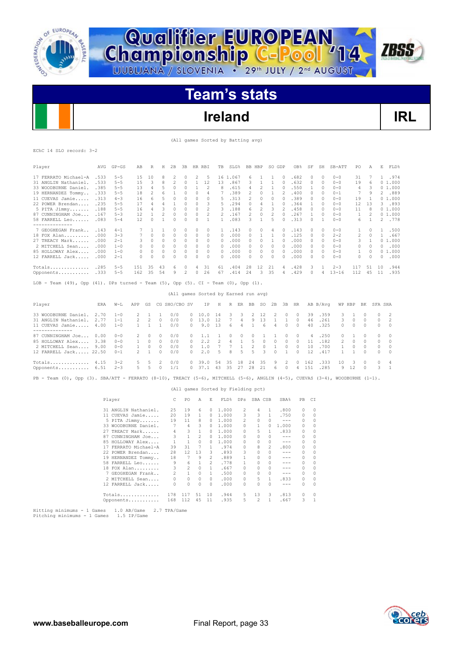![](_page_32_Picture_0.jpeg)

![](_page_32_Picture_1.jpeg)

### **Ireland IRL**

**ZBSS** 

(All games Sorted by Batting avg)

|  | EChC 14 SLO record: 3-2 |  |
|--|-------------------------|--|
|  |                         |  |

| Player                                                                                                                       | AVG  | GP-GS                                    | AВ           | R              | Н        | 2B                                   | ЗВ                                 | HR RBI            |                        | TВ             | $SLG$ $%$        |               | BB HBP              |              | SO GDP            |                                                                                                                                                                                                                                                                                                                                                                                                      | OB <sub>8</sub>        | SF                 | SH           | SB-ATT             | PO             | Α                   | Е            | FLD%           |
|------------------------------------------------------------------------------------------------------------------------------|------|------------------------------------------|--------------|----------------|----------|--------------------------------------|------------------------------------|-------------------|------------------------|----------------|------------------|---------------|---------------------|--------------|-------------------|------------------------------------------------------------------------------------------------------------------------------------------------------------------------------------------------------------------------------------------------------------------------------------------------------------------------------------------------------------------------------------------------------|------------------------|--------------------|--------------|--------------------|----------------|---------------------|--------------|----------------|
| 17 FERRATO Michael-A .533<br>31 ANGLIN Nathaniel.                                                                            | .533 | $5 - 5$<br>$5 - 5$                       | 15<br>15     | 10<br>3        | 8<br>8   | 2<br>2                               | 0<br>0                             | 2<br>$\mathbf{1}$ | -5<br>12               | 13             | 16 1.067<br>.867 |               | 6<br>3              | 1<br>1       | 1<br>$\mathbf{1}$ | 0<br>$\circ$                                                                                                                                                                                                                                                                                                                                                                                         | .682<br>.632           | 0<br>0             | 0<br>$\circ$ | $0 - 0$<br>$0 - 0$ | 31<br>19       | 7<br>6              | 1            | .974<br>01.000 |
| 33 WOODBURNE Daniel.                                                                                                         | .385 | $5 - 5$                                  | 13           | $\overline{4}$ | 5        | $\Omega$                             | $\Omega$                           | $\mathbf{1}$      | $\overline{c}$         | 8              | .615             |               | 4                   | 2            | $\mathbf{1}$      | $\Omega$                                                                                                                                                                                                                                                                                                                                                                                             | .550                   | 1                  | $\Omega$     | $0 - 0$            | $\overline{4}$ | 3                   |              | 01.000         |
| 19 HERNANDEZ Tommy                                                                                                           | .333 | $5 - 5$                                  | 18           | 2              | 6        | 1                                    | 0                                  | 0                 | 4                      | 7              | .389             |               | 2                   | 0            | 1                 | 2                                                                                                                                                                                                                                                                                                                                                                                                    | .400                   | 0                  | 0            | $0 - 1$            | 7              | 9                   | 2            | .889           |
| 11 CUEVAS Jamie                                                                                                              | .313 | $4 - 3$                                  | 16           | 6              | 5        | $\circ$                              | $\Omega$                           | $\Omega$          | $\circ$                | 5              | .313             |               | 2                   | $\circ$      | $\circ$           | $\Omega$                                                                                                                                                                                                                                                                                                                                                                                             | .389                   | $\circ$            | $\circ$      | $0 - 0$            | 19             | 1                   |              | 01.000         |
| 22 POWER Brendan .235                                                                                                        |      | $5 - 5$                                  | 17           | 4              | 4        | 1                                    | 0                                  | 0                 | 3                      | 5              | .294             |               | 0                   | 4            | 1                 | 0                                                                                                                                                                                                                                                                                                                                                                                                    | .364                   | 1                  | 0            | $0 - 0$            | 12             | 13                  |              | 3.893          |
| $5$ PITA Jimmy                                                                                                               | .188 | $5 - 5$                                  | 16           | 4              | 3        | $\circ$                              | $\circ$                            | $\circ$           | $\overline{c}$         | 3              | .188             |               | 6                   | 2            | 3                 | 2                                                                                                                                                                                                                                                                                                                                                                                                    | .458                   | $\circ$            | $\circ$      | $0 - 0$            | 11             | 8                   |              | 01.000         |
| 87 CUNNINGHAM Joe . 167                                                                                                      |      | $5 - 3$                                  | 12           | 1              | 2        | $\circ$                              | $\Omega$                           | $\circ$           | $\overline{c}$         | $\mathfrak{D}$ | .167             |               | $\overline{c}$      | $\circ$      | 2                 | $\Omega$                                                                                                                                                                                                                                                                                                                                                                                             | .267                   | $\mathbf{1}$       | $\circ$      | $0 - 0$            | 1              | 2                   |              | 01.000         |
| 58 FARRELL Leo<br>--------------                                                                                             | .083 | $5 - 4$                                  | 12           | 0              | 1        | 0                                    | 0                                  | $\circ$           | 1                      | 1              | .083             |               | 3                   | 1            | 5                 | 0                                                                                                                                                                                                                                                                                                                                                                                                    | .313                   | 0                  | 1            | $0 - 0$            | 6              | 1                   | 2            | .778           |
| 7 GEOGHEGAN Frank                                                                                                            | .143 | $4 - 1$                                  | 7            | 1              | 1        | $\circ$                              | $\circ$                            | $\circ$           | $\circ$                | $\mathbf{1}$   | .143             |               | 0                   | $\circ$      | 4                 | $\circ$                                                                                                                                                                                                                                                                                                                                                                                              | .143                   | $\circ$            | $\circ$      | $0 - 0$            | 1              | $\circ$             | $\mathbf{1}$ | .500           |
| 18 FOX Alan .000                                                                                                             |      | $3 - 3$                                  | 7            | $\circ$        | 0        | $\circ$                              | 0                                  | $\circ$           | $\circ$                | 0              | .000             |               | 0                   | 1            | 1                 | $\circ$                                                                                                                                                                                                                                                                                                                                                                                              | .125                   | $\circ$            | $\circ$      | $2 - 2$            | $\overline{2}$ | 0                   |              | 1.667          |
| 27 TREACY Mark .000                                                                                                          |      | $2 - 1$                                  | 3            | $\circ$        | 0        | 0                                    | $\circ$                            | $^{\circ}$        | 0                      | 0              | .000             |               | 0                   | 0            | 1                 | 0                                                                                                                                                                                                                                                                                                                                                                                                    | .000                   | $\circ$            | $^{\circ}$   | $0 - 0$            | 3              | 1                   |              | 01.000         |
| 2 MITCHELL Sean .000                                                                                                         |      | $1 - 0$                                  | $\Omega$     | $\circ$        | 0        | $\circ$                              | $\circ$                            | $\circ$           | 0                      | $\circ$        | .000             |               | 0                   | 0            | 0                 | 0                                                                                                                                                                                                                                                                                                                                                                                                    | .000                   | 0                  | $\circ$      | $0 - 0$            | 0              | 0                   | $\circ$      | .000           |
| 85 HOLLOWAY Alex . 000                                                                                                       |      | $1 - 0$                                  | 0            | $\circ$        | 0        | 0                                    | $\circ$                            | $\circ$           | 0                      | $\circ$        | .000             |               | 0                   | 0            | 0                 | $\circ$                                                                                                                                                                                                                                                                                                                                                                                              | .000                   | 0                  | $\circ$      | $0 - 0$            | $\mathbf{1}$   | 0                   |              | 01.000         |
| 12 FARRELL Jack . 000                                                                                                        |      | $2 - 1$                                  | $\Omega$     | $\circ$        | $\circ$  | $\circ$                              | $\circ$                            | 0                 | $\circ$                | 0              | .000             |               | 0                   | $\circ$      | $\circ$           | $\circ$                                                                                                                                                                                                                                                                                                                                                                                              | .000                   | $\circ$            | $\circ$      | $0 - 0$            | 0              | $\circ$             | $\Omega$     | .000           |
| Totals .285                                                                                                                  |      | $5 - 5$                                  | 151          | 35             | 43       | 6                                    | $\circ$                            | 4                 | 31                     | 61             | .404             |               | 28                  | 12           | 21                | 4                                                                                                                                                                                                                                                                                                                                                                                                    | .428                   | 3                  | 1            | $2 - 3$            | 117            | 51                  | 10           | .944           |
| Opponents .333                                                                                                               |      | $5 - 5$                                  | 162          | 35             | 54       | 9                                    | 2                                  | $\circ$           | 26                     | 67             | .414             |               | 24                  |              | 3 35              | 4                                                                                                                                                                                                                                                                                                                                                                                                    | .429                   | 0                  | 4            | $13 - 16$          | 112            | -45                 | 11           | .935           |
| LOB - Team $(49)$ , Opp $(41)$ . DPs turned - Team $(5)$ , Opp $(5)$ . CI - Team $(0)$ , Opp $(1)$ .                         |      |                                          |              |                |          |                                      |                                    |                   |                        |                |                  |               |                     |              |                   |                                                                                                                                                                                                                                                                                                                                                                                                      |                        |                    |              |                    |                |                     |              |                |
|                                                                                                                              |      |                                          |              |                |          | (All games Sorted by Earned run avg) |                                    |                   |                        |                |                  |               |                     |              |                   |                                                                                                                                                                                                                                                                                                                                                                                                      |                        |                    |              |                    |                |                     |              |                |
| Player                                                                                                                       | ERA  | $W-L$                                    | APP          | GS             |          | CG SHO/CBO SV                        |                                    |                   | ΙP                     | Η              |                  | R ER          | BB                  | so           | 2B                | 3B                                                                                                                                                                                                                                                                                                                                                                                                   | HR                     |                    | AB B/Avg     |                    | WP HBP         | BK                  | SFA SHA      |                |
| 33 WOODBURNE Daniel.                                                                                                         | 2.70 | $1 - 0$                                  | 2            | 1              | 1        | 0/0                                  | 0                                  |                   | 10.0                   | 14             | 3                | 3             | 2                   | 12           | 2                 | 0                                                                                                                                                                                                                                                                                                                                                                                                    | 0                      | 39                 | .359         | 3                  | 1              | 0                   | 0            | 2              |
| 31 ANGLIN Nathaniel.                                                                                                         | 2.77 | $1 - 1$                                  | 2            | $\overline{c}$ | $\circ$  | 0/0                                  | 0                                  |                   | 13.0                   | 12             | 7                | 4             | 9                   | 13           | $\mathbf{1}$      | 1                                                                                                                                                                                                                                                                                                                                                                                                    | $\circ$                | 46                 | .261         | 3                  | $\circ$        | $\circ$             | 0            | 2              |
| 11 CUEVAS Jamie                                                                                                              | 4.00 | $1 - 0$                                  | $\mathbf{1}$ | $\mathbf{1}$   | 1        | 0/0                                  | 0                                  |                   | 9.0                    | 13             | 6                | 4             | $\mathbf{1}$        | 6            | $\overline{4}$    | 0                                                                                                                                                                                                                                                                                                                                                                                                    | $\circ$                | 40                 | .325         | $\circ$            | 0              | 0                   | 0            | 0              |
| --------------                                                                                                               |      |                                          |              |                |          |                                      |                                    |                   |                        |                |                  |               |                     |              |                   |                                                                                                                                                                                                                                                                                                                                                                                                      |                        |                    |              |                    |                |                     |              |                |
| 87 CUNNINGHAM Joe 0.00                                                                                                       |      | $0 - 0$                                  | 2            | $\circ$        | $\circ$  | 0/0                                  | 0                                  |                   | 1.1                    | -1             | 0                | $\circ$       | $\circ$             | 1            | 1                 | 0                                                                                                                                                                                                                                                                                                                                                                                                    | $\circ$                | 4                  | .250         | 0                  | 1              | 0                   | 0            | $\Omega$       |
| 85 HOLLOWAY Alex                                                                                                             | 3.38 | $0 - 0$                                  | 1            | 0              | 0        | 0/0                                  | 0                                  |                   | 2.2                    | $\overline{2}$ | 4                | 1             | 5                   | 0            | 0                 | 0                                                                                                                                                                                                                                                                                                                                                                                                    | 0                      | 11                 | .182         | 2                  | 0              | 0                   | 0            | 0              |
| 2 MITCHELL Sean 9.00                                                                                                         |      | $0 - 0$                                  | 1            | $\circ$        | $\Omega$ | 0/0                                  | 0                                  |                   | 1.0                    | 7              | 7<br>8           | 1<br>5        | $\overline{c}$<br>5 | $\circ$<br>3 | $\mathbf{1}$      | $\circ$                                                                                                                                                                                                                                                                                                                                                                                              | $\circ$                | 10                 | .700         | 1                  | $\circ$        | $\circ$<br>$\Omega$ | 0<br>$\circ$ | $\Omega$       |
| 12 FARRELL Jack 22.50                                                                                                        |      | $0 - 1$                                  | 2            | $\mathbf{1}$   | $\circ$  | 0/0                                  | 0                                  |                   | 2.0                    | 5              |                  |               |                     |              | $\circ$           | $\mathbf{1}$                                                                                                                                                                                                                                                                                                                                                                                         | $\circ$                | 12                 | .417         | 1                  | $\mathbf{1}$   |                     |              | $\circ$        |
| Totals $4.15$                                                                                                                |      | $3 - 2$                                  | 5            | 5              | 2        | 0/0                                  | $\circ$                            |                   | 39.0                   | 54             | 35               | 18            | 24                  | 35           | 9                 | 2                                                                                                                                                                                                                                                                                                                                                                                                    | 0                      | 162                | .333         | 10                 | 3              | 0                   | 0            | 4              |
| Opponents 6.51                                                                                                               |      | $2 - 3$                                  | 5            | 5              | 0        | 1/1                                  |                                    |                   | $0\quad 37.1\quad 43$  |                | 35               | 27            | 28                  | 21           | 6                 | 0                                                                                                                                                                                                                                                                                                                                                                                                    |                        | 4 151              | .285         | 9                  | 12             | 0                   | 3            | 1              |
| PB - Team (0), Opp (3). SBA/ATT - FERRATO (8-10), TREACY (5-6), MITCHELL (5-6), ANGLIN (4-5), CUEVAS (3-4), WOODBURNE (1-1). |      |                                          |              |                |          |                                      |                                    |                   |                        |                |                  |               |                     |              |                   |                                                                                                                                                                                                                                                                                                                                                                                                      |                        |                    |              |                    |                |                     |              |                |
|                                                                                                                              |      |                                          |              |                |          |                                      | (All games Sorted by Fielding pct) |                   |                        |                |                  |               |                     |              |                   |                                                                                                                                                                                                                                                                                                                                                                                                      |                        |                    |              |                    |                |                     |              |                |
|                                                                                                                              |      | Player                                   |              |                |          | С                                    | PO                                 | Α                 | Ε                      |                | FLD%             | DPs           |                     | SBA CSB      |                   | SBA%                                                                                                                                                                                                                                                                                                                                                                                                 | PB                     | CI                 |              |                    |                |                     |              |                |
|                                                                                                                              |      | 31 ANGLIN Nathaniel.                     |              |                |          | 25                                   | 19                                 | 6                 | 0                      |                | 1,000            | 2             |                     | 4            | 1                 | .800                                                                                                                                                                                                                                                                                                                                                                                                 | 0                      | 0                  |              |                    |                |                     |              |                |
|                                                                                                                              |      | 11 CUEVAS Jamie                          |              |                |          | 20                                   | 19                                 | 1                 | 0                      | 1.000          |                  | 3             |                     | 3            | 1                 | .750                                                                                                                                                                                                                                                                                                                                                                                                 | $\circ$                | 0                  |              |                    |                |                     |              |                |
|                                                                                                                              |      | 5 PITA Jimmy                             |              |                |          | 19                                   | 11                                 | 8                 | 0                      |                | 1.000            | 2             |                     | $\circ$      | $\circ$           | $\frac{1}{2} \frac{1}{2} \frac{1}{2} \frac{1}{2} \frac{1}{2} \frac{1}{2} \frac{1}{2} \frac{1}{2} \frac{1}{2} \frac{1}{2} \frac{1}{2} \frac{1}{2} \frac{1}{2} \frac{1}{2} \frac{1}{2} \frac{1}{2} \frac{1}{2} \frac{1}{2} \frac{1}{2} \frac{1}{2} \frac{1}{2} \frac{1}{2} \frac{1}{2} \frac{1}{2} \frac{1}{2} \frac{1}{2} \frac{1}{2} \frac{1}{2} \frac{1}{2} \frac{1}{2} \frac{1}{2} \frac{$         | $^{\circ}$             | $\circ$            |              |                    |                |                     |              |                |
|                                                                                                                              |      | 33 WOODBURNE Daniel.                     |              |                |          | $7\phantom{.0}$                      | 4                                  | 3                 | 0                      |                | 1,000            | 0             |                     | 1            | $\circ$           | 1.000                                                                                                                                                                                                                                                                                                                                                                                                |                        | 0<br>0             |              |                    |                |                     |              |                |
|                                                                                                                              |      | 27 TREACY Mark                           |              |                |          | 4                                    | 3                                  | 1                 | 0                      |                | 1.000            | 0             |                     | 5            | 1                 | .833                                                                                                                                                                                                                                                                                                                                                                                                 | 0                      | 0                  |              |                    |                |                     |              |                |
|                                                                                                                              |      | 87 CUNNINGHAM Joe                        |              |                |          | 3                                    | 1                                  | 2                 | $\Omega$               |                | 1.000            | 0             |                     | $\circ$      | $\Omega$          | $- - -$                                                                                                                                                                                                                                                                                                                                                                                              | $^{\circ}$             | $\Omega$           |              |                    |                |                     |              |                |
|                                                                                                                              |      | 85 HOLLOWAY Alex<br>17 FERRATO Michael-A |              |                |          | 1<br>39                              | 1<br>31                            | $\circ$<br>7      | $\cap$<br>$\mathbf{1}$ |                | 1.000<br>.974    | 0<br>$\Omega$ |                     | 0<br>8       | 0<br>2            | $\frac{1}{2} \frac{1}{2} \frac{1}{2} \frac{1}{2} \frac{1}{2} \frac{1}{2} \frac{1}{2} \frac{1}{2} \frac{1}{2} \frac{1}{2} \frac{1}{2} \frac{1}{2} \frac{1}{2} \frac{1}{2} \frac{1}{2} \frac{1}{2} \frac{1}{2} \frac{1}{2} \frac{1}{2} \frac{1}{2} \frac{1}{2} \frac{1}{2} \frac{1}{2} \frac{1}{2} \frac{1}{2} \frac{1}{2} \frac{1}{2} \frac{1}{2} \frac{1}{2} \frac{1}{2} \frac{1}{2} \frac{$<br>.800 | $^{\circ}$<br>$\Omega$ | $\cap$<br>$\Omega$ |              |                    |                |                     |              |                |
|                                                                                                                              |      | 22 POWER Brendan                         |              |                |          | 28                                   | 12                                 | 13                | 3                      |                | .893             | 3             |                     | 0            | 0                 | $- - -$                                                                                                                                                                                                                                                                                                                                                                                              | $^{\circ}$             | $\circ$            |              |                    |                |                     |              |                |
|                                                                                                                              |      | 19 HERNANDEZ Tommy                       |              |                |          | 18                                   | 7                                  | 9                 | $\mathfrak{D}$         |                | .889             | $\mathbf{1}$  |                     | $\circ$      | $\Omega$          | $\frac{1}{2} \frac{1}{2} \frac{1}{2} \frac{1}{2} \frac{1}{2} \frac{1}{2} \frac{1}{2} \frac{1}{2} \frac{1}{2} \frac{1}{2} \frac{1}{2} \frac{1}{2} \frac{1}{2} \frac{1}{2} \frac{1}{2} \frac{1}{2} \frac{1}{2} \frac{1}{2} \frac{1}{2} \frac{1}{2} \frac{1}{2} \frac{1}{2} \frac{1}{2} \frac{1}{2} \frac{1}{2} \frac{1}{2} \frac{1}{2} \frac{1}{2} \frac{1}{2} \frac{1}{2} \frac{1}{2} \frac{$         | $\Omega$               | $\Omega$           |              |                    |                |                     |              |                |
|                                                                                                                              |      | 58 FARRELL Leo                           |              |                |          | 9                                    | 6                                  | 1                 | 2                      |                | .778             | 1             |                     | $\circ$      | $\circ$           | $- - -$                                                                                                                                                                                                                                                                                                                                                                                              | $\circ$                | $\circ$            |              |                    |                |                     |              |                |
|                                                                                                                              |      | 18 FOX Alan                              |              |                |          | 3                                    | 2                                  | $\circ$           | 1                      |                | .667             | 0             |                     | $\circ$      | 0                 | $- - -$                                                                                                                                                                                                                                                                                                                                                                                              | $^{\circ}$             | $\circ$            |              |                    |                |                     |              |                |
|                                                                                                                              |      | 7 GEOGHEGAN Frank                        |              |                |          | 2                                    | $\mathbf{1}$                       | $\Omega$          | $\mathbf{1}$           |                | .500             | $\Omega$      |                     | $\circ$      | $\Omega$          | $- - -$                                                                                                                                                                                                                                                                                                                                                                                              |                        | 0<br>$\Omega$      |              |                    |                |                     |              |                |
|                                                                                                                              |      | 2 MITCHELL Sean                          |              |                |          | 0                                    | 0                                  | 0                 | 0                      |                | .000             | $\Omega$      |                     | 5            | 1                 | .833                                                                                                                                                                                                                                                                                                                                                                                                 |                        | 0<br>$\Omega$      |              |                    |                |                     |              |                |

18 FOX Alan......... 3 2 0 1 .667 0 0 0 --- 0 0 7 GEOGHEGAN Frank.. 2 1 0 1 .500 0 0 0 --- 0 0 2 MITCHELL Sean.... 0 0 0 0 .000 0 5 1 .833 0 0 12 FARRELL Jack..... 0 0 0 0 .000 0 0 0 --- 0 0

Totals.............. 178 117 51 10 .944 5 13 3 .813 0 0 Opponents........... 168 112 45 11 .935 5 2 1 .667 3 1

![](_page_32_Picture_7.jpeg)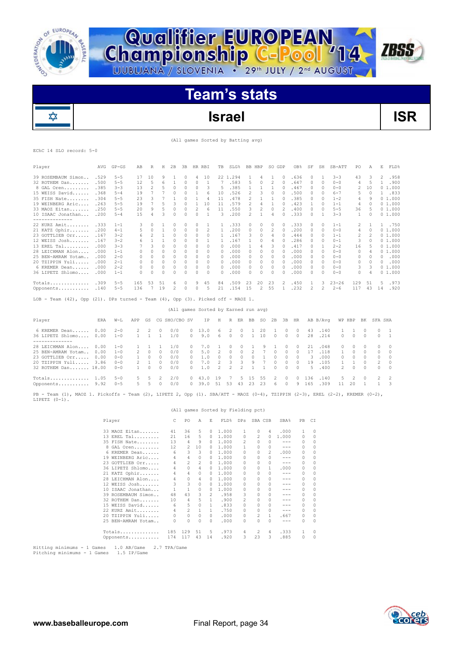![](_page_33_Picture_0.jpeg)

# **Team's stats**

**Championship C-Pool** 14

![](_page_33_Picture_2.jpeg)

(All games Sorted by Batting avg)

**ZBSS** 

#### EChC 14 SLO record: 5-0

✿

| Player             | <b>AVG</b> | $GP - GS$ | AB  | R              | Η  | 2B       | 3B | <b>HR</b> | RBI      | TВ            | SLG%  | BB.                      | HBP                      | SO.      | GDP      | OB <sub>8</sub> | SF            | SH                       | SB-ATT    | PO             | Α        | E        | FLD%   |
|--------------------|------------|-----------|-----|----------------|----|----------|----|-----------|----------|---------------|-------|--------------------------|--------------------------|----------|----------|-----------------|---------------|--------------------------|-----------|----------------|----------|----------|--------|
| 39 ROSEMBAUM Simon | .529       | $5 - 5$   | 17  | 10             | 9  |          | n  | 4         | 10       | 22 1          | . 294 |                          | 4                        |          | $\Omega$ | .636            | $\Omega$      |                          | $3 - 3$   | 43             | З        | 2        | .958   |
| 32 ROTHEM Dan      | .500       | $5 - 5$   | 12  | 5              | 6  |          |    | 0         |          |               | .583  | 5                        | 0                        | 2        |          | .647            | $\Omega$      | $\Omega$                 | $0 - 0$   | 4              | 5        |          | .900   |
| 8 GAL Oren         | .385       | $3 - 3$   | 13  | $\mathfrak{D}$ | 5. | $\Omega$ | U  | 0         | 3        | 5             | .385  |                          |                          |          |          | .467            | 0             | $\Omega$                 | $0 - 0$   | 2              | 10       | 0        | 1,000  |
| 15 WEISS David     | .368       | $5 - 4$   | 19  |                |    | $\Omega$ |    |           | 6        | 10            | .526  | $\overline{\mathcal{L}}$ |                          | O        |          | .500            | $\Omega$      | $\Omega$                 | $6 - 7$   | 5              | $\Omega$ |          | .833   |
| 35 FISH Nate       | .304       | $5 - 5$   | 23  | 3              |    |          |    |           | 4        | 11            | .478  | 2                        |                          |          |          | .385            | $\Omega$      | $\Omega$                 | $1 - 2$   | 4              | 9        |          | 01.000 |
| 19 WEINBERG Aric   | .263       | $5 - 5$   | 19  |                | 5  | ٩        |    |           | 10       | 11            | .579  | 2                        | 4                        |          |          | .423            |               | $\Omega$                 | $1 - 1$   | 4              | $\Omega$ |          | 01.000 |
| 33 MAOZ Eitan      | .250       | $5 - 5$   | 20  | 9              | 5  | $\Omega$ |    |           | 6        | 11            | .550  | 3                        | $\overline{\mathcal{L}}$ | $\Omega$ |          | .400            | $\mathcal{O}$ | $\Omega$                 | $5 - 5$   | 36             | 5        |          | 01.000 |
| 10 ISAAC Jonathan  | .200       | $5 - 4$   | 15  | 4              | 3  | $\Omega$ | U  | 0         |          | $\mathcal{R}$ | .200  | $\mathfrak{D}$           |                          | 4        |          | .333            | $\mathcal{O}$ |                          | $3 - 3$   | 1              | 0        |          | 01.000 |
| -----------        |            |           |     |                |    |          |    |           |          |               |       |                          |                          |          |          |                 |               |                          |           |                |          |          |        |
| 22 KURZ Amit       | .333       | $1 - 1$   | 3   | $\Omega$       |    |          |    | 0         |          |               | .333  | 0                        | 0                        | $\Omega$ | O.       | .333            | $\Omega$      | $\Omega$                 | $1 - 1$   | $\mathfrak{D}$ |          |          | .750   |
| 21 KATZ Ophir      | .200       | $4 - 1$   | 5   | $\Omega$       |    |          |    | 0         | 2        |               | .200  | 0                        | 0                        | 2        |          | .200            | $\mathcal{O}$ | $\Omega$                 | $0 - 0$   | 4              | $\Omega$ |          | 01.000 |
| 23 GOTTLIEB Orr    | .167       | $3 - 2$   | 6   |                |    |          |    |           | O        |               | .167  | 3                        | 0                        | 4        |          | .444            | n             | $\Omega$                 | $1 - 1$   | $\mathfrak{D}$ | 2        |          | 01.000 |
| 12 WEISS Josh      | .167       | $3 - 2$   | 6   |                |    |          |    | n         |          |               | . 167 |                          |                          | 4        |          | .286            | $\Omega$      | $\Omega$                 | $0 - 1$   | 3              | $\Omega$ |          | 01.000 |
| 13 EREL Tal        | .000       | $3 - 3$   |     | 3              | 0  | 0        | 0  | 0         | $\Omega$ | O.            | .000  |                          | 4                        | 3        |          | .417            | $\mathcal{O}$ |                          | $2 - 2$   | 16             |          |          | 01.000 |
| 28 LEICHMAN Alon   | .000       | $1 - 1$   | 0   | $\Omega$       | 0  |          | U  | 0         | $\Omega$ | 0             | .000  | 0                        | 0                        | $\Omega$ |          | .000            | $\mathcal{O}$ | $\Omega$                 | $0 - 0$   | 0              | 4        |          | 01.000 |
| 25 BEN-AMRAM Yotam | .000       | $2 - 0$   | 0   | $\Omega$       | 0  |          | 0  | 0         | $\Omega$ | 0             | .000  | U                        | 0                        | 0        |          | .000            | $\Omega$      | 0                        | $0 - 0$   | 0              | 0        | 0        | .000   |
| 20 TZIPPIN Yuli    | .000       | $2 - 1$   |     | 0              | 0  |          |    | 0         | 0        | 0             | .000  |                          | 0                        | $\Omega$ |          | .000            | 0             | 0                        | $0 - 0$   | 0              | 0        | $\Omega$ | .000   |
| 6 KREMER Dean      | .000       | $2 - 2$   | 0   | $\Omega$       | 0  |          | 0  | 0         | $\Omega$ | $\Omega$      | .000  | 0                        | 0                        | $\Omega$ |          | .000            | $\mathcal{O}$ | $\Omega$                 | $0 - 0$   | 3              | 3        |          | 01.000 |
| 36 LIPETZ Shlomo   | .000       | $1 - 1$   | 0   | 0              | 0  | $\Omega$ | U  | 0         | 0        | $\Omega$      | .000  | 0                        | 0                        | $\Omega$ | U        | .000            | $\mathcal{O}$ | $\Omega$                 | $0 - 0$   | 0              | 4        |          | 01.000 |
| Totals             | .309       | $5 - 5$   | 165 | 53             | 51 | 6        | 0  | 9         | 45       | 84            | .509  | 23                       | 20                       | 23       |          | .450            |               | 3                        | $23 - 26$ | 129            | 51       | 5        | .973   |
| Opponents          | .140       | $5 - 5$   | 136 |                | 19 |          | U  | 0         | 5        | 21            | .154  | 1.5                      |                          | 55       |          | .232            | $\mathcal{L}$ | $\overline{\mathcal{L}}$ | $2 - 6$   | 117            | 43       | 14       | .920   |

LOB - Team (42), Opp (21). DPs turned - Team (4), Opp (3). Picked off - MAOZ 1.

#### (All games Sorted by Earned run avg)

| Player                                                                                                                        | ERA  | $W-L$              | APP           | GS       |          | CG SHO/CBO SV |                    | IP.         | H             | R                         | ER                 | BB            | SO.        | 2B 3B    |                      | HR.                  |          | AB B/Ava     |               | WP HBP   | BK        | SFA SHA       |                            |
|-------------------------------------------------------------------------------------------------------------------------------|------|--------------------|---------------|----------|----------|---------------|--------------------|-------------|---------------|---------------------------|--------------------|---------------|------------|----------|----------------------|----------------------|----------|--------------|---------------|----------|-----------|---------------|----------------------------|
| 6 KREMER Dean 0.00<br>36 LIPETZ Shlomo 0.00                                                                                   |      | $2 - 0$<br>$1 - 0$ | $2^{\circ}$   | -2.      | $\cap$   | 0/0<br>1/0    | $\cap$<br>$\Omega$ | 13.0<br>9.0 | - 6 -<br>6.   | $\mathcal{P}$<br>$\Omega$ | $\cap$<br>$\Omega$ |               | 20<br>1 10 | $\Omega$ | $\Omega$<br>$\Omega$ | $\Omega$<br>$\Omega$ | 43<br>28 | .140<br>.214 | $\Omega$      | $\cap$   | $\cap$    |               | $0 \quad 1$<br>$0 \quad 1$ |
|                                                                                                                               |      |                    |               |          |          |               |                    |             |               |                           |                    |               |            |          |                      |                      |          |              |               |          |           |               |                            |
| 28 LEICHMAN Alon 0.00                                                                                                         |      | $1 - 0$            |               |          |          | 1/0           |                    | 7.0         |               | 0                         | $\cap$             |               | 9          |          | $\Omega$             | $\Omega$             | 21       | .048         | $\cap$        | $\cap$   |           |               | $0\quad 0$                 |
| 25 BEN-AMRAM Yotam                                                                                                            | 0.00 | $1 - 0$            | $\mathcal{P}$ | $\Box$   | $\Box$   | 0/0           | $\cap$             | 5.0         | -2.           | $\cap$                    | $\mathbf{r}$       | $\mathcal{P}$ |            | $\Omega$ | $\Omega$             | $\Omega$             | 17       | .118         |               | $\Box$   | $\cap$    | $\mathcal{L}$ | $\overline{0}$             |
| 23 GOTTLIEB Orr                                                                                                               | 0.00 | $0 - 0$            |               | $\cap$   | $\Box$   | 0/0           |                    | 1.0         | $\Omega$      | $\Box$                    | $\Box$             |               |            | $\cap$   | $\cap$               | $\cap$               | -3.      | . 000        | $\cap$        | $\Box$   | $\Box$    |               | $0\quad 0$                 |
| 20 TZIPPIN Yuli 3.86                                                                                                          |      | $0 - 0$            | $\mathcal{P}$ |          | $\Omega$ | 0/0           | $\cap$             | 7.0         | $\mathcal{P}$ | ₹                         | 3                  | 9             |            | $\cap$   | $\Omega$             | $\cap$               | 19       | 105          |               |          | $\cap$    |               | $2 \quad 0$                |
| 32 ROTHEM Dan 18.00                                                                                                           |      | $0 - 0$            |               | $\Omega$ | 0        | 0/0           |                    | 1.0         | 2             | $\overline{2}$            | $\mathcal{P}$      |               |            | $\Omega$ | $\Omega$             | $\Omega$             | 5.       | .400         | $\mathcal{P}$ | $\Omega$ | $\Omega$  |               | $0 \quad 0$                |
| $Totals$ $1.05$                                                                                                               |      | $5 - 0$            | 5.            | .5.      | -2.      | 2/0           |                    | 0.43.0      | 19            | $7\phantom{0}$            |                    | 5 15          | 55         | -2       | $\Omega$             | $\Omega$             | 136      | .140         |               | 5 2      | $\bigcap$ |               | $2 \t 2$                   |
| Opponents 9.92                                                                                                                |      | $0 - 5$            | 5.            | -5       | $\cap$   | 0/0           | $\cap$             | 39.0        | 51            | 53.                       | 43                 | 23            | -23        | $6 -$    | $\cap$               | $-9$                 | 165      | .309         | 11            | 20       |           |               | $1 \quad 3$                |
| PB - Team (1), MAOZ 1. Pickoffs - Team (2), LIPETZ 2, Opp (1). SBA/ATT - MAOZ (0-4), TZIPPIN (2-3), EREL (2-2), KREMER (0-2), |      |                    |               |          |          |               |                    |             |               |                           |                    |               |            |          |                      |                      |          |              |               |          |           |               |                            |

LIPETZ (0-1).

#### (All games Sorted by Fielding pct)

| Player                   | C        | P0             | A        | E.            | FLD <sup>%</sup> | <b>DPs</b>     | SBA CSB        |                | SBA%    | PB.      | СI       |
|--------------------------|----------|----------------|----------|---------------|------------------|----------------|----------------|----------------|---------|----------|----------|
| 33 MAOZ Eitan            | 41       | 36             | 5        | 0             | 1.000            | 1              | 0              | 4              | .000    | 1        | $\Omega$ |
| 13 EREL Tal              | 21       | 16             | 5        | 0             | 1,000            | $\Omega$       | 2              | n.             | 1,000   | $\Omega$ | 0        |
| 35 FISH Nate             | 13       | 4              | 9        | 0             | 1,000            | $\mathfrak{D}$ | 0              | 0              | ---     | 0        | $\Omega$ |
| 8<br>GAL Oren            | 12       | 2              | 10       | 0             | 1,000            | 1              | $\Omega$       | 0              | ---     | $\Omega$ | 0        |
| 6 KREMER Dean            | 6        | 3              | 3        | 0             | 1,000            | $\Omega$       | $\Omega$       | $\mathfrak{D}$ | .000    | 0        | $\Omega$ |
| 19 WEINBERG Aric         | 4        | 4              | 0        | 0             | 1,000            | <sup>0</sup>   | <sup>0</sup>   | U              | $- - -$ | $\Omega$ | 0        |
| GOTTLIEB Orr<br>23       | 4        | 2              | 2        | 0             | 1,000            | <sup>0</sup>   | <sup>0</sup>   | 0              | ---     | $\Omega$ | $\Omega$ |
| 36 LIPETZ Shlomo         | 4        | 0              | 4        | 0             | 1,000            | <sup>0</sup>   | <sup>0</sup>   | 1              | .000    | 0        | $\Omega$ |
| 21 KATZ Ophir            | 4        | 4              | 0        | 0             | 1,000            | <sup>0</sup>   | <sup>0</sup>   | n              | ---     | $\Omega$ | 0        |
| 28 LEICHMAN Alon         | 4        | 0              | 4        | 0             | 1,000            | <sup>0</sup>   | 0              | 0              | ---     | $\Omega$ | 0        |
| 12 WEISS Josh            | 3        | 3              | $\Omega$ | 0             | 1,000            | <sup>0</sup>   | $\Omega$       | 0              | ---     | $\Omega$ | 0        |
| ISAAC Jonathan<br>$10 -$ | 1        | 1              | 0        | 0             | 1,000            | <sup>0</sup>   | O              |                | ---     | 0        | $\Omega$ |
| 39 ROSEMBAUM Simon       | 48       | 43             | 3        | $\mathcal{P}$ | .958             | 3              | $\Omega$       | 0              | ---     | $\Omega$ | 0        |
| 32 ROTHEM Dan            | 10       | 4              | 5        | 1.            | .900             | $\mathfrak{D}$ | $\Omega$       | 0              | ---     | $\Omega$ | $\Omega$ |
| 15 WEISS David           | 6        | 5              | 0        | 1             | .833             | $\Omega$       | $\Omega$       | 0              | ---     | $\Omega$ | 0        |
| KURZ Amit<br>22          | 4        | $\overline{c}$ | 1        | 1.            | .750             | $\Omega$       | $\Omega$       | 0              | ---     | $\Omega$ | $\Omega$ |
| $TZTPPTN$ $Yu1i$ .<br>20 | $\Omega$ | 0              | 0        | $\Omega$      | .000             | $\Omega$       | $\mathfrak{D}$ | 1.             | .667    | 0        | 0        |
| 25 BEN-AMRAM Yotam       | 0        | $\Omega$       | 0        | 0             | .000             | $\Omega$       | O              | 0              | ---     | $\Omega$ | $\Omega$ |
| Totals                   | 185      | 129            | 51       | 5             | .973             | 4              | 2              | 4              | .333    | 1.       | $\Omega$ |
| Opponents                | 174      | 117            | 43       | 14            | .920             | 3              | 23             | 3.             | .885    | $\Omega$ | $\Omega$ |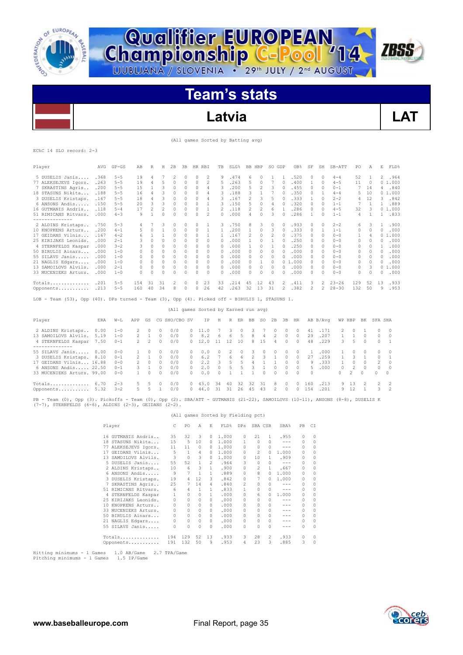![](_page_34_Picture_0.jpeg)

![](_page_34_Picture_1.jpeg)

### **Latvia LAT**

**ZBSS** 

(All games Sorted by Batting avg)

EChC 14 SLO record: 2-3

| Player                                   | AVG          | $GP - GS$ | AB  | R                        | Н  | 2B             | 3B     | HR. | RBI      | TB           | SLG%          |    | BB HBP | SO GDP   |   | OB <sub>8</sub> | SF            | SH            | SB-ATT             | PO  | Α        | E             | FLD%         |
|------------------------------------------|--------------|-----------|-----|--------------------------|----|----------------|--------|-----|----------|--------------|---------------|----|--------|----------|---|-----------------|---------------|---------------|--------------------|-----|----------|---------------|--------------|
| 5 DUSELIS Janis                          | .368         | $5 - 5$   | 19  | 4                        |    | $\mathfrak{D}$ | 0      | 0   | 2        | 9            | 474           | 6  | 0      |          |   | .520            | 0             | $\Omega$      | $4 - 4$            | 52  |          | 2             | .964         |
| 77 ALEKSEJEVS Igors.                     | .263         | $5 - 5$   | 19  | 4                        | 5  | 0              | 0      | 0   | 2        | 5            | 263           | 5  | 0      |          |   | .400            |               | $\Omega$      | $4 - 5$            | 11  | 0        | 0             | 1,000        |
| 7 SKRASTINS Agris                        | .200         | $5 - 5$   | 1.5 |                          | 3  | $\Omega$       | 0      | 0   | 4        | 3            | .200          | 5  | 2      | 3        |   | .455            | 0             | $\Omega$      | $0 - 1$            |     | 14       | 4             | .840         |
| 18 STASUNS Nikita                        | .188         | $5 - 5$   | 16  | 4                        |    | $\Omega$       |        | 0   | 4        | 3            | .188          | 3  |        |          |   | .350            |               |               | $4 - 4$            | 5.  | 10       |               | 01.000       |
| 3 DUSELIS Kristaps.                      | .167         | $5 - 5$   | 18  | 4                        |    | $\Omega$       | 0      | 0   | 4        | 3            | .167          |    | 3      | 5        |   | .333            |               | $\Omega$      | $2 - 2$            | 4   | 12       | 3.            | .842         |
| 6 ANSONS Andis                           | .150         | $5 - 5$   | 20  | 3                        | २  | $\Omega$       | 0      | 0   |          | 3            | .150          | 5  | 0      | 4        |   | .320            | 0             | $\Omega$      | $1 - 1$            |     |          |               | .889         |
| 16 GUTMANIS Andris                       | .118         | $5 - 4$   | 17  | $\overline{\phantom{a}}$ | 2  | $\Omega$       | 0      | 0   |          |              | .118          |    | 2      | 6        |   | .286            |               | $\Omega$      | $4 - 5$            | 32  |          | 0.            | 1.000        |
| 51 RIMICANS Ritvars.                     | .000         | $4 - 3$   | 9   |                          | 0  | $\Omega$       | 0      | 0   | 2        | 0            | .000          | 4  | 0      | 3        |   | 286             |               | $\Omega$      | $1 - 1$            | 4   |          |               | .833         |
| -------------<br>2 ALDINS Kristaps       | .750         | $5 - 3$   |     |                          | 3  | $\Omega$       | 0      |     |          | 3            | .750          | 8  | 3      | 0        |   | .933            |               | 0             | $2 - 2$            | 6   |          |               | .900         |
| 10 KNOPKENS Arturs                       | .200         | $4 - 1$   | ц.  |                          |    |                |        | n   |          |              | 200           |    | 0      | 3        |   | .333            |               |               | $1 - 1$            | 0   |          | U             | .000         |
| 17 GETDANS Vilnis                        | .167         | $4 - 2$   | 6   |                          |    |                | 0<br>0 | 0   |          |              | .167          | 2  | 0      | 2        |   | .375            | 0             | $\Omega$      | $0 - 0$            |     | 0        | 0             | .000         |
|                                          |              | $2 - 1$   |     | C                        | Λ  | $\Omega$       |        |     | 0        |              |               |    |        |          |   |                 | $\cap$        |               | $0 - 0$            |     | 4        |               |              |
| 25 KIRIJAKS Leonids.                     | .000         | $3 - 2$   | 3   |                          |    |                | 0      | 0   |          | 0            | .000          |    | 0<br>n |          |   | .250            |               | $\Omega$      |                    | 0   | 0        | 0             | .000         |
| 4 STERNFELDS Kaspar<br>50 BIRULIS Ainars | .000<br>.000 | $1 - 0$   | n   | n                        | 0  | $\Omega$       | 0<br>U | 0   | 0        | 0            | .000<br>. 000 |    |        |          |   | .250<br>.000    | 0             | 0             | $0 - 0$<br>$0 - 0$ | 0   | 0        | n             | .000         |
| 55 STLAVS Janis                          | .000         | $1 - 0$   | n   | O                        | 0  | $\Omega$       |        | 0   | 0        | $\Omega$     | . 000         | 0  |        | 0        |   | . 000           | 0             | $\Omega$      | $0 - 0$            | 0   | 0        |               | .000<br>.000 |
|                                          |              |           |     | $\Omega$                 | 0  | $\Omega$       | 0      | 0   | $\Omega$ | $\Omega$     |               | 0  | 0      | $\Omega$ |   |                 | $\Omega$      | $\Omega$      |                    | 0   | 0        | $\mathcal{O}$ |              |
| 21 NAGLIS Edgars                         | .000         | $1 - 0$   | n   | $\Omega$                 | 0  | $\Omega$       | 0      | 0   | $\Omega$ | $\Omega$     | .000          | 0  |        | 0        | 0 | .000            | 0             | $\Omega$      | $0 - 0$            | 0   | $\Omega$ | 0             | .000         |
| 13 SAMOILOVS Alvils                      | .000         | $2 - 1$   | 0   | 0                        | 0  | 0              | 0      | 0   | $\Omega$ | 0            | .000          | 0  | 0      | $\Omega$ |   | .000            | $\mathcal{O}$ | $\Omega$      | $0 - 0$            | 0   | 3        | 0             | .000         |
| 33 MUCENIEKS Arturs.                     | .000         | $1 - 0$   | 0   | $\Omega$                 | U  | $\Omega$       | U      | 0   | $\Omega$ | <sup>0</sup> | .000          | 0  | n      | 0        |   | .000            | 0             | $\Omega$      | $0 - 0$            | 0   |          | U             | .000         |
| Totals                                   | .201         | $5 - 5$   | 154 | 31                       | 31 | 2              | 0      | 0   | 23       | 33           | .214          | 45 | 12     | 43       |   | .411            | 3             |               | $23 - 26$          | 129 | 52       | 13            | .933         |
| Opponents                                | .213         | $5 - 5$   | 160 | 40                       | 34 | 8              | 0      | 0   | 26       | 42           | .263          | 32 | 13     | 31       |   | .382            | 2             | $\mathcal{D}$ | $28 - 30$          | 132 | 50       | 9             | .953         |
|                                          |              |           |     |                          |    |                |        |     |          |              |               |    |        |          |   |                 |               |               |                    |     |          |               |              |

LOB - Team (53), Opp (40). DPs turned - Team (3), Opp (4). Picked off - BIRULIS 1, STASUNS 1.

|                                                                                                                         |                      |                                                     |                                      |                                    |                                                        |                                 |                                                        | (All games Sorted by Earned run avg) |                         |                  |                       |           |                |                          |                                                            |                                                  |                           |                              |                     |                                                         |                                      |                                                      |                                                        |
|-------------------------------------------------------------------------------------------------------------------------|----------------------|-----------------------------------------------------|--------------------------------------|------------------------------------|--------------------------------------------------------|---------------------------------|--------------------------------------------------------|--------------------------------------|-------------------------|------------------|-----------------------|-----------|----------------|--------------------------|------------------------------------------------------------|--------------------------------------------------|---------------------------|------------------------------|---------------------|---------------------------------------------------------|--------------------------------------|------------------------------------------------------|--------------------------------------------------------|
| Player                                                                                                                  | ERA                  | $W-L$                                               | APP                                  | GS                                 |                                                        | CG SHO/CBO SV                   |                                                        | IP.                                  | H                       |                  | R ER                  | BB        | SO.            | 2B                       | 3B                                                         | HR                                               |                           | AB B/Avq                     | WP HBP              |                                                         | BK                                   | SFA SHA                                              |                                                        |
| 2 ALDINS Kristaps<br>13 SAMOILOVS Alvils.<br>4 STERNFELDS Kaspar                                                        | 0.00<br>5.19<br>7.50 | $1 - 0$<br>$1 - 0$<br>$0 - 1$                       | 2<br>$\mathcal{P}$<br>$\mathcal{P}$  | 0<br>2                             | $\Omega$<br>$\Omega$<br>$\Omega$                       | 0/0<br>0/0<br>0/0               | $\cap$<br>$\cap$                                       | 8.2<br>12.0                          | 6<br>11                 | 6<br>12          | $\cap$<br>5<br>10     | 8<br>8    | 4<br>1.5       | 2<br>4                   | 0<br>$\Omega$<br>$\Omega$                                  | $\cap$<br>$\Omega$                               | 41<br>29<br>48            | .171<br>.207<br>.229         | 2<br>3.             | 5.                                                      | $\cap$<br>$\Omega$                   | $\Omega$<br>$\Omega$<br>$\Omega$                     | $\bigcirc$<br>$\bigcirc$                               |
| 55 SILAVS Janis<br>3 DUSELIS Kristaps.<br>17 GEIDANS Vilnis 16.88<br>6 ANSONS Andis 22.50<br>33 MUCENIEKS Arturs, 99.00 | 0.00<br>8.10         | $0 - 0$<br>$0 - 1$<br>$0 - 0$<br>$0 - 1$<br>$0 - 0$ | $\mathcal{P}$<br>$\mathcal{P}$<br>3. | $\Box$<br>$\Omega$<br>$\mathbf{1}$ | $\Omega$<br>$\Omega$<br>$\Omega$<br>$\Omega$<br>$\cap$ | 0/0<br>0/0<br>0/0<br>0/0<br>0/0 | 0.<br>$\mathbf{r}$<br>$\cap$<br>$\mathbf{r}$<br>$\cap$ | 0.0<br>6.2<br>2.2<br>2.0<br>0.0      | $\Omega$<br>3<br>$\cap$ | 2<br>6<br>5<br>5 | $\cap$<br>6<br>5<br>5 | 3<br>२    | $\Omega$<br>O. | $\Omega$<br>$\cap$<br>O. | $\Omega$<br>$\Omega$<br>O.<br><sup>0</sup><br><sup>0</sup> | $\cap$<br>$\Omega$<br>$\cap$<br>$\cap$<br>$\cap$ | 27<br>9<br>5.<br>$\Omega$ | .000<br>.259<br>.333<br>.000 | 1.<br>$\Omega$<br>0 | $\cap$<br>3<br>$\cap$<br>$\mathcal{P}$<br>$\mathcal{P}$ | $\cap$<br>$\cap$<br>$\cap$<br>$\cap$ | $\Omega$<br>$\Omega$<br>$2^{\circ}$<br>$\Omega$<br>0 | $\bigcirc$<br>$\overline{0}$<br>$\bigcirc$<br>$\Omega$ |
| Totals $6.70$<br>Opponents                                                                                              | 5.32                 | $2 - 3$<br>$3 - 2$                                  | 5.<br>5.                             | 5<br>5                             | $\Omega$                                               | 0/0<br>0/0                      | $\cap$                                                 | 43.0<br>44.0                         | 34<br>31                | 40<br>31         | 32<br>26              | 32<br>4.5 | 31<br>43       | 8<br>2                   | $\Omega$<br>$\Omega$                                       | $\Box$<br>$\cap$                                 | 160<br>1.54               | .213<br>.201                 | 9.                  | 9 13<br>12                                              |                                      | 3.                                                   | $2 \quad 2$<br>$\overline{2}$                          |

PB - Team (0), Opp (3). Pickoffs - Team (0), Opp (2). SBA/ATT - GUTMANIS (21-22), SAMOILOVS (10-11), ANSONS (8-8), DUSELIS K (7-7), STERNFELDS (6-6), ALDINS (2-3), GEIDANS (2-2).

(All games Sorted by Fielding pct)

| Player |                      | C.           | PO             | Α             | Е              | FLD%  | DPs            | SBA CSB        |               | SBA%    | PB       | CI       |
|--------|----------------------|--------------|----------------|---------------|----------------|-------|----------------|----------------|---------------|---------|----------|----------|
|        | 16 GUTMANIS Andris   | 35           | 32             | 3             | 0              | 1,000 | $\Omega$       | 21             | 1.            | .955    | 0        | $\Omega$ |
|        | 18 STASUNS Nikita    | 15           | -5             | 10            | 0              | 1,000 | 1              | $\Omega$       | $\Omega$      | $-- -$  | $\Omega$ | 0        |
|        | 77 ALEKSEJEVS Igors. | 11           | 11             | $\Box$        | $\Omega$       | 1,000 | $\Omega$       | $\Omega$       | $\Omega$      | $- - -$ | $\Omega$ | $\Omega$ |
|        | 17 GEIDANS Vilnis    | 5            | $\overline{1}$ | 4             | 0              | 1,000 | $\Omega$       | $\mathcal{P}$  | $\Omega$      | 1,000   | $\Omega$ | $\Omega$ |
|        | 13 SAMOILOVS Alvils. | 3            | $\Omega$       | 3             | $\Omega$       | 1,000 | $\Omega$       | 10             | 1             | .909    | 0        | $\circ$  |
|        | 5 DUSELIS Janis      | 55           | 52             | 1             | $\mathfrak{D}$ | .964  | 3              | $\Omega$       | $\mathcal{O}$ | $- - -$ | $\Omega$ | $\Omega$ |
|        | 2 ALDINS Kristaps    | 10           | 6              | 3             | $\mathbf{1}$   | .900  | $\Omega$       | $\mathfrak{D}$ | 1             | .667    | 0        | $\circ$  |
|        | 6 ANSONS Andis       | 9            | 7              | $\mathbf{1}$  | $\mathbf{1}$   | .889  | $\Omega$       | 8              | 0             | 1,000   | 0        | $\Omega$ |
|        | 3 DUSELIS Kristaps.  | 19           | $\overline{4}$ | 12            | 3.             | .842  | $\Omega$       | 7              | O.            | 1,000   | 0        | 0        |
|        | 7 SKRASTINS Agris    | 25           | 7              | 14            | 4              | .840  | $\mathfrak{D}$ | $\Omega$       | O.            | ---     | 0        | $\circ$  |
|        | 51 RIMICANS Ritvars. | 6            | 4              | $\mathbf{1}$  | $\mathbf{1}$   | .833  |                | $\Omega$       | 0             | $- - -$ | 0        | 0        |
|        | 4 STERNFELDS Kaspar  | $\mathbf{1}$ | $\Omega$       | $\mathcal{O}$ | $\mathbf{1}$   | .000  | $\Omega$       | 6              |               | 1,000   | 0        | $\Omega$ |
|        | 25 KIRLJAKS Leonids. | $\Omega$     | $\Omega$       | $\Omega$      | $\Omega$       | .000  | $\Omega$       | $\Omega$       | 0             | $-- -$  | 0        | $\circ$  |
|        | 10 KNOPKENS Arturs   | $\Omega$     | $\Omega$       | $\mathcal{O}$ | $\Omega$       | .000  | $\Omega$       | $\Omega$       | 0             | $- - -$ | $\Omega$ | 0        |
|        | 33 MUCENIEKS Arturs. | $\Omega$     | 0              | $\mathcal{O}$ | $\Omega$       | .000  | $\Omega$       | $\Omega$       | 0             | $- - -$ | 0        | $\Omega$ |
|        | 50 BIRULIS Ainars    | $\Omega$     | $\Omega$       | $\Omega$      | $\Omega$       | .000  | $\Omega$       | <sup>0</sup>   | 0             | ---     | 0        | $\Omega$ |
|        | 21 NAGLIS Edgars     | 0            | $\Omega$       | $\mathcal{O}$ | $\Omega$       | .000  | $\Omega$       | <sup>0</sup>   | $\Omega$      | ---     | $\Omega$ | $\circ$  |
|        | 55 SILAVS Janis      | $\Omega$     | $\Omega$       | $\Omega$      | 0              | .000  | $\Omega$       | O              | 0             | ---     | 0        | $\Omega$ |
|        | Totals               | 194          | 129            | 52            | 13             | .933  | 3              | 28             | 2             | .933    | 0        | 0        |
|        | Opponents            | 191          | 132            | 50            | 9              | .953  | 4              | 23             | 3             | .885    | 3        | $\Omega$ |

![](_page_34_Picture_12.jpeg)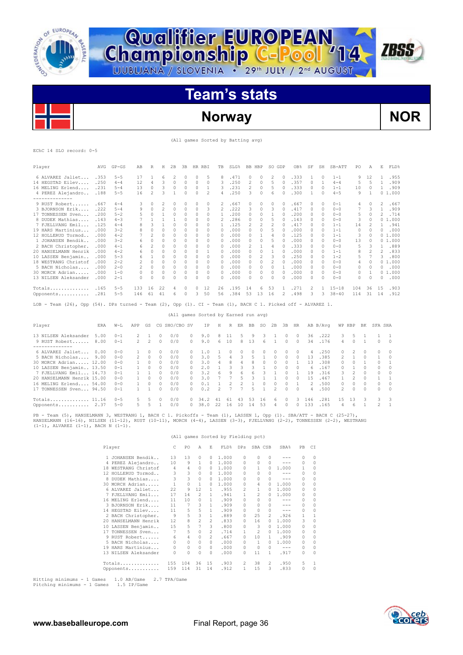![](_page_35_Picture_0.jpeg)

![](_page_35_Picture_1.jpeg)

### Norway **NOR**

**ZBSS** 

(All games Sorted by Batting avg)

EChC 14 SLO record: 0-5

| Player                                                                                                      | AVG  | $GP - GS$ | AВ             | R                        | Н              | 2B             | 3B       | HR RBI                               | TB             | SLG% |                | BB HBP         |                | SO GDP         |                | OB <sub>8</sub> | SF             | SH           | SB-ATT         | PO.            | Α              | Е              | FLD%      |
|-------------------------------------------------------------------------------------------------------------|------|-----------|----------------|--------------------------|----------------|----------------|----------|--------------------------------------|----------------|------|----------------|----------------|----------------|----------------|----------------|-----------------|----------------|--------------|----------------|----------------|----------------|----------------|-----------|
| 6 ALVAREZ Jaliet                                                                                            | .353 | $5 - 5$   | 17             | 1                        | 6              | $\overline{c}$ | $\Omega$ | 5<br>$\Omega$                        | 8              | .471 |                | 0              | 0              | 2              | $\circ$        | .333            | 1              | 0            | $1 - 1$        | 9              | 12             | 1              | .955      |
| 14 HEGSTAD Eilev                                                                                            | .250 | $4 - 4$   | 12             | $\overline{4}$           | 3              | $\Omega$       | $\Omega$ | $\Omega$<br>$\Omega$                 | 3              | .250 |                | $\overline{c}$ | $\circ$        | 5              | $\Omega$       | .357            | $\circ$        | $\mathbf{1}$ | $4 - 4$        | 5              | 5              | $\mathbf{1}$   | .909      |
| 16 MELING Erlend                                                                                            | .231 | $5 - 4$   | 13             | $\circ$                  | 3              | 0              | $\Omega$ | $\mathbf{1}$<br>$\circ$              | 3              | .231 |                | 2              | $\circ$        | 5              | $\circ$        | .333            | $\circ$        | $\circ$      | $1 - 1$        | 10             | $\circ$        | $\mathbf{1}$   | .909      |
| 4 PEREZ Alejandro<br>--------------                                                                         | .188 | $5 - 5$   | 16             | $\overline{2}$           | 3              | $\mathbf{1}$   | $\circ$  | $\circ$<br>$\overline{2}$            | 4              | .250 |                | 3              | $\circ$        | 6              | $\circ$        | .300            | $\mathbf{1}$   | $\circ$      | $4 - 5$        | 9              | $\mathbf{1}$   |                | 01.000    |
| 9 RUST Robert                                                                                               | .667 | $4 - 4$   | 3              | $\circ$                  | $\overline{2}$ | $\circ$        | $\Omega$ | $\Omega$<br>$\Omega$                 | $\mathfrak{D}$ | .667 |                | $\Omega$       | $\Omega$       | $\Omega$       | $\bigcap$      | .667            | $\Omega$       | $\Omega$     | $0 - 1$        | 4              | $\Omega$       | $\mathfrak{D}$ | .667      |
| 3 BJORNSON Erik                                                                                             | .222 | $5 - 4$   | 9              | $\Omega$                 | 2              | $\Omega$       | $\Omega$ | $\Omega$<br>3                        | $\mathfrak{D}$ | .222 |                | 3              | $\Omega$       | 3              | $\Omega$       | .417            | $\Omega$       | $\Omega$     | $0 - 0$        | 7              | 3              | 1              | .909      |
| 17 TONNESSEN Sven                                                                                           | .200 | $5 - 2$   | 5              | $\circ$                  | $\mathbf{1}$   | $\circ$        | $\Omega$ | $\circ$<br>0                         | $\mathbf{1}$   | .200 |                | 0              | $\circ$        | 1              | $\circ$        | .200            | $\circ$        | $\circ$      | $0 - 0$        | 5              | $\circ$        | $\overline{c}$ | .714      |
| 8 DUDEK Mathias                                                                                             | .143 | $4 - 3$   | 7              | $\mathbf{1}$             | $\mathbf{1}$   | $\mathbf{1}$   | 0        | $\circ$<br>0                         | 2              | .286 |                | 0              | $\circ$        | 5              | $\circ$        | .143            | $\mathcal{O}$  | $\circ$      | $0 - 0$        | 3              | $\circ$        |                | 01.000    |
| 7 FJELLVANG Emil                                                                                            | .125 | $4 - 4$   | 8              | 3                        | $\mathbf{1}$   | $\circ$        | $\Omega$ | $\circ$<br>$\Omega$                  | 1              | .125 |                | 2              | $\overline{2}$ | 2              | $\Omega$       | .417            | $\Omega$       | $\Omega$     | $1 - 1$        | 14             | 2              | 1              | .941      |
| 19 HARS Martinius                                                                                           | .000 | $3 - 2$   | 8              | $\circ$                  | 0              | 0              | 0        | 0<br>0                               | $\Omega$       | .000 |                | 0              | $\circ$        | 5              | $\circ$        | .000            | 0              | $\Omega$     | $1 - 1$        | $\Omega$       | 0              | $\mathcal{O}$  | .000      |
| 12 HOLLERUD Tormod                                                                                          | .000 | $4 - 2$   | 7              | $\mathfrak{D}$           | $\Omega$       | $\circ$        | 0        | $\Omega$<br>$\Omega$                 | $\Omega$       | .000 |                | 0              | $\mathbf{1}$   | 4              | $\Omega$       | .125            | $\Omega$       | $\Omega$     | $1 - 1$        | 3              | $\Omega$       |                | 01.000    |
| 1 JOHANSEN Bendik                                                                                           | .000 | $3 - 2$   | 6              | $\Omega$                 | $\bigcap$      | $\Omega$       | $\Omega$ | $\Omega$<br>$\Omega$                 | $\Omega$       | .000 |                | $\Omega$       | $\Omega$       | 5              | $\Omega$       | .000            | $\Omega$       | $\Omega$     | $0 - 0$        | 13             | $\Omega$       |                | 0, 1, 000 |
| 2 BACH Christopher.                                                                                         | .000 | $4 - 1$   | 6              | $\overline{\phantom{a}}$ | $\Box$         | $\circ$        | $\Omega$ | $\Omega$<br>$\Omega$                 | $\Omega$       | .000 |                | $\overline{c}$ | 1              | 4              | $\Omega$       | .333            | $\Omega$       | $\Omega$     | $0 - 0$        | 5              | 3              | 1              | .889      |
| 20 HANSELMANN Henrik                                                                                        | .000 | $4 - 2$   | 6              | $\Omega$                 | $\circ$        | $\circ$        | $\circ$  | $\circ$<br>1                         | $\Omega$       | .000 |                | 0              | $\circ$        | 1              | $\Omega$       | .000            | $\circ$        | $\Omega$     | $1 - 1$        | 8              | $\overline{c}$ | $\overline{2}$ | .833      |
| 10 LASSEN Benjamin                                                                                          | .000 | $5 - 3$   | 6              | $\mathbf{1}$             | $^{\circ}$     | 0              | O        | $\circ$<br>0                         | 0              | .000 |                | $\Omega$       | $\overline{2}$ | 3              | $\Omega$       | .250            | $\Omega$       | $\Omega$     | $1 - 2$        | 5              | 7              | 3              | .800      |
| 18 WESTRANG Christof                                                                                        | .000 | $2 - 2$   | 2              | $\circ$                  | $^{\circ}$     | 0              | $\Omega$ | $\circ$<br>0                         | $\Omega$       | .000 |                | 0              | $\circ$        | 2              | $\circ$        | .000            | 0              | $\Omega$     | $0 - 0$        | 4              | $\circ$        |                | 01.000    |
| 5 BACH Nicholas                                                                                             | .000 | $2 - 0$   | $\overline{c}$ | $\Omega$                 | $\Omega$       | $\circ$        | $\Omega$ | $\Omega$<br>$\Omega$                 | $\Omega$       | .000 |                | $\Omega$       | $\Omega$       | $\Omega$       | $\mathbf{1}$   | .000            | $\Omega$       | $\Omega$     | $0 - 0$        | $\Omega$       | $\Omega$       | $\Omega$       | .000      |
| 30 MORCH Adrian                                                                                             | .000 | $1 - 0$   | 0              | 0                        | 0              | 0              | n        | $\circ$<br>$\circ$                   | 0              | .000 |                | 0              | 0              | 0              | $\circ$        | .000            | $\Omega$       | $\Omega$     | $0 - 0$        | 0              | $\mathbf{1}$   |                | 01.000    |
| 13 NILSEN Aleksander                                                                                        | .000 | $2 - 1$   | 0              | $\Omega$                 | $\bigcap$      | $\Omega$       | $\Omega$ | $\Omega$<br>$\Omega$                 | 0              | .000 |                | $\Omega$       | $\Omega$       | $\Omega$       | $\Omega$       | .000            | $\mathcal{O}$  | $\Omega$     | $0 - 0$        | $\Omega$       | $\Omega$       | $\mathcal{O}$  | .000      |
| Totals                                                                                                      | .165 | $5 - 5$   | 133            | 16                       | 22             | 4              | $\Omega$ | $\Omega$<br>12                       | 26             | .195 | 14             |                | 6              | 53             | 1              | .271            | 2              | 1            | $15 - 18$      | 104            | 36             | 1.5            | .903      |
| Opponents                                                                                                   | .281 | $5 - 5$   | 146            | 61                       | 41             | 6              | 0        | 3<br>50                              | 56             | .384 |                | 53<br>13       |                | 16             | $\overline{c}$ | .498            | 3              | 3            | $38 - 40$      | 114            | 31             | 14             | .912      |
| LOB - Team (26), Opp (54). DPs turned - Team (2), Opp (1). CI - Team (1), BACH C 1. Picked off - ALVAREZ 1. |      |           |                |                          |                |                |          |                                      |                |      |                |                |                |                |                |                 |                |              |                |                |                |                |           |
|                                                                                                             |      |           |                |                          |                |                |          | (All games Sorted by Earned run avg) |                |      |                |                |                |                |                |                 |                |              |                |                |                |                |           |
| Player                                                                                                      | ERA  | W-T.      | APP            | GS                       |                | CG SHO/CBO SV  |          | ΙP                                   | Н              | R    | ER             | BB             | SO             | 2В             | 3B             | HR              |                | AB B/Avq     | WP HBP         | BK             |                | SFA SHA        |           |
|                                                                                                             |      |           |                |                          |                |                |          |                                      |                |      |                |                |                |                |                |                 |                |              |                |                |                |                |           |
| 13 NILSEN Aleksander                                                                                        | 5.00 | $0 - 1$   | 2              | 1                        | 0              | 0/0            |          | 0<br>9.0                             | 8              | 11   | 5              | 9              | 3              | 1              | 0              | 0               | 36             | .222         | 3              | 5              | 1              | 1              | 1         |
| 9 RUST Robert                                                                                               | 8.00 | $0 - 1$   | $\mathfrak{D}$ | $\overline{c}$           | $\Omega$       | 0/0            |          | $\Omega$<br>9.0                      | 6              | 10   | 8              | 13             | 6              | 1              | $\Omega$       | $\Omega$        | 34             | .176         | 4              | $\Omega$       | $\mathbf{1}$   | $\Omega$       | $\Omega$  |
| 6 ALVAREZ Jaliet                                                                                            | 0.00 | $0 - 0$   | 1              | $\Omega$                 | <sup>0</sup>   | 0/0            |          | 1.0<br>0                             | 1              | O    | $\Omega$       | $\Omega$       | 0              | 0              | $\Omega$       | $\Omega$        | 4              | .250         | $\circ$        | 2              | $\cap$         | $\Omega$       | $\Omega$  |
| 5 BACH Nicholas                                                                                             | 9.00 | $0 - 0$   | $\overline{c}$ | $\Omega$                 | $\Omega$       | 0/0            |          | 3.0<br>$\Omega$                      | 5              | 4    | 3              | 5              | $\mathbf{1}$   | 0              | 0              | $\Omega$        | 13             | .385         | $\overline{c}$ | $\overline{1}$ | O              |                | $\Omega$  |
| 30 MORCH Adrian 12.00                                                                                       |      | $0 - 0$   | 1              | $\Omega$                 | $\Omega$       | 0/0            |          | 3.0<br>$\Omega$                      | $\overline{4}$ | 8    | 4              | 8              | $\circ$        | 0              | $\Omega$       | $\mathbf{1}$    | 13             | .308         | $\circ$        | $\circ$        | 1              | $\Omega$       | 1         |
| 10 LASSEN Benjamin 13.50                                                                                    |      | $0 - 1$   | 1              | $\Omega$                 | $\Omega$       | 0/0            |          | $\Omega$<br>2.0                      | $\mathbf{1}$   | 3    | 3              | 3              | $\mathbf{1}$   | 0              | $\Omega$       | $\Omega$        | 6              | .167         | $\Omega$       | $\mathbf{1}$   | $\Omega$       | $\Omega$       | $\Omega$  |
| 7 FJELLVANG Emil 14.73                                                                                      |      | $0 - 1$   | 1              | 1                        | $\Omega$       | 0/0            |          | 3.2<br>0                             | 6              | 9    | 6              | 6              | 3              | 1              | 0              | 1               | 19             | .316         | 3              | 2              | $\Omega$       | 0              | $\Omega$  |
| 20 HANSELMANN Henrik 15.00                                                                                  |      | $0 - 0$   | 1              | $\Omega$                 | $\Omega$       | 0/0            |          | $\Omega$<br>3.0                      | 7              | 7    | 5              | 3              | $\mathbf{1}$   | 1              | $\Omega$       | $\Omega$        | 15             | .467         | 1              | 2              | $\Omega$       | $\mathbf{1}$   | 1         |
| 16 MELING Erlend 54.00                                                                                      |      | $0 - 0$   | 1              | 0                        | C              | 0/0            |          | 0<br>0.1                             | $\mathbf{1}$   | 2    | $\overline{c}$ | 1              | $\circ$        | 0              | $\Omega$       | $\mathbf{1}$    | $\overline{2}$ | .500         | 0              | 0              | 0              | $\circ$        | $\circ$   |
| 17 TONNESSEN Sven 94.50                                                                                     |      | $0 - 1$   | 1              | 1                        | <sup>0</sup>   | 0/0            |          | 0.2<br>n                             | $\mathcal{P}$  | 7    | 7              | 5              | $\mathbf{1}$   | $\mathfrak{D}$ | $\Omega$       | $\cap$          | 4              | .500         | $\mathfrak{D}$ | O.             | $\cap$         | $\cap$         | $\cap$    |

Totals.............. 11.16 0-5 5 5 0 0/0 0 34.2 41 61 43 53 16 6 0 3 146 .281 15 13 3 3 3 Opponents........... 2.37 5-0 5 5 1 0/0 0 38.0 22 16 10 14 53 4 0 0 133 .165 4 6 1 2 1

PB - Team (5), HANSELMANN 3, WESTRANG 1, BACH C 1. Pickoffs - Team (1), LASSEN 1, Opp (1). SBA/ATT - BACH C (25-27),<br>HANSELMANN (16-16), NILSEN (11-12), RUST (10-11), MORCH (4-4), LASSEN (3-3), FJELLVANG (2-2), TONNESSEN (

|                                    |              |          |                |               | (All games Sorted by Fielding pct) |              |                |          |         |              |              |
|------------------------------------|--------------|----------|----------------|---------------|------------------------------------|--------------|----------------|----------|---------|--------------|--------------|
| Player                             | C.           | P0       | A              | E.            | FLD%                               | <b>DPs</b>   | SBA CSB        |          | SBA%    | PB.          | CI           |
| 1 JOHANSEN Bendik                  | 13           | 13       | $\Omega$       | $\Omega$      | 1.000                              | $\Omega$     | $\Omega$       | $\Omega$ | $- - -$ | $\Omega$     | 0            |
| 4 PEREZ Alejandro                  | 10           | 9        | $\mathbf{1}$   | 0             | 1,000                              | $\Omega$     | $\Omega$       | 0        | $- - -$ | $\Omega$     | $\Omega$     |
| WESTRANG Christof<br>18            | 4            | 4        | 0              | 0             | 1,000                              | $\Omega$     | 1              | $\Omega$ | 1,000   | 1.           | $\circ$      |
| HOLLERUD Tormod<br>12 <sup>°</sup> | 3            | 3        | $\circ$        | $\Omega$      | 1,000                              | $\Omega$     | $\Omega$       | 0        | $- - -$ | $\Omega$     | $\circ$      |
| DUDEK Mathias<br>8                 | 3            | 3        | $\Omega$       | 0             | 1,000                              | <sup>0</sup> | $\Omega$       | 0        | ---     | $\Omega$     | $\Omega$     |
| 30 MORCH Adrian                    | $\mathbf{1}$ | $\Omega$ | $\mathbf{1}$   | 0             | 1,000                              | $\Omega$     | 4              | 0        | 1.000   | 0            | $\Omega$     |
| 6 ALVAREZ Jaliet                   | 22           | 9        | 12             | 1.            | .955                               | 2            | 1              | 0        | 1,000   | $\Omega$     | $\circ$      |
| FJELLVANG Emil                     | 17           | 14       | 2              | 1.            | .941                               | 1            | 2              | 0        | 1,000   | 0            | 0            |
| 16 MELING Erlend                   | 11           | 10       | 0              | 1.            | .909                               | $\Omega$     | $\Omega$       | 0        | $- - -$ | $\Omega$     | $\circ$      |
| 3 BJORNSON Erik                    | 11           | 7        | 3              | $\mathbf{1}$  | .909                               | $\Omega$     | $\Omega$       | $\Omega$ | ---     | 0            | 0            |
| 14 HEGSTAD Eilev                   | 11           | 5        | 5              | $\mathbf{1}$  | .909                               | $\Omega$     | $\Omega$       | 0        | $- - -$ | 0            | $\circ$      |
| 2 BACH Christopher.                | 9            | 5        | 3              | 1             | .889                               | $\Omega$     | 25             | 2        | .926    | $\mathbf{1}$ | $\mathbf{1}$ |
| 20 HANSELMANN Henrik               | 12           | 8        | $\overline{c}$ | 2             | .833                               | $\Omega$     | 16             | 0        | 1,000   | 3            | 0            |
| 10 LASSEN Benjamin                 | 15           | 5        | 7              | 3             | .800                               | $\Omega$     | 3              |          | 1,000   | 0            | $\circ$      |
| TONNESSEN Sven<br>17               | 7            | 5        | $\Omega$       | $\mathcal{L}$ | .714                               | 1            | $\mathfrak{D}$ | 0        | 1,000   | 0            | $\Omega$     |
| 9 RUST Robert                      | 6            | 4        | $\Omega$       | 2             | .667                               | $\Omega$     | 10             | 1        | .909    | 0            | $\Omega$     |
| 5 BACH Nicholas                    | $\Omega$     | $\Omega$ | $\Omega$       | $\Omega$      | .000                               | $\Omega$     | $\mathbf{1}$   | 0        | 1,000   | $\Omega$     | 0            |
| 19 HARS Martinius                  | $\Omega$     | $\Omega$ | 0              | $\Omega$      | .000                               | $\Omega$     | $\Omega$       | 0        | $-- -$  | $\Omega$     | 0            |
| 13 NILSEN Aleksander               | $\Omega$     | $\Omega$ | 0              | 0             | .000                               | $\Omega$     | 11             | 1.       | .917    | 0            | $\Omega$     |
| $Totals$                           | 155          | 104      | 36             | 15            | .903                               | 2            | 38             | 2        | .950    | 5            | $\mathbf{1}$ |
| Opponents                          | 159          | 114      | 31             | 14            | .912                               | 1            | 15             | 3.       | .833    | 0            | $\Omega$     |
|                                    |              |          |                |               |                                    |              |                |          |         |              |              |

![](_page_35_Picture_11.jpeg)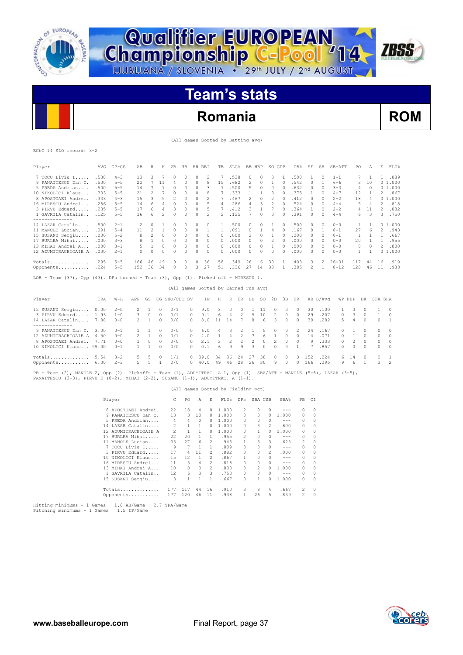![](_page_36_Picture_0.jpeg)

## **Team's stats**

**Championship C-Pool** '14

### **Romania ROM**

**ZBSS** 

(All games Sorted by Batting avg)

|  | EChC 14 SLO record: 3-2 |  |
|--|-------------------------|--|

| Player                                                                                                                                                                                                  | AVG        | $GP - GS$ | AВ            | R              |                | $H$ 2B                               | 3B            | HR RBI   |                  | TB            | SLG%           |                | BB HBP          |              | SO GDP         |              | OB%           | SF            |              | SH SB-ATT | PO                | Α              | Ε              | FLD%           |
|---------------------------------------------------------------------------------------------------------------------------------------------------------------------------------------------------------|------------|-----------|---------------|----------------|----------------|--------------------------------------|---------------|----------|------------------|---------------|----------------|----------------|-----------------|--------------|----------------|--------------|---------------|---------------|--------------|-----------|-------------------|----------------|----------------|----------------|
| 7 TOCU Liviu I                                                                                                                                                                                          | .538       | $4 - 3$   | 13            | 3              | 7              | $\Omega$                             | $\mathcal{O}$ | $\Omega$ | 2                | 7             | .538           |                | $\Omega$        | $\Omega$     | 3              | $\mathbf{1}$ | .500          | 1             | $\Omega$     | $1 - 1$   | 7                 | $\mathbf{1}$   |                | 1.889          |
| 9 PANAITESCU Dan C.                                                                                                                                                                                     | .500       | $5 - 5$   | 22            | 7              | 11             | 4                                    | $\mathcal{O}$ | $\Omega$ | 8                | 1.5           | .682           |                | 2               | $\Omega$     | 1              | $\Box$       | .542          | $\mathcal{O}$ | $\mathbf{1}$ | $6 - 6$   | 3                 | 10             |                | 01.000         |
| 5 PREDA Andrian                                                                                                                                                                                         | .500       | $5 - 5$   | 14            | 7              | 7              | 0                                    | 0             | $\Omega$ | 3                | 7             | .500           |                | 5               | $\circ$      | $\Omega$       | $\bigcap$    | .632          | $\Omega$      | $\Omega$     | $3 - 3$   | 4                 | $\Omega$       |                | 01.000         |
| 10 NIKOLICI Klaus                                                                                                                                                                                       | .333       | $5 - 5$   | 21            | $\mathfrak{D}$ | 7              | $\circ$                              | $\Omega$      | $\Omega$ | 8                | 7             | .333           |                | $\mathbf{1}$    | -1.          | 3              | $\Box$       | .375          | 1             | $\bigcap$    | $4 - 7$   | 12                | $\mathbf{1}$   | 2              | .867           |
| 8 APOSTOAEI Andrei.                                                                                                                                                                                     | .333       | $4 - 3$   | 1.5           | 3              | 5              | $\mathfrak{D}$                       | $\Omega$      | $\Omega$ | 2                | 7             | .467           |                | 2               | $\Omega$     | 2              | $\Omega$     | .412          | $\mathcal{O}$ | $\Omega$     | $2 - 2$   | 18                | $\overline{4}$ |                | 0, 1, 000      |
| 16 MIRESCU Andrei                                                                                                                                                                                       | .286       | $5 - 5$   | 14            | $\epsilon$     | $\Delta$       | $\Omega$                             | $\cap$        | $\cap$   | $\overline{n}_1$ | $\Delta$      | .286           |                | 4               | 3            | $\mathfrak{D}$ | $\cap$       | .524          | $\cap$        | $\Omega$     | $4 - 4$   | 5                 | $\Delta$       | $\mathcal{P}$  | .818           |
| 3 PIRVU Eduard                                                                                                                                                                                          | .235       | $5 - 5$   | 17            | 6              | $\overline{4}$ | 3                                    | O             | $\Omega$ | 5                | 7             | .412           |                | 3               | $\mathbf{1}$ | 7              | $\Omega$     | .364          | 1             | $\Omega$     | $2 - 2$   | 4                 | 11             |                | 2 .882         |
| 1 GAVRILA Catalin<br>--------------                                                                                                                                                                     | .125       | $5 - 5$   | 16            | 6              | $\mathfrak{D}$ | $\Omega$                             | O             | $\Omega$ | $\mathfrak{D}$   | $\mathcal{L}$ | .125           |                | 7               | $\Omega$     | 3              | $\Omega$     | .391          | $\Omega$      | $\Omega$     | $4 - 4$   | 6                 | 3              |                | 3.750          |
| 14 LAZAR Catalin                                                                                                                                                                                        | .500       | $2 - 1$   | 2             | $\Omega$       | $\mathbf{1}$   | $\Omega$                             | $\mathcal{O}$ | $\Omega$ | $\Omega$         | $\mathbf{1}$  | .500           |                | 0               | $\Omega$     | $\mathbf{1}$   | $\Box$       | .500          | $\Omega$      | $\Omega$     | $0 - 0$   | 1                 | $\mathbf{1}$   |                | 01.000         |
| 11 MANOLE Lucian                                                                                                                                                                                        | .091       | $5 - 4$   | 11            | $\mathfrak{D}$ | 1              | $\Omega$                             | $\mathcal{O}$ | $\Omega$ | $\mathbf{1}$     | $\mathbf{1}$  | .091           |                | $\Omega$        | $\mathbf{1}$ | 4              | $\Omega$     | .167          | $\mathcal{O}$ | $\mathbf{1}$ | $0 - 1$   | 27                | 6              | $\mathfrak{D}$ | .943           |
| 15 SUSANU Sergiu                                                                                                                                                                                        | .000       | $5 - 2$   | 8             | $\overline{c}$ | $\Omega$       | $\circ$                              | 0             | $\Omega$ | $\Omega$         | $\Omega$      | .000           |                | 2               | $\Omega$     | 1              | $\Omega$     | .200          | $\mathcal{O}$ | $\Omega$     | $0 - 1$   | 1                 | 1              | $\mathbf{1}$   | .667           |
| 17 BURLEA Mihai                                                                                                                                                                                         | .000       | $3 - 3$   |               | $\mathbf{1}$   | $\Omega$       | $\Omega$                             | $\Omega$      | $\Omega$ | $\Omega$         | $\Omega$      | .000           |                | $\Omega$        | $\Omega$     | 2              | $\bigcap$    | .000          | $\Omega$      | $\Omega$     | $0 - 0$   | 20                | $\mathbf{1}$   | $\mathbf{1}$   | .955           |
| 13 MIHAI Andrei A                                                                                                                                                                                       | .000       | $3 - 1$   | 5             | $\mathbf{1}$   | $\circ$        | $\circ$                              | 0             | 0        | $\Omega$         | $\Omega$      | .000           |                | 0               | 0            | $\mathbf{1}$   | $\bigcap$    | .000          | $\mathcal{O}$ | $\Omega$     | $0 - 0$   | 8                 | $\circ$        | 2              | .800           |
| 12 ADUMITRACHIOAIE A                                                                                                                                                                                    | .000       | $2 - 1$   | $\Omega$      | $\Omega$       | $\Omega$       | $\Omega$                             | $\Omega$      | $\Omega$ | $\Omega$         | $\Omega$      | .000           |                | $\Omega$        | $\Omega$     | $\Omega$       | $\bigcap$    | .000          | $\Omega$      | $\Omega$     | $0 - 0$   | $\mathbf{1}$      | $\mathbf{1}$   |                | 01.000         |
| Totals                                                                                                                                                                                                  | .295       | $5 - 5$   | 166           | 46             | 49             | 9                                    | $\mathcal{O}$ | 0        | 36               | 58            | .349           |                | 26              | 6            | 30             | 1            | .403          | 3             | 2            | $26 - 31$ | 117               | 44             | 16             | .910           |
| Opponents .224                                                                                                                                                                                          |            | $5 - 5$   | 152           | 36             | 34             | 8                                    | $\Omega$      | 3        | 27               | 51            | .336           |                | 27 14           |              | - 38           | $\mathbf{1}$ | .385          | 2             | 1            | $8 - 12$  | 120               | 46             | 11             | .938           |
| LOB - Team $(37)$ , Opp $(43)$ . DPs turned - Team $(3)$ , Opp $(1)$ . Picked off - MIRESCU 1.                                                                                                          |            |           |               |                |                |                                      |               |          |                  |               |                |                |                 |              |                |              |               |               |              |           |                   |                |                |                |
|                                                                                                                                                                                                         |            |           |               |                |                | (All games Sorted by Earned run avg) |               |          |                  |               |                |                |                 |              |                |              |               |               |              |           |                   |                |                |                |
| Player                                                                                                                                                                                                  | <b>ERA</b> | $W-T.$    | APP           | GS.            |                | CG SHO/CBO SV                        |               |          | TP               | H             |                |                | R ER BB         | SO.          | 2B             | 3B           | <b>HR</b>     |               | AB B/Avq     |           | WP HBP BK SFA SHA |                |                |                |
| 15 SUSANU Sergiu                                                                                                                                                                                        | 0.00       | $2 - 0$   | 2             | 1              | $\Omega$       | 0/1                                  |               | 0        | 9.0              | 3             | $\Omega$       | $\Box$         | $\mathbf{1}$    | 11           | 0              | $\Omega$     | $\mathcal{O}$ | 30            | .100         | 1         | 3                 | $\Omega$       | 1              | $\Omega$       |
| 3 PIRVU Eduard 1.93                                                                                                                                                                                     |            | $1 - 0$   | 3             | $\Omega$       | $\Omega$       | 0/1                                  |               | $\Omega$ | 9.1              | 6             | 4              | $\overline{c}$ | 5               | 10           | $\overline{2}$ | $\Omega$     | $\Omega$      | 29            | .207         | $\Omega$  | 3                 | $\Omega$       | $\mathbf{1}$   | $\Omega$       |
| 14 LAZAR Catalin<br>--------------                                                                                                                                                                      | 7.88       | $0 - 0$   | $\mathcal{L}$ | $\mathbf{1}$   | $\Omega$       | 0/0                                  |               | $\Omega$ | 8.0              | 11            | 14             | 7              | 8               | 6            | 3              | $\Omega$     | $\Omega$      | 39            | .282         | 5         | $\overline{4}$    | $\Omega$       | $\Omega$       | $\overline{1}$ |
| 9 PANAITESCU Dan C.                                                                                                                                                                                     | 3.00       | $0 - 1$   | $\mathbf{1}$  | 1              | $\Omega$       | 0/0                                  |               | $\Omega$ | 6.0              | 4             | 3              | $\mathcal{L}$  | $\mathbf{1}$    | 5            | $\Omega$       | $\Omega$     | $\mathcal{L}$ | 2.4           | .167         | $\Omega$  | 1                 | $\Omega$       | $\Omega$       | $\Omega$       |
| 12 ADUMITRACHIOAIE A                                                                                                                                                                                    | 4.50       | $0 - 0$   | 2             | $\mathbf{1}$   | $\Omega$       | 0/1                                  |               | $\Omega$ | 4.0              | 1             | $\overline{4}$ | 2              | $7\phantom{.0}$ | 6            | $\mathbf{1}$   | $\Omega$     | $\Omega$      | 14            | .071         | $\Omega$  | 1                 | $\Omega$       | 0              | $\Omega$       |
| 8 APOSTOAEI Andrei.                                                                                                                                                                                     | 7.71       | $0 - 0$   | $\mathbf{1}$  | $\circ$        | $\Omega$       | 0/0                                  |               | 0        | 2.1              | 3             | 2              | $\overline{c}$ | $\overline{2}$  | 0            | $\overline{2}$ | $\Omega$     | $\Omega$      | 9             | .333         | $\circ$   | 2                 | $\Omega$       | 0              | $\Omega$       |
| 10 NIKOLICI Klaus 99.00                                                                                                                                                                                 |            | $0 - 1$   | $\mathbf{1}$  | 1              | $\Omega$       | 0/0                                  |               | 0        | 0.1              | 6             | 9              | 9              | 3               | $\Omega$     | $\Omega$       | $\Omega$     | 1             | 7             | .857         | $\Omega$  | $\Omega$          | $\Omega$       | $\Omega$       | $\mathcal{O}$  |
| Totals $5.54$                                                                                                                                                                                           |            | $3 - 2$   | 5             | 5              | $\Omega$       | 1/1                                  |               | $\Omega$ | 39.0             | 34            | 36.            | 24             | 27              | 38           | 8              | $\Omega$     | 3             | 1.52          | .224         | 6         | 14                | $\Omega$       | 2              | 1              |
| Opponents 6.30                                                                                                                                                                                          |            | $2 - 3$   | 5             | 5              | 1              | 0/0                                  |               | $\Omega$ | 40.0             | 49            | 46             | 28             | 26              | 30           | 9              | $\Omega$     | $\mathcal{O}$ | 166           | .295         | 9         | 6                 | $\mathbf{1}$   | 3              | $\mathfrak{D}$ |
| PB - Team (2), MANOLE 2, Opp (2). Pickoffs - Team (1), ADUMITRAC. A 1, Opp (1). SBA/ATT - MANOLE (5-8), LAZAR (3-5),<br>PANAITESCU (3-3), PIRVU E (0-2), MIHAI (2-2), SUSANU (1-1), ADUMITRAC. A (1-1). |            |           |               |                |                |                                      |               |          |                  |               |                |                |                 |              |                |              |               |               |              |           |                   |                |                |                |

#### (All games Sorted by Fielding pct)

| Player |                      | C.  | PO  | A        | F.            | FLD%  | DPs      | SBA CSB  |          | SBA%    | PB. | CI       |
|--------|----------------------|-----|-----|----------|---------------|-------|----------|----------|----------|---------|-----|----------|
|        | 8 APOSTOAEI Andrei.  | 22  | 18  | 4        | 0             | 1,000 | 2        | $\Omega$ | $\Omega$ |         | 0   |          |
|        | 9 PANAITESCU Dan C.  | 13  | 3   | 10       | 0             | 1,000 | $\Omega$ | 3        | $\Omega$ | 1,000   | 0   | $\Omega$ |
|        | 5 PREDA Andrian      | 4   | 4   | $\Omega$ | 0             | 1,000 | $\Omega$ | 0        | 0        | $- - -$ | 0   | $\Omega$ |
|        | 14 LAZAR Catalin     | 2   | 1   |          | 0             | 1,000 | $\Omega$ | 3        | 2        | .600    | 0   | 0        |
|        | 12 ADUMITRACHIOAIE A | 2   | 1   |          | 0             | 1,000 | $\cap$   | 1        | 0        | 1,000   | 0   |          |
|        | 17 BURLEA Mihai      | 22  | 20  |          | 1             | .955  | 2        | 0        | 0        | $- - -$ | 0   | 0        |
|        | 11 MANOLE Lucian     | 35  | 27  | 6        | 2             | .943  | 1        | 5        | 3        | .625    | 2   | $\Omega$ |
|        | 7 TOCU Liviu I       | 9   | 7   |          | 1.            | .889  | $\Omega$ | $\Omega$ | 0        | $- - -$ | 0   | 0        |
|        | 3 PIRVU Eduard       | 17  | 4   | 11       | $\mathcal{P}$ | .882  | $\Omega$ | 0        | 2        | .000    | 0   | 0        |
|        | 10 NIKOLICI Klaus    | 15  | 12  |          | 2             | .867  | 1        | $\Omega$ | 0        | $-- -$  | 0   | $\Omega$ |
|        | 16 MIRESCU Andrei    | 11  | 5   | 4        | 2             | .818  | 0        | 0        | 0        | $- - -$ | 0   | $\Omega$ |
|        | 13 MIHAI Andrei A    | 10  | 8   | $\Omega$ | 2             | .800  | $\Omega$ | 2        | $\Omega$ | 1,000   | 0   | 0        |
|        | 1 GAVRILA Catalin    | 12  | 6   | 3        | 3             | .750  | $\Omega$ | $\Omega$ | 0        | $- - -$ | 0   | $\Omega$ |
|        | 15 SUSANU Sergiu     | 3   | 1   |          | 1             | .667  | 0        | 1        | 0        | 1,000   | 0   | 0        |
|        | Totals               | 177 | 117 | 44       | 16            | .910  | 3        | 8        | 4        | .667    | 2   | 0        |
|        | Opponents            | 177 | 120 | 46       | 11            | .938  | 1        | 26       | 5        | .839    | 2   | $\Omega$ |

![](_page_36_Picture_10.jpeg)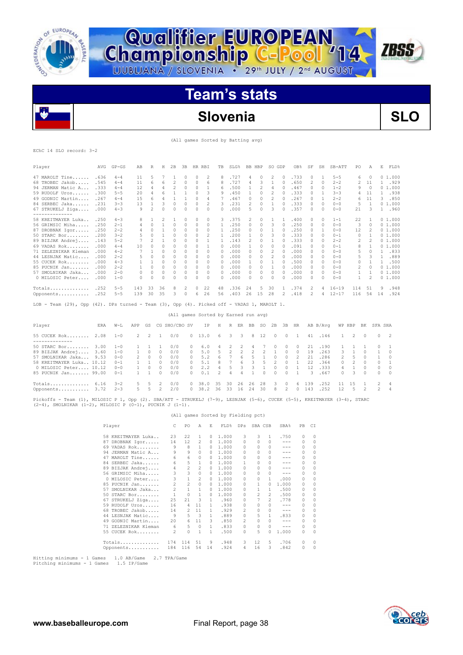![](_page_37_Picture_0.jpeg)

# **Team's stats**

**Championship C-Pool** 14

### **Slovenia SLO**

**ZBSS** 

(All games Sorted by Batting avg)

#### EChC 14 SLO record: 3-2

| Player                                                                                     | AVG   | $GP - GS$ | AB  | R              | Н              | 2B             | 3B |          | HR RBI                   | TB                | SLG% |    | BB HBP         | SO GDP   |               | OB <sub>8</sub> | SF            | SH       | SB-ATT    | PO           | A        | Е            | FLD%   |
|--------------------------------------------------------------------------------------------|-------|-----------|-----|----------------|----------------|----------------|----|----------|--------------------------|-------------------|------|----|----------------|----------|---------------|-----------------|---------------|----------|-----------|--------------|----------|--------------|--------|
| 47 MAROLT Tine                                                                             | . 636 | $4 - 4$   | 11  | 5              |                |                | 0  | $\Omega$ | 2                        | 8                 | .727 | 4  | 0              | 2        | $\Box$        | .733            | $\cap$        |          | $5 - 5$   | 6            | $\Omega$ |              | 01.000 |
| 68 TROBEC Jakob                                                                            | .545  | $4 - 4$   | 11  | 6              | 6              | 2              | 0  | $\Omega$ | 6                        | 8                 | .727 | 4  | 3              |          |               | .650            | 2             | $\Omega$ | $2 - 2$   |              | 11       |              | .929   |
| 94 JERMAN Matic A                                                                          | .333  | $4 - 4$   | 12  | 4              | 4              | $\overline{c}$ | 0  | $\Omega$ |                          | 6                 | .500 | 1  | $\mathfrak{D}$ | 4        | $\bigcap$     | .467            | $\Omega$      | $\Omega$ | $1 - 2$   | 9            | $\Omega$ |              | 01.000 |
| 59 RUDOLF Uros                                                                             | .300  | $5 - 5$   | 20  | 4              | Б              |                |    | $\Omega$ | 3                        | 9                 | .450 | 1  | $\Omega$       | 2        |               | .333            | $\Omega$      |          | $3 - 3$   | 4            | 11       |              | .938   |
| 49 GODNIC Martin                                                                           | .267  | $4 - 4$   | 1.5 | 6              | 4              | 1              |    | $\Omega$ | 4                        |                   | .467 | 0  | $\Omega$       | 2        | $\Omega$      | .267            | $\Omega$      |          | $2 - 2$   | 6            | 11       | 3            | .850   |
| 84 SERBEC Jaka                                                                             | .231  | $3 - 3$   | 13  |                |                | 0              | 0  | $\Omega$ | $\overline{\mathcal{L}}$ | 3                 | .231 | 2  | 0              |          | $\bigcap$     | .333            | $\Omega$      | $\Omega$ | $0 - 0$   | 5            |          |              | 01.000 |
| 67 STRUKELJ Ziga                                                                           | .000  | $4 - 3$   | 9   | $\overline{c}$ | $\Omega$       | 0              | 0  | $\Omega$ | 0                        | $\cap$            | .000 | 5  | $\Omega$       | 3        |               | .357            | $\Omega$      | $\Omega$ | $0 - 0$   | 21           | 3        |              | 1 .960 |
| ----------------<br>58 KREITMAYER Luka                                                     | .250  | $4 - 3$   |     |                | $\overline{2}$ |                | 0  |          | $\Omega$                 |                   | .375 | 2  |                |          |               | .400            | $\Omega$      | $\Omega$ | $1 - 1$   | 22           |          |              | 01.000 |
|                                                                                            | .250  | $2 - 1$   |     |                |                |                |    | 0        |                          | 3<br>$\mathbf{1}$ |      |    | 0              |          |               |                 |               |          |           | 3            |          |              |        |
| 56 GRIMSIC Miha                                                                            |       |           | 4   | $\Omega$       |                | $\Omega$       | 0  | $\Omega$ | 0                        |                   | .250 | 0  | 0              | 3        |               | .250            | $\Omega$      | 0        | $0 - 0$   |              | 0        |              | 01.000 |
| 87 DROBNAK Igor                                                                            | .250  | $2 - 2$   |     | $\Omega$       |                | $\Omega$       | 0  | $\Omega$ | 0                        |                   | .250 | 0  | $\Omega$       |          |               | .250            | 0             |          | $0 - 0$   | 12           |          |              | 01.000 |
| $50$ STARC Bor                                                                             | .200  | $3 - 2$   |     | $\Omega$       |                | $\Omega$       | U  | $\Omega$ |                          |                   | .200 |    | 0              | २        |               | .333            | $\Omega$      | 0        | $0 - 1$   | $\Omega$     |          |              | 01.000 |
| 89 BIZJAK Andrej                                                                           | .143  | $5 - 2$   |     | $\mathfrak{D}$ |                | $\Omega$       | 0  | $\Omega$ |                          | $\mathbf{1}$      | .143 | 2  | $\Omega$       |          | $\cap$        | .333            | $\mathcal{O}$ | $\Omega$ | $2 - 2$   | 2            | 2        |              | 01.000 |
| 69 VADAS Rok                                                                               | .000  | $4 - 4$   | 10  | $\Omega$       | $\Omega$       | $\Omega$       | 0  | $\Omega$ |                          |                   | .000 |    | 0              | 0        |               | .091            | 0             | 0        | $0 - 1$   | 8            |          |              | 01.000 |
| 71 ZELEZNIKAR Kleman                                                                       | .000  | $4 - 2$   |     |                | $\Omega$       | $\Omega$       | 0  | 0        | 0                        | 0                 | .000 | 0  | 0              |          |               | .000            | $\Omega$      | 0        | $0 - 0$   | 5.           | $\Omega$ | 1.           | .833   |
| 44 LESNJAK Matic                                                                           | .000  | $2 - 2$   |     | 0              | $\mathcal{O}$  | $\Omega$       | 0  | $\Omega$ | $\Omega$                 | $\Omega$          | .000 | 0  | $\Omega$       | 2        | $\bigcap$     | .000            | $\mathcal{O}$ | $\Omega$ | $0 - 0$   | 5            | 3        | $\mathbf{1}$ | .889   |
| 55 CUCEK Rok                                                                               | .000  | $4 - 3$   |     |                | $\mathcal{O}$  | $\Omega$       | U  | $\Omega$ | $\Omega$                 | 0                 | .000 |    | $\Omega$       |          |               | .500            | n             | $\cap$   | $0 - 0$   | 0            |          |              | .500   |
| 85 PUCNIK Jan                                                                              | .000  | $2 - 2$   |     | $\Omega$       | $\cap$         | $\Omega$       | 0  | $\Omega$ | $\Omega$                 | 0                 | .000 | 0  | $\cap$         |          |               | .000            | $\cap$        | $\Omega$ | $0 - 0$   | 2            | $\Omega$ |              | 01.000 |
| 57 SMOLNIKAR Jaka                                                                          | .000  | $2 - 0$   | 0   | $\Omega$       | $\mathcal{O}$  | 0              | 0  | $\Omega$ | $\Omega$                 | $\Omega$          | .000 | 0  | $\Omega$       | $\Omega$ | $\bigcap$     | .000            | $\mathcal{O}$ | $\Omega$ | $0 - 0$   | $\mathbf{1}$ |          |              | 01.000 |
| 0 MILOSIC Peter                                                                            | .000  | $1 - 0$   | 0   | $\Omega$       | $\mathcal{O}$  | $\Omega$       |    | $\cap$   | 0                        | $\cap$            | .000 | 0  | O.             | O.       |               | .000            | $\mathcal{O}$ | $\Omega$ | $0 - 0$   | 1.           | 2        |              | 01.000 |
| Totals                                                                                     | .252  | $5 - 5$   | 143 | 33             | 36             | 8              | 2  | $\Omega$ | 22                       | 48                | .336 | 24 | 5              | 30       |               | .374            | 2             |          | $16 - 19$ | 114          | 51       | 9            | .948   |
| Opponents                                                                                  | .252  | $5 - 5$   | 139 | 30             | 35             | 3              | 0  | 6        | 26                       | 56                | .403 | 26 | 15             | 28       | $\mathcal{L}$ | .418            | 2             | 4        | $12 - 17$ | 116          | 54       | 14           | .924   |
| LOB - Team (29), Opp (42). DPs turned - Team (3), Opp (4). Picked off - VADAS 1, MAROLT 1. |       |           |     |                |                |                |    |          |                          |                   |      |    |                |          |               |                 |               |          |           |              |          |              |        |

|                          |      |         |     |             |               | (All games Sorted by Earned run avg) |          |         |               |               |               |               |        |               |               |               |     |          |               |               |               |               |                |
|--------------------------|------|---------|-----|-------------|---------------|--------------------------------------|----------|---------|---------------|---------------|---------------|---------------|--------|---------------|---------------|---------------|-----|----------|---------------|---------------|---------------|---------------|----------------|
| Player                   | ERA  | $W-L$   | APP | GS          |               | CG SHO/CBO SV                        |          | IP.     | H             |               | R ER          | BB            | SO.    | 2B            | 3B            | HR            |     | AB B/Avq |               | WP HBP        | ВK            | SFA SHA       |                |
| 55 CUCEK Rok 2.08        |      | $1 - 0$ |     | $2 \quad 2$ | $\sim$ 1      | 0/0                                  |          | 0, 13.0 |               | 6 3 3         |               | 8             | 12     | $\Omega$      | $\Omega$      | $\mathbf{1}$  | 41  | .146     |               | 2             | $\Omega$      |               | $0\qquad2$     |
| 50 STARC Bor             | 3.00 | $1 - 0$ |     |             |               | 0/0                                  | $\Omega$ | 6.0     | 4             | 2.            | $\mathcal{P}$ |               |        | n.            | $\cap$        | $\Box$        | 21  | .190     |               |               |               | $\cap$        |                |
| 89 BIZJAK Andrej         | 3.60 | $1 - 0$ | 1   | $\cap$      | $\Omega$      | 0/0                                  | $\Omega$ | 5.0     | 5             | $\mathcal{P}$ | $\mathcal{P}$ | $\mathcal{P}$ |        |               | $\cap$        | $\Omega$      | 19  | .263     | $\mathcal{R}$ |               |               |               | $\bigcirc$     |
| 57 SMOLNIKAR Jaka        | 9.53 | $0 - 0$ |     | $2 \quad 0$ | $\Omega$      | 0/0                                  | $\Omega$ | 5.2     | Б.            |               | 6             |               |        | n             | $\cap$        | $\mathcal{D}$ | 21  | .286     | $\mathcal{P}$ | 5             |               |               | $\bigcirc$     |
| 58 KREITMAYER Luka 10.12 |      | $0 - 1$ |     |             | $\cap$        | 0/0                                  | $\Omega$ | .5.1    | 8             |               | 6             | ₹             |        | $\mathcal{D}$ | $\cap$        |               | 22  | .364     | $\cap$        | $\mathcal{P}$ | $\cap$        | $\cap$        |                |
| 0 MILOSIC Peter 10.12    |      | $0 - 0$ |     | $1 \quad n$ | $\Omega$      | 0/0                                  | $\cap$   | 2.2     | 4             |               |               |               |        | O.            | $\cap$        |               | 12  | .333     | 4             |               | $\cap$        | $\cap$        | $\bigcirc$     |
| 85 PUCNIK Jan 99.00      |      | $0 - 1$ |     |             | $\cap$        | 0/0                                  | $\Omega$ | 0.1     | $\mathcal{P}$ | 4             |               |               | $\cap$ | $\cap$        | $\cap$        |               | 3   | .667     | $\cap$        | 3             | $\cap$        | $\cap$        | $\bigcirc$     |
| $Totals$ $6.16$          |      | $3 - 2$ | 5.  | .5.         | 2             | 0/0                                  | $\Omega$ | 38.0    | 35            | 30            | 26            | 26            | 28     | 3.            | $\Omega$      | 6.            | 139 | .252     |               | 15            |               | $\mathcal{D}$ | $\overline{4}$ |
| Opponents 3.72           |      | $2 - 3$ | .5. | 5.          | $\mathcal{P}$ | 2/0                                  | $\Omega$ | 38.2    | 36            | 33            | 16            | 24            | 30     | 8             | $\mathcal{D}$ | $\cap$        | 143 | .252     | 12.           | 5.            | $\mathcal{P}$ | $\mathcal{D}$ | 4              |

(All games Sorted by Fielding pct)

Pickoffs - Team (1), MILOSIC P 1, Opp (2). SBA/ATT - STRUKELJ (7-9), LESNJAK (5-6), CUCEK (5-5), KREITMAYER (3-4), STARC (2-4), SMOLNIKAR (1-2), MILOSIC P (0-1), PUCNIK J (1-1).

| Player                    | C.             | PO             | Α              | E.           | FLD%  | DPs            | SBA CSB        |          | SBA%    | PB       | CI       |
|---------------------------|----------------|----------------|----------------|--------------|-------|----------------|----------------|----------|---------|----------|----------|
| 58 KREITMAYER Luka        | 23             | 22             | 1              | 0            | 1.000 | 3              | 3              | 1.       | .750    | $\Omega$ | $\Omega$ |
| DROBNAK Igor<br>87        | 14             | 12             | 2              | 0            | 1,000 | $\Omega$       |                | 0        | $- - -$ | $\Omega$ | $\Omega$ |
| VADAS Rok<br>69           | 9              | 8              | 1              | 0            | 1,000 | $\Omega$       | $\Omega$       | 0        | ---     | $\Omega$ | $\Omega$ |
| JERMAN Matic A<br>94      | 9              | 9              | $\Omega$       | 0            | 1,000 | $\Omega$       | $\Omega$       | 0        | ---     | $\Omega$ | $\Omega$ |
| MAROLT Tine<br>47         | 6              | 6              | $\Omega$       | 0            | 1,000 | <sup>0</sup>   | <sup>0</sup>   |          |         | $\Omega$ | $\Omega$ |
| 84 SERBEC Jaka            | 6              | 5              | $\mathbf{1}$   | 0            | 1,000 | 1.             | <sup>0</sup>   | 0        |         | $\Omega$ | 0        |
| 89 BIZJAK Andrej          | 4              | $\overline{c}$ | $\mathfrak{D}$ | 0            | 1,000 | <sup>0</sup>   | 0              | 0        |         | $\Omega$ | 0        |
| 56 GRIMSIC Miha           | 3              | 3              | $\Omega$       | 0            | 1,000 | $\Omega$       | <sup>0</sup>   | 0        | ---     | 0        | $\Omega$ |
| MILOSIC Peter<br>$\Omega$ | 3              | $\mathbf{1}$   | $\mathfrak{D}$ | 0            | 1,000 | <sup>0</sup>   | $\Omega$       | 1        | .000    | 0        | $\Omega$ |
| 85 PUCNIK Jan             | $\mathfrak{D}$ | $\mathfrak{D}$ | $\Omega$       | 0            | 1,000 | <sup>0</sup>   | 1              | n.       | 1,000   | 0        | $\Omega$ |
| SMOLNIKAR Jaka<br>57      | $\mathfrak{D}$ | 1              | 1              | 0            | 1,000 | $\Omega$       |                | 1        | .500    | 0        | $\Omega$ |
| 50 STARC Bor              | $\mathbf{1}$   | $\Omega$       | 1              | n.           | 1,000 | $\Omega$       | $\mathfrak{D}$ | 2        | .500    | 0        | $\Omega$ |
| 67 STRUKELJ Ziga          | 25             | 21             | 3              | 1            | .960  | <sup>0</sup>   | 7              | 2        | .778    | 0        | $\Omega$ |
| 59 RUDOLF Uros            | 16             | 4              | 11             | $\mathbf{1}$ | .938  | $\Omega$       | $\cap$         | O.       | $- - -$ | $\Omega$ | $\Omega$ |
| 68 TROBEC Jakob           | 14             | 2              | 11             | 1.           | .929  | $\mathfrak{D}$ | $\Omega$       | 0        | $- - -$ | $\Omega$ | $\Omega$ |
| LESNJAK Matic<br>44       | 9              | 5.             | 3              | $\mathbf{1}$ | .889  | $\Omega$       | 5              | 1        | .833    | 0        | $\Omega$ |
| GODNIC Martin<br>49       | 20             | 6              | 11             | 3.           | .850  | $\overline{c}$ | $\Omega$       | 0        | $- - -$ | $\Omega$ | $\Omega$ |
| ZELEZNIKAR Kleman<br>71   | 6              | 5              | $\Omega$       | $\mathbf{1}$ | .833  | $\Omega$       | $\Omega$       | $\Omega$ | $- - -$ | $\Omega$ | $\Omega$ |
| 55 CUCEK Rok              | $\mathfrak{D}$ | 0              | 1              | 1            | .500  | <sup>0</sup>   | 5              | 0        | 1,000   | 0        | $\Omega$ |
| Totals                    | 174            | 114            | 51             | 9            | .948  | 3              | 12             | 5.       | .706    | $\Omega$ | 0        |
| Opponents                 | 184            | 116            | 54             | 14           | .924  | 4              | 16             | 3.       | .842    | $\Omega$ | $\Omega$ |

![](_page_37_Picture_12.jpeg)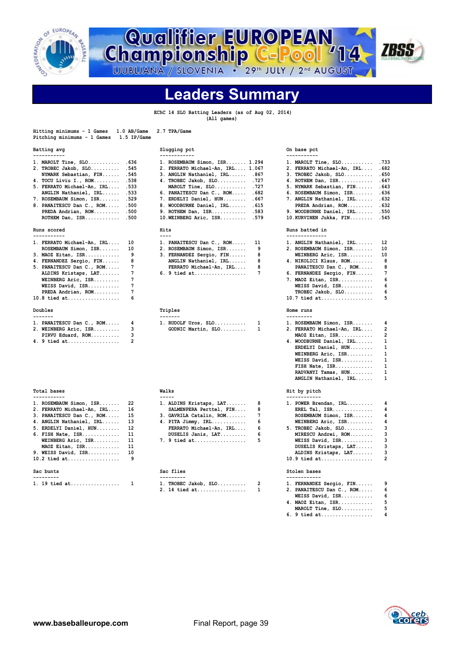![](_page_38_Picture_0.jpeg)

**Hitting minimums - 1 Games 1.0 AB/Game 2.7 TPA/Game** 

**Championship C-Pool '14** 

![](_page_38_Picture_2.jpeg)

**Leaders Summary**

 **EChC 14 SLO Batting Leaders (as of Aug 02, 2014) (All games)**

| Pitching minimums - 1 Games | 1.5 IP/Game     |                                  |                |                                      |                         |
|-----------------------------|-----------------|----------------------------------|----------------|--------------------------------------|-------------------------|
| Batting avg<br>-----------  |                 | Slugging pct<br>------------     |                | On base pct<br>-----------           |                         |
| 1. MAROLT Tine, $SLO$       | . 636           | 1. ROSEMBAUM Simon, ISR 1.294    |                | 1. MAROLT Tine, SLO                  | . 733                   |
| 2. TROBEC Jakob, SLO        | .545            | 2. FERRATO Michael-An, IRL 1.067 |                | 2. FERRATO Michael-An, IRL           | .682                    |
| NYMARK Sebastian, FIN       | .545            | 3. ANGLIN Nathaniel, IRL .867    |                | $3.$ TROBEC Jakob, $SLO$             | .650                    |
| 4. TOCU Liviu I., ROM       | .538            | 4. TROBEC Jakob, SLO .727        |                | 4. ROTHEM Dan, ISR                   | .647                    |
| 5. FERRATO Michael-An, IRL  | .533            | MAROLT Tine, SLO                 | .727           | 5. NYMARK Sebastian, FIN             | .643                    |
| ANGLIN Nathaniel, IRL       | .533            | 6. PANAITESCU Dan C., ROM        | . 682          | 6. ROSEMBAUM Simon, ISR              | .636                    |
| 7. ROSEMBAUM Simon, ISR     | .529            | 7. ERDELYI Daniel, HUN           | .667           | 7. ANGLIN Nathaniel, IRL             | . 632                   |
| 8. PANAITESCU Dan C., ROM   | .500            | 8. WOODBURNE Daniel, IRL         | .615           | PREDA Andrian, ROM                   | . 632                   |
| PREDA Andrian, ROM          | .500            | 9. ROTHEM Dan, ISR               | .583           | 9. WOODBURNE Daniel, IRL             | .550                    |
| ROTHEM Dan, ISR             | .500            | 10.WEINBERG Aric, ISR .579       |                | 10. KURVINEN Jukka, FIN              | .545                    |
| Runs scored                 |                 | Hits                             |                | Runs batted in                       |                         |
| -----------                 |                 | $- - - -$                        |                | --------------                       |                         |
| 1. FERRATO Michael-An, IRL  | 10              | 1. PANAITESCU Dan C., ROM        | 11             | 1. ANGLIN Nathaniel, IRL             | 12                      |
| ROSEMBAUM Simon, ISR        | 10              | 2. ROSEMBAUM Simon, ISR          | 9              | 2. ROSEMBAUM Simon, ISR              | 10                      |
| 3. MAOZ Eitan, ISR          | 9               | 3. FERNANDEZ Sergio, FIN         | 8              | WEINBERG Aric, ISR                   | 10                      |
| 4. FERNANDEZ Sergio, FIN    | 8               | ANGLIN Nathaniel, IRL            | 8              | 4. NIKOLICI Klaus, ROM               | 8                       |
| 5. PANAITESCU Dan C., ROM   | 7               | FERRATO Michael-An, IRL          | 8              | PANAITESCU Dan C., ROM               | 8                       |
| ALDINS Kristaps, LAT        | 7               | 6. 9 tied at                     | 7              | 6. FERNANDEZ Sergio, FIN             | 7                       |
| WEINBERG Aric, ISR          | 7               |                                  |                | 7. MAOZ Eitan, ISR                   | 6                       |
| WEISS David, ISR            | $7\phantom{.0}$ |                                  |                | WEISS David, ISR                     | 6                       |
| PREDA Andrian, ROM          | 7               |                                  |                | TROBEC Jakob, SLO                    | 6                       |
| $10.8$ tied at              | 6               |                                  |                | $10.7$ tied at                       | 5                       |
| Doubles<br>-------          |                 | Triples<br>$- - - - - - -$       |                | Home runs<br>---------               |                         |
| 1. PANAITESCU Dan C., ROM   | 4               | $1.$ RUDOLF Uros, SLO            | 1              | 1. ROSEMBAUM Simon, ISR              | 4                       |
|                             | 3               |                                  | 1              |                                      | $\overline{\mathbf{c}}$ |
| 2. WEINBERG Aric, ISR       | 3               | GODNIC Martin, SLO               |                | 2. FERRATO Michael-An, IRL           | $\overline{\mathbf{c}}$ |
| PIRVU Eduard, ROM           |                 |                                  |                | MAOZ Eitan, ISR                      |                         |
| 4. 9 tied at                | $\overline{2}$  |                                  |                | 4. WOODBURNE Daniel, IRL             | $\mathbf 1$             |
|                             |                 |                                  |                | ERDELYI Daniel, HUN                  | $\mathbf 1$             |
|                             |                 |                                  |                | WEINBERG Aric, ISR                   | $\mathbf 1$             |
|                             |                 |                                  |                | WEISS David, ISR                     | $\mathbf{1}$            |
|                             |                 |                                  |                | FISH Nate, ISR                       | 1                       |
|                             |                 |                                  |                | RADVANYI Tamas, HUN                  | $\mathbf{1}$            |
|                             |                 |                                  |                | ANGLIN Nathaniel, IRL                | 1                       |
| Total bases<br>-----------  |                 | Walks<br>$- - - - -$             |                | Hit by pitch<br>------------         |                         |
| 1. ROSEMBAUM Simon, ISR     | 22              | 1. ALDINS Kristaps, LAT          | 8              | 1. POWER Brendan, IRL                | 4                       |
| 2. FERRATO Michael-An, IRL  | 16              | SALMENPERA Perttel, FIN          | 8              | EREL Tal, $ISR$                      | 4                       |
| 3. PANAITESCU Dan C., ROM   | 15              | 3. GAVRILA Catalin, ROM          | 7              | ROSEMBAUM Simon, ISR                 | 4                       |
| 4. ANGLIN Nathaniel, IRL    | 13              | 4. PITA Jimmy, IRL               | 6              | WEINBERG Aric, ISR                   | 4                       |
| 5. ERDELYI Daniel, HUN      | 12              | FERRATO Michael-An, IRL          | 6              | 5. TROBEC Jakob, SLO                 | 3                       |
| 6. FISH Nate, ISR           | 11              | DUSELIS Janis, LAT               | 6              | MIRESCU Andrei, ROM                  | 3                       |
| WEINBERG Aric, ISR          | 11              | $7.9$ tied at                    | 5              | WEISS David, ISR                     | 3                       |
| MAOZ Eitan, ISR             | 11              |                                  |                | DUSELIS Kristaps, LAT                | 3                       |
| 9. WEISS David, ISR         | 10              |                                  |                |                                      | 3                       |
| 10.2 tied $at$              | 9               |                                  |                | ALDINS Kristaps, LAT<br>10.9 tied at | 2                       |
| Sac bunts                   |                 | Sac flies                        |                | Stolen bases                         |                         |
| ---------                   |                 | ---------                        | $\overline{2}$ | ------------                         |                         |
| 1. 19 tied at               | 1               | $1.$ TROBEC Jakob, SLO           |                | 1. FERNANDEZ Sergio, FIN             | 9                       |
|                             |                 | 2. 14 tied at                    | 1              | 2. PANAITESCU Dan C., ROM            | 6                       |
|                             |                 |                                  |                | WEISS David, ISR                     | 6                       |
|                             |                 |                                  |                |                                      | 5.                      |

![](_page_38_Picture_6.jpeg)

 **4. MAOZ Eitan, ISR............ 5 MAROLT Tine, SLO........... 5 6. 9 tied at.................. 4**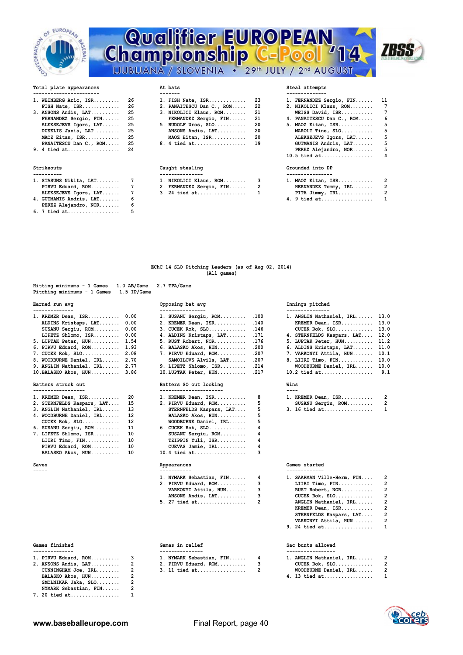![](_page_39_Picture_0.jpeg)

# **Championship C-POOL Championship C-Pool** 14

![](_page_39_Picture_2.jpeg)

| -----------------------   |                              |                    |
|---------------------------|------------------------------|--------------------|
| 1. WEINBERG Aric, ISR 26  | 1. FISH Nate, ISR 23         | 1. FERNANDEZ S     |
| FISH Nate, $ISR$ 26       | 2. PANAITESCU Dan C., ROM 22 | 2. NIKOLICI K1     |
| $3.$ ANSONS Andis, LAT 25 | 3. NIKOLICI Klaus, ROM 21    | <b>WEISS David</b> |
| FERNANDEZ Sergio, FIN 25  | FERNANDEZ Sergio, FIN 21     | 4. PANAITESCU      |
| ALEKSEJEVS Igors, LAT 25  | $5.$ RUDOLF Uros, SLO 20     | 5. MAOZ Eitan,     |
| DUSELIS Janis, LAT 25     | ANSONS Andis, LAT 20         | MAROLT Tine        |
| MAOZ Eitan, ISR 25        | MAOZ Eitan, ISR 20           | <b>ALEKSEJEVS</b>  |
| PANAITESCU Dan C., ROM 25 | 8. 4 tied at 19              | <b>GUTMANIS An</b> |
| 9. 4 tied at 24           |                              | PEREZ Aleja        |

#### **Strikeouts**

| 1. STASUNS Nikita, LAT  | 7 |
|-------------------------|---|
| PIRVU Eduard, ROM       | 7 |
| ALEKSEJEVS Igors, LAT   | 7 |
| 4. GUTMANIS Andris, LAT | 6 |
| PEREZ Alejandro, NOR    | 6 |
| 6. 7 tied at            | 5 |

|  | 1. FISH Nate, ISR         | f |
|--|---------------------------|---|
|  | 2. PANAITESCU Dan C., ROM | f |
|  | 3. NIKOLICI Klaus, ROM    | f |
|  | FERNANDEZ Sergio, FIN     | f |
|  | 5. RUDOLF Uros, SLO       | f |
|  | ANSONS Andis, LAT         | f |
|  | MAOZ Eitan, ISR           | Í |
|  |                           |   |

### Caught stealing **Strike Caught Strike Caught Stealing** Grounded into DP

| ----------                                         |                            |  |                                                                       |  |  |  |
|----------------------------------------------------|----------------------------|--|-----------------------------------------------------------------------|--|--|--|
| 1. STASUNS Nikita, LAT       7                     | 1. NIKOLICI Klaus, ROM 3   |  | 1. MAOZ Eitan, ISR 2                                                  |  |  |  |
| PIRVU Eduard, ROM 7                                | 2. FERNANDEZ Sergio, FIN 2 |  | HERNANDEZ Tommy, IRL 2                                                |  |  |  |
| ALEKSEJEVS Igors, LAT 7                            |                            |  | PITA Jimmy, IRL                                                       |  |  |  |
| $\lambda$ cumunitary $\lambda = \lambda - \lambda$ |                            |  | $\lambda$ $\lambda$ $\lambda$ $\lambda$ $\lambda$ $\lambda$ $\lambda$ |  |  |  |

| 1. WEINBERG Aric, ISR 26 | 1. FISH Nate, ISR 23                                                                                                                                                           |                                                                                                                                                      |  |
|--------------------------|--------------------------------------------------------------------------------------------------------------------------------------------------------------------------------|------------------------------------------------------------------------------------------------------------------------------------------------------|--|
|                          |                                                                                                                                                                                | 1. FERNANDEZ Sergio, FIN 11                                                                                                                          |  |
| FISH Nate, $ISR$ 26      | 2. PANAITESCU Dan C., ROM 22                                                                                                                                                   | 2. NIKOLICI Klaus, ROM 7                                                                                                                             |  |
|                          |                                                                                                                                                                                | WEISS David, $ISR$ 7                                                                                                                                 |  |
|                          |                                                                                                                                                                                | 4. PANAITESCU Dan C., ROM 6                                                                                                                          |  |
|                          |                                                                                                                                                                                | 5. MAOZ Eitan, ISR 5                                                                                                                                 |  |
|                          |                                                                                                                                                                                | MAROLT Tine, SLO 5                                                                                                                                   |  |
|                          |                                                                                                                                                                                | ALEKSEJEVS Igors, LAT 5                                                                                                                              |  |
|                          |                                                                                                                                                                                | $GUTMANIS$ Andris, $LAT$ 5                                                                                                                           |  |
|                          |                                                                                                                                                                                | PEREZ Alejandro, NOR 5                                                                                                                               |  |
|                          |                                                                                                                                                                                | 10.5 tied at 4                                                                                                                                       |  |
|                          | 3. ANSONS Andis, LAT 25<br>FERNANDEZ Sergio, FIN 25<br>ALEKSEJEVS Igors, LAT 25<br>DUSELIS Janis, LAT 25<br>MAOZ Eitan, ISR 25<br>PANAITESCU Dan C., ROM 25<br>9. 4 tied at 24 | 3. NIKOLICI Klaus, ROM 21<br>FERNANDEZ Sergio, FIN 21<br>$5.$ RUDOLF Uros, SLO 20<br>ANSONS Andis, LAT 20<br>$MAOZ$ Eitan, ISR 20<br>8. 4 tied at 19 |  |

| 1. STASUNS Nikita, LAT       7 | 1. NIKOLICI Klaus, ROM 3   | 1. MAOZ Eitan, ISR 2   |  |
|--------------------------------|----------------------------|------------------------|--|
| PIRVU Eduard, ROM 7            | 2. FERNANDEZ Sergio, FIN 2 | HERNANDEZ Tommy, IRL 2 |  |
| ALEKSEJEVS Igors, LAT 7        | 3. 24 tied at 1            | PITA Jimmy, $IRL$ 2    |  |
| 4. GUTMANIS Andris, LAT 6      |                            |                        |  |

#### **EChC 14 SLO Pitching Leaders (as of Aug 02, 2014) (All games)**

| Earned run avg                                                                                                                                                                                                                                                                                           | Opposing bat avg                                                                                                                                                                                                                                                                     | Innings pitched                                                                                                                                                                                                                                                                     |
|----------------------------------------------------------------------------------------------------------------------------------------------------------------------------------------------------------------------------------------------------------------------------------------------------------|--------------------------------------------------------------------------------------------------------------------------------------------------------------------------------------------------------------------------------------------------------------------------------------|-------------------------------------------------------------------------------------------------------------------------------------------------------------------------------------------------------------------------------------------------------------------------------------|
| --------------<br>1. KREMER Dean, ISR<br>0.00<br>ALDINS Kristaps, LAT<br>0.00<br>SUSANU Sergiu, ROM<br>0.00<br>$LIPETZ Shlomo, ISR.$<br>0.00<br>5. LUPTAK Peter, HUN 1.54<br>6. PIRVU Eduard, ROM 1.93<br>7. CUCEK Rok, SLO<br>2.08<br>8. WOODBURNE Daniel, IRL<br>2.70                                  | ----------------<br>1. SUSANU Sergiu, ROM<br>.100<br>2. KREMER Dean, ISR<br>.140<br>$3.$ CUCEK Rok, $SLO$<br>.146<br>.171<br>4. ALDINS Kristaps, LAT<br>.176<br>5. RUST Robert, NOR<br>.200<br>6. BALASKO Akos, HUN<br>.207<br>7. PIRVU Eduard, ROM<br>SAMOILOVS Alvils, LAT<br>.207 | ---------------<br>1. ANGLIN Nathaniel, IRL<br>13.0<br>KREMER Dean, ISR<br>13.0<br>13.0<br>CUCEK Rok, SLO<br>12.0<br>4. STERNFELDS Kaspars, LAT<br>11.2<br>5. LUPTAK Peter, HUN<br>11.0<br>6. ALDINS Kristaps, LAT<br>7. VARKONYI Attila, HUN<br>10.1<br>8. LIIRI Timo, FIN<br>10.0 |
| 9. ANGLIN Nathaniel, IRL 2.77<br>$10.BALASKO Akos, HUN.$ 3.86                                                                                                                                                                                                                                            | 9. LIPETZ Shlomo, ISR<br>.214<br>10. LUPTAK Peter, HUN<br>.217                                                                                                                                                                                                                       | WOODBURNE Daniel, IRL<br>10.0<br>10.2 tied $at$<br>9.1                                                                                                                                                                                                                              |
| Batters struck out<br>------------------                                                                                                                                                                                                                                                                 | Batters SO out looking<br>----------------------                                                                                                                                                                                                                                     | Wins<br>----                                                                                                                                                                                                                                                                        |
| 1. KREMER Dean, ISR<br>20<br>15<br>2. STERNFELDS Kaspars, LAT<br>13<br>3. ANGLIN Nathaniel, IRL<br>12<br>4. WOODBURNE Daniel, IRL<br>12<br>$CUCEK Rok, SLO$<br>11<br>6. SUSANU Sergiu, ROM<br>10<br>7. LIPETZ Shlomo, ISR<br>LIIRI Timo, FIN<br>10<br>PIRVU Eduard, ROM<br>10<br>BALASKO Akos, HUN<br>10 | 1. KREMER Dean, ISR<br>8<br>5<br>2. PIRVU Eduard, ROM<br>5<br>STERNFELDS Kaspars, LAT<br>5<br>BALASKO Akos, HUN<br>5<br>WOODBURNE Daniel, IRL<br>$6.$ CUCEK Rok, SLO<br>4<br>SUSANU Sergiu, ROM<br>4<br>TZIPPIN Yuli, ISR<br>4<br>CUEVAS Jamie, IRL<br>4<br>10.4 tied $at$<br>3      | 1. KREMER Dean, ISR<br>$\overline{2}$<br>$\overline{2}$<br>SUSANU Sergiu, ROM<br>1<br>$3. 16$ tied at                                                                                                                                                                               |
| Saves                                                                                                                                                                                                                                                                                                    | Appearances                                                                                                                                                                                                                                                                          | Games started                                                                                                                                                                                                                                                                       |
| -----                                                                                                                                                                                                                                                                                                    | 1. NYMARK Sebastian, FIN<br>4<br>з<br>2. PIRVU Eduard, ROM<br>3<br>VARKONYI Attila, HUN<br>3<br>ANSONS Andis, LAT                                                                                                                                                                    | 1. SAARMAN Ville-Herm, FIN<br>2<br>$\overline{\mathbf{2}}$<br>LIIRI Timo, FIN<br>$\overline{a}$<br>RUST Robert, NOR<br>2<br>CUCEK Rok, SLO                                                                                                                                          |

| 1. PIRVU Eduard, $ROM$ 3  | 1. NYMARK Sebastian, FIN 4 |  | 1. ANGLIN Nathani     |  |  |  |
|---------------------------|----------------------------|--|-----------------------|--|--|--|
| 2. ANSONS Andis, $LAT$ 2  | 2. PIRVU Eduard, ROM 3     |  | CUCEK Rok, SLO        |  |  |  |
| CUNNINGHAM Joe, IRL, 2    |                            |  | <b>WOODBURNE Dani</b> |  |  |  |
|                           |                            |  | $4.13$ tied at        |  |  |  |
| SMOLNIKAR Jaka, $SLO$ 2   |                            |  |                       |  |  |  |
| NYMARK Sebastian, FIN 2   |                            |  |                       |  |  |  |
| $7 \t 20 + i \cdot 4 + 1$ |                            |  |                       |  |  |  |

**7. 20 tied at................. 1** 

| 1. SUSANU Sergiu, ROM   | .100 |
|-------------------------|------|
| 2. KREMER Dean, ISR     | .140 |
| 3. CUCEK Rok, SLO       | .146 |
| 4. ALDINS Kristaps, LAT | .171 |
| 5. RUST Robert, NOR     | .176 |
| 6. BALASKO Akos, HUN    | .200 |
| 7. PIRVU Eduard, ROM    | .207 |
| SAMOILOVS Alvils, LAT   | .207 |
| 9. LIPETZ Shlomo, ISR   | .214 |
| 10 LUDTAK Deter HUN     | 217  |

| 1. NYMARK Sebastian, FIN | 4 |
|--------------------------|---|
| 2. PIRVU Eduard, ROM     | ٩ |
| VARKONYI Attila, HUN     | 3 |
| ANSONS Andis, LAT        | ٩ |
| 5. 27 tied at            | 2 |

| 1. PIRVU Eduard, ROM     3 |  | 1. NYMARK Sebastian, FIN 4 | 1. ANGLIN Nathaniel, IRL 2        |  |
|----------------------------|--|----------------------------|-----------------------------------|--|
| 2. ANSONS Andis, $LAT$ 2   |  | 2. PIRVU Eduard, ROM 3     |                                   |  |
| $CUNNINGHAM$ Joe, $IRL$ 2  |  | 3. 11 tied at  2           | $WOODBURNE Daniel, IRL, \ldots$ 2 |  |
|                            |  |                            |                                   |  |

### **Earned run avg Opposing bat avg Innings pitched**

| 1. ANGLIN Nathaniel, IRL   | 13.0 |
|----------------------------|------|
| KREMER Dean, ISR           | 13.0 |
| $CUCEK Rok, SLO$           | 13.0 |
| 4. STERNFELDS Kaspars, LAT | 12.0 |
| 5. LUPTAK Peter, HUN       | 11.2 |
| 6. ALDINS Kristaps, LAT    | 11.0 |
| 7. VARKONYI Attila, HUN    | 10.1 |
| 8. LIIRI Timo, FIN         | 10.0 |
| WOODBURNE Daniel, IRL      | 10.0 |
| 10.2 tied at               | 9.1  |

| --- |                     |                |
|-----|---------------------|----------------|
|     | 1. KREMER Dean, ISR | $\mathcal{P}$  |
|     | SUSANU Sergiu, ROM  | $\overline{2}$ |
|     |                     | 1              |

#### Games started

| 1. NYMARK Sebastian, FIN 4 1. SAARMAN Ville-Herm, FIN 2 |                           |  |
|---------------------------------------------------------|---------------------------|--|
| 2. PIRVU Eduard, ROM 3                                  | LIIRI Timo, FIN 2         |  |
| VARKONYI Attila, HUN 3                                  | RUST Robert, NOR 2        |  |
|                                                         |                           |  |
| 5. 27 tied at 2                                         | ANGLIN Nathaniel, IRL 2   |  |
|                                                         | KREMER Dean, ISR 2        |  |
|                                                         | STERNFELDS Kaspars, LAT 2 |  |
|                                                         | VARKONYI Attila, HUN 2    |  |
|                                                         | 9. 24 tied at 1           |  |
|                                                         |                           |  |

### Games finished Games in relief Sac bunts allowed Sac bunts allowed Sac bunts allowed Sac bunts allowed Sac bunts allowed Sac bunts allowed Sac bunts allowed Sac bunts allowed Sac bunts allowed Sac bunts allowed Sac bunts a

| 1. PIRVU Eduard, ROM     3 | 1. NYMARK Sebastian, FIN 4 | 1. ANGLIN Nathaniel, IRL 2          |  |
|----------------------------|----------------------------|-------------------------------------|--|
|                            | 2. PIRVU Eduard, ROM 3     |                                     |  |
| CUNNINGHAM Joe, IRL 2      |                            | $WOODBURNE Daniel, IRL, \ldots$ , 2 |  |
| BALASKO Akos, HUN 2        |                            |                                     |  |

![](_page_39_Picture_34.jpeg)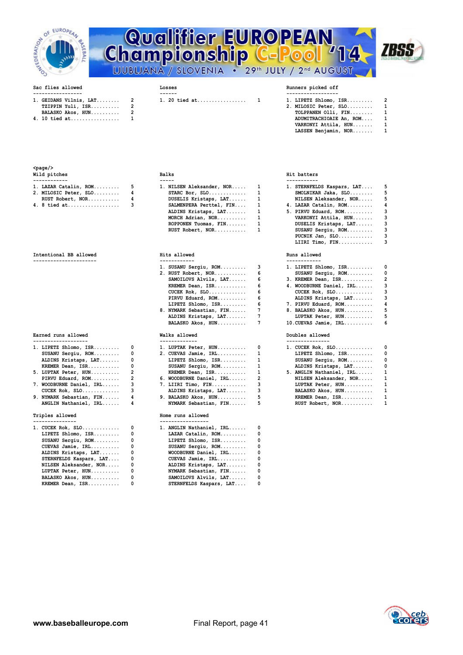![](_page_40_Picture_0.jpeg)

# **Sac flies allowed Losses Runners picked off Championship C-Pool** 14 714

![](_page_40_Picture_2.jpeg)

| $1.$ GEIDANS Vilnis, LAT $2$ | 1. 20 tied at    1 | 1. LIPETZ Shlomo, |
|------------------------------|--------------------|-------------------|
|                              |                    | 2. MILOSIC Peter, |
|                              |                    | TOLPPANEN Olli,   |
| $\mu$ 10 tied at 1           |                    | ADIIMTTRACHTOATE  |

| . .<br>$ -$<br>n a<br>. . |
|---------------------------|
|---------------------------|

- 
- 
- 

|                       | 1. GEIDANS Vilnis, LAT 2 1. 20 tied at 1 | 1. LIPETZ Shlomo, $ISR \ldots$ 2 |  |
|-----------------------|------------------------------------------|----------------------------------|--|
| TZIPPIN Yuli, ISR 2   |                                          | 2. MILOSIC Peter, SLO 1          |  |
| BALASKO Akos, HUN 2   |                                          | TOLPPANEN Olli, FIN 1            |  |
| 4. 10 tied at       1 |                                          | ADUMITRACHIOAIE An, ROM 1        |  |
|                       |                                          | VARKONYI Attila, HUN 1           |  |
|                       |                                          | LASSEN Benjamin, NOR 1           |  |

### **<page/>**  wild pitches **Manual Communist Balks Balks Hit batters Hit batters ------------ ----- ----------- 4. 8 tied at.................. 3 SALMENPERA Perttel, FIN.... 1 4. LAZAR Catalin, ROM......... 4**

| ---------------------- |  | ------------ |
|------------------------|--|--------------|
| Intentional BB allowed |  | Hits allowed |

|  |  | Earned runs allowed |
|--|--|---------------------|
|--|--|---------------------|

|  |                                                                                                                                                                                    | 1. CUCEK Rok, S                                                                                                                                                                                              |
|--|------------------------------------------------------------------------------------------------------------------------------------------------------------------------------------|--------------------------------------------------------------------------------------------------------------------------------------------------------------------------------------------------------------|
|  |                                                                                                                                                                                    | LIPETZ Shlom                                                                                                                                                                                                 |
|  |                                                                                                                                                                                    | SUSANU Sergi                                                                                                                                                                                                 |
|  |                                                                                                                                                                                    | ALDINS Krist                                                                                                                                                                                                 |
|  |                                                                                                                                                                                    | 5. ANGLIN Natha                                                                                                                                                                                              |
|  |                                                                                                                                                                                    | <b>NILSEN Aleks</b>                                                                                                                                                                                          |
|  |                                                                                                                                                                                    | LUPTAK Peter                                                                                                                                                                                                 |
|  |                                                                                                                                                                                    | <b>BALASKO Akos</b>                                                                                                                                                                                          |
|  | 1. LIPETZ Shlomo, $ISR$ $0$<br>SUSANU Sergiu, ROM 0<br>ALDINS Kristaps, LAT 0<br>KREMER Dean, ISR 0<br>5. LUPTAK Peter, HUN 2<br>PIRVU Eduard, ROM 2<br>7. WOODBURNE Daniel, IRL 3 | 1. LUPTAK Peter, HUN 0<br>2. CUEVAS Jamie, IRL 1<br>LIPETZ Shlomo, $ISR$ $1$<br>SUSANU Sergiu, ROM 1<br>KREMER Dean, ISR 1<br>6. WOODBURNE Daniel, IRL 2<br>$7.$ LIIRI Timo, FIN 3<br>ALDINS Kristaps, LAT 3 |

| 1. CUCEK Rok, SLO       | 0 | 1. ANGLIN Nathanie     |
|-------------------------|---|------------------------|
| LIPETZ Shlomo, ISR.     | 0 | LAZAR Catalin,         |
| SUSANU Sergiu, ROM      | 0 | LIPETZ Shlomo,         |
| CUEVAS Jamie, IRL       | 0 | SUSANU Sergiu,         |
| ALDINS Kristaps, LAT    | 0 | <b>WOODBURNE Danie</b> |
| STERNFELDS Kaspars, LAT | 0 | CUEVAS Jamie, I        |
| NILSEN Aleksander, NOR  | 0 | ALDINS Kristaps        |
| LUPTAK Peter, HUN       | 0 | NYMARK Sebastia        |
| BALASKO Akos, HUN       | 0 | SAMOILOVS Alvil        |
| KREMER Dean, ISR        | 0 | STERNFELDS Kasp        |

| 1. LAZAR Catalin, ROM 5 | 1. NILSEN Aleksander, NOR 1 |  |
|-------------------------|-----------------------------|--|
| 2. MILOSIC Peter, SLO   | STARC Bor, $SLO$ 1          |  |
| RUST Robert, NOR 4      | DUSELIS Kristaps, LAT 1     |  |
|                         | SALMENPERA Perttel, FIN 1   |  |
|                         | ALDINS Kristaps, LAT 1      |  |
|                         | MORCH Adrian, NOR 1         |  |
|                         | ROPPONEN Tuomas, FIN 1      |  |
|                         | RUST Robert, NOR 1          |  |

#### **Intentional BB allowed Hits allowed Runs allowed**

| 1. SUSANU Sergiu, ROM 3                     | 1. LIPETZ Shlomo, $ISR$ 0  |  |
|---------------------------------------------|----------------------------|--|
| 2. RUST Robert, NOR 6                       | SUSANU Sergiu, ROM 0       |  |
| SAMOILOVS Alvils, $LAT$ $6$                 | 3. KREMER Dean, ISR 2      |  |
|                                             | 4. WOODBURNE Daniel, IRL 3 |  |
| $CUCEK Rok, SLO \ldots \ldots 6$            |                            |  |
| PIRVU Eduard, ROM 6                         | ALDINS Kristaps, LAT 3     |  |
| LIPETZ Shlomo, $ISR \ldots \ldots \ldots 6$ | 7. PIRVU Eduard, ROM 4     |  |
| 8. NYMARK Sebastian, FIN 7                  | 8. BALASKO Akos, HUN 5     |  |
| ALDINS Kristaps, LAT 7                      | LUPTAK Peter, HUN 5        |  |
| BALASKO Akos, HUN                           | $10.CUEVAS$ Jamie, $IRL$ 6 |  |
|                                             |                            |  |

#### **Walks allowed**

| $1.$ LIPETZ Shlomo, ISR $0$      | 1. LUPTAK Peter, HUN 0                            | $1.$ CUCEK Rok, SLO 0    |                          |
|----------------------------------|---------------------------------------------------|--------------------------|--------------------------|
| SUSANU Sergiu, ROM 0             | 2. CUEVAS Jamie, IRL 1                            | LIPETZ Shlomo, ISR 0     |                          |
| ALDINS Kristaps, LAT 0           | LIPETZ Shlomo, $ISR$ $1$                          | SUSANU Sergiu, ROM       | $\overline{\phantom{0}}$ |
| KREMER Dean, ISR 0               | $SUSANU$ $Sergiu$ , $ROM$ , $\ldots$ , $\ldots$ 1 | ALDINS Kristaps, LAT 0   |                          |
| 5. LUPTAK Peter, HUN 2           | KREMER Dean, ISR 1                                | 5. ANGLIN Nathaniel, IRL | $\overline{\phantom{0}}$ |
|                                  | 6. WOODBURNE Daniel, IRL 2                        | NILSEN Aleksander, NOR 1 |                          |
| 7. WOODBURNE Daniel, IRL 3       | $7.$ LIIRI Timo, FIN $3$                          | LUPTAK Peter, HUN        | $\overline{\phantom{0}}$ |
| $CUCEK Rok, SLO \ldots \ldots 3$ | ALDINS Kristaps, LAT 3                            | BALASKO Akos, HUN        | $\overline{\phantom{0}}$ |
| 9. NYMARK Sebastian, FIN 4       | 9. BALASKO Akos, HUN 5                            | KREMER Dean, ISR         | - 1                      |
| ANGLIN Nathaniel, IRL 4          | NYMARK Sebastian, FIN 5                           | RUST Robert, NOR 1       |                          |
| Triples allowed                  | Home runs allowed                                 |                          |                          |
|                                  |                                                   |                          |                          |

| 1. CUCEK Rok, SLO  0      |                         | 1. ANGLIN Nathaniel, IRL 0 |  |
|---------------------------|-------------------------|----------------------------|--|
| LIPETZ Shlomo, ISR 0      |                         | LAZAR Catalin, ROM 0       |  |
| SUSANU Sergiu, ROM        | $\overline{\mathbf{0}}$ | LIPETZ Shlomo, $ISR$ 0     |  |
| CUEVAS Jamie, IRL 0       |                         | SUSANU Sergiu, $ROM$ $0$   |  |
| ALDINS Kristaps, LAT      | $\overline{\mathbf{0}}$ | WOODBURNE Daniel, IRL 0    |  |
| STERNFELDS Kaspars, LAT 0 |                         | CUEVAS Jamie, IRL 0        |  |
| NILSEN Aleksander, NOR 0  |                         | ALDINS Kristaps, LAT 0     |  |
| LUPTAK Peter, HUN         | 0                       | NYMARK Sebastian, FIN 0    |  |
| BALASKO Akos, HUN         | $\overline{\mathbf{0}}$ | SAMOILOVS Alvils, LAT      |  |
| KREMER Dean, ISR          | 0                       | STERNFELDS Kaspars, LAT    |  |
|                           |                         |                            |  |

| 1. LAZAR Catalin, ROM       5 |  | 1. NILSEN Aleksander, NOR 1 |  | 1. STERNFELDS Kaspars, LAT 5 |  |
|-------------------------------|--|-----------------------------|--|------------------------------|--|
| 2. MILOSIC Peter, SLO      4  |  | STARC Bor, $SLO$ 1          |  | SMOLNIKAR Jaka, $SLO$ 5      |  |
| RUST Robert, NOR 4            |  | DUSELIS Kristaps, LAT 1     |  | NILSEN Aleksander, NOR 5     |  |
| 4. 8 tied at  3               |  | SALMENPERA Perttel, FIN 1   |  | 4. LAZAR Catalin, ROM 4      |  |
|                               |  | ALDINS Kristaps, LAT 1      |  | $5.$ PIRVU Eduard, ROM 3     |  |
|                               |  | $MORCH$ Adrian, $NOR$ 1     |  | VARKONYI Attila, HUN 3       |  |
|                               |  | ROPPONEN Tuomas, $FIN$ $1$  |  | DUSELIS Kristaps, LAT 3      |  |
|                               |  | RUST Robert, NOR 1          |  | SUSANU Sergiu, ROM 3         |  |
|                               |  |                             |  | PUCNIK Jan, $SLO$ 3          |  |
|                               |  |                             |  | LIIRI Timo, $FIN$ 3          |  |
|                               |  |                             |  |                              |  |

|                                 | 1. SUSANU Sergiu, ROM 3                        | 1. LIPETZ Shlomo, $ISR \ldots \ldots$ 0 |                          |
|---------------------------------|------------------------------------------------|-----------------------------------------|--------------------------|
|                                 | 2. RUST Robert, NOR 6                          | $SUSANU$ Sergiu, $ROM$ 0                |                          |
|                                 | $SAMOILOVS$ $Alvils$ , $LAT$ $6$               | 3. KREMER Dean, ISR                     | $\overline{\phantom{a}}$ |
|                                 |                                                | 4. WOODBURNE Daniel, IRL                | - 3                      |
|                                 | $CUCEK Rok, SLO \ldots \ldots \ldots 6$        | $CUCEK$ $Rok$ , $SLO$                   | $_{3}$                   |
|                                 | PIRVU Eduard, ROM 6                            | ALDINS Kristaps, LAT                    | - 3                      |
|                                 | LIPETZ Shlomo, $ISR$ $6$                       | 7. PIRVU Eduard, ROM                    | 4                        |
|                                 | 8. NYMARK Sebastian, FIN 7                     | 8. BALASKO Akos, HUN                    | 5                        |
|                                 | ALDINS Kristaps, LAT 7                         | LUPTAK Peter, HUN                       | -5                       |
|                                 | BALASKO Akos, HUN 7                            | 10.CUEVAS Jamie, IRL                    | - 6                      |
| <b>Earned runs allowed</b>      | Walks allowed                                  | Doubles allowed                         |                          |
|                                 |                                                |                                         |                          |
| 1. LIPETZ Shlomo, ISR         0 | 1. LUPTAK Peter, HUN 0     1. CUCEK Rok, SLO 0 |                                         |                          |

| LIPETZ Shlomo, ISR      | 0 |
|-------------------------|---|
| SUSANU Sergiu, ROM      | 0 |
| ALDINS Kristaps, LAT    | 0 |
| . ANGLIN Nathaniel, IRL | 1 |
| NILSEN Aleksander, NOR  | 1 |
| LUPTAK Peter, HUN       | 1 |
| BALASKO Akos, HUN       | 1 |
| KREMER Dean, ISR        | 1 |
| RUST Robert, NOR        | 1 |

![](_page_40_Picture_30.jpeg)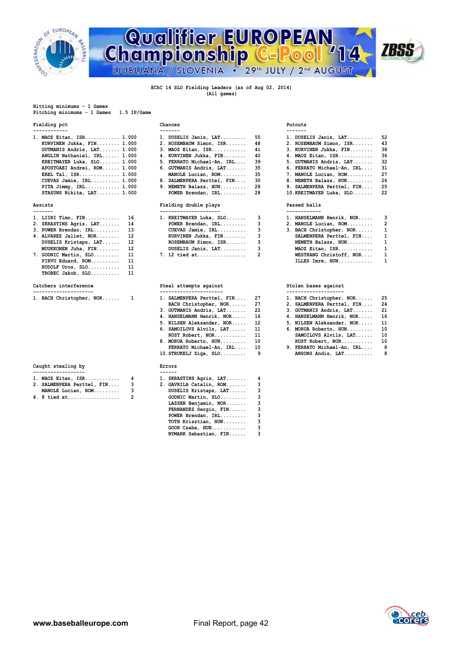![](_page_41_Picture_0.jpeg)

# **Championship C-P**<br>
UUBLIANA / SLOVENIA . 29<sup>th</sup> JULY **Qualifier EUROPEAN<br>Championship C-Pool '14 ZBSS**

 **(All games)**

#### **Hitting minimums - 1 Games Pitching minimums - 1 Games 1.5 IP/Game**

#### **Fielding pct Chances Putouts**

| 1. MAOZ Eitan, ISR 1.000                       | 1. DUSELIS Janis, LAT 55      | 1. DUSELIS Janis, LAT 52      |      |
|------------------------------------------------|-------------------------------|-------------------------------|------|
| KURVINEN Jukka, FIN 1.000                      | 2. ROSEMBAUM Simon, ISR 48    | 2. ROSEMBAUM Simon, ISR 43    |      |
| GUTMANIS Andris, LAT 1.000                     | 3. MAOZ Eitan, ISR 41         | 3. KURVINEN Jukka, FIN        | - 38 |
| ANGLIN Nathaniel, IRL 1.000                    | 4. KURVINEN Jukka, FIN 40     | 4. MAOZ Eitan, ISR            | - 36 |
| KREITMAYER Luka, SLO 1.000                     | 5. FERRATO Michael-An, IRL 39 | 5. GUTMANIS Andris, LAT 32    |      |
| APOSTOAEI Andrei, ROM 1.000                    | 6. GUTMANIS Andris, LAT 35    | 6. FERRATO Michael-An, IRL 31 |      |
| EREL Tal, $ISR, \ldots, \ldots, \ldots, 1.000$ | MANOLE Lucian, ROM 35         | 7. MANOLE Lucian, ROM 27      |      |
| CUEVAS Jamie, IRL 1.000                        | 8. SALMENPERA Perttel, FIN 30 | 8. NEMETH Balazs, HUN         | 26   |
| PITA Jimmy, $IRL$ $1.000$                      | 9. NEMETH Balazs, HUN 28      | 9. SALMENPERA Perttel, FIN 25 |      |
| STASUNS Nikita, LAT 1.000                      | POWER Brendan, IRL 28         | 10. KREITMAYER Luka, SLO 22   |      |

| Catchers interference      | Steal attempts against    | Stolen bases a    |
|----------------------------|---------------------------|-------------------|
| $TROBEC Jakob, SLO$ 11     |                           |                   |
| RUDOLF Uros, $SLO$ 11      |                           |                   |
| PIRVU Eduard, ROM 11       |                           | ILLES Imre.       |
| 7. GODNIC Martin, SLO 11   | 7. 12 tied at 2           | WESTRANG CH       |
| MUUKKONEN Juha, FIN 12     | DUSELIS Janis, $LAT$ 3    | MAOZ Eitan,       |
| DUSELIS Kristaps, LAT 12   | ROSEMBAUM Simon, ISR 3    | NEMETH Bala       |
| 4. ALVAREZ Jaliet, NOR 12  | KURVINEN Jukka, FIN 3     | <b>SALMENPERA</b> |
| 3. POWER Brendan, IRL 13   | $CUEVAS$ Jamie, $IRL$ 3   | 3. BACH Christ    |
| 2. SKRASTINS Agris, LAT 14 | POWER Brendan, IRL 3      | 2. MANOLE Luci    |
| 1. LIIRI Timo, FIN 16      | 1. KREITMAYER Luka, SLO 3 | 1. HANSELMANN     |
|                            |                           |                   |

|  |  | 1. BACH Christopher, NOR |  |  |
|--|--|--------------------------|--|--|
|--|--|--------------------------|--|--|

| Caught stealing by                          | Errors |                         |  |  |  |
|---------------------------------------------|--------|-------------------------|--|--|--|
|                                             |        |                         |  |  |  |
| $1.$ MAOZ Eitan, ISR                        | 4      | 1. SKRASTINS Agris, LAT |  |  |  |
| 2. SALMENPERA Perttel, FIN                  |        | 2. GAVRILA Catalin, ROM |  |  |  |
| MANOLE Lucian, ROM                          |        | DUSELIS Kristaps, LAT   |  |  |  |
| $1 \quad 0 \quad + \quad - \quad - \quad +$ |        | $COMITC$ Martin $CTC$   |  |  |  |

| 1. DUSELIS Janis, LAT      | 5              |
|----------------------------|----------------|
| 2. ROSEMBAUM Simon, ISR    | 4              |
| 3. MAOZ Eitan, ISR         | 4              |
| 4. KURVINEN Jukka, FIN     | 4              |
| 5. FERRATO Michael-An, IRL | 3              |
| 6. GUTMANIS Andris, LAT    | 3              |
| MANOLE Lucian, ROM         | 3              |
| 8. SALMENPERA Perttel, FIN | 3              |
| 9. NEMETH Balazs, HUN      | $\overline{2}$ |
|                            | $\overline{ }$ |

### Assists Fielding double plays Passets<br> **Passed balls**<br> **Passed balls**

| 1. LIIRI Timo, FIN  16     | 1. KREITMAYER Luka, SLO 3 | 1. HANSELMANN Henrik, NOR 3 |  |
|----------------------------|---------------------------|-----------------------------|--|
| 2. SKRASTINS Agris, LAT 14 | POWER Brendan, IRL 3      | 2. MANOLE Lucian, ROM 2     |  |
| 3. POWER Brendan, IRL 13   | CUEVAS Jamie, IRL 3       | 3. BACH Christopher, NOR 1  |  |
| 4. ALVAREZ Jaliet, NOR 12  | KURVINEN Jukka, FIN 3     | SALMENPERA Perttel, FIN 1   |  |
| DUSELIS Kristaps, LAT 12   | ROSEMBAUM Simon, ISR 3    | NEMETH Balazs, HUN 1        |  |
| MUUKKONEN Juha, FIN 12     | DUSELIS Janis, LAT 3      | $MAOZ$ Eitan, $ISR$ 1       |  |
| 7. GODNIC Martin, SLO 11   | 7. 12 tied at 2           | WESTRANG Christoff, NOR 1   |  |

| 1. SALMENPERA Perttel, FIN | $2^{\circ}$ |   |
|----------------------------|-------------|---|
| BACH Christopher, NOR      | $2^{\circ}$ |   |
| 3. GUTMANIS Andris, LAT    | 22          |   |
| 4. HANSELMANN Henrik, NOR  | 1(          |   |
| 5. NILSEN Aleksander, NOR  | 12          |   |
| 6. SAMOILOVS Alvils, LAT   | 11          |   |
| RUST Robert, NOR           | 11          |   |
| 8. MORUA Roberto, HUN      | 1(          |   |
| FERRATO Michael-An, IRL    | 1(          |   |
| 10.STRUKELJ Ziga, SLO      |             | I |
|                            |             |   |
| Errors                     |             |   |
|                            |             |   |
| .                          |             |   |

| 1. MAOZ Eltan, ISR      4  |   | 1. SARASTINS AGIIS, LAT |  |
|----------------------------|---|-------------------------|--|
| 2. SALMENPERA Perttel, FIN |   | 2. GAVRILA Catalin, ROM |  |
| MANOLE Lucian, ROM         | 3 | DUSELIS Kristaps, LAT 3 |  |
|                            |   | $GODNIC Martin, SLO.$ 3 |  |
|                            |   | LASSEN Benjamin, NOR 3  |  |
|                            |   | FERNANDEZ Sergio, FIN   |  |
|                            |   | POWER Brendan, IRL      |  |
|                            |   | TOTH Krisztian, HUN     |  |
|                            |   | GOOR Csaba, HUN         |  |
|                            |   | NYMARK Sebastian, FIN   |  |
|                            |   |                         |  |

| 1. DUSELIS Janis, LAT               | 52 |  |  |  |  |
|-------------------------------------|----|--|--|--|--|
| 2. ROSEMBAUM Simon, ISR             | 43 |  |  |  |  |
| 3. KURVINEN Jukka, FIN              | 38 |  |  |  |  |
| 4. MAOZ Eitan, ISR                  | 36 |  |  |  |  |
| 5. GUTMANIS Andris, LAT             | 32 |  |  |  |  |
| 6. FERRATO Michael-An, IRL          | 31 |  |  |  |  |
| 7. MANOLE Lucian, ROM               | 27 |  |  |  |  |
| 8. NEMETH Balazs, HUN               | 26 |  |  |  |  |
| 9. SALMENPERA Perttel, FIN          | 25 |  |  |  |  |
| $10.KREITHAYER Luka, SLO, \ldots$ . | 22 |  |  |  |  |
|                                     |    |  |  |  |  |
| Passed balls                        |    |  |  |  |  |
|                                     |    |  |  |  |  |
|                                     |    |  |  |  |  |

| 1. LIIRI Tīmo, FIN 16      | 1. KREITMAYER Luka, SLO 3 | 1. HANSELMANN Henrik, NOR 3 |  |
|----------------------------|---------------------------|-----------------------------|--|
| 2. SKRASTINS Agris, LAT 14 | POWER Brendan, IRL 3      | 2. MANOLE Lucian, ROM 2     |  |
| 3. POWER Brendan, IRL 13   | CUEVAS Jamie, IRL 3       | 3. BACH Christopher, NOR 1  |  |
| 4. ALVAREZ Jaliet, NOR 12  | KURVINEN Jukka, FIN 3     | SALMENPERA Perttel, FIN 1   |  |
| DUSELIS Kristaps, LAT 12   | ROSEMBAUM Simon, ISR 3    | NEMETH Balazs, HUN 1        |  |
| MUUKKONEN Juha, FIN 12     | DUSELIS Janis, LAT 3      | $MAOZ$ Eitan, $ISR$ 1       |  |
| 7. GODNIC Martin, SLO 11   | 7. 12 tied at 2           | WESTRANG Christoff, NOR 1   |  |
| PIRVU Eduard, ROM 11       |                           | ILLES Imre, HUN 1           |  |
|                            |                           |                             |  |

#### Steal attempts against **Category Stolen bases** against

|  | 1. BACH Christopher, NOR 1 |  | 1. SALMENPERA Perttel, FIN 27 |  | 1. BACH Christopher, NOR 25   |  |
|--|----------------------------|--|-------------------------------|--|-------------------------------|--|
|  |                            |  | BACH Christopher, NOR 27      |  | 2. SALMENPERA Perttel, FIN 24 |  |
|  |                            |  | 3. GUTMANIS Andris, LAT 22    |  | 3. GUTMANIS Andris, LAT 21    |  |
|  |                            |  | 4. HANSELMANN Henrik, NOR 16  |  | 4. HANSELMANN Henrik, NOR 16  |  |
|  |                            |  | 5. NILSEN Aleksander, NOR 12  |  | 5. NILSEN Aleksander, NOR 11  |  |
|  |                            |  | 6. SAMOILOVS Alvils, LAT 11   |  | 6. MORUA Roberto, HUN 10      |  |
|  |                            |  | RUST Robert, NOR 11           |  | SAMOILOVS Alvils, LAT 10      |  |
|  |                            |  | 8. MORUA Roberto, HUN 10      |  | RUST Robert, NOR 10           |  |
|  |                            |  | FERRATO Michael-An, IRL 10    |  | 9. FERRATO Michael-An, IRL 8  |  |
|  |                            |  | $10.$ STRUKELJ Ziga, SLO      |  | ANSONS Andis, LAT 8           |  |
|  |                            |  |                               |  |                               |  |